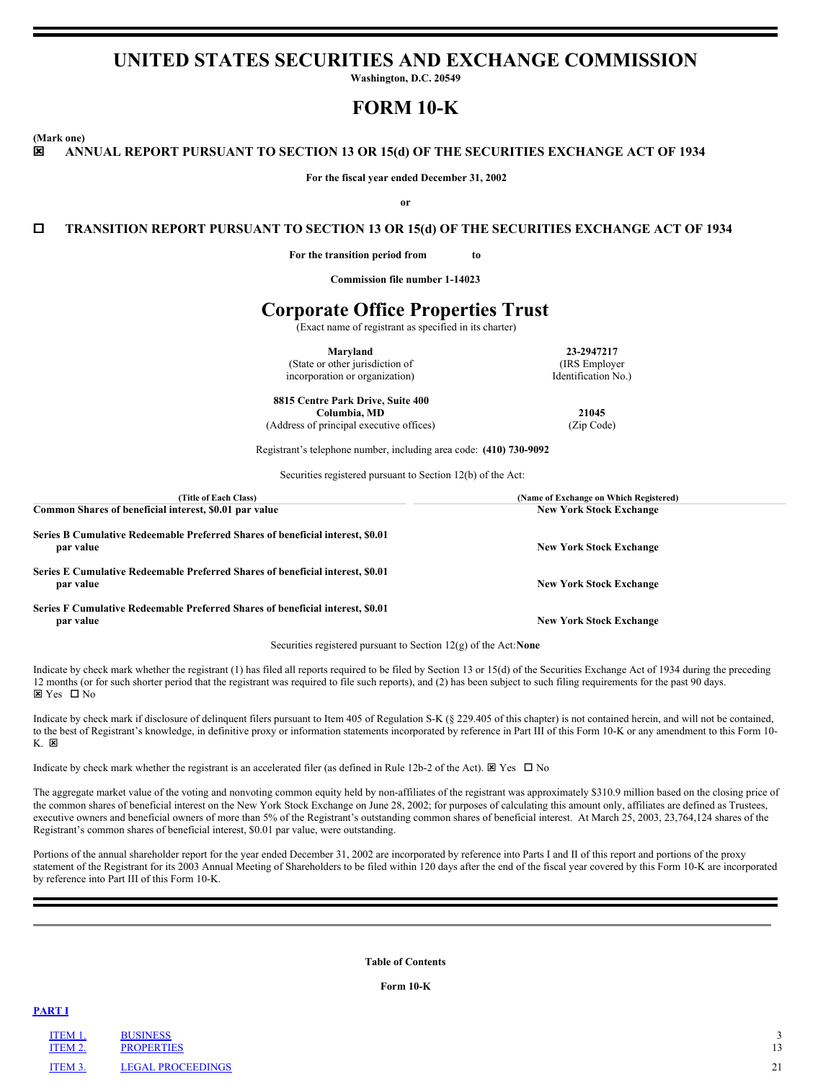# **UNITED STATES SECURITIES AND EXCHANGE COMMISSION**

**Washington, D.C. 20549**

**FORM 10-K**

**(Mark one)**

# ý **ANNUAL REPORT PURSUANT TO SECTION 13 OR 15(d) OF THE SECURITIES EXCHANGE ACT OF 1934**

**For the fiscal year ended December 31, 2002**

**or**

## o **TRANSITION REPORT PURSUANT TO SECTION 13 OR 15(d) OF THE SECURITIES EXCHANGE ACT OF 1934**

**For the transition period from to**

**Commission file number 1-14023**

# **Corporate Office Properties Trust**

(Exact name of registrant as specified in its charter)

**Maryland 23-2947217** (State or other jurisdiction of incorporation or organization)

**8815 Centre Park Drive, Suite 400 Columbia, MD 21045**

(Address of principal executive offices) (Zip Code)

(IRS Employer Identification No.)

Registrant's telephone number, including area code: **(410) 730-9092**

Securities registered pursuant to Section 12(b) of the Act:

| (Title of Each Class)                                                                       | (Name of Exchange on Which Registered) |
|---------------------------------------------------------------------------------------------|----------------------------------------|
| Common Shares of beneficial interest, \$0.01 par value                                      | <b>New York Stock Exchange</b>         |
| Series B Cumulative Redeemable Preferred Shares of beneficial interest, \$0.01<br>par value | <b>New York Stock Exchange</b>         |
| Series E Cumulative Redeemable Preferred Shares of beneficial interest, \$0.01<br>par value | <b>New York Stock Exchange</b>         |
| Series F Cumulative Redeemable Preferred Shares of beneficial interest, \$0.01<br>par value | <b>New York Stock Exchange</b>         |

Securities registered pursuant to Section 12(g) of the Act:**None**

Indicate by check mark whether the registrant (1) has filed all reports required to be filed by Section 13 or 15(d) of the Securities Exchange Act of 1934 during the preceding 12 months (or for such shorter period that the registrant was required to file such reports), and (2) has been subject to such filing requirements for the past 90 days.  $\boxtimes$  Yes  $\Box$  No

Indicate by check mark if disclosure of delinquent filers pursuant to Item 405 of Regulation S-K (§ 229.405 of this chapter) is not contained herein, and will not be contained, to the best of Registrant's knowledge, in definitive proxy or information statements incorporated by reference in Part III of this Form 10-K or any amendment to this Form 10- $K$   $\overline{K}$ 

Indicate by check mark whether the registrant is an accelerated filer (as defined in Rule 12b-2 of the Act).  $\boxtimes$  Yes  $\Box$  No

The aggregate market value of the voting and nonvoting common equity held by non-affiliates of the registrant was approximately \$310.9 million based on the closing price of the common shares of beneficial interest on the New York Stock Exchange on June 28, 2002; for purposes of calculating this amount only, affiliates are defined as Trustees, executive owners and beneficial owners of more than 5% of the Registrant's outstanding common shares of beneficial interest. At March 25, 2003, 23,764,124 shares of the Registrant's common shares of beneficial interest, \$0.01 par value, were outstanding.

Portions of the annual shareholder report for the year ended December 31, 2002 are incorporated by reference into Parts I and II of this report and portions of the proxy statement of the Registrant for its 2003 Annual Meeting of Shareholders to be filed within 120 days after the end of the fiscal year covered by this Form 10-K are incorporated by reference into Part III of this Form 10-K.

**Table of Contents**

**Form 10-K**

## **[PART](#page-1-0) I**

<u>[ITEM](#page-1-1) 1.</u> [BUSINESS](#page-1-1) 3 <u>[ITEM](#page-7-0) 2.</u> [PROPERTIES](#page-7-0) 13 [ITEM](#page-11-0) 3. LEGAL [PROCEEDINGS](#page-11-0) 21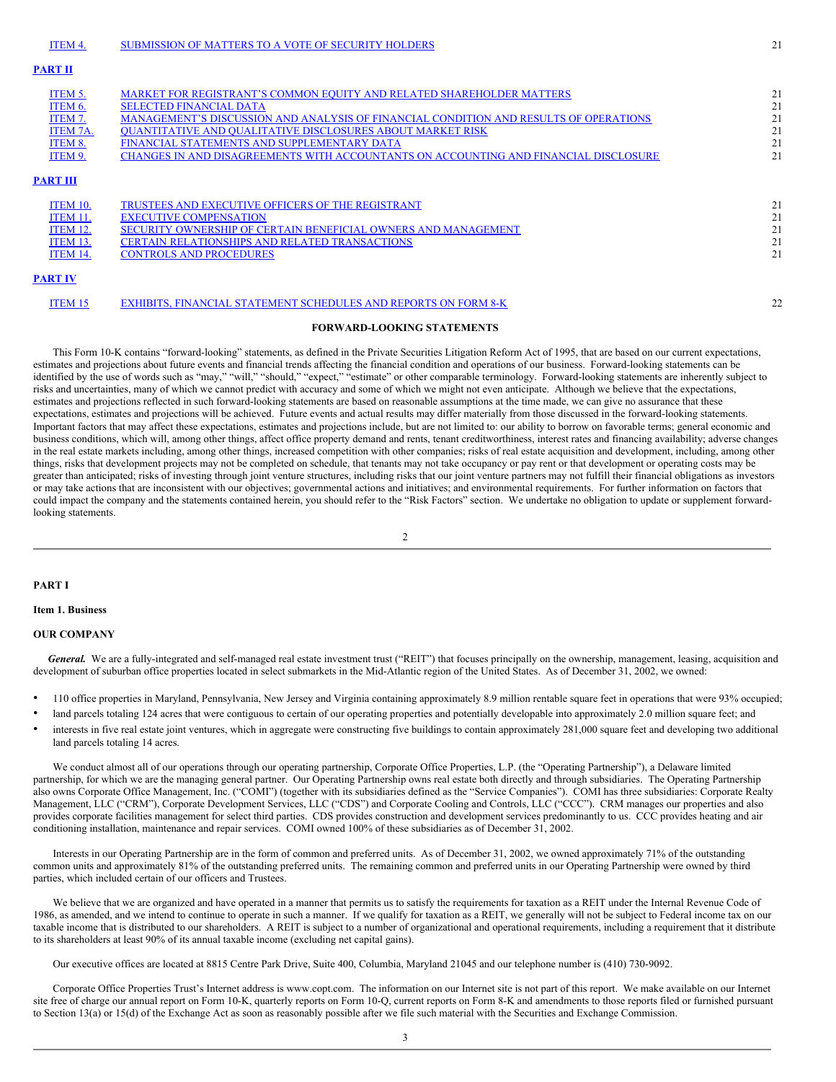| <b>PART II</b>  |                                                                                       |    |
|-----------------|---------------------------------------------------------------------------------------|----|
| ITEM 5.         | <b>MARKET FOR REGISTRANT'S COMMON EQUITY AND RELATED SHAREHOLDER MATTERS</b>          | 21 |
| ITEM 6.         | <b>SELECTED FINANCIAL DATA</b>                                                        | 21 |
| ITEM 7.         | MANAGEMENT'S DISCUSSION AND ANALYSIS OF FINANCIAL CONDITION AND RESULTS OF OPERATIONS | 21 |
| ITEM 7A.        | <b>OUANTITATIVE AND OUALITATIVE DISCLOSURES ABOUT MARKET RISK</b>                     | 21 |
| ITEM 8.         | FINANCIAL STATEMENTS AND SUPPLEMENTARY DATA                                           | 21 |
| ITEM 9.         | CHANGES IN AND DISAGREEMENTS WITH ACCOUNTANTS ON ACCOUNTING AND FINANCIAL DISCLOSURE  | 21 |
| <b>PART III</b> |                                                                                       |    |
| <b>ITEM 10.</b> | <b>TRUSTEES AND EXECUTIVE OFFICERS OF THE REGISTRANT</b>                              | 21 |
| <b>ITEM 11.</b> | <b>EXECUTIVE COMPENSATION</b>                                                         | 21 |
| <b>ITEM 12.</b> | SECURITY OWNERSHIP OF CERTAIN BENEFICIAL OWNERS AND MANAGEMENT                        | 21 |
| ITEM 13.        | <b>CERTAIN RELATIONSHIPS AND RELATED TRANSACTIONS</b>                                 | 21 |
| <b>ITEM 14.</b> | <b>CONTROLS AND PROCEDURES</b>                                                        | 21 |
| <b>PART IV</b>  |                                                                                       |    |

[ITEM](#page-11-1) 4. [SUBMISSION](#page-11-1) OF MATTERS TO A VOTE OF SECURITY HOLDERS 21

#### [ITEM](#page-11-13) 15 EXHIBITS, FINANCIAL [STATEMENT](#page-11-13) SCHEDULES AND REPORTS ON FORM 8-K 22

## **FORWARD-LOOKING STATEMENTS**

This Form 10-K contains "forward-looking" statements, as defined in the Private Securities Litigation Reform Act of 1995, that are based on our current expectations, estimates and projections about future events and financial trends affecting the financial condition and operations of our business. Forward-looking statements can be identified by the use of words such as "may," "will," "should," "expect," "estimate" or other comparable terminology. Forward-looking statements are inherently subject to risks and uncertainties, many of which we cannot predict with accuracy and some of which we might not even anticipate. Although we believe that the expectations, estimates and projections reflected in such forward-looking statements are based on reasonable assumptions at the time made, we can give no assurance that these expectations, estimates and projections will be achieved. Future events and actual results may differ materially from those discussed in the forward-looking statements. Important factors that may affect these expectations, estimates and projections include, but are not limited to: our ability to borrow on favorable terms; general economic and business conditions, which will, among other things, affect office property demand and rents, tenant creditworthiness, interest rates and financing availability; adverse changes in the real estate markets including, among other things, increased competition with other companies; risks of real estate acquisition and development, including, among other things, risks that development projects may not be completed on schedule, that tenants may not take occupancy or pay rent or that development or operating costs may be greater than anticipated; risks of investing through joint venture structures, including risks that our joint venture partners may not fulfill their financial obligations as investors or may take actions that are inconsistent with our objectives; governmental actions and initiatives; and environmental requirements. For further information on factors that could impact the company and the statements contained herein, you should refer to the "Risk Factors" section. We undertake no obligation to update or supplement forwardlooking statements.

2

## <span id="page-1-0"></span>**PART I**

## <span id="page-1-1"></span>**Item 1. Business**

## **OUR COMPANY**

General. We are a fully-integrated and self-managed real estate investment trust ("REIT") that focuses principally on the ownership, management, leasing, acquisition and development of suburban office properties located in select submarkets in the Mid-Atlantic region of the United States. As of December 31, 2002, we owned:

- 110 office properties in Maryland, Pennsylvania, New Jersey and Virginia containing approximately 8.9 million rentable square feet in operations that were 93% occupied;
- land parcels totaling 124 acres that were contiguous to certain of our operating properties and potentially developable into approximately 2.0 million square feet; and
- interests in five real estate joint ventures, which in aggregate were constructing five buildings to contain approximately 281,000 square feet and developing two additional land parcels totaling 14 acres.

We conduct almost all of our operations through our operating partnership, Corporate Office Properties, L.P. (the "Operating Partnership"), a Delaware limited partnership, for which we are the managing general partner. Our Operating Partnership owns real estate both directly and through subsidiaries. The Operating Partnership also owns Corporate Office Management, Inc. ("COMI") (together with its subsidiaries defined as the "Service Companies"). COMI has three subsidiaries: Corporate Realty Management, LLC ("CRM"), Corporate Development Services, LLC ("CDS") and Corporate Cooling and Controls, LLC ("CCC"). CRM manages our properties and also provides corporate facilities management for select third parties. CDS provides construction and development services predominantly to us. CCC provides heating and air conditioning installation, maintenance and repair services. COMI owned 100% of these subsidiaries as of December 31, 2002.

Interests in our Operating Partnership are in the form of common and preferred units. As of December 31, 2002, we owned approximately 71% of the outstanding common units and approximately 81% of the outstanding preferred units. The remaining common and preferred units in our Operating Partnership were owned by third parties, which included certain of our officers and Trustees.

We believe that we are organized and have operated in a manner that permits us to satisfy the requirements for taxation as a REIT under the Internal Revenue Code of 1986, as amended, and we intend to continue to operate in such a manner. If we qualify for taxation as a REIT, we generally will not be subject to Federal income tax on our taxable income that is distributed to our shareholders. A REIT is subject to a number of organizational and operational requirements, including a requirement that it distribute to its shareholders at least 90% of its annual taxable income (excluding net capital gains).

Our executive offices are located at 8815 Centre Park Drive, Suite 400, Columbia, Maryland 21045 and our telephone number is (410) 730-9092.

Corporate Office Properties Trust's Internet address is www.copt.com. The information on our Internet site is not part of this report. We make available on our Internet site free of charge our annual report on Form 10-K, quarterly reports on Form 10-Q, current reports on Form 8-K and amendments to those reports filed or furnished pursuant to Section 13(a) or 15(d) of the Exchange Act as soon as reasonably possible after we file such material with the Securities and Exchange Commission.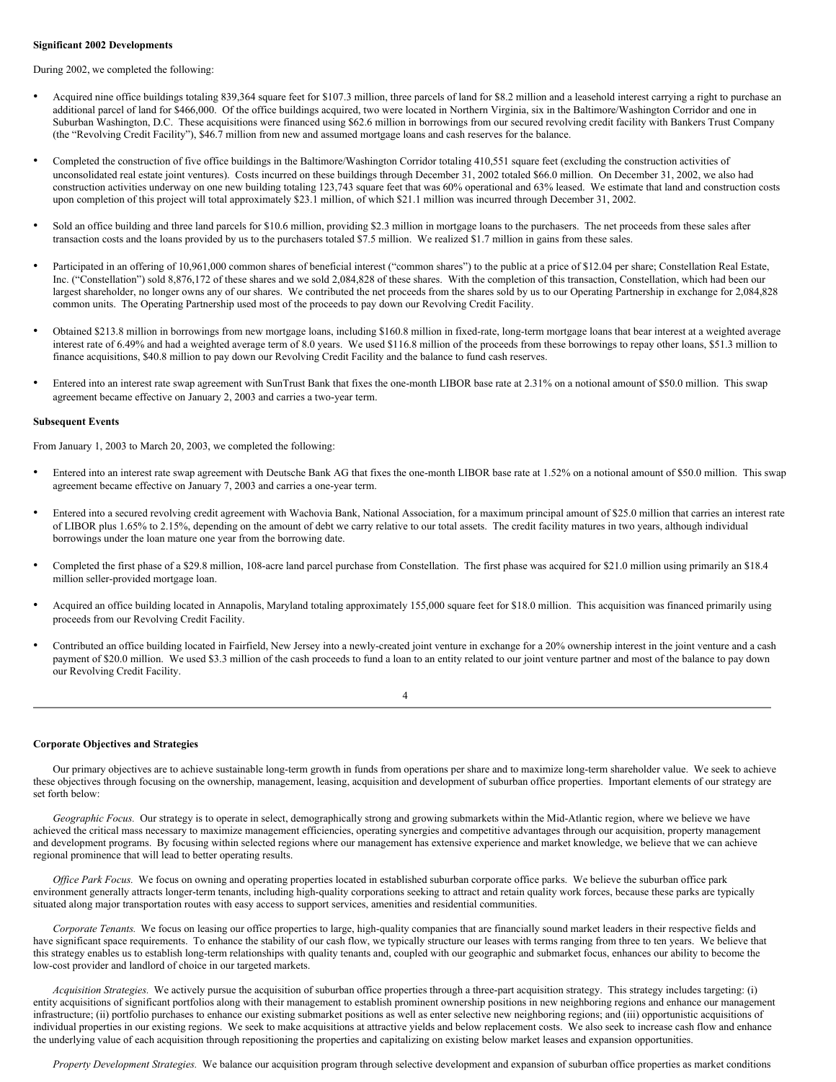## **Significant 2002 Developments**

During 2002, we completed the following:

- Acquired nine office buildings totaling 839,364 square feet for \$107.3 million, three parcels of land for \$8.2 million and a leasehold interest carrying a right to purchase an additional parcel of land for \$466,000. Of the office buildings acquired, two were located in Northern Virginia, six in the Baltimore/Washington Corridor and one in Suburban Washington, D.C. These acquisitions were financed using \$62.6 million in borrowings from our secured revolving credit facility with Bankers Trust Company (the "Revolving Credit Facility"), \$46.7 million from new and assumed mortgage loans and cash reserves for the balance.
- Completed the construction of five office buildings in the Baltimore/Washington Corridor totaling 410,551 square feet (excluding the construction activities of unconsolidated real estate joint ventures). Costs incurred on these buildings through December 31, 2002 totaled \$66.0 million. On December 31, 2002, we also had construction activities underway on one new building totaling 123,743 square feet that was 60% operational and 63% leased. We estimate that land and construction costs upon completion of this project will total approximately \$23.1 million, of which \$21.1 million was incurred through December 31, 2002.
- Sold an office building and three land parcels for \$10.6 million, providing \$2.3 million in mortgage loans to the purchasers. The net proceeds from these sales after transaction costs and the loans provided by us to the purchasers totaled \$7.5 million. We realized \$1.7 million in gains from these sales.
- Participated in an offering of 10,961,000 common shares of beneficial interest ("common shares") to the public at a price of \$12.04 per share; Constellation Real Estate, Inc. ("Constellation") sold 8,876,172 of these shares and we sold 2,084,828 of these shares. With the completion of this transaction, Constellation, which had been our largest shareholder, no longer owns any of our shares. We contributed the net proceeds from the shares sold by us to our Operating Partnership in exchange for 2,084,828 common units. The Operating Partnership used most of the proceeds to pay down our Revolving Credit Facility.
- Obtained \$213.8 million in borrowings from new mortgage loans, including \$160.8 million in fixed-rate, long-term mortgage loans that bear interest at a weighted average interest rate of 6.49% and had a weighted average term of 8.0 years. We used \$116.8 million of the proceeds from these borrowings to repay other loans, \$51.3 million to finance acquisitions, \$40.8 million to pay down our Revolving Credit Facility and the balance to fund cash reserves.
- Entered into an interest rate swap agreement with SunTrust Bank that fixes the one-month LIBOR base rate at 2.31% on a notional amount of \$50.0 million. This swap agreement became effective on January 2, 2003 and carries a two-year term.

#### **Subsequent Events**

From January 1, 2003 to March 20, 2003, we completed the following:

- Entered into an interest rate swap agreement with Deutsche Bank AG that fixes the one-month LIBOR base rate at 1.52% on a notional amount of \$50.0 million. This swap agreement became effective on January 7, 2003 and carries a one-year term.
- Entered into a secured revolving credit agreement with Wachovia Bank, National Association, for a maximum principal amount of \$25.0 million that carries an interest rate of LIBOR plus 1.65% to 2.15%, depending on the amount of debt we carry relative to our total assets. The credit facility matures in two years, although individual borrowings under the loan mature one year from the borrowing date.
- Completed the first phase of a \$29.8 million, 108-acre land parcel purchase from Constellation. The first phase was acquired for \$21.0 million using primarily an \$18.4 million seller-provided mortgage loan.
- Acquired an office building located in Annapolis, Maryland totaling approximately 155,000 square feet for \$18.0 million. This acquisition was financed primarily using proceeds from our Revolving Credit Facility.
- Contributed an office building located in Fairfield, New Jersey into a newly-created joint venture in exchange for a 20% ownership interest in the joint venture and a cash payment of \$20.0 million. We used \$3.3 million of the cash proceeds to fund a loan to an entity related to our joint venture partner and most of the balance to pay down our Revolving Credit Facility.

#### 4

## **Corporate Objectives and Strategies**

Our primary objectives are to achieve sustainable long-term growth in funds from operations per share and to maximize long-term shareholder value. We seek to achieve these objectives through focusing on the ownership, management, leasing, acquisition and development of suburban office properties. Important elements of our strategy are set forth below:

*Geographic Focus.* Our strategy is to operate in select, demographically strong and growing submarkets within the Mid-Atlantic region, where we believe we have achieved the critical mass necessary to maximize management efficiencies, operating synergies and competitive advantages through our acquisition, property management and development programs. By focusing within selected regions where our management has extensive experience and market knowledge, we believe that we can achieve regional prominence that will lead to better operating results.

*Of ice Park Focus.* We focus on owning and operating properties located in established suburban corporate office parks. We believe the suburban office park environment generally attracts longer-term tenants, including high-quality corporations seeking to attract and retain quality work forces, because these parks are typically situated along major transportation routes with easy access to support services, amenities and residential communities.

*Corporate Tenants.* We focus on leasing our office properties to large, high-quality companies that are financially sound market leaders in their respective fields and have significant space requirements. To enhance the stability of our cash flow, we typically structure our leases with terms ranging from three to ten years. We believe that this strategy enables us to establish long-term relationships with quality tenants and, coupled with our geographic and submarket focus, enhances our ability to become the low-cost provider and landlord of choice in our targeted markets.

*Acquisition Strategies.* We actively pursue the acquisition of suburban office properties through a three-part acquisition strategy. This strategy includes targeting: (i) entity acquisitions of significant portfolios along with their management to establish prominent ownership positions in new neighboring regions and enhance our management infrastructure; (ii) portfolio purchases to enhance our existing submarket positions as well as enter selective new neighboring regions; and (iii) opportunistic acquisitions of individual properties in our existing regions. We seek to make acquisitions at attractive yields and below replacement costs. We also seek to increase cash flow and enhance the underlying value of each acquisition through repositioning the properties and capitalizing on existing below market leases and expansion opportunities.

*Property Development Strategies.* We balance our acquisition program through selective development and expansion of suburban office properties as market conditions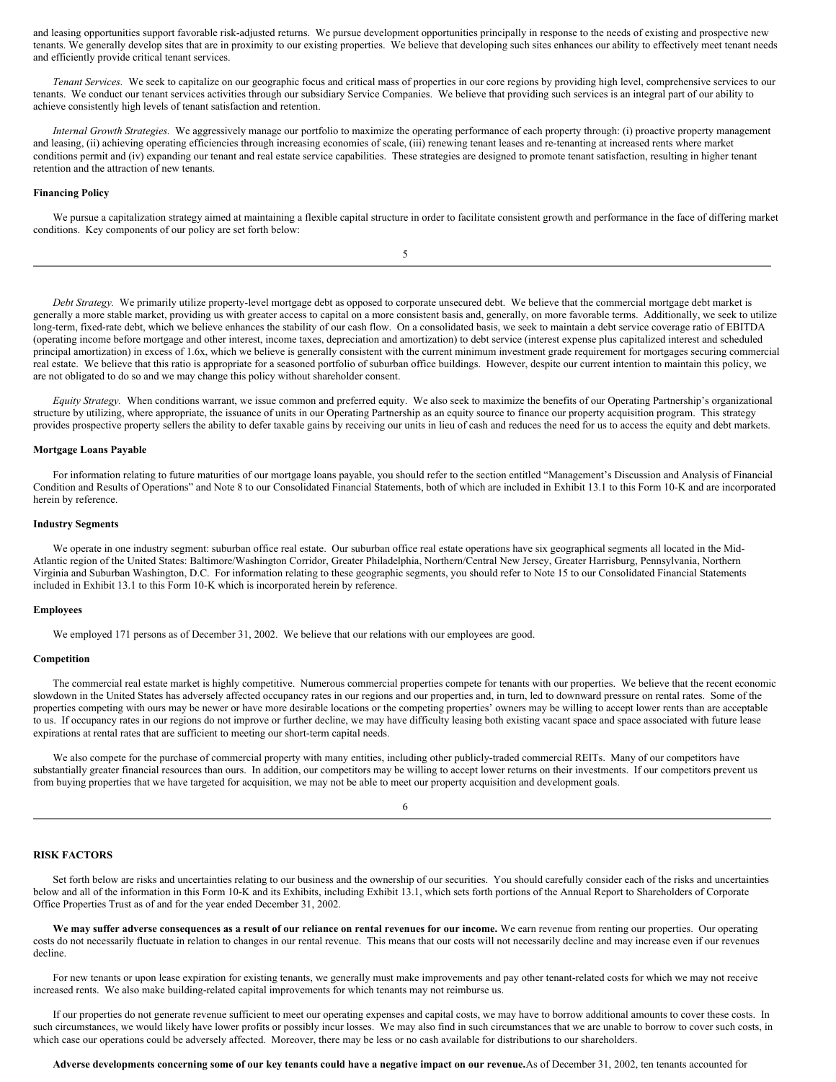and leasing opportunities support favorable risk-adjusted returns. We pursue development opportunities principally in response to the needs of existing and prospective new tenants. We generally develop sites that are in proximity to our existing properties. We believe that developing such sites enhances our ability to effectively meet tenant needs and efficiently provide critical tenant services.

*Tenant Services.* We seek to capitalize on our geographic focus and critical mass of properties in our core regions by providing high level, comprehensive services to our tenants. We conduct our tenant services activities through our subsidiary Service Companies. We believe that providing such services is an integral part of our ability to achieve consistently high levels of tenant satisfaction and retention.

*Internal Growth Strategies.* We aggressively manage our portfolio to maximize the operating performance of each property through: (i) proactive property management and leasing, (ii) achieving operating efficiencies through increasing economies of scale, (iii) renewing tenant leases and re-tenanting at increased rents where market conditions permit and (iv) expanding our tenant and real estate service capabilities. These strategies are designed to promote tenant satisfaction, resulting in higher tenant retention and the attraction of new tenants.

#### **Financing Policy**

We pursue a capitalization strategy aimed at maintaining a flexible capital structure in order to facilitate consistent growth and performance in the face of differing market conditions. Key components of our policy are set forth below:

5

*Debt Strategy.* We primarily utilize property-level mortgage debt as opposed to corporate unsecured debt. We believe that the commercial mortgage debt market is generally a more stable market, providing us with greater access to capital on a more consistent basis and, generally, on more favorable terms. Additionally, we seek to utilize long-term, fixed-rate debt, which we believe enhances the stability of our cash flow. On a consolidated basis, we seek to maintain a debt service coverage ratio of EBITDA (operating income before mortgage and other interest, income taxes, depreciation and amortization) to debt service (interest expense plus capitalized interest and scheduled principal amortization) in excess of 1.6x, which we believe is generally consistent with the current minimum investment grade requirement for mortgages securing commercial real estate. We believe that this ratio is appropriate for a seasoned portfolio of suburban office buildings. However, despite our current intention to maintain this policy, we are not obligated to do so and we may change this policy without shareholder consent.

*Equity Strategy.* When conditions warrant, we issue common and preferred equity. We also seek to maximize the benefits of our Operating Partnership's organizational structure by utilizing, where appropriate, the issuance of units in our Operating Partnership as an equity source to finance our property acquisition program. This strategy provides prospective property sellers the ability to defer taxable gains by receiving our units in lieu of cash and reduces the need for us to access the equity and debt markets.

#### **Mortgage Loans Payable**

For information relating to future maturities of our mortgage loans payable, you should refer to the section entitled "Management's Discussion and Analysis of Financial Condition and Results of Operations" and Note 8 to our Consolidated Financial Statements, both of which are included in Exhibit 13.1 to this Form 10-K and are incorporated herein by reference.

#### **Industry Segments**

We operate in one industry segment: suburban office real estate. Our suburban office real estate operations have six geographical segments all located in the Mid-Atlantic region of the United States: Baltimore/Washington Corridor, Greater Philadelphia, Northern/Central New Jersey, Greater Harrisburg, Pennsylvania, Northern Virginia and Suburban Washington, D.C. For information relating to these geographic segments, you should refer to Note 15 to our Consolidated Financial Statements included in Exhibit 13.1 to this Form 10-K which is incorporated herein by reference.

#### **Employees**

We employed 171 persons as of December 31, 2002. We believe that our relations with our employees are good.

## **Competition**

The commercial real estate market is highly competitive. Numerous commercial properties compete for tenants with our properties. We believe that the recent economic slowdown in the United States has adversely affected occupancy rates in our regions and our properties and, in turn, led to downward pressure on rental rates. Some of the properties competing with ours may be newer or have more desirable locations or the competing properties' owners may be willing to accept lower rents than are acceptable to us. If occupancy rates in our regions do not improve or further decline, we may have difficulty leasing both existing vacant space and space associated with future lease expirations at rental rates that are sufficient to meeting our short-term capital needs.

We also compete for the purchase of commercial property with many entities, including other publicly-traded commercial REITs. Many of our competitors have substantially greater financial resources than ours. In addition, our competitors may be willing to accept lower returns on their investments. If our competitors prevent us from buying properties that we have targeted for acquisition, we may not be able to meet our property acquisition and development goals.

## 6

## **RISK FACTORS**

Set forth below are risks and uncertainties relating to our business and the ownership of our securities. You should carefully consider each of the risks and uncertainties below and all of the information in this Form 10-K and its Exhibits, including Exhibit 13.1, which sets forth portions of the Annual Report to Shareholders of Corporate Office Properties Trust as of and for the year ended December 31, 2002.

We may suffer adverse consequences as a result of our reliance on rental revenues for our income. We earn revenue from renting our properties. Our operating costs do not necessarily fluctuate in relation to changes in our rental revenue. This means that our costs will not necessarily decline and may increase even if our revenues decline.

For new tenants or upon lease expiration for existing tenants, we generally must make improvements and pay other tenant-related costs for which we may not receive increased rents. We also make building-related capital improvements for which tenants may not reimburse us.

If our properties do not generate revenue sufficient to meet our operating expenses and capital costs, we may have to borrow additional amounts to cover these costs. In such circumstances, we would likely have lower profits or possibly incur losses. We may also find in such circumstances that we are unable to borrow to cover such costs, in which case our operations could be adversely affected. Moreover, there may be less or no cash available for distributions to our shareholders.

Adverse developments concerning some of our key tenants could have a negative impact on our revenue. As of December 31, 2002, ten tenants accounted for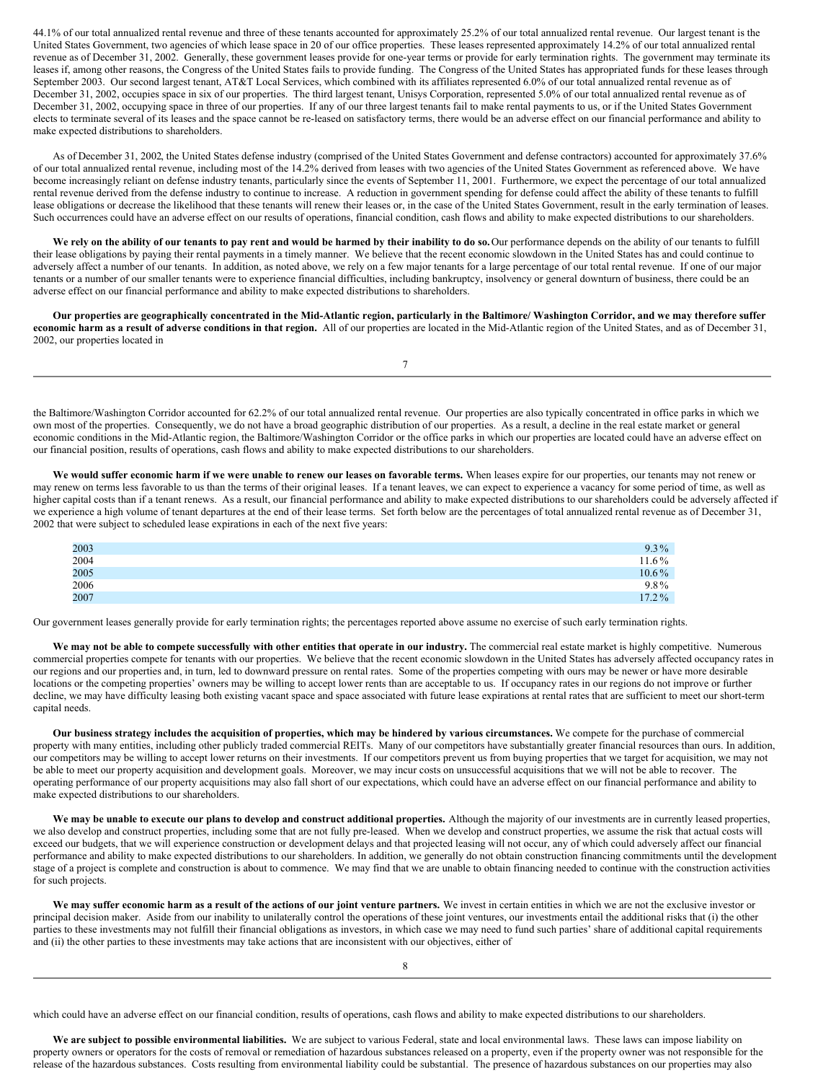44.1% of our total annualized rental revenue and three of these tenants accounted for approximately 25.2% of our total annualized rental revenue. Our largest tenant is the United States Government, two agencies of which lease space in 20 of our office properties. These leases represented approximately 14.2% of our total annualized rental revenue as of December 31, 2002. Generally, these government leases provide for one-year terms or provide for early termination rights. The government may terminate its leases if, among other reasons, the Congress of the United States fails to provide funding. The Congress of the United States has appropriated funds for these leases through September 2003. Our second largest tenant, AT&T Local Services, which combined with its affiliates represented 6.0% of our total annualized rental revenue as of December 31, 2002, occupies space in six of our properties. The third largest tenant, Unisys Corporation, represented 5.0% of our total annualized rental revenue as of December 31, 2002, occupying space in three of our properties. If any of our three largest tenants fail to make rental payments to us, or if the United States Government elects to terminate several of its leases and the space cannot be re-leased on satisfactory terms, there would be an adverse effect on our financial performance and ability to make expected distributions to shareholders.

As of December 31, 2002, the United States defense industry (comprised of the United States Government and defense contractors) accounted for approximately 37.6% of our total annualized rental revenue, including most of the 14.2% derived from leases with two agencies of the United States Government as referenced above. We have become increasingly reliant on defense industry tenants, particularly since the events of September 11, 2001. Furthermore, we expect the percentage of our total annualized rental revenue derived from the defense industry to continue to increase. A reduction in government spending for defense could affect the ability of these tenants to fulfill lease obligations or decrease the likelihood that these tenants will renew their leases or, in the case of the United States Government, result in the early termination of leases. Such occurrences could have an adverse effect on our results of operations, financial condition, cash flows and ability to make expected distributions to our shareholders.

We rely on the ability of our tenants to pay rent and would be harmed by their inability to do so. Our performance depends on the ability of our tenants to fulfill their lease obligations by paying their rental payments in a timely manner. We believe that the recent economic slowdown in the United States has and could continue to adversely affect a number of our tenants. In addition, as noted above, we rely on a few major tenants for a large percentage of our total rental revenue. If one of our major tenants or a number of our smaller tenants were to experience financial difficulties, including bankruptcy, insolvency or general downturn of business, there could be an adverse effect on our financial performance and ability to make expected distributions to shareholders.

Our properties are geographically concentrated in the Mid-Atlantic region, particularly in the Baltimore/ Washington Corridor, and we may therefore suffer economic harm as a result of adverse conditions in that region. All of our properties are located in the Mid-Atlantic region of the United States, and as of December 31, 2002, our properties located in

7

the Baltimore/Washington Corridor accounted for 62.2% of our total annualized rental revenue. Our properties are also typically concentrated in office parks in which we own most of the properties. Consequently, we do not have a broad geographic distribution of our properties. As a result, a decline in the real estate market or general economic conditions in the Mid-Atlantic region, the Baltimore/Washington Corridor or the office parks in which our properties are located could have an adverse effect on our financial position, results of operations, cash flows and ability to make expected distributions to our shareholders.

We would suffer economic harm if we were unable to renew our leases on favorable terms. When leases expire for our properties, our tenants may not renew or may renew on terms less favorable to us than the terms of their original leases. If a tenant leaves, we can expect to experience a vacancy for some period of time, as well as higher capital costs than if a tenant renews. As a result, our financial performance and ability to make expected distributions to our shareholders could be adversely affected if we experience a high volume of tenant departures at the end of their lease terms. Set forth below are the percentages of total annualized rental revenue as of December 31, 2002 that were subject to scheduled lease expirations in each of the next five years:

| 2003 | $9.3\%$    |
|------|------------|
| 2004 | $11.6\%$   |
| 2005 | $10.6\,\%$ |
| 2006 | $9.8\%$    |
| 2007 | 17.2%      |

Our government leases generally provide for early termination rights; the percentages reported above assume no exercise of such early termination rights.

We may not be able to compete successfully with other entities that operate in our industry. The commercial real estate market is highly competitive. Numerous commercial properties compete for tenants with our properties. We believe that the recent economic slowdown in the United States has adversely affected occupancy rates in our regions and our properties and, in turn, led to downward pressure on rental rates. Some of the properties competing with ours may be newer or have more desirable locations or the competing properties' owners may be willing to accept lower rents than are acceptable to us. If occupancy rates in our regions do not improve or further decline, we may have difficulty leasing both existing vacant space and space associated with future lease expirations at rental rates that are sufficient to meet our short-term capital needs.

Our business strategy includes the acquisition of properties, which may be hindered by various circumstances. We compete for the purchase of commercial property with many entities, including other publicly traded commercial REITs. Many of our competitors have substantially greater financial resources than ours. In addition, our competitors may be willing to accept lower returns on their investments. If our competitors prevent us from buying properties that we target for acquisition, we may not be able to meet our property acquisition and development goals. Moreover, we may incur costs on unsuccessful acquisitions that we will not be able to recover. The operating performance of our property acquisitions may also fall short of our expectations, which could have an adverse effect on our financial performance and ability to make expected distributions to our shareholders.

We may be unable to execute our plans to develop and construct additional properties. Although the majority of our investments are in currently leased properties, we also develop and construct properties, including some that are not fully pre-leased. When we develop and construct properties, we assume the risk that actual costs will exceed our budgets, that we will experience construction or development delays and that projected leasing will not occur, any of which could adversely affect our financial performance and ability to make expected distributions to our shareholders. In addition, we generally do not obtain construction financing commitments until the development stage of a project is complete and construction is about to commence. We may find that we are unable to obtain financing needed to continue with the construction activities for such projects.

We may suffer economic harm as a result of the actions of our joint venture partners. We invest in certain entities in which we are not the exclusive investor or principal decision maker. Aside from our inability to unilaterally control the operations of these joint ventures, our investments entail the additional risks that (i) the other parties to these investments may not fulfill their financial obligations as investors, in which case we may need to fund such parties' share of additional capital requirements and (ii) the other parties to these investments may take actions that are inconsistent with our objectives, either of

which could have an adverse effect on our financial condition, results of operations, cash flows and ability to make expected distributions to our shareholders.

**We are subject to possible environmental liabilities.** We are subject to various Federal, state and local environmental laws. These laws can impose liability on property owners or operators for the costs of removal or remediation of hazardous substances released on a property, even if the property owner was not responsible for the release of the hazardous substances. Costs resulting from environmental liability could be substantial. The presence of hazardous substances on our properties may also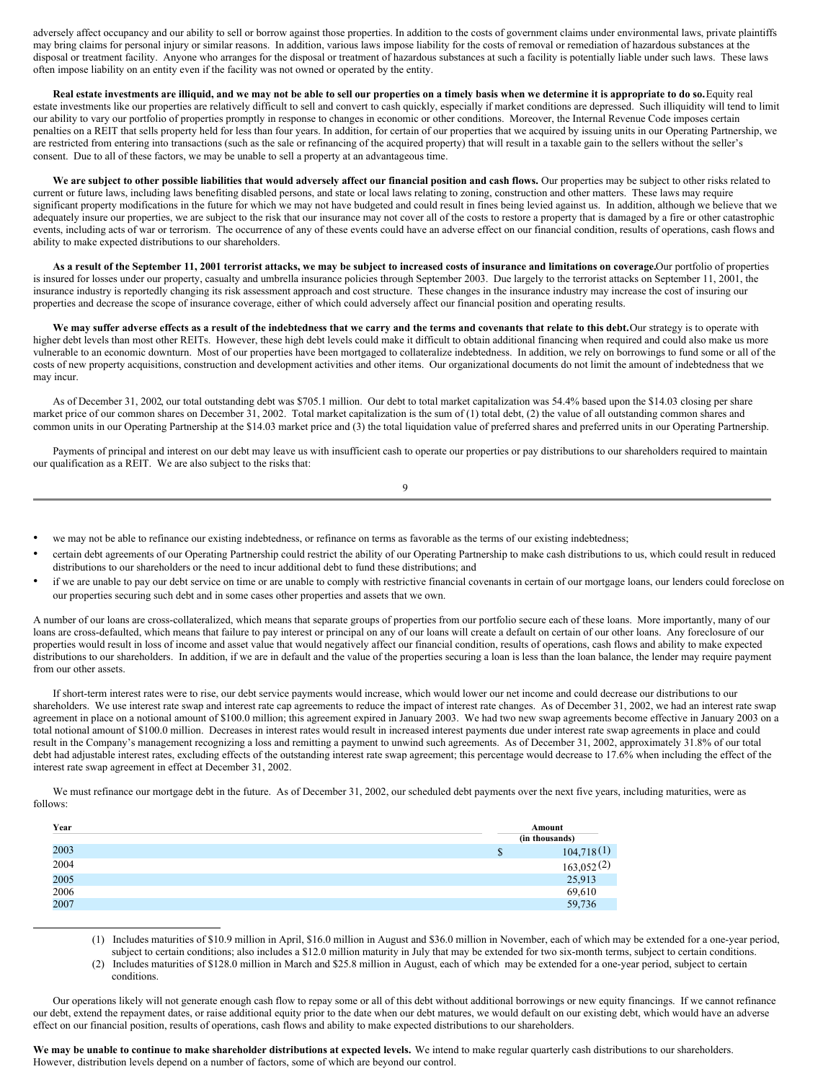adversely affect occupancy and our ability to sell or borrow against those properties. In addition to the costs of government claims under environmental laws, private plaintiffs may bring claims for personal injury or similar reasons. In addition, various laws impose liability for the costs of removal or remediation of hazardous substances at the disposal or treatment facility. Anyone who arranges for the disposal or treatment of hazardous substances at such a facility is potentially liable under such laws. These laws often impose liability on an entity even if the facility was not owned or operated by the entity.

Real estate investments are illiquid, and we may not be able to sell our properties on a timely basis when we determine it is appropriate to do so. Equity real estate investments like our properties are relatively difficult to sell and convert to cash quickly, especially if market conditions are depressed. Such illiquidity will tend to limit our ability to vary our portfolio of properties promptly in response to changes in economic or other conditions. Moreover, the Internal Revenue Code imposes certain penalties on a REIT that sells property held for less than four years. In addition, for certain of our properties that we acquired by issuing units in our Operating Partnership, we are restricted from entering into transactions (such as the sale or refinancing of the acquired property) that will result in a taxable gain to the sellers without the seller's consent. Due to all of these factors, we may be unable to sell a property at an advantageous time.

We are subject to other possible liabilities that would adversely affect our financial position and cash flows. Our properties may be subject to other risks related to current or future laws, including laws benefiting disabled persons, and state or local laws relating to zoning, construction and other matters. These laws may require significant property modifications in the future for which we may not have budgeted and could result in fines being levied against us. In addition, although we believe that we adequately insure our properties, we are subject to the risk that our insurance may not cover all of the costs to restore a property that is damaged by a fire or other catastrophic events, including acts of war or terrorism. The occurrence of any of these events could have an adverse effect on our financial condition, results of operations, cash flows and ability to make expected distributions to our shareholders.

As a result of the September 11, 2001 terrorist attacks, we may be subject to increased costs of insurance and limitations on coverage.Our portfolio of properties is insured for losses under our property, casualty and umbrella insurance policies through September 2003. Due largely to the terrorist attacks on September 11, 2001, the insurance industry is reportedly changing its risk assessment approach and cost structure. These changes in the insurance industry may increase the cost of insuring our properties and decrease the scope of insurance coverage, either of which could adversely affect our financial position and operating results.

We may suffer adverse effects as a result of the indebtedness that we carry and the terms and covenants that relate to this debt. Our strategy is to operate with higher debt levels than most other REITs. However, these high debt levels could make it difficult to obtain additional financing when required and could also make us more vulnerable to an economic downturn. Most of our properties have been mortgaged to collateralize indebtedness. In addition, we rely on borrowings to fund some or all of the costs of new property acquisitions, construction and development activities and other items. Our organizational documents do not limit the amount of indebtedness that we may incur.

As of December 31, 2002, our total outstanding debt was \$705.1 million. Our debt to total market capitalization was 54.4% based upon the \$14.03 closing per share market price of our common shares on December 31, 2002. Total market capitalization is the sum of (1) total debt, (2) the value of all outstanding common shares and common units in our Operating Partnership at the \$14.03 market price and (3) the total liquidation value of preferred shares and preferred units in our Operating Partnership.

Payments of principal and interest on our debt may leave us with insufficient cash to operate our properties or pay distributions to our shareholders required to maintain our qualification as a REIT. We are also subject to the risks that:

9

- we may not be able to refinance our existing indebtedness, or refinance on terms as favorable as the terms of our existing indebtedness;
- certain debt agreements of our Operating Partnership could restrict the ability of our Operating Partnership to make cash distributions to us, which could result in reduced distributions to our shareholders or the need to incur additional debt to fund these distributions; and
- if we are unable to pay our debt service on time or are unable to comply with restrictive financial covenants in certain of our mortgage loans, our lenders could foreclose on our properties securing such debt and in some cases other properties and assets that we own.

A number of our loans are cross-collateralized, which means that separate groups of properties from our portfolio secure each of these loans. More importantly, many of our loans are cross-defaulted, which means that failure to pay interest or principal on any of our loans will create a default on certain of our other loans. Any foreclosure of our properties would result in loss of income and asset value that would negatively affect our financial condition, results of operations, cash flows and ability to make expected distributions to our shareholders. In addition, if we are in default and the value of the properties securing a loan is less than the loan balance, the lender may require payment from our other assets.

If short-term interest rates were to rise, our debt service payments would increase, which would lower our net income and could decrease our distributions to our shareholders. We use interest rate swap and interest rate cap agreements to reduce the impact of interest rate changes. As of December 31, 2002, we had an interest rate swap agreement in place on a notional amount of \$100.0 million; this agreement expired in January 2003. We had two new swap agreements become effective in January 2003 on a total notional amount of \$100.0 million. Decreases in interest rates would result in increased interest payments due under interest rate swap agreements in place and could result in the Company's management recognizing a loss and remitting a payment to unwind such agreements. As of December 31, 2002, approximately 31.8% of our total debt had adjustable interest rates, excluding effects of the outstanding interest rate swap agreement; this percentage would decrease to 17.6% when including the effect of the interest rate swap agreement in effect at December 31, 2002.

We must refinance our mortgage debt in the future. As of December 31, 2002, our scheduled debt payments over the next five years, including maturities, were as follows:

| Year | Amount         |
|------|----------------|
|      | (in thousands) |
| 2003 | 104,718(1)     |
| 2004 | 163,052(2)     |
| 2005 | 25,913         |
| 2006 | 69,610         |
| 2007 | 59,736         |

conditions.

Our operations likely will not generate enough cash flow to repay some or all of this debt without additional borrowings or new equity financings. If we cannot refinance our debt, extend the repayment dates, or raise additional equity prior to the date when our debt matures, we would default on our existing debt, which would have an adverse effect on our financial position, results of operations, cash flows and ability to make expected distributions to our shareholders.

We may be unable to continue to make shareholder distributions at expected levels. We intend to make regular quarterly cash distributions to our shareholders. However, distribution levels depend on a number of factors, some of which are beyond our control.

<sup>(1)</sup> Includes maturities of \$10.9 million in April, \$16.0 million in August and \$36.0 million in November, each of which may be extended for a one-year period, subject to certain conditions; also includes a \$12.0 million maturity in July that may be extended for two six-month terms, subject to certain conditions. (2) Includes maturities of \$128.0 million in March and \$25.8 million in August, each of which may be extended for a one-year period, subject to certain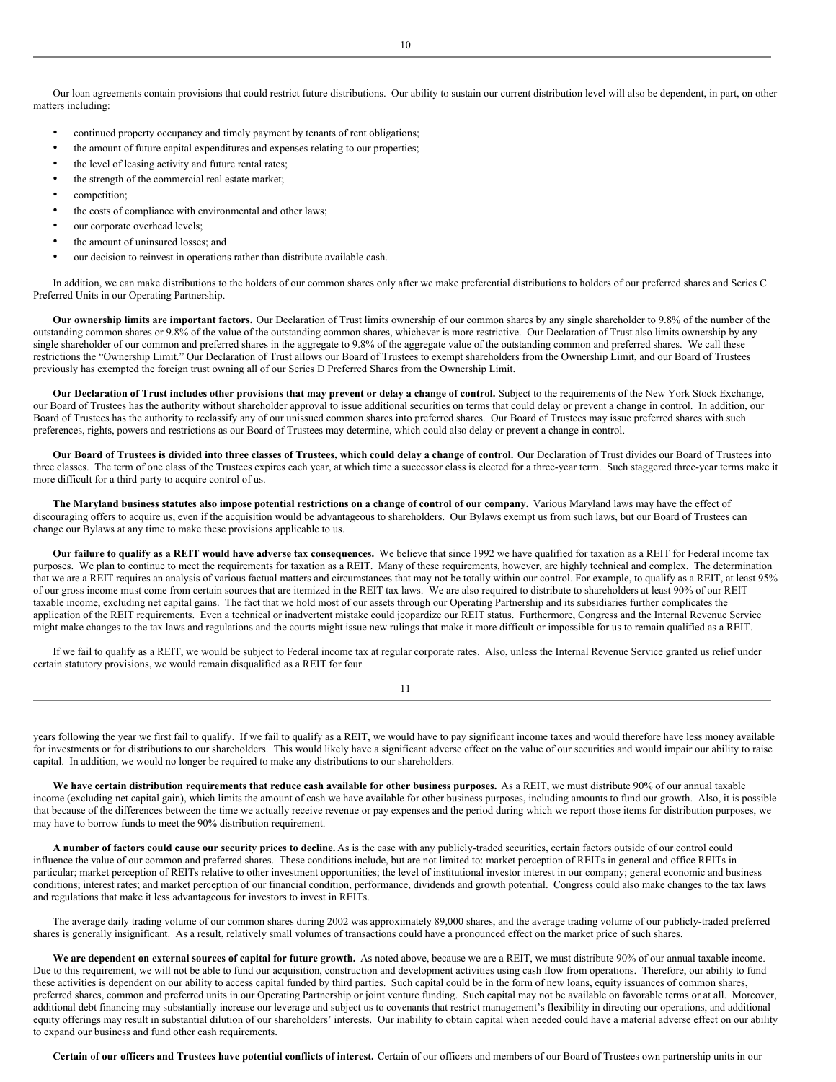Our loan agreements contain provisions that could restrict future distributions. Our ability to sustain our current distribution level will also be dependent, in part, on other matters including:

- continued property occupancy and timely payment by tenants of rent obligations;
- the amount of future capital expenditures and expenses relating to our properties;
- the level of leasing activity and future rental rates;
- the strength of the commercial real estate market;
- competition;
- the costs of compliance with environmental and other laws;
- our corporate overhead levels;
- the amount of uninsured losses; and
- our decision to reinvest in operations rather than distribute available cash.

In addition, we can make distributions to the holders of our common shares only after we make preferential distributions to holders of our preferred shares and Series C Preferred Units in our Operating Partnership.

**Our ownership limits are important factors.** Our Declaration of Trust limits ownership of our common shares by any single shareholder to 9.8% of the number of the outstanding common shares or 9.8% of the value of the outstanding common shares, whichever is more restrictive. Our Declaration of Trust also limits ownership by any single shareholder of our common and preferred shares in the aggregate to 9.8% of the aggregate value of the outstanding common and preferred shares. We call these restrictions the "Ownership Limit." Our Declaration of Trust allows our Board of Trustees to exempt shareholders from the Ownership Limit, and our Board of Trustees previously has exempted the foreign trust owning all of our Series D Preferred Shares from the Ownership Limit.

Our Declaration of Trust includes other provisions that may prevent or delay a change of control. Subject to the requirements of the New York Stock Exchange, our Board of Trustees has the authority without shareholder approval to issue additional securities on terms that could delay or prevent a change in control. In addition, our Board of Trustees has the authority to reclassify any of our unissued common shares into preferred shares. Our Board of Trustees may issue preferred shares with such preferences, rights, powers and restrictions as our Board of Trustees may determine, which could also delay or prevent a change in control.

Our Board of Trustees is divided into three classes of Trustees, which could delay a change of control. Our Declaration of Trust divides our Board of Trustees into three classes. The term of one class of the Trustees expires each year, at which time a successor class is elected for a three-year term. Such staggered three-year terms make it more difficult for a third party to acquire control of us.

The Maryland business statutes also impose potential restrictions on a change of control of our company. Various Maryland laws may have the effect of discouraging offers to acquire us, even if the acquisition would be advantageous to shareholders. Our Bylaws exempt us from such laws, but our Board of Trustees can change our Bylaws at any time to make these provisions applicable to us.

Our failure to qualify as a REIT would have adverse tax consequences. We believe that since 1992 we have qualified for taxation as a REIT for Federal income tax purposes. We plan to continue to meet the requirements for taxation as a REIT. Many of these requirements, however, are highly technical and complex. The determination that we are a REIT requires an analysis of various factual matters and circumstances that may not be totally within our control. For example, to qualify as a REIT, at least 95% of our gross income must come from certain sources that are itemized in the REIT tax laws. We are also required to distribute to shareholders at least 90% of our REIT taxable income, excluding net capital gains. The fact that we hold most of our assets through our Operating Partnership and its subsidiaries further complicates the application of the REIT requirements. Even a technical or inadvertent mistake could jeopardize our REIT status. Furthermore, Congress and the Internal Revenue Service might make changes to the tax laws and regulations and the courts might issue new rulings that make it more difficult or impossible for us to remain qualified as a REIT.

If we fail to qualify as a REIT, we would be subject to Federal income tax at regular corporate rates. Also, unless the Internal Revenue Service granted us relief under certain statutory provisions, we would remain disqualified as a REIT for four

11

years following the year we first fail to qualify. If we fail to qualify as a REIT, we would have to pay significant income taxes and would therefore have less money available for investments or for distributions to our shareholders. This would likely have a significant adverse effect on the value of our securities and would impair our ability to raise capital. In addition, we would no longer be required to make any distributions to our shareholders.

We have certain distribution requirements that reduce cash available for other business purposes. As a REIT, we must distribute 90% of our annual taxable income (excluding net capital gain), which limits the amount of cash we have available for other business purposes, including amounts to fund our growth. Also, it is possible that because of the differences between the time we actually receive revenue or pay expenses and the period during which we report those items for distribution purposes, we may have to borrow funds to meet the 90% distribution requirement.

A number of factors could cause our security prices to decline. As is the case with any publicly-traded securities, certain factors outside of our control could influence the value of our common and preferred shares. These conditions include, but are not limited to: market perception of REITs in general and office REITs in particular; market perception of REITs relative to other investment opportunities; the level of institutional investor interest in our company; general economic and business conditions; interest rates; and market perception of our financial condition, performance, dividends and growth potential. Congress could also make changes to the tax laws and regulations that make it less advantageous for investors to invest in REITs.

The average daily trading volume of our common shares during 2002 was approximately 89,000 shares, and the average trading volume of our publicly-traded preferred shares is generally insignificant. As a result, relatively small volumes of transactions could have a pronounced effect on the market price of such shares.

We are dependent on external sources of capital for future growth. As noted above, because we are a REIT, we must distribute 90% of our annual taxable income. Due to this requirement, we will not be able to fund our acquisition, construction and development activities using cash flow from operations. Therefore, our ability to fund these activities is dependent on our ability to access capital funded by third parties. Such capital could be in the form of new loans, equity issuances of common shares, preferred shares, common and preferred units in our Operating Partnership or joint venture funding. Such capital may not be available on favorable terms or at all. Moreover, additional debt financing may substantially increase our leverage and subject us to covenants that restrict management's flexibility in directing our operations, and additional equity offerings may result in substantial dilution of our shareholders' interests. Our inability to obtain capital when needed could have a material adverse effect on our ability to expand our business and fund other cash requirements.

Certain of our officers and Trustees have potential conflicts of interest. Certain of our officers and members of our Board of Trustees own partnership units in our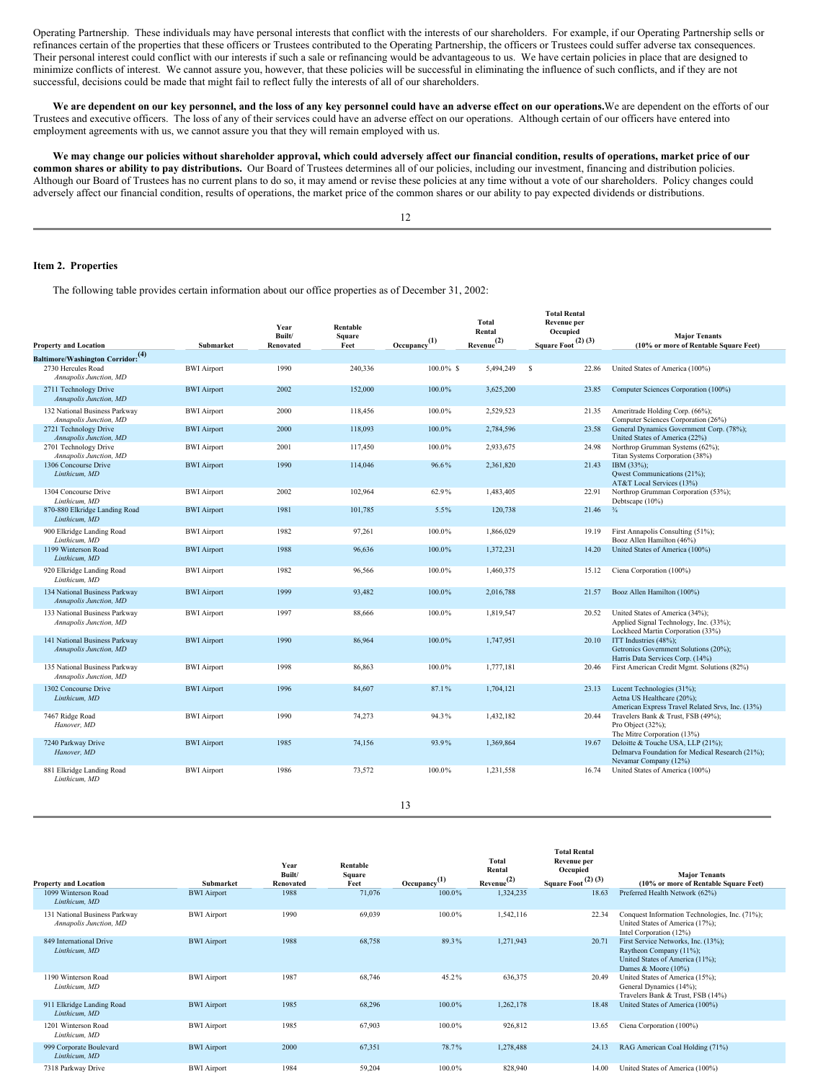Operating Partnership. These individuals may have personal interests that conflict with the interests of our shareholders. For example, if our Operating Partnership sells or refinances certain of the properties that these officers or Trustees contributed to the Operating Partnership, the officers or Trustees could suffer adverse tax consequences. Their personal interest could conflict with our interests if such a sale or refinancing would be advantageous to us. We have certain policies in place that are designed to minimize conflicts of interest. We cannot assure you, however, that these policies will be successful in eliminating the influence of such conflicts, and if they are not successful, decisions could be made that might fail to reflect fully the interests of all of our shareholders.

We are dependent on our key personnel, and the loss of any key personnel could have an adverse effect on our operations. We are dependent on the efforts of our Trustees and executive officers. The loss of any of their services could have an adverse effect on our operations. Although certain of our officers have entered into employment agreements with us, we cannot assure you that they will remain employed with us.

We may change our policies without shareholder approval, which could adversely affect our financial condition, results of operations, market price of our **common shares or ability to pay distributions.** Our Board of Trustees determines all of our policies, including our investment, financing and distribution policies. Although our Board of Trustees has no current plans to do so, it may amend or revise these policies at any time without a vote of our shareholders. Policy changes could adversely affect our financial condition, results of operations, the market price of the common shares or our ability to pay expected dividends or distributions.

12

## <span id="page-7-0"></span>**Item 2. Properties**

The following table provides certain information about our office properties as of December 31, 2002:

| <b>Property and Location</b>                            | <b>Submarket</b>   | Year<br>Built/<br><b>Renovated</b> | Rentable<br>Square<br>Feet | $\overline{Occupancy}^{(1)}$ | <b>Total</b><br>Rental<br>Revenue <sup>(2)</sup> | <b>Total Rental</b><br>Revenue per<br>Occupied<br>Square Foot (2) (3) | <b>Major Tenants</b><br>(10% or more of Rentable Square Feet)                                                  |
|---------------------------------------------------------|--------------------|------------------------------------|----------------------------|------------------------------|--------------------------------------------------|-----------------------------------------------------------------------|----------------------------------------------------------------------------------------------------------------|
| Baltimore/Washington Corridor: <sup>(4)</sup>           |                    |                                    |                            |                              |                                                  |                                                                       |                                                                                                                |
| 2730 Hercules Road<br>Annapolis Junction, MD            | <b>BWI</b> Airport | 1990                               | 240,336                    | $100.0\%$ \$                 | 5,494,249                                        | s<br>22.86                                                            | United States of America (100%)                                                                                |
| 2711 Technology Drive<br>Annapolis Junction, MD         | <b>BWI</b> Airport | 2002                               | 152,000                    | 100.0%                       | 3,625,200                                        | 23.85                                                                 | Computer Sciences Corporation (100%)                                                                           |
| 132 National Business Parkway<br>Annapolis Junction, MD | <b>BWI</b> Airport | 2000                               | 118,456                    | 100.0%                       | 2,529,523                                        | 21.35                                                                 | Ameritrade Holding Corp. (66%);<br>Computer Sciences Corporation (26%)                                         |
| 2721 Technology Drive<br>Annapolis Junction, MD         | <b>BWI</b> Airport | 2000                               | 118,093                    | 100.0%                       | 2,784,596                                        | 23.58                                                                 | General Dynamics Government Corp. (78%);<br>United States of America (22%)                                     |
| 2701 Technology Drive<br>Annapolis Junction, MD         | <b>BWI</b> Airport | 2001                               | 117,450                    | 100.0%                       | 2,933,675                                        | 24.98                                                                 | Northrop Grumman Systems (62%);<br>Titan Systems Corporation (38%)                                             |
| 1306 Concourse Drive<br>Linthicum, MD                   | <b>BWI</b> Airport | 1990                               | 114,046                    | 96.6%                        | 2,361,820                                        | 21.43                                                                 | IBM (33%);<br>Owest Communications (21%);<br>AT&T Local Services (13%)                                         |
| 1304 Concourse Drive<br>Linthicum, MD                   | <b>BWI</b> Airport | 2002                               | 102,964                    | 62.9%                        | 1,483,405                                        | 22.91                                                                 | Northrop Grumman Corporation (53%);<br>Debtscape (10%)                                                         |
| 870-880 Elkridge Landing Road<br>Linthicum, MD          | <b>BWI</b> Airport | 1981                               | 101,785                    | 5.5%                         | 120,738                                          | 21.46                                                                 | $^{3}/_{4}$                                                                                                    |
| 900 Elkridge Landing Road<br>Linthicum, MD              | <b>BWI</b> Airport | 1982                               | 97,261                     | 100.0%                       | 1,866,029                                        | 19.19                                                                 | First Annapolis Consulting (51%);<br>Booz Allen Hamilton (46%)                                                 |
| 1199 Winterson Road<br>Linthicum, MD                    | <b>BWI</b> Airport | 1988                               | 96,636                     | 100.0%                       | 1,372,231                                        | 14.20                                                                 | United States of America (100%)                                                                                |
| 920 Elkridge Landing Road<br>Linthicum, MD              | <b>BWI</b> Airport | 1982                               | 96,566                     | 100.0%                       | 1,460,375                                        | 15.12                                                                 | Ciena Corporation (100%)                                                                                       |
| 134 National Business Parkway<br>Annapolis Junction, MD | <b>BWI</b> Airport | 1999                               | 93,482                     | 100.0%                       | 2,016,788                                        | 21.57                                                                 | Booz Allen Hamilton (100%)                                                                                     |
| 133 National Business Parkway<br>Annapolis Junction, MD | <b>BWI</b> Airport | 1997                               | 88,666                     | 100.0%                       | 1,819,547                                        | 20.52                                                                 | United States of America (34%);<br>Applied Signal Technology, Inc. (33%);<br>Lockheed Martin Corporation (33%) |
| 141 National Business Parkway<br>Annapolis Junction, MD | <b>BWI</b> Airport | 1990                               | 86,964                     | 100.0%                       | 1,747,951                                        | 20.10                                                                 | ITT Industries (48%);<br>Getronics Government Solutions (20%);<br>Harris Data Services Corp. (14%)             |
| 135 National Business Parkway<br>Annapolis Junction, MD | <b>BWI</b> Airport | 1998                               | 86,863                     | 100.0%                       | 1,777,181                                        | 20.46                                                                 | First American Credit Mgmt. Solutions (82%)                                                                    |
| 1302 Concourse Drive<br>Linthicum, MD                   | <b>BWI</b> Airport | 1996                               | 84,607                     | 87.1%                        | 1,704,121                                        | 23.13                                                                 | Lucent Technologies (31%);<br>Aetna US Healthcare (20%);<br>American Express Travel Related Srvs, Inc. (13%)   |
| 7467 Ridge Road<br>Hanover, MD                          | <b>BWI</b> Airport | 1990                               | 74,273                     | 94.3%                        | 1,432,182                                        | 20.44                                                                 | Travelers Bank & Trust, FSB (49%);<br>Pro Object $(32\%)$ ;<br>The Mitre Corporation (13%)                     |
| 7240 Parkway Drive<br>Hanover, MD                       | <b>BWI</b> Airport | 1985                               | 74,156                     | 93.9%                        | 1,369,864                                        | 19.67                                                                 | Deloitte & Touche USA, LLP (21%);<br>Delmarva Foundation for Medical Research (21%);<br>Nevamar Company (12%)  |
| 881 Elkridge Landing Road<br>Linthicum, MD              | <b>BWI</b> Airport | 1986                               | 73,572                     | 100.0%                       | 1,231,558                                        | 16.74                                                                 | United States of America (100%)                                                                                |

| <b>Property and Location</b>                            | Submarket          | Year<br>Built/<br>Renovated | Rentable<br>Square<br>Feet | $Occupancy$ <sup>(1)</sup> | Total<br>Rental<br>Revenue <sup>(2)</sup> | <b>Total Rental</b><br>Revenue per<br>Occupied<br>Square Foot $(2)$ $(3)$ | <b>Major Tenants</b><br>(10% or more of Rentable Square Feet)                                                               |
|---------------------------------------------------------|--------------------|-----------------------------|----------------------------|----------------------------|-------------------------------------------|---------------------------------------------------------------------------|-----------------------------------------------------------------------------------------------------------------------------|
| 1099 Winterson Road<br>Linthicum, MD                    | <b>BWI</b> Airport | 1988                        | 71,076                     | 100.0%                     | 1,324,235                                 | 18.63                                                                     | Preferred Health Network (62%)                                                                                              |
| 131 National Business Parkway<br>Annapolis Junction, MD | <b>BWI</b> Airport | 1990                        | 69,039                     | 100.0%                     | 1,542,116                                 | 22.34                                                                     | Conquest Information Technologies, Inc. (71%);<br>United States of America (17%);<br>Intel Corporation (12%)                |
| 849 International Drive<br>Linthicum, MD                | <b>BWI</b> Airport | 1988                        | 68,758                     | 89.3%                      | 1,271,943                                 | 20.71                                                                     | First Service Networks, Inc. (13%);<br>Raytheon Company (11%);<br>United States of America (11%);<br>Dames & Moore $(10\%)$ |
| 1190 Winterson Road<br>Linthicum, MD                    | <b>BWI</b> Airport | 1987                        | 68,746                     | 45.2%                      | 636,375                                   | 20.49                                                                     | United States of America (15%);<br>General Dynamics (14%);<br>Travelers Bank & Trust, FSB (14%)                             |
| 911 Elkridge Landing Road<br>Linthicum, MD              | <b>BWI</b> Airport | 1985                        | 68,296                     | 100.0%                     | 1,262,178                                 | 18.48                                                                     | United States of America (100%)                                                                                             |
| 1201 Winterson Road<br>Linthicum, MD                    | <b>BWI</b> Airport | 1985                        | 67,903                     | 100.0%                     | 926,812                                   | 13.65                                                                     | Ciena Corporation (100%)                                                                                                    |
| 999 Corporate Boulevard<br>Linthicum, MD                | <b>BWI</b> Airport | 2000                        | 67,351                     | 78.7%                      | 1,278,488                                 | 24.13                                                                     | RAG American Coal Holding (71%)                                                                                             |
| 7318 Parkway Drive                                      | <b>BWI</b> Airport | 1984                        | 59,204                     | 100.0%                     | 828,940                                   | 14.00                                                                     | United States of America (100%)                                                                                             |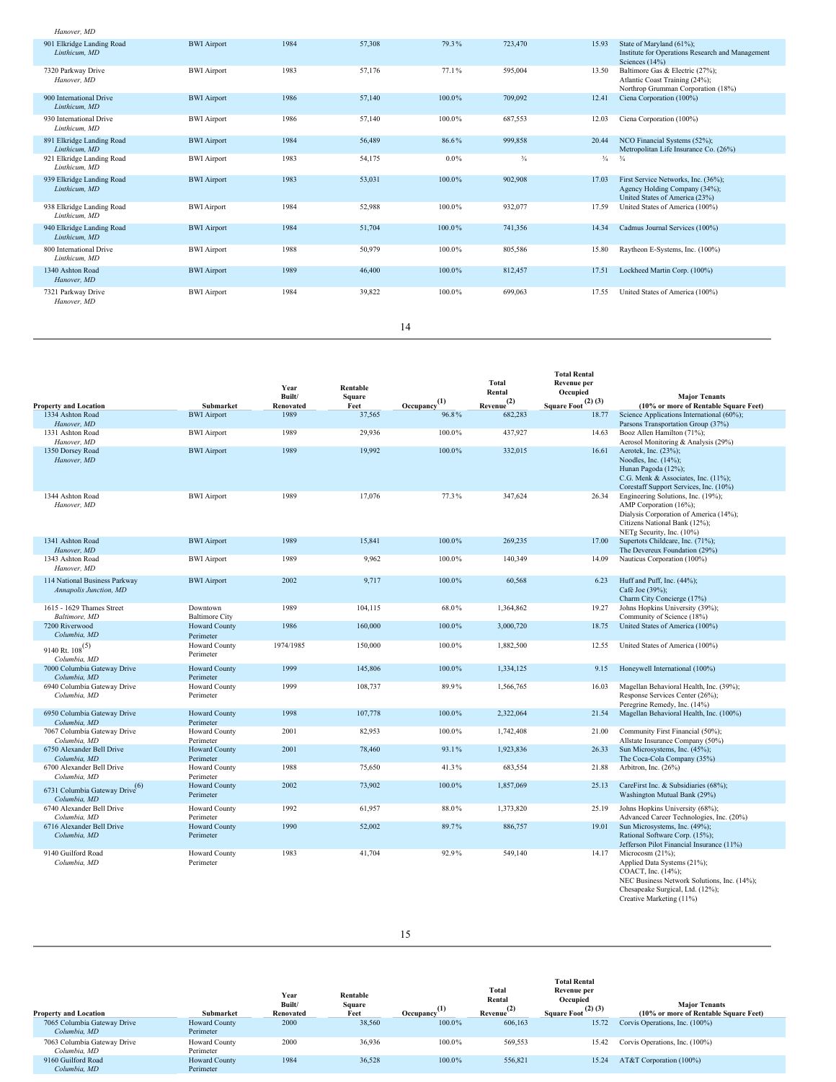| Hanover, MD                                |                    |      |        |         |          |             |                                                                                                         |
|--------------------------------------------|--------------------|------|--------|---------|----------|-------------|---------------------------------------------------------------------------------------------------------|
| 901 Elkridge Landing Road<br>Linthicum, MD | <b>BWI</b> Airport | 1984 | 57,308 | 79.3%   | 723,470  | 15.93       | State of Maryland (61%);<br>Institute for Operations Research and Management<br>Sciences (14%)          |
| 7320 Parkway Drive<br>Hanover, MD          | <b>BWI</b> Airport | 1983 | 57,176 | 77.1%   | 595,004  | 13.50       | Baltimore Gas & Electric (27%);<br>Atlantic Coast Training (24%);<br>Northrop Grumman Corporation (18%) |
| 900 International Drive<br>Linthicum, MD   | <b>BWI</b> Airport | 1986 | 57,140 | 100.0%  | 709.092  | 12.41       | Ciena Corporation (100%)                                                                                |
| 930 International Drive<br>Linthicum, MD   | <b>BWI</b> Airport | 1986 | 57,140 | 100.0%  | 687,553  | 12.03       | Ciena Corporation (100%)                                                                                |
| 891 Elkridge Landing Road<br>Linthicum, MD | <b>BWI</b> Airport | 1984 | 56,489 | 86.6%   | 999.858  | 20.44       | NCO Financial Systems (52%);<br>Metropolitan Life Insurance Co. (26%)                                   |
| 921 Elkridge Landing Road<br>Linthicum, MD | <b>BWI</b> Airport | 1983 | 54,175 | $0.0\%$ | $^{3/4}$ | $^{3}/_{4}$ | $^{3}/_{4}$                                                                                             |
| 939 Elkridge Landing Road<br>Linthicum, MD | <b>BWI</b> Airport | 1983 | 53,031 | 100.0%  | 902,908  | 17.03       | First Service Networks, Inc. (36%);<br>Agency Holding Company (34%);<br>United States of America (23%)  |
| 938 Elkridge Landing Road<br>Linthicum, MD | <b>BWI</b> Airport | 1984 | 52,988 | 100.0%  | 932,077  | 17.59       | United States of America (100%)                                                                         |
| 940 Elkridge Landing Road<br>Linthicum, MD | <b>BWI</b> Airport | 1984 | 51,704 | 100.0%  | 741,356  | 14.34       | Cadmus Journal Services (100%)                                                                          |
| 800 International Drive<br>Linthicum, MD   | <b>BWI</b> Airport | 1988 | 50,979 | 100.0%  | 805,586  | 15.80       | Raytheon E-Systems, Inc. (100%)                                                                         |
| 1340 Ashton Road<br>Hanover, MD            | <b>BWI</b> Airport | 1989 | 46,400 | 100.0%  | 812,457  | 17.51       | Lockheed Martin Corp. (100%)                                                                            |
| 7321 Parkway Drive<br>Hanover, MD          | <b>BWI</b> Airport | 1984 | 39,822 | 100.0%  | 699,063  | 17.55       | United States of America (100%)                                                                         |

14

|                                                            |                                   | Year<br>Built/ | Rentable<br>Square |                | <b>Total</b><br>Rental   | <b>Total Rental</b><br>Revenue per<br>Occupied | <b>Major Tenants</b>                                                                                                                                                                     |
|------------------------------------------------------------|-----------------------------------|----------------|--------------------|----------------|--------------------------|------------------------------------------------|------------------------------------------------------------------------------------------------------------------------------------------------------------------------------------------|
| <b>Property and Location</b>                               | Submarket                         | Renovated      | Feet               | $Occupancy(1)$ | $\mathbf{Revenue}^{(2)}$ | Square Foot <sup>(2)(3)</sup>                  | (10% or more of Rentable Square Feet)                                                                                                                                                    |
| 1334 Ashton Road<br>Hanover, MD                            | <b>BWI</b> Airport                | 1989           | 37,565             | 96.8%          | 682,283                  | 18.77                                          | Science Applications International (60%);<br>Parsons Transportation Group (37%)                                                                                                          |
| 1331 Ashton Road<br>Hanover, MD                            | <b>BWI</b> Airport                | 1989           | 29,936             | 100.0%         | 437,927                  | 14.63                                          | Booz Allen Hamilton (71%);<br>Aerosol Monitoring & Analysis (29%)                                                                                                                        |
| 1350 Dorsey Road<br>Hanover, MD                            | <b>BWI</b> Airport                | 1989           | 19.992             | 100.0%         | 332,015                  | 16.61                                          | Aerotek, Inc. (23%):<br>Noodles, Inc. (14%);<br>Hunan Pagoda (12%);<br>C.G. Menk & Associates, Inc. (11%);<br>Corestaff Support Services, Inc. (10%)                                     |
| 1344 Ashton Road<br>Hanover, MD                            | <b>BWI</b> Airport                | 1989           | 17,076             | 77.3%          | 347,624                  | 26.34                                          | Engineering Solutions, Inc. (19%);<br>AMP Corporation (16%);<br>Dialysis Corporation of America (14%);<br>Citizens National Bank (12%);<br>NETg Security, Inc. (10%)                     |
| 1341 Ashton Road<br>Hanover, MD                            | <b>BWI</b> Airport                | 1989           | 15,841             | 100.0%         | 269,235                  | 17.00                                          | Supertots Childcare, Inc. (71%);<br>The Devereux Foundation (29%)                                                                                                                        |
| 1343 Ashton Road<br>Hanover, MD                            | <b>BWI</b> Airport                | 1989           | 9,962              | 100.0%         | 140,349                  | 14.09                                          | Nauticus Corporation (100%)                                                                                                                                                              |
| 114 National Business Parkway<br>Annapolis Junction, MD    | <b>BWI</b> Airport                | 2002           | 9,717              | 100.0%         | 60,568                   | 6.23                                           | Huff and Puff, Inc. (44%);<br>Café Joe (39%);<br>Charm City Concierge (17%)                                                                                                              |
| 1615 - 1629 Thames Street<br>Baltimore, MD                 | Downtown<br><b>Baltimore City</b> | 1989           | 104,115            | 68.0%          | 1,364,862                | 19.27                                          | Johns Hopkins University (39%);<br>Community of Science (18%)                                                                                                                            |
| 7200 Riverwood<br>Columbia, MD                             | <b>Howard County</b><br>Perimeter | 1986           | 160,000            | 100.0%         | 3,000,720                | 18.75                                          | United States of America (100%)                                                                                                                                                          |
| 9140 Rt. $108^{(5)}$<br>Columbia, MD                       | <b>Howard County</b><br>Perimeter | 1974/1985      | 150,000            | 100.0%         | 1,882,500                | 12.55                                          | United States of America (100%)                                                                                                                                                          |
| 7000 Columbia Gateway Drive<br>Columbia, MD                | <b>Howard County</b><br>Perimeter | 1999           | 145,806            | 100.0%         | 1,334,125                | 9.15                                           | Honeywell International (100%)                                                                                                                                                           |
| 6940 Columbia Gateway Drive<br>Columbia, MD                | <b>Howard County</b><br>Perimeter | 1999           | 108,737            | 89.9%          | 1,566,765                | 16.03                                          | Magellan Behavioral Health, Inc. (39%);<br>Response Services Center (26%);<br>Peregrine Remedy, Inc. (14%)                                                                               |
| 6950 Columbia Gateway Drive<br>Columbia, MD                | <b>Howard County</b><br>Perimeter | 1998           | 107,778            | 100.0%         | 2,322,064                | 21.54                                          | Magellan Behavioral Health, Inc. (100%)                                                                                                                                                  |
| 7067 Columbia Gateway Drive<br>Columbia, MD                | <b>Howard County</b><br>Perimeter | 2001           | 82,953             | 100.0%         | 1,742,408                | 21.00                                          | Community First Financial (50%);<br>Allstate Insurance Company (50%)                                                                                                                     |
| 6750 Alexander Bell Drive<br>Columbia, MD                  | <b>Howard County</b><br>Perimeter | 2001           | 78,460             | 93.1%          | 1,923,836                | 26.33                                          | Sun Microsystems, Inc. (45%);<br>The Coca-Cola Company (35%)                                                                                                                             |
| 6700 Alexander Bell Drive<br>Columbia, MD                  | <b>Howard County</b><br>Perimeter | 1988           | 75,650             | 41.3%          | 683,554                  | 21.88                                          | Arbitron, Inc. (26%)                                                                                                                                                                     |
| 6731 Columbia Gateway Drive <sup>(6)</sup><br>Columbia, MD | <b>Howard County</b><br>Perimeter | 2002           | 73,902             | 100.0%         | 1,857,069                | 25.13                                          | CareFirst Inc. & Subsidiaries (68%);<br>Washington Mutual Bank (29%)                                                                                                                     |
| 6740 Alexander Bell Drive<br>Columbia, MD                  | <b>Howard County</b><br>Perimeter | 1992           | 61,957             | 88.0%          | 1,373,820                | 25.19                                          | Johns Hopkins University (68%);<br>Advanced Career Technologies, Inc. (20%)                                                                                                              |
| 6716 Alexander Bell Drive<br>Columbia, MD                  | <b>Howard County</b><br>Perimeter | 1990           | 52,002             | 89.7%          | 886,757                  | 19.01                                          | Sun Microsystems, Inc. (49%);<br>Rational Software Corp. (15%);<br>Jefferson Pilot Financial Insurance (11%)                                                                             |
| 9140 Guilford Road<br>Columbia, MD                         | <b>Howard County</b><br>Perimeter | 1983           | 41,704             | 92.9%          | 549,140                  | 14.17                                          | Microcosm $(21\%)$ ;<br>Applied Data Systems (21%);<br>COACT, Inc. (14%);<br>NEC Business Network Solutions, Inc. (14%);<br>Chesapeake Surgical, Ltd. (12%);<br>Creative Marketing (11%) |

| <b>Property and Location</b>                | Submarket                         | Year<br>Built/<br>Renovated | Rentable<br>Square<br>Feet | $\Omega$<br>Occupancy | Total<br>Rental<br>(2)<br>Revenue <sup>'</sup> | <b>Total Rental</b><br>Revenue per<br>Occupied<br>Square Foot $(2)$ $(3)$ | <b>Major Tenants</b><br>(10% or more of Rentable Square Feet) |
|---------------------------------------------|-----------------------------------|-----------------------------|----------------------------|-----------------------|------------------------------------------------|---------------------------------------------------------------------------|---------------------------------------------------------------|
| 7065 Columbia Gateway Drive<br>Columbia, MD | <b>Howard County</b><br>Perimeter | 2000                        | 38.560                     | 100.0%                | 606.163                                        | 15.72                                                                     | Corvis Operations, Inc. (100%)                                |
| 7063 Columbia Gateway Drive<br>Columbia, MD | <b>Howard County</b><br>Perimeter | 2000                        | 36.936                     | 100.0%                | 569,553                                        | 15.42                                                                     | Corvis Operations, Inc. (100%)                                |
| 9160 Guilford Road<br>Columbia, MD          | <b>Howard County</b><br>Perimeter | 1984                        | 36.528                     | 100.0%                | 556,821                                        | 15.24                                                                     | AT&T Corporation (100%)                                       |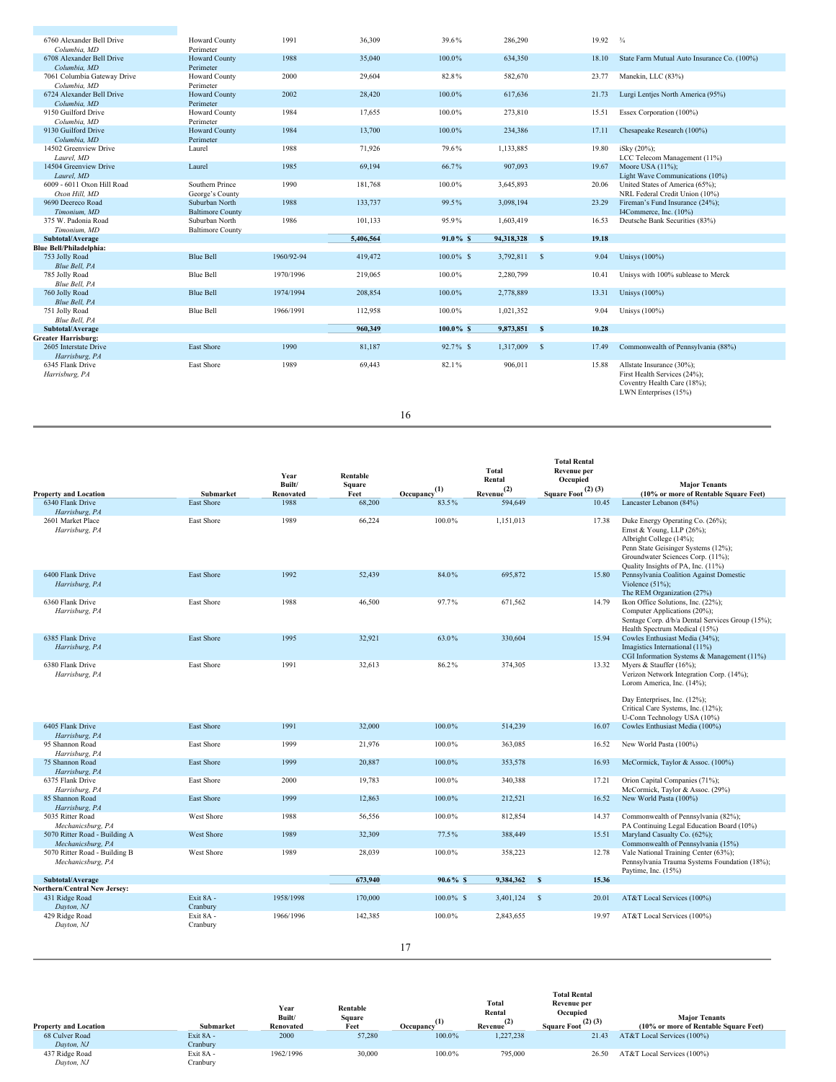| 6760 Alexander Bell Drive                        | <b>Howard County</b>              | 1991       | 36,309    | 39.6%        | 286,290    |              | 19.92 | $^{3/4}$                                                  |
|--------------------------------------------------|-----------------------------------|------------|-----------|--------------|------------|--------------|-------|-----------------------------------------------------------|
| Columbia, MD                                     | Perimeter                         |            |           |              |            |              |       |                                                           |
| 6708 Alexander Bell Drive                        | <b>Howard County</b>              | 1988       | 35,040    | 100.0%       | 634,350    |              | 18.10 | State Farm Mutual Auto Insurance Co. (100%)               |
| Columbia, MD                                     | Perimeter                         |            |           |              |            |              |       |                                                           |
| 7061 Columbia Gateway Drive                      | <b>Howard County</b>              | 2000       | 29,604    | 82.8%        | 582,670    |              | 23.77 | Manekin, LLC (83%)                                        |
| Columbia, MD                                     | Perimeter                         |            |           |              |            |              |       |                                                           |
| 6724 Alexander Bell Drive                        | <b>Howard County</b>              | 2002       | 28,420    | 100.0%       | 617,636    |              | 21.73 | Lurgi Lentjes North America (95%)                         |
| Columbia, MD                                     | Perimeter                         |            |           |              |            |              |       |                                                           |
| 9150 Guilford Drive                              | <b>Howard County</b>              | 1984       | 17,655    | 100.0%       | 273,810    |              | 15.51 | Essex Corporation (100%)                                  |
| Columbia, MD                                     | Perimeter                         |            |           |              |            |              |       |                                                           |
| 9130 Guilford Drive<br>Columbia, MD              | <b>Howard County</b><br>Perimeter | 1984       | 13,700    | 100.0%       | 234,386    |              | 17.11 | Chesapeake Research (100%)                                |
| 14502 Greenview Drive                            | Laurel                            | 1988       | 71,926    | 79.6%        | 1,133,885  |              | 19.80 | iSky $(20\%)$ ;                                           |
| Laurel, MD                                       |                                   |            |           |              |            |              |       | LCC Telecom Management (11%)                              |
| 14504 Greenview Drive                            | Laurel                            | 1985       | 69,194    | 66.7%        | 907,093    |              | 19.67 | Moore USA $(11\%)$ ;                                      |
| Laurel, MD                                       |                                   |            |           |              |            |              |       | Light Wave Communications (10%)                           |
| 6009 - 6011 Oxon Hill Road                       | Southern Prince                   | 1990       | 181,768   | 100.0%       | 3,645,893  |              | 20.06 | United States of America (65%);                           |
| Oxon Hill, MD                                    | George's County                   |            |           |              |            |              |       | NRL Federal Credit Union (10%)                            |
| 9690 Deereco Road                                | Suburban North                    | 1988       | 133,737   | 99.5%        | 3,098,194  |              | 23.29 | Fireman's Fund Insurance (24%);                           |
| Timonium, MD                                     | <b>Baltimore County</b>           |            |           |              |            |              |       | I4Commerce, Inc. (10%)                                    |
| 375 W. Padonia Road                              | Suburban North                    | 1986       | 101,133   | 95.9%        | 1,603,419  |              | 16.53 | Deutsche Bank Securities (83%)                            |
| Timonium, MD                                     | <b>Baltimore County</b>           |            |           |              |            |              |       |                                                           |
| Subtotal/Average                                 |                                   |            | 5,406,564 | $91.0\%$ \$  | 94,318,328 | $\mathbf{s}$ | 19.18 |                                                           |
| <b>Blue Bell/Philadelphia:</b><br>753 Jolly Road | <b>Blue Bell</b>                  | 1960/92-94 | 419,472   | $100.0\%$ \$ | 3,792,811  |              | 9.04  | Unisys (100%)                                             |
| Blue Bell, PA                                    |                                   |            |           |              |            | -S           |       |                                                           |
| 785 Jolly Road                                   | <b>Blue Bell</b>                  | 1970/1996  | 219,065   | 100.0%       | 2,280,799  |              | 10.41 | Unisys with 100% sublease to Merck                        |
| Blue Bell, PA                                    |                                   |            |           |              |            |              |       |                                                           |
| 760 Jolly Road                                   | <b>Blue Bell</b>                  | 1974/1994  | 208,854   | 100.0%       | 2,778,889  |              | 13.31 | Unisys (100%)                                             |
| Blue Bell, PA                                    |                                   |            |           |              |            |              |       |                                                           |
| 751 Jolly Road                                   | <b>Blue Bell</b>                  | 1966/1991  | 112,958   | 100.0%       | 1,021,352  |              | 9.04  | Unisys (100%)                                             |
| Blue Bell, PA                                    |                                   |            |           |              |            |              |       |                                                           |
| Subtotal/Average                                 |                                   |            | 960,349   | $100.0\%$ \$ | 9,873,851  | $\mathbf{s}$ | 10.28 |                                                           |
| Greater Harrisburg:                              |                                   |            |           |              |            |              |       |                                                           |
| 2605 Interstate Drive                            | <b>East Shore</b>                 | 1990       | 81,187    | 92.7% \$     | 1,317,009  | -S           | 17.49 | Commonwealth of Pennsylvania (88%)                        |
| Harrisburg, PA                                   |                                   |            |           |              |            |              |       |                                                           |
| 6345 Flank Drive                                 | East Shore                        | 1989       | 69,443    | 82.1%        | 906,011    |              | 15.88 | Allstate Insurance (30%);<br>First Health Services (24%); |
| Harrisburg, PA                                   |                                   |            |           |              |            |              |       | Coventry Health Care (18%);                               |
|                                                  |                                   |            |           |              |            |              |       | LWN Enterprises (15%)                                     |
|                                                  |                                   |            |           |              |            |              |       |                                                           |
|                                                  |                                   |            |           |              |            |              |       |                                                           |

| <b>Property and Location</b>                                 | Submarket             | Year<br>Built/<br>Renovated | Rentable<br>Square<br>Feet |              | <b>Total</b><br>Rental<br>$\frac{\text{Revenue}}{}^{(2)}$ | <b>Total Rental</b><br>Revenue per<br>Occupied<br>Square Foot <sup>(2)(3)</sup> | <b>Major Tenants</b><br>(10% or more of Rentable Square Feet)                                                                                                                                              |
|--------------------------------------------------------------|-----------------------|-----------------------------|----------------------------|--------------|-----------------------------------------------------------|---------------------------------------------------------------------------------|------------------------------------------------------------------------------------------------------------------------------------------------------------------------------------------------------------|
| 6340 Flank Drive                                             | East Shore            | 1988                        | 68,200                     | 83.5%        | 594,649                                                   | 10.45                                                                           | Lancaster Lebanon (84%)                                                                                                                                                                                    |
| Harrisburg, PA<br>2601 Market Place<br>Harrisburg, PA        | East Shore            | 1989                        | 66,224                     | 100.0%       | 1,151,013                                                 | 17.38                                                                           | Duke Energy Operating Co. (26%);<br>Ernst & Young, LLP (26%);<br>Albright College (14%);<br>Penn State Geisinger Systems (12%);<br>Groundwater Sciences Corp. (11%);<br>Quality Insights of PA, Inc. (11%) |
| 6400 Flank Drive<br>Harrisburg, PA                           | <b>East Shore</b>     | 1992                        | 52,439                     | 84.0%        | 695,872                                                   | 15.80                                                                           | Pennsylvania Coalition Against Domestic<br>Violence $(51\%)$ :<br>The REM Organization (27%)                                                                                                               |
| 6360 Flank Drive<br>Harrisburg, PA                           | East Shore            | 1988                        | 46,500                     | 97.7%        | 671,562                                                   | 14.79                                                                           | Ikon Office Solutions, Inc. (22%);<br>Computer Applications (20%);<br>Sentage Corp. d/b/a Dental Services Group (15%);<br>Health Spectrum Medical (15%)                                                    |
| 6385 Flank Drive<br>Harrisburg, PA                           | <b>East Shore</b>     | 1995                        | 32,921                     | 63.0%        | 330,604                                                   | 15.94                                                                           | Cowles Enthusiast Media (34%);<br>Imagistics International (11%)<br>CGI Information Systems & Management (11%)                                                                                             |
| 6380 Flank Drive<br>Harrisburg, PA                           | East Shore            | 1991                        | 32,613                     | 86.2%        | 374,305                                                   | 13.32                                                                           | Myers & Stauffer (16%);<br>Verizon Network Integration Corp. (14%);<br>Lorom America, Inc. (14%);<br>Day Enterprises, Inc. (12%);                                                                          |
|                                                              | <b>East Shore</b>     |                             |                            |              |                                                           |                                                                                 | Critical Care Systems, Inc. (12%);<br>U-Conn Technology USA (10%)                                                                                                                                          |
| 6405 Flank Drive<br>Harrisburg, PA                           |                       | 1991                        | 32,000                     | 100.0%       | 514,239                                                   | 16.07                                                                           | Cowles Enthusiast Media (100%)                                                                                                                                                                             |
| 95 Shannon Road<br>Harrisburg, PA                            | East Shore            | 1999                        | 21.976                     | 100.0%       | 363,085                                                   | 16.52                                                                           | New World Pasta (100%)                                                                                                                                                                                     |
| 75 Shannon Road<br>Harrisburg, PA                            | East Shore            | 1999                        | 20,887                     | 100.0%       | 353,578                                                   | 16.93                                                                           | McCormick, Taylor & Assoc. (100%)                                                                                                                                                                          |
| 6375 Flank Drive<br>Harrisburg, PA                           | East Shore            | 2000                        | 19,783                     | 100.0%       | 340,388                                                   | 17.21                                                                           | Orion Capital Companies (71%);<br>McCormick, Taylor & Assoc. (29%)                                                                                                                                         |
| 85 Shannon Road<br>Harrisburg, PA                            | East Shore            | 1999                        | 12,863                     | 100.0%       | 212,521                                                   | 16.52                                                                           | New World Pasta (100%)                                                                                                                                                                                     |
| 5035 Ritter Road<br>Mechanicsburg, PA                        | <b>West Shore</b>     | 1988                        | 56,556                     | 100.0%       | 812,854                                                   | 14.37                                                                           | Commonwealth of Pennsylvania (82%);<br>PA Continuing Legal Education Board (10%)                                                                                                                           |
| 5070 Ritter Road - Building A<br>Mechanicsburg, PA           | <b>West Shore</b>     | 1989                        | 32,309                     | 77.5%        | 388,449                                                   | 15.51                                                                           | Maryland Casualty Co. (62%);<br>Commonwealth of Pennsylvania (15%)                                                                                                                                         |
| 5070 Ritter Road - Building B<br>Mechanicsburg, PA           | West Shore            | 1989                        | 28,039                     | 100.0%       | 358,223                                                   | 12.78                                                                           | Vale National Training Center (63%);<br>Pennsylvania Trauma Systems Foundation (18%);<br>Paytime, Inc. $(15%)$                                                                                             |
| Subtotal/Average                                             |                       |                             | 673,940                    | $90.6\%$ \$  | 9,384,362                                                 | $\mathbf{s}$<br>15.36                                                           |                                                                                                                                                                                                            |
| Northern/Central New Jersey:<br>431 Ridge Road<br>Davton, NJ | Exit 8A -<br>Cranbury | 1958/1998                   | 170,000                    | $100.0\%$ \$ | 3,401,124                                                 | $\sim$ \$<br>20.01                                                              | AT&T Local Services (100%)                                                                                                                                                                                 |
| 429 Ridge Road<br>Dayton, NJ                                 | Exit 8A -<br>Cranbury | 1966/1996                   | 142,385                    | 100.0%<br>17 | 2,843,655                                                 | 19.97                                                                           | AT&T Local Services (100%)                                                                                                                                                                                 |
|                                                              |                       |                             |                            |              |                                                           |                                                                                 |                                                                                                                                                                                                            |

| <b>Property and Location</b> | <b>Submarket</b> | Year<br>Built/<br>Renovated | Rentable<br>Square<br>Feet | (1)<br>Occupancy | <b>Total</b><br>Rental<br>Revenue <sup>(2)</sup> | <b>Total Rental</b><br>Revenue per<br>Occupied<br>(2)(3)<br><b>Square Foot</b> | <b>Maior Tenants</b><br>(10% or more of Rentable Square Feet) |
|------------------------------|------------------|-----------------------------|----------------------------|------------------|--------------------------------------------------|--------------------------------------------------------------------------------|---------------------------------------------------------------|
| 68 Culver Road               | Exit 8A -        | 2000                        | 57,280                     | 100.0%           | 1,227,238                                        | 21.43                                                                          | AT&T Local Services (100%)                                    |
| Dayton, NJ                   | Cranbury         |                             |                            |                  |                                                  |                                                                                |                                                               |
| 437 Ridge Road               | Exit 8A -        | 1962/1996                   | 30,000                     | 100.0%           | 795,000                                          | 26.50                                                                          | AT&T Local Services (100%)                                    |
| Dayton, NJ                   | Cranbury         |                             |                            |                  |                                                  |                                                                                |                                                               |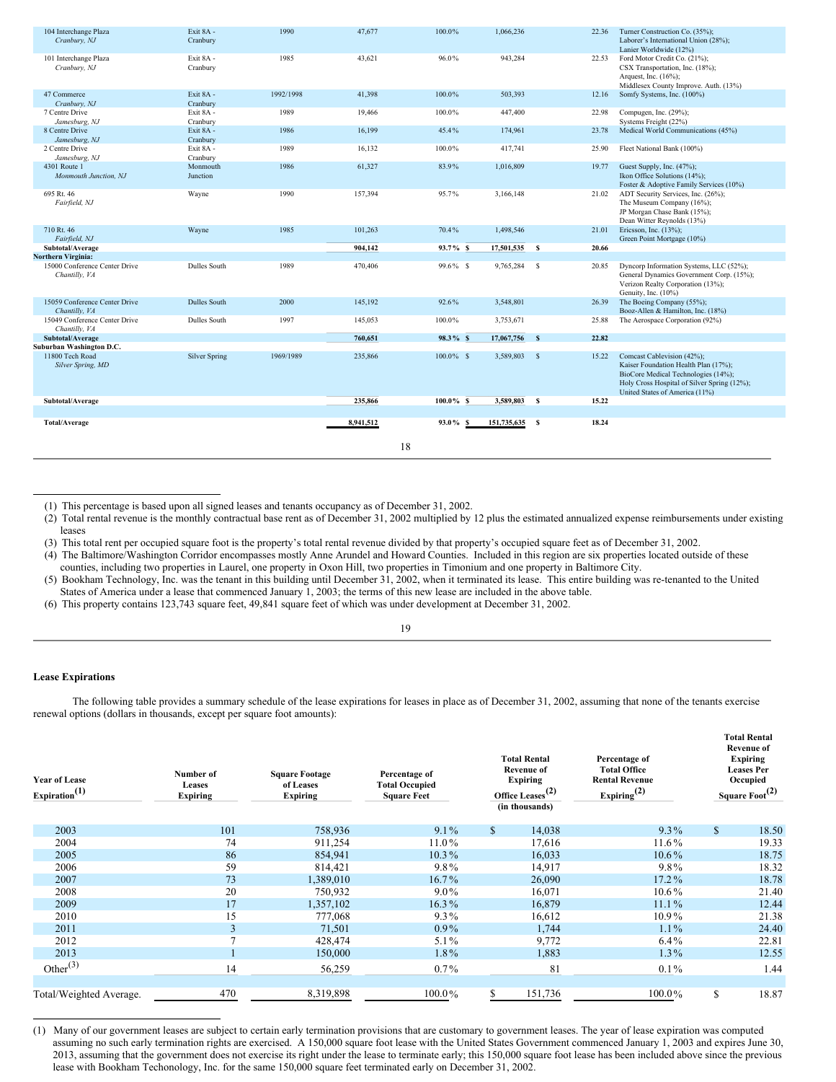| 104 Interchange Plaza<br>Cranbury, NJ          | Exit 8A -<br>Cranbury | 1990      | 47.677    | 100.0%       | 1,066,236      | 22.36                 | Turner Construction Co. (35%);<br>Laborer's International Union (28%);<br>Lanier Worldwide (12%)                                                                                           |
|------------------------------------------------|-----------------------|-----------|-----------|--------------|----------------|-----------------------|--------------------------------------------------------------------------------------------------------------------------------------------------------------------------------------------|
| 101 Interchange Plaza<br>Cranbury, NJ          | Exit 8A -<br>Cranbury | 1985      | 43,621    | 96.0%        | 943,284        | 22.53                 | Ford Motor Credit Co. (21%);<br>CSX Transportation, Inc. (18%);<br>Arquest, Inc. (16%);<br>Middlesex County Improve. Auth. (13%)                                                           |
| 47 Commerce<br>Cranbury, NJ                    | Exit 8A -<br>Cranbury | 1992/1998 | 41,398    | 100.0%       | 503,393        | 12.16                 | Somfy Systems, Inc. (100%)                                                                                                                                                                 |
| 7 Centre Drive<br>Jamesburg, NJ                | Exit 8A -<br>Cranbury | 1989      | 19,466    | 100.0%       | 447,400        | 22.98                 | Compugen, Inc. (29%);<br>Systems Freight (22%)                                                                                                                                             |
| 8 Centre Drive<br>Jamesburg, NJ                | Exit 8A -<br>Cranbury | 1986      | 16,199    | 45.4%        | 174,961        | 23.78                 | Medical World Communications (45%)                                                                                                                                                         |
| 2 Centre Drive<br>Jamesburg, NJ                | Exit 8A -<br>Cranbury | 1989      | 16,132    | 100.0%       | 417,741        | 25.90                 | Fleet National Bank (100%)                                                                                                                                                                 |
| 4301 Route 1<br>Monmouth Junction, NJ          | Monmouth<br>Junction  | 1986      | 61,327    | 83.9%        | 1,016,809      | 19.77                 | Guest Supply, Inc. (47%);<br>Ikon Office Solutions (14%);<br>Foster & Adoptive Family Services (10%)                                                                                       |
| 695 Rt. 46<br>Fairfield, NJ                    | Wayne                 | 1990      | 157,394   | 95.7%        | 3,166,148      | 21.02                 | ADT Security Services, Inc. (26%);<br>The Museum Company (16%);<br>JP Morgan Chase Bank (15%);<br>Dean Witter Reynolds (13%)                                                               |
| 710 Rt. 46<br>Fairfield, NJ                    | Wayne                 | 1985      | 101,263   | 70.4%        | 1,498,546      | 21.01                 | Ericsson, Inc. $(13\%)$ ;<br>Green Point Mortgage (10%)                                                                                                                                    |
| Subtotal/Average                               |                       |           | 904,142   | 93.7% S      | 17,501,535     | -S<br>20.66           |                                                                                                                                                                                            |
| <b>Northern Virginia:</b>                      |                       |           |           |              |                |                       |                                                                                                                                                                                            |
| 15000 Conference Center Drive<br>Chantilly, VA | <b>Dulles South</b>   | 1989      | 470,406   | 99.6% \$     | 9,765,284 \$   | 20.85                 | Dyncorp Information Systems, LLC (52%);<br>General Dynamics Government Corp. (15%);<br>Verizon Realty Corporation (13%);<br>Genuity, Inc. (10%)                                            |
| 15059 Conference Center Drive<br>Chantilly, VA | <b>Dulles South</b>   | 2000      | 145,192   | 92.6%        | 3,548,801      | 26.39                 | The Boeing Company (55%);<br>Booz-Allen & Hamilton, Inc. (18%)                                                                                                                             |
| 15049 Conference Center Drive<br>Chantilly, VA | Dulles South          | 1997      | 145,053   | 100.0%       | 3,753,671      | 25.88                 | The Aerospace Corporation (92%)                                                                                                                                                            |
| Subtotal/Average                               |                       |           | 760.651   | 98.3% S      | 17,067,756     | $\mathbf{s}$<br>22.82 |                                                                                                                                                                                            |
| Suburban Washington D.C.                       |                       |           |           |              |                |                       |                                                                                                                                                                                            |
| 11800 Tech Road<br>Silver Spring, MD           | <b>Silver Spring</b>  | 1969/1989 | 235,866   | $100.0\%$ \$ | 3,589,803 \$   | 15.22                 | Comcast Cablevision (42%);<br>Kaiser Foundation Health Plan (17%):<br>BioCore Medical Technologies (14%);<br>Holy Cross Hospital of Silver Spring (12%);<br>United States of America (11%) |
| Subtotal/Average                               |                       |           | 235,866   | $100.0\%$ S  | 3,589,803 \$   | 15.22                 |                                                                                                                                                                                            |
|                                                |                       |           |           |              |                |                       |                                                                                                                                                                                            |
| Total/Average                                  |                       |           | 8,941,512 | 93.0% S      | 151,735,635 \$ | 18.24                 |                                                                                                                                                                                            |
|                                                |                       |           | 18        |              |                |                       |                                                                                                                                                                                            |

(1) This percentage is based upon all signed leases and tenants occupancy as of December 31, 2002.

(2) Total rental revenue is the monthly contractual base rent as of December 31, 2002 multiplied by 12 plus the estimated annualized expense reimbursements under existing leases

(3) This total rent per occupied square foot is the property's total rental revenue divided by that property's occupied square feet as of December 31, 2002.

(4) The Baltimore/Washington Corridor encompasses mostly Anne Arundel and Howard Counties. Included in this region are six properties located outside of these counties, including two properties in Laurel, one property in Oxon Hill, two properties in Timonium and one property in Baltimore City.

(5) Bookham Technology, Inc. was the tenant in this building until December 31, 2002, when it terminated its lease. This entire building was re-tenanted to the United States of America under a lease that commenced January 1, 2003; the terms of this new lease are included in the above table.

(6) This property contains 123,743 square feet, 49,841 square feet of which was under development at December 31, 2002.

19

## **Lease Expirations**

The following table provides a summary schedule of the lease expirations for leases in place as of December 31, 2002, assuming that none of the tenants exercise renewal options (dollars in thousands, except per square foot amounts):

**Total Rental**

| <b>Year of Lease</b><br>$\mathbf{Expiration}^{(1)}$ | Number of<br>Leases<br><b>Expiring</b> | <b>Square Footage</b><br>of Leases<br><b>Expiring</b> | Percentage of<br><b>Total Occupied</b><br><b>Square Feet</b> |              | <b>Total Rental</b><br><b>Revenue of</b><br><b>Expiring</b><br>Office Leases <sup>(2)</sup><br>(in thousands) | Percentage of<br><b>Total Office</b><br><b>Rental Revenue</b><br>Expiring $^{(2)}$ |              | <b>Revenue of</b><br><b>Expiring</b><br><b>Leases Per</b><br>Occupied<br>Square Foot <sup>(2)</sup> |
|-----------------------------------------------------|----------------------------------------|-------------------------------------------------------|--------------------------------------------------------------|--------------|---------------------------------------------------------------------------------------------------------------|------------------------------------------------------------------------------------|--------------|-----------------------------------------------------------------------------------------------------|
| 2003                                                | 101                                    | 758,936                                               | $9.1\%$                                                      | $\mathbb{S}$ | 14,038                                                                                                        | $9.3\%$                                                                            | $\mathbb{S}$ | 18.50                                                                                               |
| 2004                                                | 74                                     | 911,254                                               | 11.0%                                                        |              | 17,616                                                                                                        | $11.6\%$                                                                           |              | 19.33                                                                                               |
| 2005                                                | 86                                     | 854,941                                               | $10.3\%$                                                     |              | 16,033                                                                                                        | $10.6\%$                                                                           |              | 18.75                                                                                               |
| 2006                                                | 59                                     | 814,421                                               | 9.8%                                                         |              | 14,917                                                                                                        | $9.8\%$                                                                            |              | 18.32                                                                                               |
| 2007                                                | 73                                     | 1,389,010                                             | $16.7\%$                                                     |              | 26,090                                                                                                        | $17.2\%$                                                                           |              | 18.78                                                                                               |
| 2008                                                | 20                                     | 750,932                                               | $9.0\%$                                                      |              | 16,071                                                                                                        | $10.6\%$                                                                           |              | 21.40                                                                                               |
| 2009                                                | 17                                     | 1,357,102                                             | 16.3%                                                        |              | 16,879                                                                                                        | 11.1%                                                                              |              | 12.44                                                                                               |
| 2010                                                | 15                                     | 777,068                                               | $9.3\%$                                                      |              | 16,612                                                                                                        | 10.9%                                                                              |              | 21.38                                                                                               |
| 2011                                                | 3                                      | 71,501                                                | $0.9\%$                                                      |              | 1,744                                                                                                         | $1.1\%$                                                                            |              | 24.40                                                                                               |
| 2012                                                |                                        | 428,474                                               | $5.1\%$                                                      |              | 9,772                                                                                                         | $6.4\%$                                                                            |              | 22.81                                                                                               |
| 2013                                                |                                        | 150,000                                               | 1.8%                                                         |              | 1,883                                                                                                         | $1.3\%$                                                                            |              | 12.55                                                                                               |
| Other $^{(3)}$                                      | 14                                     | 56,259                                                | $0.7\%$                                                      |              | 81                                                                                                            | $0.1\%$                                                                            |              | 1.44                                                                                                |
| Total/Weighted Average.                             | 470                                    | 8,319,898                                             | $100.0\%$                                                    |              | 151,736                                                                                                       | $100.0\%$                                                                          | \$           | 18.87                                                                                               |

(1) Many of our government leases are subject to certain early termination provisions that are customary to government leases. The year of lease expiration was computed assuming no such early termination rights are exercised. A 150,000 square foot lease with the United States Government commenced January 1, 2003 and expires June 30, 2013, assuming that the government does not exercise its right under the lease to terminate early; this 150,000 square foot lease has been included above since the previous lease with Bookham Techonology, Inc. for the same 150,000 square feet terminated early on December 31, 2002.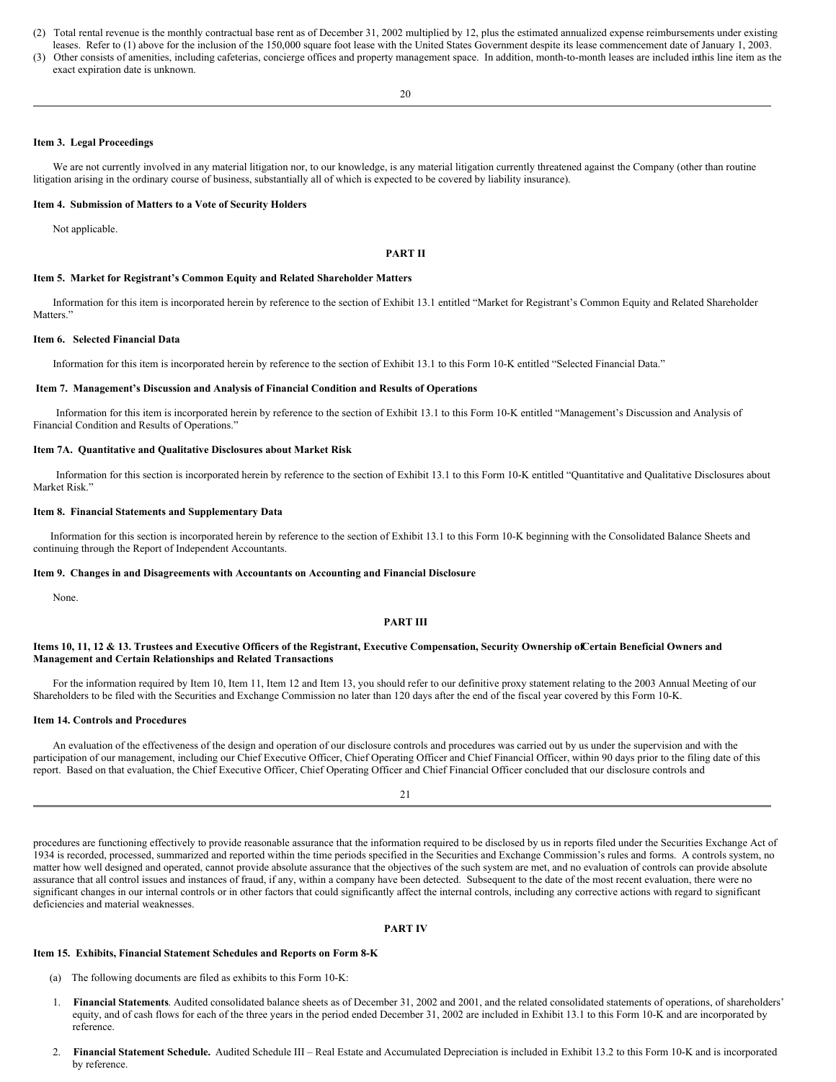- (2) Total rental revenue is the monthly contractual base rent as of December 31, 2002 multiplied by 12, plus the estimated annualized expense reimbursements under existing leases. Refer to (1) above for the inclusion of the 150,000 square foot lease with the United States Government despite its lease commencement date of January 1, 2003.
- (3) Other consists of amenities, including cafeterias, concierge offices and property management space. In addition, month-to-month leases are included inthis line item as the exact expiration date is unknown.

20

## <span id="page-11-0"></span>**Item 3. Legal Proceedings**

We are not currently involved in any material litigation nor, to our knowledge, is any material litigation currently threatened against the Company (other than routine litigation arising in the ordinary course of business, substantially all of which is expected to be covered by liability insurance).

#### <span id="page-11-1"></span>**Item 4. Submission of Matters to a Vote of Security Holders**

Not applicable.

## <span id="page-11-2"></span>**PART II**

#### <span id="page-11-3"></span>**Item 5. Market for Registrant's Common Equity and Related Shareholder Matters**

Information for this item is incorporated herein by reference to the section of Exhibit 13.1 entitled "Market for Registrant's Common Equity and Related Shareholder Matters."

#### <span id="page-11-4"></span>**Item 6. Selected Financial Data**

Information for this item is incorporated herein by reference to the section of Exhibit 13.1 to this Form 10-K entitled "Selected Financial Data."

## <span id="page-11-5"></span>**Item 7. Management's Discussion and Analysis of Financial Condition and Results of Operations**

Information for this item is incorporated herein by reference to the section of Exhibit 13.1 to this Form 10-K entitled "Management's Discussion and Analysis of Financial Condition and Results of Operations."

## <span id="page-11-6"></span>**Item 7A. Quantitative and Qualitative Disclosures about Market Risk**

Information for this section is incorporated herein by reference to the section of Exhibit 13.1 to this Form 10-K entitled "Quantitative and Qualitative Disclosures about Market Risk."

#### <span id="page-11-7"></span>**Item 8. Financial Statements and Supplementary Data**

Information for this section is incorporated herein by reference to the section of Exhibit 13.1 to this Form 10-K beginning with the Consolidated Balance Sheets and continuing through the Report of Independent Accountants.

## <span id="page-11-8"></span>**Item 9. Changes in and Disagreements with Accountants on Accounting and Financial Disclosure**

None.

## <span id="page-11-9"></span>**PART III**

## <span id="page-11-10"></span>Items 10, 11, 12 & 13. Trustees and Executive Officers of the Registrant, Executive Compensation, Security Ownership ofCertain Beneficial Owners and **Management and Certain Relationships and Related Transactions**

For the information required by Item 10, Item 11, Item 12 and Item 13, you should refer to our definitive proxy statement relating to the 2003 Annual Meeting of our Shareholders to be filed with the Securities and Exchange Commission no later than 120 days after the end of the fiscal year covered by this Form 10-K.

### <span id="page-11-11"></span>**Item 14. Controls and Procedures**

An evaluation of the effectiveness of the design and operation of our disclosure controls and procedures was carried out by us under the supervision and with the participation of our management, including our Chief Executive Officer, Chief Operating Officer and Chief Financial Officer, within 90 days prior to the filing date of this report. Based on that evaluation, the Chief Executive Officer, Chief Operating Officer and Chief Financial Officer concluded that our disclosure controls and

21

procedures are functioning effectively to provide reasonable assurance that the information required to be disclosed by us in reports filed under the Securities Exchange Act of 1934 is recorded, processed, summarized and reported within the time periods specified in the Securities and Exchange Commission's rules and forms. A controls system, no matter how well designed and operated, cannot provide absolute assurance that the objectives of the such system are met, and no evaluation of controls can provide absolute assurance that all control issues and instances of fraud, if any, within a company have been detected. Subsequent to the date of the most recent evaluation, there were no significant changes in our internal controls or in other factors that could significantly affect the internal controls, including any corrective actions with regard to significant deficiencies and material weaknesses.

#### <span id="page-11-12"></span>**PART IV**

#### <span id="page-11-13"></span>**Item 15. Exhibits, Financial Statement Schedules and Reports on Form 8-K**

- (a) The following documents are filed as exhibits to this Form 10-K:
- 1. **Financial Statements**. Audited consolidated balance sheets as of December 31, 2002 and 2001, and the related consolidated statements of operations, of shareholders' equity, and of cash flows for each of the three years in the period ended December 31, 2002 are included in Exhibit 13.1 to this Form 10-K and are incorporated by reference.
- 2. **Financial Statement Schedule.** Audited Schedule III Real Estate and Accumulated Depreciation is included in Exhibit 13.2 to this Form 10-K and is incorporated by reference.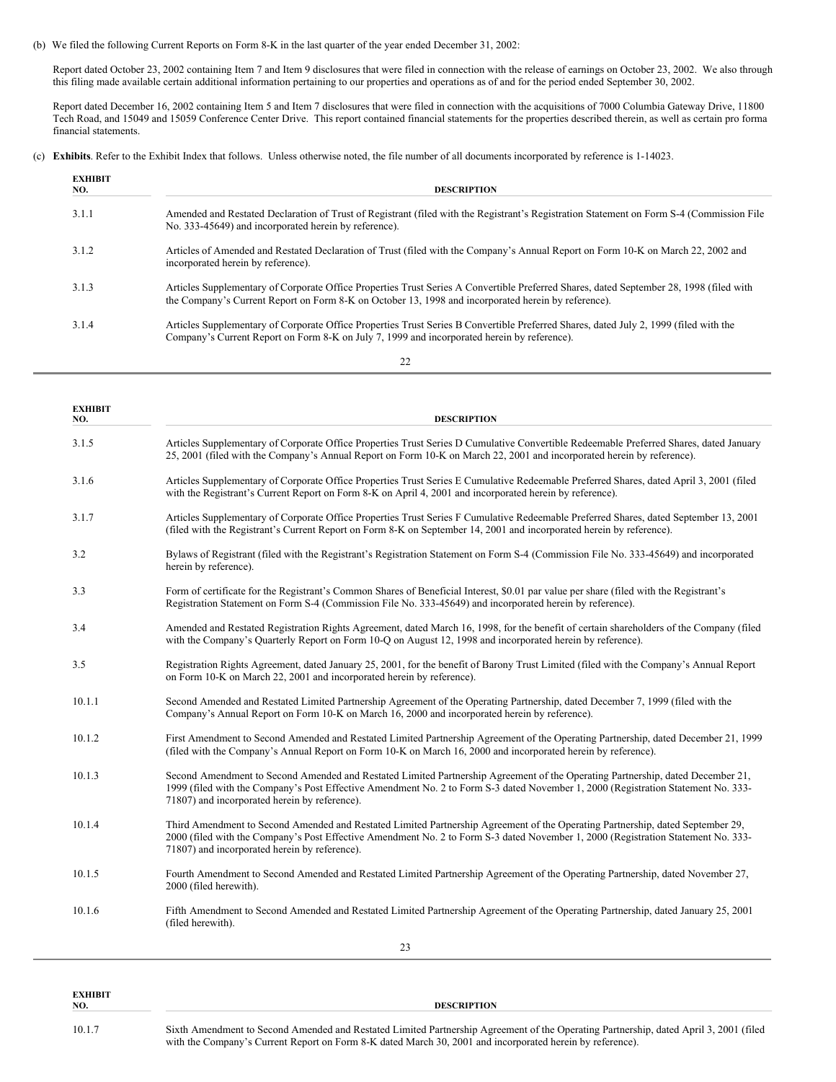(b) We filed the following Current Reports on Form 8-K in the last quarter of the year ended December 31, 2002:

Report dated October 23, 2002 containing Item 7 and Item 9 disclosures that were filed in connection with the release of earnings on October 23, 2002. We also through this filing made available certain additional information pertaining to our properties and operations as of and for the period ended September 30, 2002.

Report dated December 16, 2002 containing Item 5 and Item 7 disclosures that were filed in connection with the acquisitions of 7000 Columbia Gateway Drive, 11800 Tech Road, and 15049 and 15059 Conference Center Drive. This report contained financial statements for the properties described therein, as well as certain pro forma financial statements.

(c) **Exhibits**. Refer to the Exhibit Index that follows. Unless otherwise noted, the file number of all documents incorporated by reference is 1-14023.

| <b>EXHIBIT</b><br>NO. | <b>DESCRIPTION</b>                                                                                                                                                                                                                             |
|-----------------------|------------------------------------------------------------------------------------------------------------------------------------------------------------------------------------------------------------------------------------------------|
| 3.1.1                 | Amended and Restated Declaration of Trust of Registrant (filed with the Registrant's Registration Statement on Form S-4 (Commission File<br>No. 333-45649) and incorporated herein by reference).                                              |
| 3.1.2                 | Articles of Amended and Restated Declaration of Trust (filed with the Company's Annual Report on Form 10-K on March 22, 2002 and<br>incorporated herein by reference).                                                                         |
| 3.1.3                 | Articles Supplementary of Corporate Office Properties Trust Series A Convertible Preferred Shares, dated September 28, 1998 (filed with<br>the Company's Current Report on Form 8-K on October 13, 1998 and incorporated herein by reference). |
| 3.1.4                 | Articles Supplementary of Corporate Office Properties Trust Series B Convertible Preferred Shares, dated July 2, 1999 (filed with the<br>Company's Current Report on Form 8-K on July 7, 1999 and incorporated herein by reference).           |

| <b>EXHIBIT</b><br>NO. | <b>DESCRIPTION</b>                                                                                                                                                                                                                                                                                                   |
|-----------------------|----------------------------------------------------------------------------------------------------------------------------------------------------------------------------------------------------------------------------------------------------------------------------------------------------------------------|
| 3.1.5                 | Articles Supplementary of Corporate Office Properties Trust Series D Cumulative Convertible Redeemable Preferred Shares, dated January<br>25, 2001 (filed with the Company's Annual Report on Form 10-K on March 22, 2001 and incorporated herein by reference).                                                     |
| 3.1.6                 | Articles Supplementary of Corporate Office Properties Trust Series E Cumulative Redeemable Preferred Shares, dated April 3, 2001 (filed<br>with the Registrant's Current Report on Form 8-K on April 4, 2001 and incorporated herein by reference).                                                                  |
| 3.1.7                 | Articles Supplementary of Corporate Office Properties Trust Series F Cumulative Redeemable Preferred Shares, dated September 13, 2001<br>(filed with the Registrant's Current Report on Form 8-K on September 14, 2001 and incorporated herein by reference).                                                        |
| 3.2                   | Bylaws of Registrant (filed with the Registrant's Registration Statement on Form S-4 (Commission File No. 333-45649) and incorporated<br>herein by reference).                                                                                                                                                       |
| 3.3                   | Form of certificate for the Registrant's Common Shares of Beneficial Interest, \$0.01 par value per share (filed with the Registrant's<br>Registration Statement on Form S-4 (Commission File No. 333-45649) and incorporated herein by reference).                                                                  |
| 3.4                   | Amended and Restated Registration Rights Agreement, dated March 16, 1998, for the benefit of certain shareholders of the Company (filed<br>with the Company's Quarterly Report on Form 10-Q on August 12, 1998 and incorporated herein by reference).                                                                |
| 3.5                   | Registration Rights Agreement, dated January 25, 2001, for the benefit of Barony Trust Limited (filed with the Company's Annual Report<br>on Form 10-K on March 22, 2001 and incorporated herein by reference).                                                                                                      |
| 10.1.1                | Second Amended and Restated Limited Partnership Agreement of the Operating Partnership, dated December 7, 1999 (filed with the<br>Company's Annual Report on Form 10-K on March 16, 2000 and incorporated herein by reference).                                                                                      |
| 10.1.2                | First Amendment to Second Amended and Restated Limited Partnership Agreement of the Operating Partnership, dated December 21, 1999<br>(filed with the Company's Annual Report on Form 10-K on March 16, 2000 and incorporated herein by reference).                                                                  |
| 10.1.3                | Second Amendment to Second Amended and Restated Limited Partnership Agreement of the Operating Partnership, dated December 21,<br>1999 (filed with the Company's Post Effective Amendment No. 2 to Form S-3 dated November 1, 2000 (Registration Statement No. 333-<br>71807) and incorporated herein by reference). |
| 10.1.4                | Third Amendment to Second Amended and Restated Limited Partnership Agreement of the Operating Partnership, dated September 29,<br>2000 (filed with the Company's Post Effective Amendment No. 2 to Form S-3 dated November 1, 2000 (Registration Statement No. 333-<br>71807) and incorporated herein by reference). |
| 10.1.5                | Fourth Amendment to Second Amended and Restated Limited Partnership Agreement of the Operating Partnership, dated November 27,<br>2000 (filed herewith).                                                                                                                                                             |
| 10.1.6                | Fifth Amendment to Second Amended and Restated Limited Partnership Agreement of the Operating Partnership, dated January 25, 2001<br>(filed herewith).                                                                                                                                                               |
|                       | 23                                                                                                                                                                                                                                                                                                                   |

**EXHIBIT**

10.1.7 Sixth Amendment to Second Amended and Restated Limited Partnership Agreement of the Operating Partnership, dated April 3, 2001 (filed with the Company's Current Report on Form 8-K dated March 30, 2001 and incorporated herein by reference).

**NO. DESCRIPTION**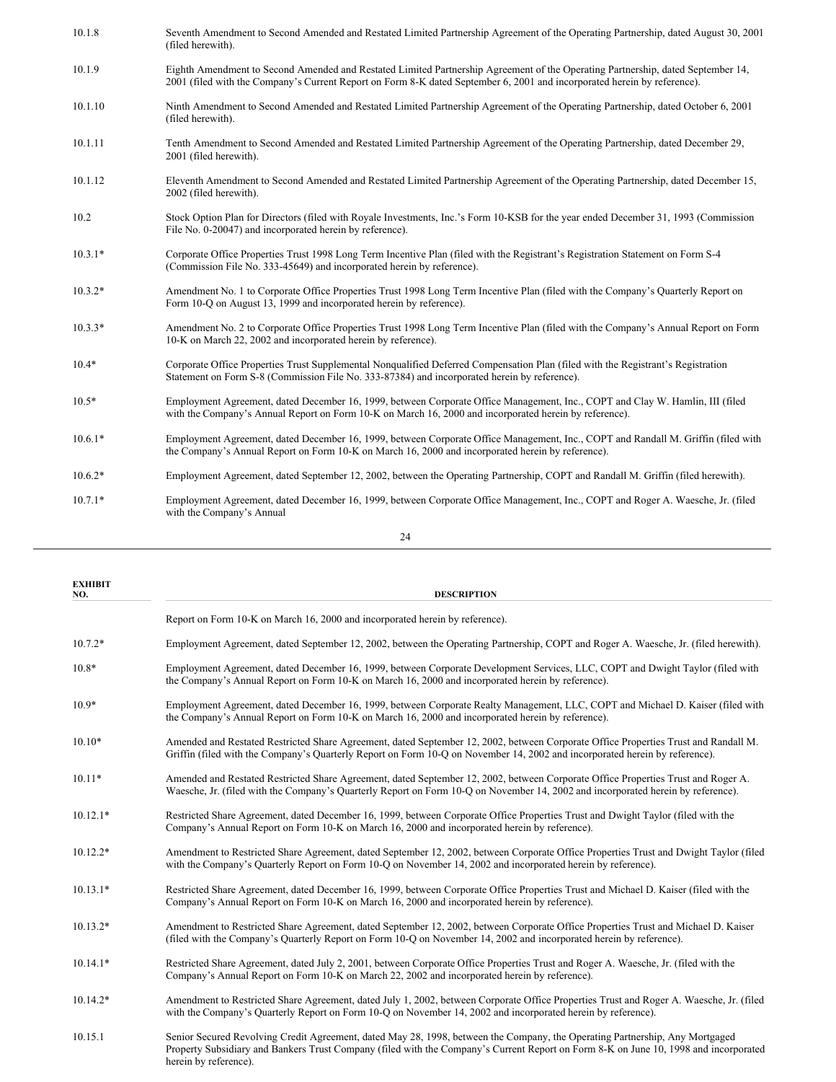| 10.1.8    | Seventh Amendment to Second Amended and Restated Limited Partnership Agreement of the Operating Partnership, dated August 30, 2001<br>(filed herewith).                                                                                                     |
|-----------|-------------------------------------------------------------------------------------------------------------------------------------------------------------------------------------------------------------------------------------------------------------|
| 10.1.9    | Eighth Amendment to Second Amended and Restated Limited Partnership Agreement of the Operating Partnership, dated September 14,<br>2001 (filed with the Company's Current Report on Form 8-K dated September 6, 2001 and incorporated herein by reference). |
| 10.1.10   | Ninth Amendment to Second Amended and Restated Limited Partnership Agreement of the Operating Partnership, dated October 6, 2001<br>(filed herewith).                                                                                                       |
| 10.1.11   | Tenth Amendment to Second Amended and Restated Limited Partnership Agreement of the Operating Partnership, dated December 29,<br>2001 (filed herewith).                                                                                                     |
| 10.1.12   | Eleventh Amendment to Second Amended and Restated Limited Partnership Agreement of the Operating Partnership, dated December 15,<br>2002 (filed herewith).                                                                                                  |
| 10.2      | Stock Option Plan for Directors (filed with Royale Investments, Inc.'s Form 10-KSB for the year ended December 31, 1993 (Commission<br>File No. 0-20047) and incorporated herein by reference).                                                             |
| $10.3.1*$ | Corporate Office Properties Trust 1998 Long Term Incentive Plan (filed with the Registrant's Registration Statement on Form S-4<br>(Commission File No. 333-45649) and incorporated herein by reference).                                                   |
| $10.3.2*$ | Amendment No. 1 to Corporate Office Properties Trust 1998 Long Term Incentive Plan (filed with the Company's Quarterly Report on<br>Form 10-Q on August 13, 1999 and incorporated herein by reference).                                                     |
| $10.3.3*$ | Amendment No. 2 to Corporate Office Properties Trust 1998 Long Term Incentive Plan (filed with the Company's Annual Report on Form<br>10-K on March 22, 2002 and incorporated herein by reference).                                                         |
| $10.4*$   | Corporate Office Properties Trust Supplemental Nonqualified Deferred Compensation Plan (filed with the Registrant's Registration<br>Statement on Form S-8 (Commission File No. 333-87384) and incorporated herein by reference).                            |
| $10.5*$   | Employment Agreement, dated December 16, 1999, between Corporate Office Management, Inc., COPT and Clay W. Hamlin, III (filed<br>with the Company's Annual Report on Form 10-K on March 16, 2000 and incorporated herein by reference).                     |
| $10.6.1*$ | Employment Agreement, dated December 16, 1999, between Corporate Office Management, Inc., COPT and Randall M. Griffin (filed with<br>the Company's Annual Report on Form 10-K on March 16, 2000 and incorporated herein by reference).                      |
| $10.6.2*$ | Employment Agreement, dated September 12, 2002, between the Operating Partnership, COPT and Randall M. Griffin (filed herewith).                                                                                                                            |
| $10.7.1*$ | Employment Agreement, dated December 16, 1999, between Corporate Office Management, Inc., COPT and Roger A. Waesche, Jr. (filed<br>with the Company's Annual                                                                                                |

| <b>EXHIBIT</b><br>NO. | <b>DESCRIPTION</b>                                                                                                                                                                                                                                                                            |
|-----------------------|-----------------------------------------------------------------------------------------------------------------------------------------------------------------------------------------------------------------------------------------------------------------------------------------------|
|                       | Report on Form 10-K on March 16, 2000 and incorporated herein by reference).                                                                                                                                                                                                                  |
| $10.7.2*$             | Employment Agreement, dated September 12, 2002, between the Operating Partnership, COPT and Roger A. Waesche, Jr. (filed herewith).                                                                                                                                                           |
| $10.8*$               | Employment Agreement, dated December 16, 1999, between Corporate Development Services, LLC, COPT and Dwight Taylor (filed with<br>the Company's Annual Report on Form 10-K on March 16, 2000 and incorporated herein by reference).                                                           |
| $10.9*$               | Employment Agreement, dated December 16, 1999, between Corporate Realty Management, LLC, COPT and Michael D. Kaiser (filed with<br>the Company's Annual Report on Form 10-K on March 16, 2000 and incorporated herein by reference).                                                          |
| $10.10*$              | Amended and Restated Restricted Share Agreement, dated September 12, 2002, between Corporate Office Properties Trust and Randall M.<br>Griffin (filed with the Company's Quarterly Report on Form 10-Q on November 14, 2002 and incorporated herein by reference).                            |
| $10.11*$              | Amended and Restated Restricted Share Agreement, dated September 12, 2002, between Corporate Office Properties Trust and Roger A.<br>Waesche, Jr. (filed with the Company's Quarterly Report on Form 10-Q on November 14, 2002 and incorporated herein by reference).                         |
| $10.12.1*$            | Restricted Share Agreement, dated December 16, 1999, between Corporate Office Properties Trust and Dwight Taylor (filed with the<br>Company's Annual Report on Form 10-K on March 16, 2000 and incorporated herein by reference).                                                             |
| $10.12.2*$            | Amendment to Restricted Share Agreement, dated September 12, 2002, between Corporate Office Properties Trust and Dwight Taylor (filed<br>with the Company's Quarterly Report on Form 10-Q on November 14, 2002 and incorporated herein by reference).                                         |
| $10.13.1*$            | Restricted Share Agreement, dated December 16, 1999, between Corporate Office Properties Trust and Michael D. Kaiser (filed with the<br>Company's Annual Report on Form 10-K on March 16, 2000 and incorporated herein by reference).                                                         |
| $10.13.2*$            | Amendment to Restricted Share Agreement, dated September 12, 2002, between Corporate Office Properties Trust and Michael D. Kaiser<br>(filed with the Company's Quarterly Report on Form 10-Q on November 14, 2002 and incorporated herein by reference).                                     |
| $10.14.1*$            | Restricted Share Agreement, dated July 2, 2001, between Corporate Office Properties Trust and Roger A. Waesche, Jr. (filed with the<br>Company's Annual Report on Form 10-K on March 22, 2002 and incorporated herein by reference).                                                          |
| $10.14.2*$            | Amendment to Restricted Share Agreement, dated July 1, 2002, between Corporate Office Properties Trust and Roger A. Waesche, Jr. (filed<br>with the Company's Quarterly Report on Form 10-Q on November 14, 2002 and incorporated herein by reference).                                       |
| 10.15.1               | Senior Secured Revolving Credit Agreement, dated May 28, 1998, between the Company, the Operating Partnership, Any Mortgaged<br>Property Subsidiary and Bankers Trust Company (filed with the Company's Current Report on Form 8-K on June 10, 1998 and incorporated<br>herein by reference). |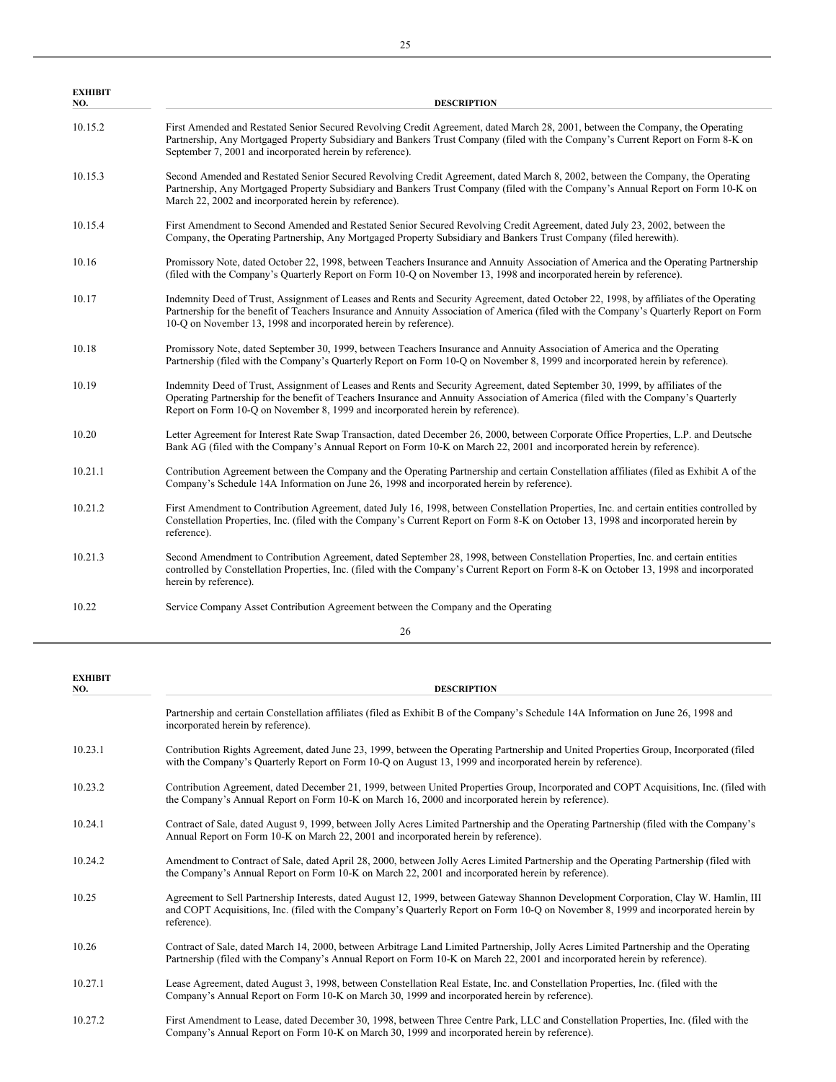| <b>EXHIBIT</b><br>NO. | <b>DESCRIPTION</b>                                                                                                                                                                                                                                                                                                                                     |
|-----------------------|--------------------------------------------------------------------------------------------------------------------------------------------------------------------------------------------------------------------------------------------------------------------------------------------------------------------------------------------------------|
| 10.15.2               | First Amended and Restated Senior Secured Revolving Credit Agreement, dated March 28, 2001, between the Company, the Operating<br>Partnership, Any Mortgaged Property Subsidiary and Bankers Trust Company (filed with the Company's Current Report on Form 8-K on<br>September 7, 2001 and incorporated herein by reference).                         |
| 10.15.3               | Second Amended and Restated Senior Secured Revolving Credit Agreement, dated March 8, 2002, between the Company, the Operating<br>Partnership, Any Mortgaged Property Subsidiary and Bankers Trust Company (filed with the Company's Annual Report on Form 10-K on<br>March 22, 2002 and incorporated herein by reference).                            |
| 10.15.4               | First Amendment to Second Amended and Restated Senior Secured Revolving Credit Agreement, dated July 23, 2002, between the<br>Company, the Operating Partnership, Any Mortgaged Property Subsidiary and Bankers Trust Company (filed herewith).                                                                                                        |
| 10.16                 | Promissory Note, dated October 22, 1998, between Teachers Insurance and Annuity Association of America and the Operating Partnership<br>(filed with the Company's Quarterly Report on Form 10-Q on November 13, 1998 and incorporated herein by reference).                                                                                            |
| 10.17                 | Indemnity Deed of Trust, Assignment of Leases and Rents and Security Agreement, dated October 22, 1998, by affiliates of the Operating<br>Partnership for the benefit of Teachers Insurance and Annuity Association of America (filed with the Company's Quarterly Report on Form<br>10-Q on November 13, 1998 and incorporated herein by reference).  |
| 10.18                 | Promissory Note, dated September 30, 1999, between Teachers Insurance and Annuity Association of America and the Operating<br>Partnership (filed with the Company's Quarterly Report on Form 10-Q on November 8, 1999 and incorporated herein by reference).                                                                                           |
| 10.19                 | Indemnity Deed of Trust, Assignment of Leases and Rents and Security Agreement, dated September 30, 1999, by affiliates of the<br>Operating Partnership for the benefit of Teachers Insurance and Annuity Association of America (filed with the Company's Quarterly<br>Report on Form 10-Q on November 8, 1999 and incorporated herein by reference). |
| 10.20                 | Letter Agreement for Interest Rate Swap Transaction, dated December 26, 2000, between Corporate Office Properties, L.P. and Deutsche<br>Bank AG (filed with the Company's Annual Report on Form 10-K on March 22, 2001 and incorporated herein by reference).                                                                                          |
| 10.21.1               | Contribution Agreement between the Company and the Operating Partnership and certain Constellation affiliates (filed as Exhibit A of the<br>Company's Schedule 14A Information on June 26, 1998 and incorporated herein by reference).                                                                                                                 |
| 10.21.2               | First Amendment to Contribution Agreement, dated July 16, 1998, between Constellation Properties, Inc. and certain entities controlled by<br>Constellation Properties, Inc. (filed with the Company's Current Report on Form 8-K on October 13, 1998 and incorporated herein by<br>reference).                                                         |
| 10.21.3               | Second Amendment to Contribution Agreement, dated September 28, 1998, between Constellation Properties, Inc. and certain entities<br>controlled by Constellation Properties, Inc. (filed with the Company's Current Report on Form 8-K on October 13, 1998 and incorporated<br>herein by reference).                                                   |
| 10.22                 | Service Company Asset Contribution Agreement between the Company and the Operating                                                                                                                                                                                                                                                                     |

| <b>EXHIBIT</b><br>NO. | <b>DESCRIPTION</b>                                                                                                                                                                                                                                                                        |
|-----------------------|-------------------------------------------------------------------------------------------------------------------------------------------------------------------------------------------------------------------------------------------------------------------------------------------|
|                       | Partnership and certain Constellation affiliates (filed as Exhibit B of the Company's Schedule 14A Information on June 26, 1998 and<br>incorporated herein by reference).                                                                                                                 |
| 10.23.1               | Contribution Rights Agreement, dated June 23, 1999, between the Operating Partnership and United Properties Group, Incorporated (filed<br>with the Company's Quarterly Report on Form 10-Q on August 13, 1999 and incorporated herein by reference).                                      |
| 10.23.2               | Contribution Agreement, dated December 21, 1999, between United Properties Group, Incorporated and COPT Acquisitions, Inc. (filed with<br>the Company's Annual Report on Form 10-K on March 16, 2000 and incorporated herein by reference).                                               |
| 10.24.1               | Contract of Sale, dated August 9, 1999, between Jolly Acres Limited Partnership and the Operating Partnership (filed with the Company's<br>Annual Report on Form 10-K on March 22, 2001 and incorporated herein by reference).                                                            |
| 10.24.2               | Amendment to Contract of Sale, dated April 28, 2000, between Jolly Acres Limited Partnership and the Operating Partnership (filed with<br>the Company's Annual Report on Form 10-K on March 22, 2001 and incorporated herein by reference).                                               |
| 10.25                 | Agreement to Sell Partnership Interests, dated August 12, 1999, between Gateway Shannon Development Corporation, Clay W. Hamlin, III<br>and COPT Acquisitions, Inc. (filed with the Company's Quarterly Report on Form 10-Q on November 8, 1999 and incorporated herein by<br>reference). |
| 10.26                 | Contract of Sale, dated March 14, 2000, between Arbitrage Land Limited Partnership, Jolly Acres Limited Partnership and the Operating<br>Partnership (filed with the Company's Annual Report on Form 10-K on March 22, 2001 and incorporated herein by reference).                        |
| 10.27.1               | Lease Agreement, dated August 3, 1998, between Constellation Real Estate, Inc. and Constellation Properties, Inc. (filed with the<br>Company's Annual Report on Form 10-K on March 30, 1999 and incorporated herein by reference).                                                        |
| 10.27.2               | First Amendment to Lease, dated December 30, 1998, between Three Centre Park, LLC and Constellation Properties, Inc. (filed with the<br>Company's Annual Report on Form 10-K on March 30, 1999 and incorporated herein by reference).                                                     |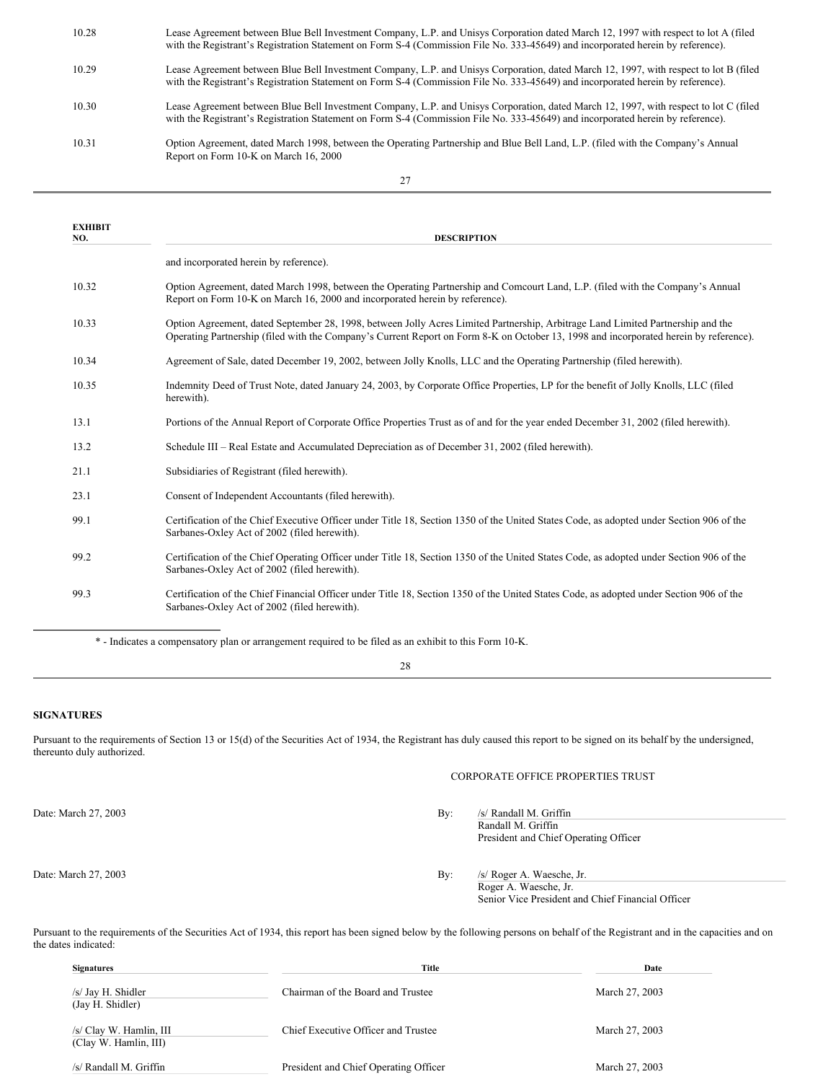| 10.28 | Lease Agreement between Blue Bell Investment Company, L.P. and Unisys Corporation dated March 12, 1997 with respect to lot A (filed<br>with the Registrant's Registration Statement on Form S-4 (Commission File No. 333-45649) and incorporated herein by reference).   |
|-------|--------------------------------------------------------------------------------------------------------------------------------------------------------------------------------------------------------------------------------------------------------------------------|
| 10.29 | Lease Agreement between Blue Bell Investment Company, L.P. and Unisys Corporation, dated March 12, 1997, with respect to lot B (filed<br>with the Registrant's Registration Statement on Form S-4 (Commission File No. 333-45649) and incorporated herein by reference). |
| 10.30 | Lease Agreement between Blue Bell Investment Company, L.P. and Unisys Corporation, dated March 12, 1997, with respect to lot C (filed<br>with the Registrant's Registration Statement on Form S-4 (Commission File No. 333-45649) and incorporated herein by reference). |
| 10.31 | Option Agreement, dated March 1998, between the Operating Partnership and Blue Bell Land, L.P. (filed with the Company's Annual<br>Report on Form 10-K on March 16, 2000                                                                                                 |

27

| and incorporated herein by reference).                                                                                                                                                                                                                                   |
|--------------------------------------------------------------------------------------------------------------------------------------------------------------------------------------------------------------------------------------------------------------------------|
|                                                                                                                                                                                                                                                                          |
| Option Agreement, dated March 1998, between the Operating Partnership and Comcourt Land, L.P. (filed with the Company's Annual<br>Report on Form 10-K on March 16, 2000 and incorporated herein by reference).                                                           |
| Option Agreement, dated September 28, 1998, between Jolly Acres Limited Partnership, Arbitrage Land Limited Partnership and the<br>Operating Partnership (filed with the Company's Current Report on Form 8-K on October 13, 1998 and incorporated herein by reference). |
| Agreement of Sale, dated December 19, 2002, between Jolly Knolls, LLC and the Operating Partnership (filed herewith).                                                                                                                                                    |
| Indemnity Deed of Trust Note, dated January 24, 2003, by Corporate Office Properties, LP for the benefit of Jolly Knolls, LLC (filed<br>herewith).                                                                                                                       |
| Portions of the Annual Report of Corporate Office Properties Trust as of and for the year ended December 31, 2002 (filed herewith).                                                                                                                                      |
| Schedule III – Real Estate and Accumulated Depreciation as of December 31, 2002 (filed herewith).                                                                                                                                                                        |
| Subsidiaries of Registrant (filed herewith).                                                                                                                                                                                                                             |
| Consent of Independent Accountants (filed herewith).                                                                                                                                                                                                                     |
| Certification of the Chief Executive Officer under Title 18, Section 1350 of the United States Code, as adopted under Section 906 of the<br>Sarbanes-Oxley Act of 2002 (filed herewith).                                                                                 |
| Certification of the Chief Operating Officer under Title 18, Section 1350 of the United States Code, as adopted under Section 906 of the<br>Sarbanes-Oxley Act of 2002 (filed herewith).                                                                                 |
| Certification of the Chief Financial Officer under Title 18, Section 1350 of the United States Code, as adopted under Section 906 of the<br>Sarbanes-Oxley Act of 2002 (filed herewith).                                                                                 |
|                                                                                                                                                                                                                                                                          |

\* - Indicates a compensatory plan or arrangement required to be filed as an exhibit to this Form 10-K.

28

## **SIGNATURES**

Pursuant to the requirements of Section 13 or 15(d) of the Securities Act of 1934, the Registrant has duly caused this report to be signed on its behalf by the undersigned, thereunto duly authorized.

## CORPORATE OFFICE PROPERTIES TRUST

President and Chief Operating Officer

Randall M. Griffin

Date: March 27, 2003 By: /s/ Randall M. Griffin

Date: March 27, 2003 By: /s/ Roger A. Waesche, Jr. Roger A. Waesche, Jr.

Senior Vice President and Chief Financial Officer

Pursuant to the requirements of the Securities Act of 1934, this report has been signed below by the following persons on behalf of the Registrant and in the capacities and on the dates indicated:

| <b>Signatures</b>                                | Title                                 | Date           |
|--------------------------------------------------|---------------------------------------|----------------|
| /s/ Jay H. Shidler<br>(Jay H. Shidler)           | Chairman of the Board and Trustee     | March 27, 2003 |
| /s/ Clay W. Hamlin, III<br>(Clay W. Hamlin, III) | Chief Executive Officer and Trustee   | March 27, 2003 |
| /s/ Randall M. Griffin                           | President and Chief Operating Officer | March 27, 2003 |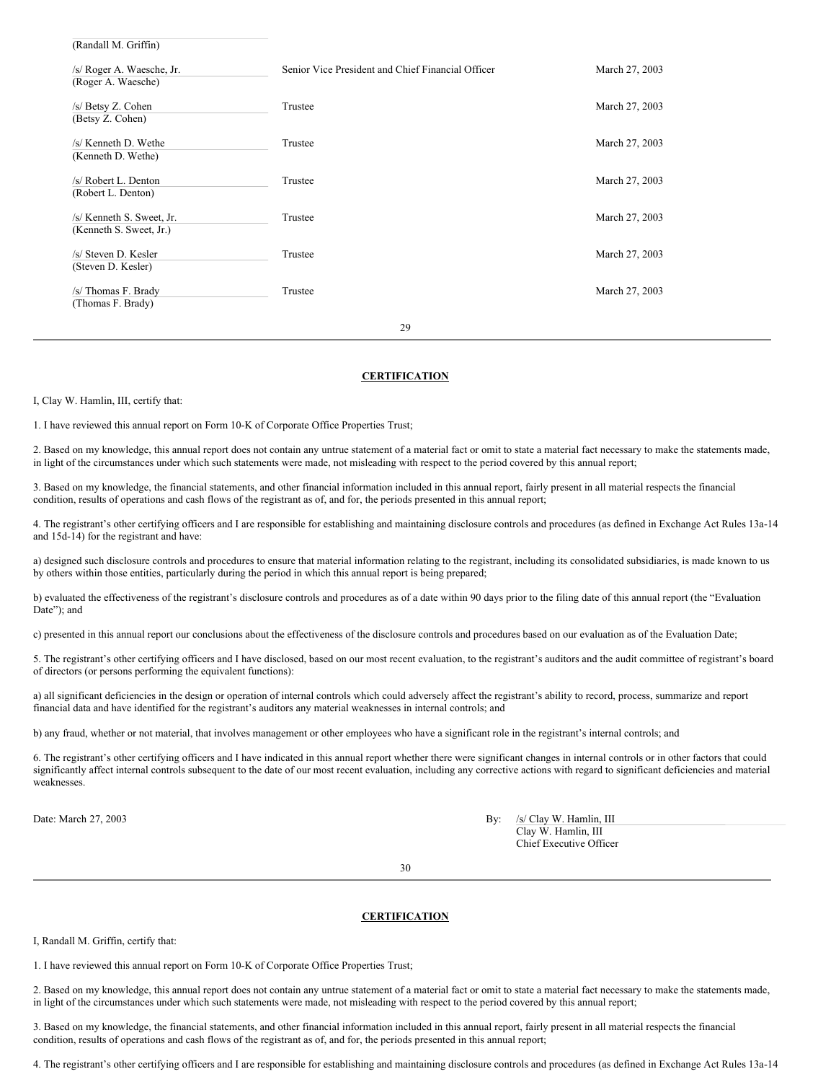| (Randall M. Griffin)                                 |                                                   |                |
|------------------------------------------------------|---------------------------------------------------|----------------|
| /s/ Roger A. Waesche, Jr.<br>(Roger A. Waesche)      | Senior Vice President and Chief Financial Officer | March 27, 2003 |
| /s/ Betsy Z. Cohen<br>(Betsy Z. Cohen)               | Trustee                                           | March 27, 2003 |
| /s/ Kenneth D. Wethe<br>(Kenneth D. Wethe)           | Trustee                                           | March 27, 2003 |
| /s/ Robert L. Denton<br>(Robert L. Denton)           | Trustee                                           | March 27, 2003 |
| /s/ Kenneth S. Sweet, Jr.<br>(Kenneth S. Sweet, Jr.) | Trustee                                           | March 27, 2003 |
| /s/ Steven D. Kesler<br>(Steven D. Kesler)           | Trustee                                           | March 27, 2003 |
| /s/ Thomas F. Brady<br>(Thomas F. Brady)             | Trustee                                           | March 27, 2003 |
|                                                      | 29                                                |                |

## **CERTIFICATION**

I, Clay W. Hamlin, III, certify that:

1. I have reviewed this annual report on Form 10-K of Corporate Office Properties Trust;

2. Based on my knowledge, this annual report does not contain any untrue statement of a material fact or omit to state a material fact necessary to make the statements made, in light of the circumstances under which such statements were made, not misleading with respect to the period covered by this annual report;

3. Based on my knowledge, the financial statements, and other financial information included in this annual report, fairly present in all material respects the financial condition, results of operations and cash flows of the registrant as of, and for, the periods presented in this annual report;

4. The registrant's other certifying officers and I are responsible for establishing and maintaining disclosure controls and procedures (as defined in Exchange Act Rules 13a-14 and 15d-14) for the registrant and have:

a) designed such disclosure controls and procedures to ensure that material information relating to the registrant, including its consolidated subsidiaries, is made known to us by others within those entities, particularly during the period in which this annual report is being prepared;

b) evaluated the effectiveness of the registrant's disclosure controls and procedures as of a date within 90 days prior to the filing date of this annual report (the "Evaluation Date"); and

c) presented in this annual report our conclusions about the effectiveness of the disclosure controls and procedures based on our evaluation as of the Evaluation Date;

5. The registrant's other certifying officers and I have disclosed, based on our most recent evaluation, to the registrant's auditors and the audit committee of registrant's board of directors (or persons performing the equivalent functions):

a) all significant deficiencies in the design or operation of internal controls which could adversely affect the registrant's ability to record, process, summarize and report financial data and have identified for the registrant's auditors any material weaknesses in internal controls; and

b) any fraud, whether or not material, that involves management or other employees who have a significant role in the registrant's internal controls; and

6. The registrant's other certifying officers and I have indicated in this annual report whether there were significant changes in internal controls or in other factors that could significantly affect internal controls subsequent to the date of our most recent evaluation, including any corrective actions with regard to significant deficiencies and material weaknesses.

Date: March 27, 2003 By: /s/ Clay W. Hamlin, III Clay W. Hamlin, III Chief Executive Officer

30

## **CERTIFICATION**

I, Randall M. Griffin, certify that:

1. I have reviewed this annual report on Form 10-K of Corporate Office Properties Trust;

2. Based on my knowledge, this annual report does not contain any untrue statement of a material fact or omit to state a material fact necessary to make the statements made, in light of the circumstances under which such statements were made, not misleading with respect to the period covered by this annual report;

3. Based on my knowledge, the financial statements, and other financial information included in this annual report, fairly present in all material respects the financial condition, results of operations and cash flows of the registrant as of, and for, the periods presented in this annual report;

4. The registrant's other certifying officers and I are responsible for establishing and maintaining disclosure controls and procedures (as defined in Exchange Act Rules 13a-14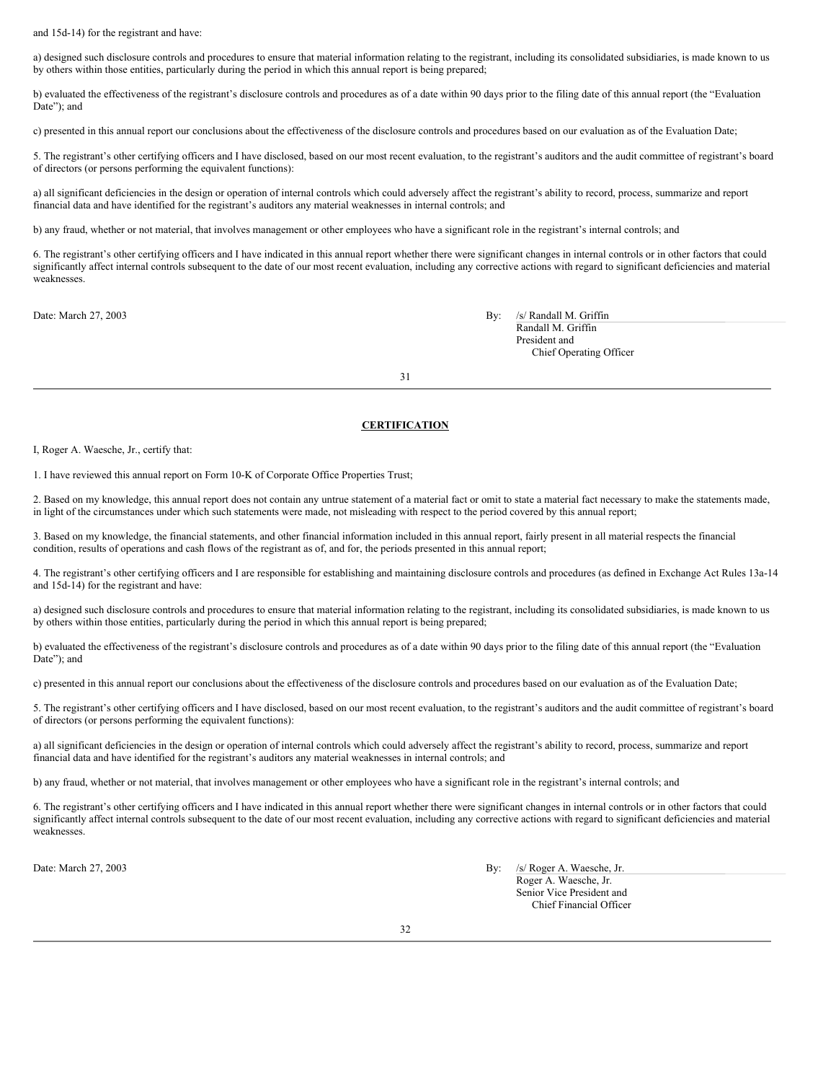and 15d-14) for the registrant and have:

a) designed such disclosure controls and procedures to ensure that material information relating to the registrant, including its consolidated subsidiaries, is made known to us by others within those entities, particularly during the period in which this annual report is being prepared;

b) evaluated the effectiveness of the registrant's disclosure controls and procedures as of a date within 90 days prior to the filing date of this annual report (the "Evaluation Date"); and

c) presented in this annual report our conclusions about the effectiveness of the disclosure controls and procedures based on our evaluation as of the Evaluation Date;

5. The registrant's other certifying officers and I have disclosed, based on our most recent evaluation, to the registrant's auditors and the audit committee of registrant's board of directors (or persons performing the equivalent functions):

a) all significant deficiencies in the design or operation of internal controls which could adversely affect the registrant's ability to record, process, summarize and report financial data and have identified for the registrant's auditors any material weaknesses in internal controls; and

b) any fraud, whether or not material, that involves management or other employees who have a significant role in the registrant's internal controls; and

6. The registrant's other certifying officers and I have indicated in this annual report whether there were significant changes in internal controls or in other factors that could significantly affect internal controls subsequent to the date of our most recent evaluation, including any corrective actions with regard to significant deficiencies and material weaknesses.

Date: March 27, 2003 By: /s/ Randall M. Griffin

Randall M. Griffin President and Chief Operating Officer

31

## **CERTIFICATION**

I, Roger A. Waesche, Jr., certify that:

1. I have reviewed this annual report on Form 10-K of Corporate Office Properties Trust;

2. Based on my knowledge, this annual report does not contain any untrue statement of a material fact or omit to state a material fact necessary to make the statements made, in light of the circumstances under which such statements were made, not misleading with respect to the period covered by this annual report;

3. Based on my knowledge, the financial statements, and other financial information included in this annual report, fairly present in all material respects the financial condition, results of operations and cash flows of the registrant as of, and for, the periods presented in this annual report;

4. The registrant's other certifying officers and I are responsible for establishing and maintaining disclosure controls and procedures (as defined in Exchange Act Rules 13a-14 and 15d-14) for the registrant and have:

a) designed such disclosure controls and procedures to ensure that material information relating to the registrant, including its consolidated subsidiaries, is made known to us by others within those entities, particularly during the period in which this annual report is being prepared;

b) evaluated the effectiveness of the registrant's disclosure controls and procedures as of a date within 90 days prior to the filing date of this annual report (the "Evaluation Date": and

c) presented in this annual report our conclusions about the effectiveness of the disclosure controls and procedures based on our evaluation as of the Evaluation Date;

5. The registrant's other certifying officers and I have disclosed, based on our most recent evaluation, to the registrant's auditors and the audit committee of registrant's board of directors (or persons performing the equivalent functions):

a) all significant deficiencies in the design or operation of internal controls which could adversely affect the registrant's ability to record, process, summarize and report financial data and have identified for the registrant's auditors any material weaknesses in internal controls; and

b) any fraud, whether or not material, that involves management or other employees who have a significant role in the registrant's internal controls; and

6. The registrant's other certifying officers and I have indicated in this annual report whether there were significant changes in internal controls or in other factors that could significantly affect internal controls subsequent to the date of our most recent evaluation, including any corrective actions with regard to significant deficiencies and material weaknesses.

Date: March 27, 2003 By: /s/ Roger A. Waesche, Jr. Roger A. Waesche, Jr. Senior Vice President and

Chief Financial Officer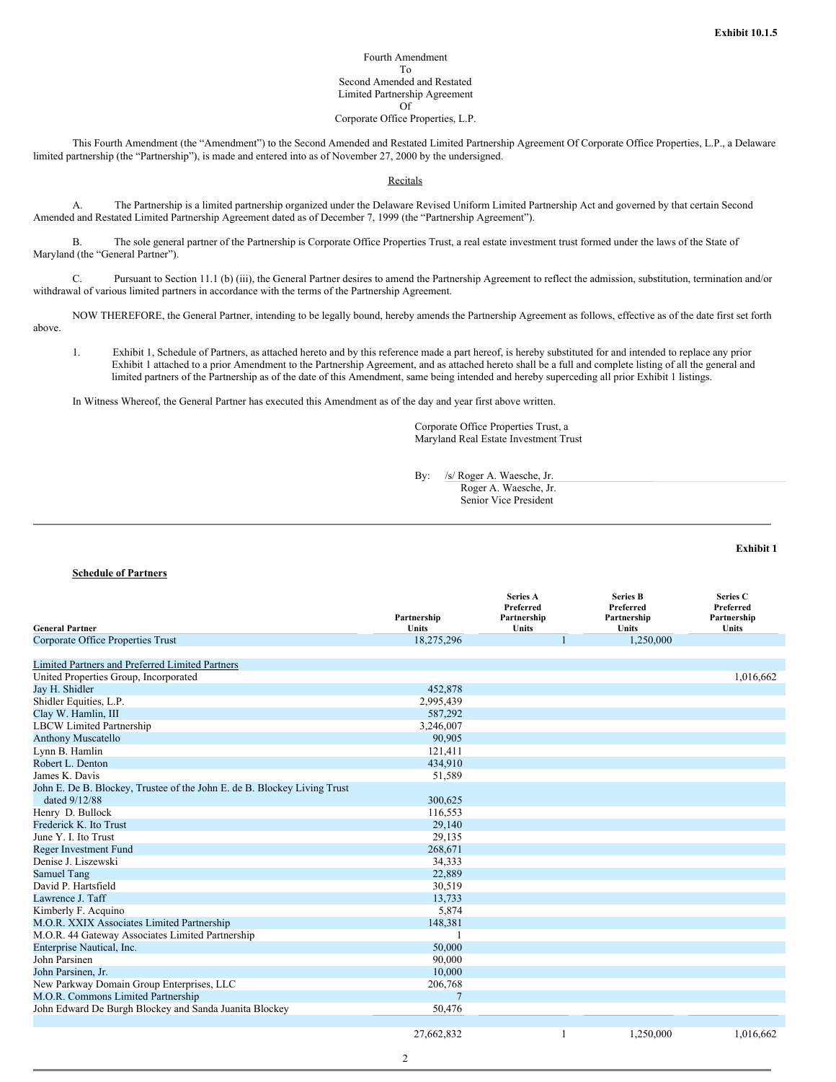**Exhibit 1**

Fourth Amendment To Second Amended and Restated Limited Partnership Agreement Of Corporate Office Properties, L.P.

This Fourth Amendment (the "Amendment") to the Second Amended and Restated Limited Partnership Agreement Of Corporate Office Properties, L.P., a Delaware limited partnership (the "Partnership"), is made and entered into as of November 27, 2000 by the undersigned.

## **Recitals**

A. The Partnership is a limited partnership organized under the Delaware Revised Uniform Limited Partnership Act and governed by that certain Second Amended and Restated Limited Partnership Agreement dated as of December 7, 1999 (the "Partnership Agreement").

B. The sole general partner of the Partnership is Corporate Office Properties Trust, a real estate investment trust formed under the laws of the State of Maryland (the "General Partner").

C. Pursuant to Section 11.1 (b) (iii), the General Partner desires to amend the Partnership Agreement to reflect the admission, substitution, termination and/or withdrawal of various limited partners in accordance with the terms of the Partnership Agreement.

NOW THEREFORE, the General Partner, intending to be legally bound, hereby amends the Partnership Agreement as follows, effective as of the date first set forth above.

1. Exhibit 1, Schedule of Partners, as attached hereto and by this reference made a part hereof, is hereby substituted for and intended to replace any prior Exhibit 1 attached to a prior Amendment to the Partnership Agreement, and as attached hereto shall be a full and complete listing of all the general and limited partners of the Partnership as of the date of this Amendment, same being intended and hereby superceding all prior Exhibit 1 listings.

In Witness Whereof, the General Partner has executed this Amendment as of the day and year first above written.

Corporate Office Properties Trust, a Maryland Real Estate Investment Trust

By: /s/ Roger A. Waesche, Jr.

Roger A. Waesche, Jr. Senior Vice President

## **Schedule of Partners**

| <b>General Partner</b>                                                   | Partnership<br><b>Units</b> | <b>Series A</b><br>Preferred<br>Partnership<br>Units | <b>Series B</b><br>Preferred<br>Partnership<br>Units | Series C<br>Preferred<br>Partnership<br>Units |
|--------------------------------------------------------------------------|-----------------------------|------------------------------------------------------|------------------------------------------------------|-----------------------------------------------|
| Corporate Office Properties Trust                                        | 18,275,296                  |                                                      | 1,250,000                                            |                                               |
|                                                                          |                             |                                                      |                                                      |                                               |
| Limited Partners and Preferred Limited Partners                          |                             |                                                      |                                                      |                                               |
| United Properties Group, Incorporated                                    |                             |                                                      |                                                      | 1,016,662                                     |
| Jay H. Shidler                                                           | 452,878                     |                                                      |                                                      |                                               |
| Shidler Equities, L.P.                                                   | 2,995,439                   |                                                      |                                                      |                                               |
| Clay W. Hamlin, III                                                      | 587,292                     |                                                      |                                                      |                                               |
| <b>LBCW</b> Limited Partnership                                          | 3,246,007                   |                                                      |                                                      |                                               |
| <b>Anthony Muscatello</b>                                                | 90,905                      |                                                      |                                                      |                                               |
| Lynn B. Hamlin                                                           | 121,411                     |                                                      |                                                      |                                               |
| Robert L. Denton                                                         | 434,910                     |                                                      |                                                      |                                               |
| James K. Davis                                                           | 51,589                      |                                                      |                                                      |                                               |
| John E. De B. Blockey, Trustee of the John E. de B. Blockey Living Trust |                             |                                                      |                                                      |                                               |
| dated 9/12/88                                                            | 300,625                     |                                                      |                                                      |                                               |
| Henry D. Bullock                                                         | 116,553                     |                                                      |                                                      |                                               |
| Frederick K. Ito Trust                                                   | 29,140                      |                                                      |                                                      |                                               |
| June Y. I. Ito Trust                                                     | 29,135                      |                                                      |                                                      |                                               |
| <b>Reger Investment Fund</b>                                             | 268,671                     |                                                      |                                                      |                                               |
| Denise J. Liszewski                                                      | 34,333                      |                                                      |                                                      |                                               |
| <b>Samuel Tang</b>                                                       | 22,889                      |                                                      |                                                      |                                               |
| David P. Hartsfield                                                      | 30,519                      |                                                      |                                                      |                                               |
| Lawrence J. Taff                                                         | 13,733                      |                                                      |                                                      |                                               |
| Kimberly F. Acquino                                                      | 5,874                       |                                                      |                                                      |                                               |
| M.O.R. XXIX Associates Limited Partnership                               | 148,381                     |                                                      |                                                      |                                               |
| M.O.R. 44 Gateway Associates Limited Partnership                         |                             |                                                      |                                                      |                                               |
| Enterprise Nautical, Inc.                                                | 50,000                      |                                                      |                                                      |                                               |
| John Parsinen                                                            | 90,000                      |                                                      |                                                      |                                               |
| John Parsinen, Jr.                                                       | 10,000                      |                                                      |                                                      |                                               |
| New Parkway Domain Group Enterprises, LLC                                | 206,768                     |                                                      |                                                      |                                               |
| M.O.R. Commons Limited Partnership                                       | 7                           |                                                      |                                                      |                                               |
| John Edward De Burgh Blockey and Sanda Juanita Blockey                   | 50,476                      |                                                      |                                                      |                                               |
|                                                                          |                             |                                                      |                                                      |                                               |
|                                                                          | 27.662.832                  |                                                      | 1.250.000                                            | 1.016.662                                     |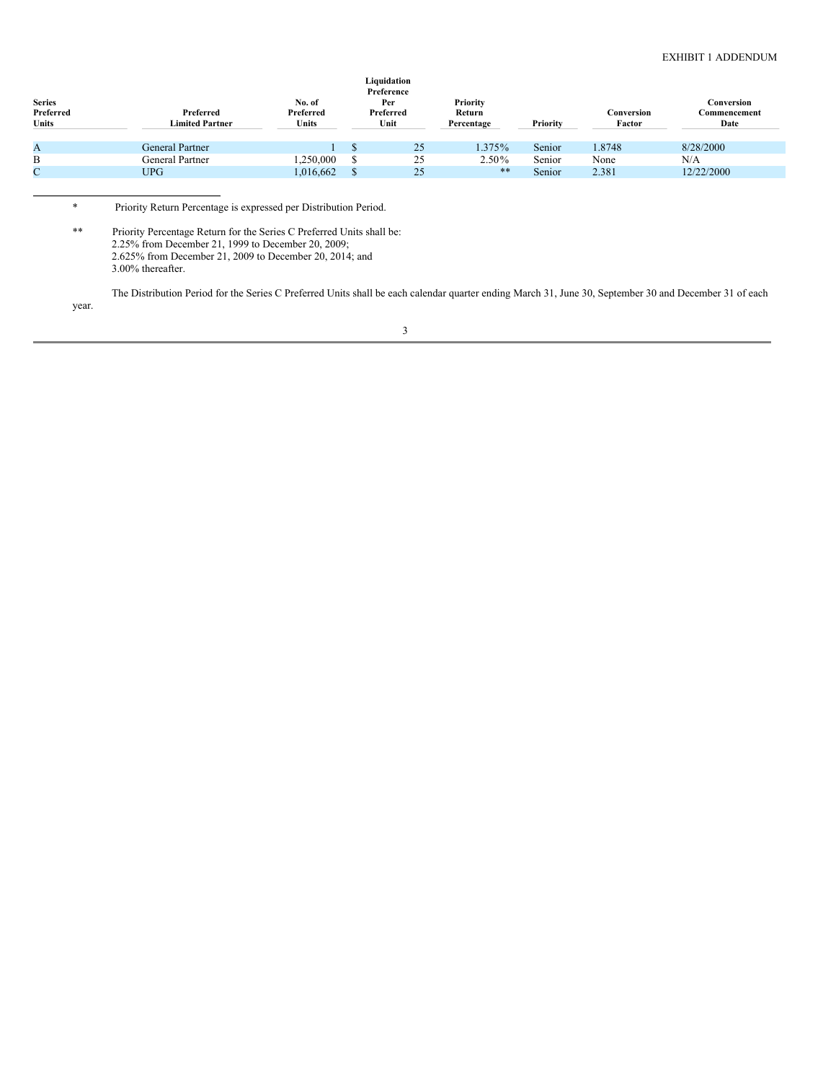## EXHIBIT 1 ADDENDUM

| <b>Series</b><br>Preferred<br><b>Units</b> | Preferred<br><b>Limited Partner</b> | No. of<br>Preferred<br>Units | Liquidation<br>Preference<br>Per<br>Preferred<br>Unit |    | Priority<br>Return<br>Percentage | Priority | Conversion<br>Factor | Conversion<br>Commencement<br>Date |
|--------------------------------------------|-------------------------------------|------------------------------|-------------------------------------------------------|----|----------------------------------|----------|----------------------|------------------------------------|
| А                                          | <b>General Partner</b>              |                              |                                                       | 25 | 1.375%                           | Senior   | 1.8748               | 8/28/2000                          |
| В                                          | General Partner                     | ,250,000                     |                                                       | 25 | 2.50%                            | Senior   | None                 | N/A                                |
| $\mathbf C$                                | <b>UPG</b>                          | 1,016,662                    |                                                       | 25 | **                               | Senior   | 2.381                | 12/22/2000                         |

\* Priority Return Percentage is expressed per Distribution Period.

\*\* Priority Percentage Return for the Series C Preferred Units shall be: 2.25% from December 21, 1999 to December 20, 2009; 2.625% from December 21, 2009 to December 20, 2014; and 3.00% thereafter.

year.

The Distribution Period for the Series C Preferred Units shall be each calendar quarter ending March 31, June 30, September 30 and December 31 of each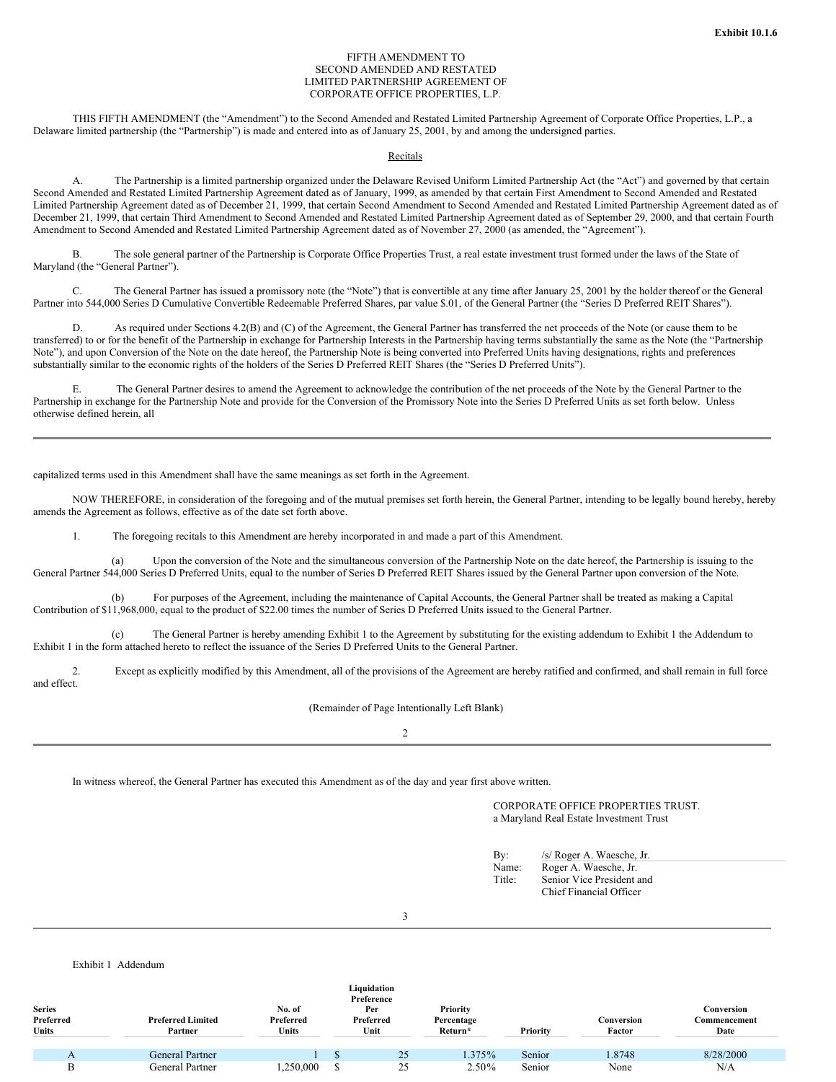## FIFTH AMENDMENT TO SECOND AMENDED AND RESTATED LIMITED PARTNERSHIP AGREEMENT OF CORPORATE OFFICE PROPERTIES, L.P.

THIS FIFTH AMENDMENT (the "Amendment") to the Second Amended and Restated Limited Partnership Agreement of Corporate Office Properties, L.P., a Delaware limited partnership (the "Partnership") is made and entered into as of January 25, 2001, by and among the undersigned parties.

## Recitals

A. The Partnership is a limited partnership organized under the Delaware Revised Uniform Limited Partnership Act (the "Act") and governed by that certain Second Amended and Restated Limited Partnership Agreement dated as of January, 1999, as amended by that certain First Amendment to Second Amended and Restated Limited Partnership Agreement dated as of December 21, 1999, that certain Second Amendment to Second Amended and Restated Limited Partnership Agreement dated as of December 21, 1999, that certain Third Amendment to Second Amended and Restated Limited Partnership Agreement dated as of September 29, 2000, and that certain Fourth Amendment to Second Amended and Restated Limited Partnership Agreement dated as of November 27, 2000 (as amended, the "Agreement").

B. The sole general partner of the Partnership is Corporate Office Properties Trust, a real estate investment trust formed under the laws of the State of Maryland (the "General Partner").

C. The General Partner has issued a promissory note (the "Note") that is convertible at any time after January 25, 2001 by the holder thereof or the General Partner into 544,000 Series D Cumulative Convertible Redeemable Preferred Shares, par value \$.01, of the General Partner (the "Series D Preferred REIT Shares").

D. As required under Sections 4.2(B) and (C) of the Agreement, the General Partner has transferred the net proceeds of the Note (or cause them to be transferred) to or for the benefit of the Partnership in exchange for Partnership Interests in the Partnership having terms substantially the same as the Note (the "Partnership Note"), and upon Conversion of the Note on the date hereof, the Partnership Note is being converted into Preferred Units having designations, rights and preferences substantially similar to the economic rights of the holders of the Series D Preferred REIT Shares (the "Series D Preferred Units").

E. The General Partner desires to amend the Agreement to acknowledge the contribution of the net proceeds of the Note by the General Partner to the Partnership in exchange for the Partnership Note and provide for the Conversion of the Promissory Note into the Series D Preferred Units as set forth below. Unless otherwise defined herein, all

capitalized terms used in this Amendment shall have the same meanings as set forth in the Agreement.

NOW THEREFORE, in consideration of the foregoing and of the mutual premises set forth herein, the General Partner, intending to be legally bound hereby, hereby amends the Agreement as follows, effective as of the date set forth above.

1. The foregoing recitals to this Amendment are hereby incorporated in and made a part of this Amendment.

(a) Upon the conversion of the Note and the simultaneous conversion of the Partnership Note on the date hereof, the Partnership is issuing to the General Partner 544,000 Series D Preferred Units, equal to the number of Series D Preferred REIT Shares issued by the General Partner upon conversion of the Note.

For purposes of the Agreement, including the maintenance of Capital Accounts, the General Partner shall be treated as making a Capital Contribution of \$11,968,000, equal to the product of \$22.00 times the number of Series D Preferred Units issued to the General Partner.

(c) The General Partner is hereby amending Exhibit 1 to the Agreement by substituting for the existing addendum to Exhibit 1 the Addendum to Exhibit 1 in the form attached hereto to reflect the issuance of the Series D Preferred Units to the General Partner.

2. Except as explicitly modified by this Amendment, all of the provisions of the Agreement are hereby ratified and confirmed, and shall remain in full force and effect.

(Remainder of Page Intentionally Left Blank)

 $\overline{2}$ 

In witness whereof, the General Partner has executed this Amendment as of the day and year first above written.

CORPORATE OFFICE PROPERTIES TRUST. a Maryland Real Estate Investment Trust

By: /s/ Roger A. Waesche, Jr. Name: Roger A. Waesche, Jr.<br>Title: Senior Vice President a Senior Vice President and Chief Financial Officer

3

#### Exhibit 1 Addendum

| <b>Series</b>             |                                     | No. of             | Liquidation<br>Preference<br>Per | Priority              |          |                      | Conversion           |
|---------------------------|-------------------------------------|--------------------|----------------------------------|-----------------------|----------|----------------------|----------------------|
| Preferred<br><b>Units</b> | <b>Preferred Limited</b><br>Partner | Preferred<br>Units | Preferred<br>Unit                | Percentage<br>Return* | Priority | Conversion<br>Factor | Commencement<br>Date |
| A                         | <b>General Partner</b>              |                    | 25                               | 1.375%                | Senior   | 1.8748               | 8/28/2000            |
|                           | General Partner                     | ,250,000           | 25                               | $2.50\%$              | Senior   | None                 | N/A                  |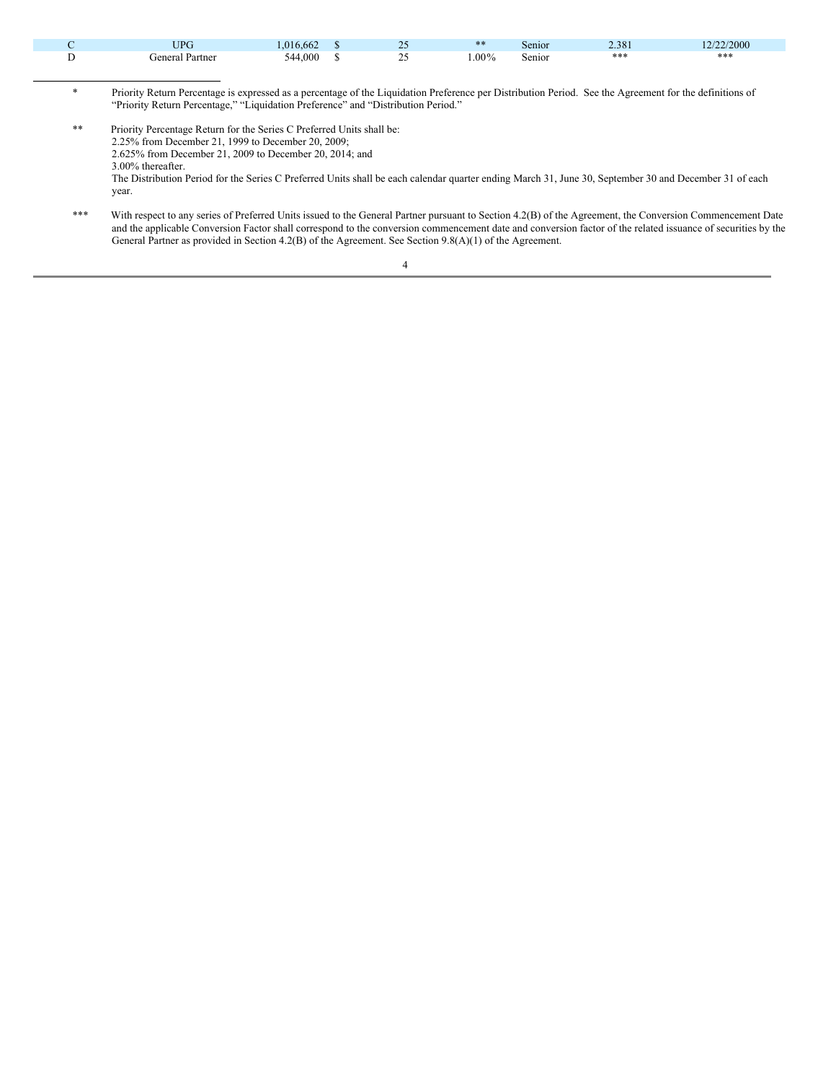| C   | <b>UPG</b>                                                                                                                                                                                                                                                                                                                                                                                                                             | 1,016,662 | 25 | $***$    | Senior | 2.381 | 12/22/2000 |
|-----|----------------------------------------------------------------------------------------------------------------------------------------------------------------------------------------------------------------------------------------------------------------------------------------------------------------------------------------------------------------------------------------------------------------------------------------|-----------|----|----------|--------|-------|------------|
| D   | General Partner                                                                                                                                                                                                                                                                                                                                                                                                                        | 544,000   | 25 | $1.00\%$ | Senior | ***   | ***        |
|     | Priority Return Percentage is expressed as a percentage of the Liquidation Preference per Distribution Period. See the Agreement for the definitions of<br>"Priority Return Percentage," "Liquidation Preference" and "Distribution Period."                                                                                                                                                                                           |           |    |          |        |       |            |
| **  | Priority Percentage Return for the Series C Preferred Units shall be:<br>2.25% from December 21, 1999 to December 20, 2009;<br>2.625% from December 21, 2009 to December 20, 2014; and<br>3.00% thereafter.<br>The Distribution Period for the Series C Preferred Units shall be each calendar quarter ending March 31, June 30, September 30 and December 31 of each<br>year.                                                         |           |    |          |        |       |            |
| *** | With respect to any series of Preferred Units issued to the General Partner pursuant to Section 4.2(B) of the Agreement, the Conversion Commencement Date<br>and the applicable Conversion Factor shall correspond to the conversion commencement date and conversion factor of the related issuance of securities by the<br>General Partner as provided in Section 4.2(B) of the Agreement. See Section $9.8(A)(1)$ of the Agreement. |           | 4  |          |        |       |            |
|     |                                                                                                                                                                                                                                                                                                                                                                                                                                        |           |    |          |        |       |            |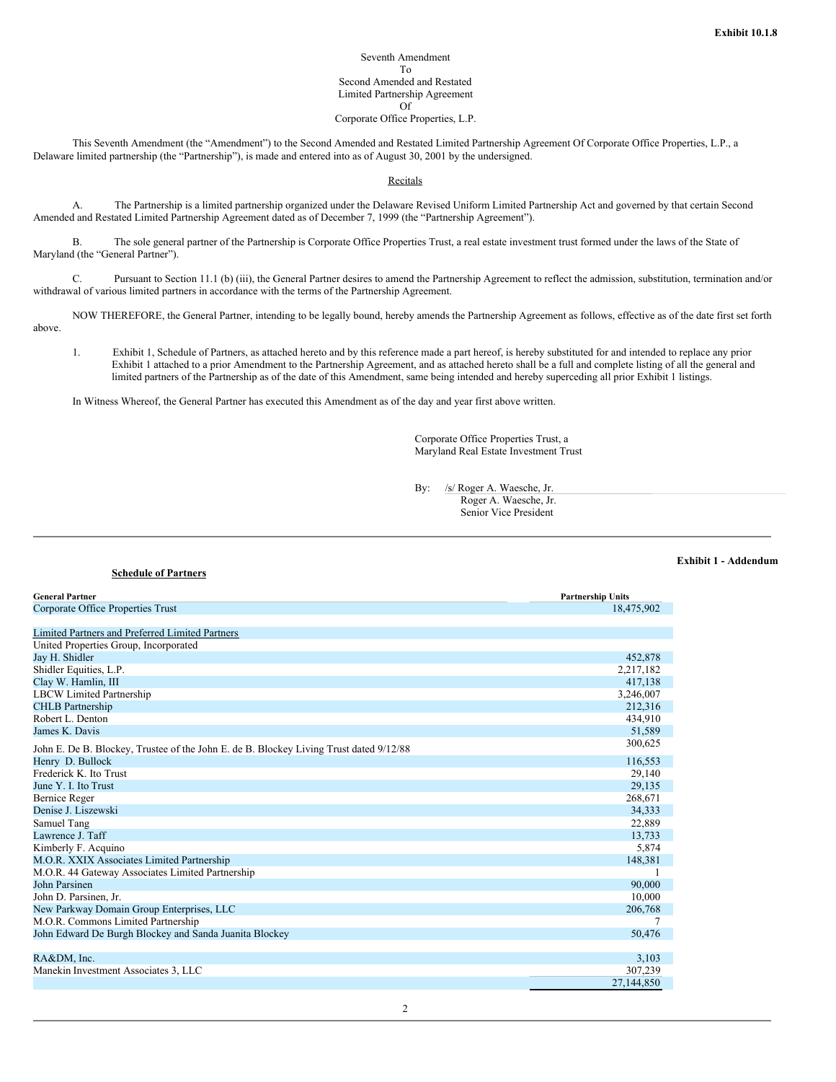Seventh Amendment To Second Amended and Restated Limited Partnership Agreement Of Corporate Office Properties, L.P.

This Seventh Amendment (the "Amendment") to the Second Amended and Restated Limited Partnership Agreement Of Corporate Office Properties, L.P., a Delaware limited partnership (the "Partnership"), is made and entered into as of August 30, 2001 by the undersigned.

## **Recitals**

A. The Partnership is a limited partnership organized under the Delaware Revised Uniform Limited Partnership Act and governed by that certain Second Amended and Restated Limited Partnership Agreement dated as of December 7, 1999 (the "Partnership Agreement").

B. The sole general partner of the Partnership is Corporate Office Properties Trust, a real estate investment trust formed under the laws of the State of Maryland (the "General Partner").

C. Pursuant to Section 11.1 (b) (iii), the General Partner desires to amend the Partnership Agreement to reflect the admission, substitution, termination and/or withdrawal of various limited partners in accordance with the terms of the Partnership Agreement.

NOW THEREFORE, the General Partner, intending to be legally bound, hereby amends the Partnership Agreement as follows, effective as of the date first set forth above.

1. Exhibit 1, Schedule of Partners, as attached hereto and by this reference made a part hereof, is hereby substituted for and intended to replace any prior Exhibit 1 attached to a prior Amendment to the Partnership Agreement, and as attached hereto shall be a full and complete listing of all the general and limited partners of the Partnership as of the date of this Amendment, same being intended and hereby superceding all prior Exhibit 1 listings.

In Witness Whereof, the General Partner has executed this Amendment as of the day and year first above written.

Corporate Office Properties Trust, a Maryland Real Estate Investment Trust

By: /s/ Roger A. Waesche, Jr. Roger A. Waesche, Jr.

Senior Vice President

## **Schedule of Partners**

**General Partner Partnership Units** Corporate Office Properties Trust 18,475,902 Limited Partners and Preferred Limited Partners United Properties Group, Incorporated Jay H. Shidler 452,878 Shidler Equities, L.P. 2,217,182<br>Clay W. Hamlin, III 417,138 Clay W. Hamlin, III LBCW Limited Partnership 3,246,007<br>CHLB Partnership 3,246,007 CHLB Partnership 212,316<br>
Robert L. Denton 213,316<br>
213,316<br>
213,910 Robert L. Denton 434,910 James K. Davis 51,589 John E. De B. Blockey, Trustee of the John E. de B. Blockey Living Trust dated 9/12/88 300,625 Henry D. Bullock 116,553 Frederick K. Ito Trust 29,140 June Y. I. Ito Trust 29,135 Bernice Reger 268,671 Denise J. Liszewski 34,333 Samuel Tang 22,889 Lawrence J. Taff 13,733 Kimberly F. Acquino 5,874 M.O.R. XXIX Associates Limited Partnership 148,381 M.O.R. 44 Gateway Associates Limited Partnership 1 John Parsinen 90,000 John D. Parsinen, Jr. 10,000 New Parkway Domain Group Enterprises, LLC 206,768 M.O.R. Commons Limited Partnership 7 John Edward De Burgh Blockey and Sanda Juanita Blockey 50,476 RA&DM, Inc. 3,103 Manekin Investment Associates 3, LLC 307,239 27,144,850

## **Exhibit 1 - Addendum**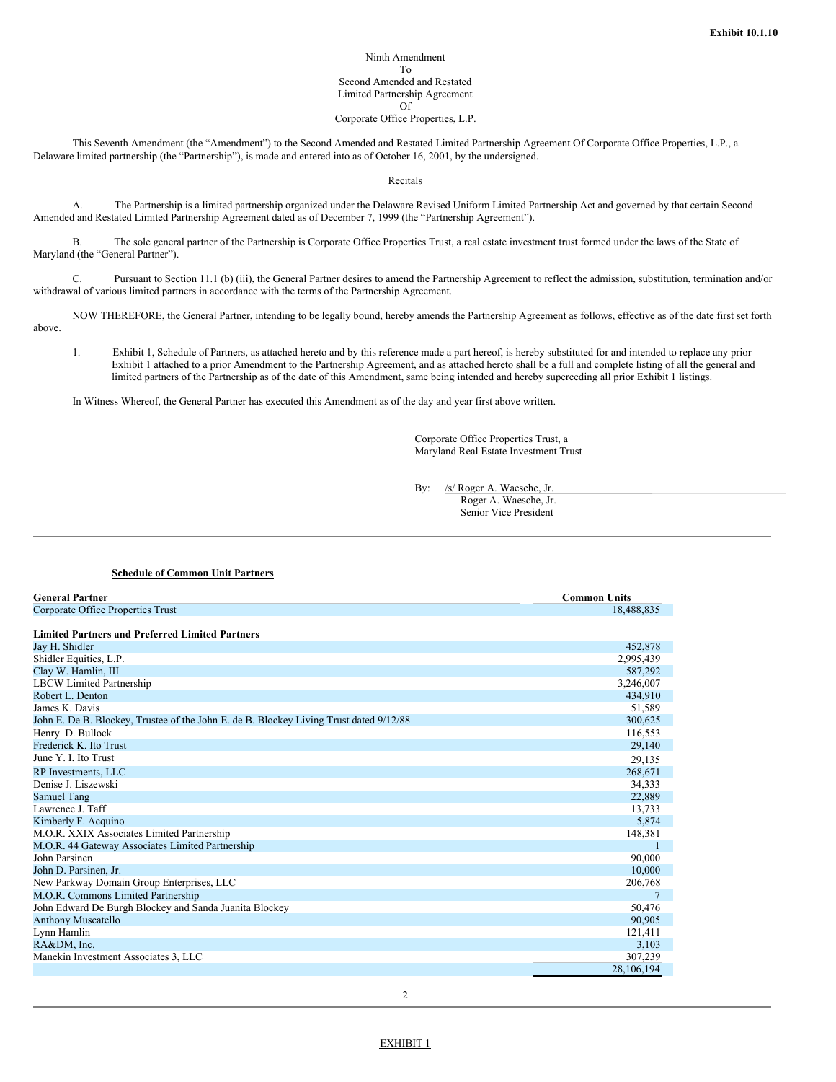Ninth Amendment To Second Amended and Restated Limited Partnership Agreement Of Corporate Office Properties, L.P.

This Seventh Amendment (the "Amendment") to the Second Amended and Restated Limited Partnership Agreement Of Corporate Office Properties, L.P., a Delaware limited partnership (the "Partnership"), is made and entered into as of October 16, 2001, by the undersigned.

## **Recitals**

A. The Partnership is a limited partnership organized under the Delaware Revised Uniform Limited Partnership Act and governed by that certain Second Amended and Restated Limited Partnership Agreement dated as of December 7, 1999 (the "Partnership Agreement").

B. The sole general partner of the Partnership is Corporate Office Properties Trust, a real estate investment trust formed under the laws of the State of Maryland (the "General Partner").

C. Pursuant to Section 11.1 (b) (iii), the General Partner desires to amend the Partnership Agreement to reflect the admission, substitution, termination and/or withdrawal of various limited partners in accordance with the terms of the Partnership Agreement.

NOW THEREFORE, the General Partner, intending to be legally bound, hereby amends the Partnership Agreement as follows, effective as of the date first set forth above.

1. Exhibit 1, Schedule of Partners, as attached hereto and by this reference made a part hereof, is hereby substituted for and intended to replace any prior Exhibit 1 attached to a prior Amendment to the Partnership Agreement, and as attached hereto shall be a full and complete listing of all the general and limited partners of the Partnership as of the date of this Amendment, same being intended and hereby superceding all prior Exhibit 1 listings.

In Witness Whereof, the General Partner has executed this Amendment as of the day and year first above written.

Corporate Office Properties Trust, a Maryland Real Estate Investment Trust

By: /s/ Roger A. Waesche, Jr.

Roger A. Waesche, Jr. Senior Vice President

## **Schedule of Common Unit Partners**

| <b>General Partner</b>                                                                 | <b>Common Units</b> |
|----------------------------------------------------------------------------------------|---------------------|
| Corporate Office Properties Trust                                                      | 18,488,835          |
| <b>Limited Partners and Preferred Limited Partners</b>                                 |                     |
| Jay H. Shidler                                                                         | 452,878             |
| Shidler Equities, L.P.                                                                 | 2,995,439           |
| Clay W. Hamlin, III                                                                    | 587,292             |
| <b>LBCW Limited Partnership</b>                                                        | 3,246,007           |
| Robert L. Denton                                                                       | 434,910             |
| James K. Davis                                                                         | 51,589              |
| John E. De B. Blockey, Trustee of the John E. de B. Blockey Living Trust dated 9/12/88 | 300,625             |
| Henry D. Bullock                                                                       | 116,553             |
| Frederick K. Ito Trust                                                                 | 29,140              |
| June Y. I. Ito Trust                                                                   | 29,135              |
| RP Investments, LLC                                                                    | 268,671             |
| Denise J. Liszewski                                                                    | 34,333              |
| <b>Samuel Tang</b>                                                                     | 22,889              |
| Lawrence J. Taff                                                                       | 13,733              |
| Kimberly F. Acquino                                                                    | 5,874               |
| M.O.R. XXIX Associates Limited Partnership                                             | 148,381             |
| M.O.R. 44 Gateway Associates Limited Partnership                                       |                     |
| John Parsinen                                                                          | 90,000              |
| John D. Parsinen, Jr.                                                                  | 10,000              |
| New Parkway Domain Group Enterprises, LLC                                              | 206,768             |
| M.O.R. Commons Limited Partnership                                                     |                     |
| John Edward De Burgh Blockey and Sanda Juanita Blockey                                 | 50,476              |
| <b>Anthony Muscatello</b>                                                              | 90,905              |
| Lynn Hamlin                                                                            | 121,411             |
| RA&DM, Inc.                                                                            | 3,103               |
| Manekin Investment Associates 3, LLC                                                   | 307.239             |
|                                                                                        | 28,106,194          |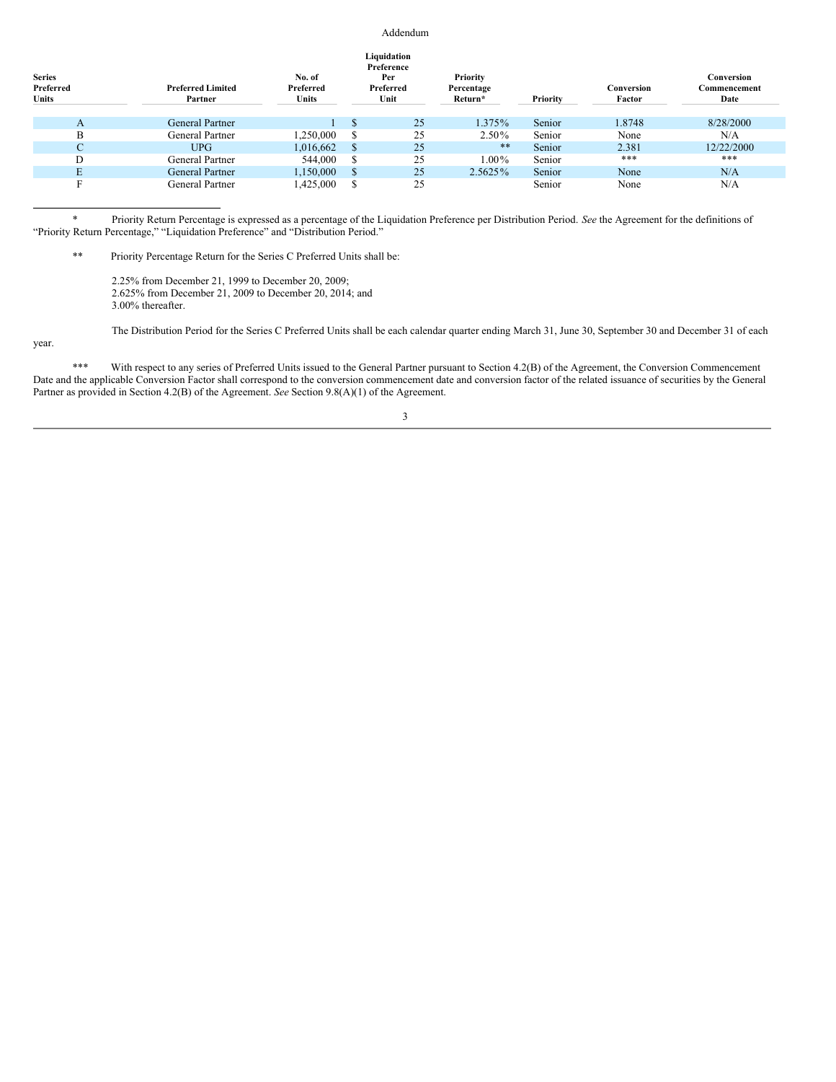## Addendum

| <b>Series</b><br>Preferred<br>Units | <b>Preferred Limited</b><br>Partner | No. of<br>Preferred<br>Units |          | Liquidation<br>Preference<br>Per<br>Preferred<br>Unit | Priority<br>Percentage<br>Return* | Priority | Conversion<br>Factor | Conversion<br>Commencement<br>Date |
|-------------------------------------|-------------------------------------|------------------------------|----------|-------------------------------------------------------|-----------------------------------|----------|----------------------|------------------------------------|
| A                                   | <b>General Partner</b>              |                              |          | 25                                                    | 1.375%                            | Senior   | 1.8748               | 8/28/2000                          |
| B                                   | General Partner                     | 1,250,000                    |          | 25                                                    | 2.50%                             | Senior   | None                 | N/A                                |
| C                                   | <b>UPG</b>                          | 1,016,662                    | <b>S</b> | 25                                                    | $***$                             | Senior   | 2.381                | 12/22/2000                         |
|                                     | General Partner                     | 544,000                      | ъ        | 25                                                    | $1.00\%$                          | Senior   | ***                  | ***                                |
| E                                   | <b>General Partner</b>              | 1,150,000                    | <b>S</b> | 25                                                    | $2.5625\%$                        | Senior   | None                 | N/A                                |
| E                                   | General Partner                     | 1,425,000                    | S        | 25                                                    |                                   | Senior   | None                 | N/A                                |

\* Priority Return Percentage is expressed as a percentage of the Liquidation Preference per Distribution Period. *See* the Agreement for the definitions of "Priority Return Percentage," "Liquidation Preference" and "Distribution Period."

\*\* Priority Percentage Return for the Series C Preferred Units shall be:

2.25% from December 21, 1999 to December 20, 2009; 2.625% from December 21, 2009 to December 20, 2014; and 3.00% thereafter.

year.

The Distribution Period for the Series C Preferred Units shall be each calendar quarter ending March 31, June 30, September 30 and December 31 of each

\*\*\* With respect to any series of Preferred Units issued to the General Partner pursuant to Section 4.2(B) of the Agreement, the Conversion Commencement Date and the applicable Conversion Factor shall correspond to the conversion commencement date and conversion factor of the related issuance of securities by the General Partner as provided in Section 4.2(B) of the Agreement. *See* Section 9.8(A)(1) of the Agreement.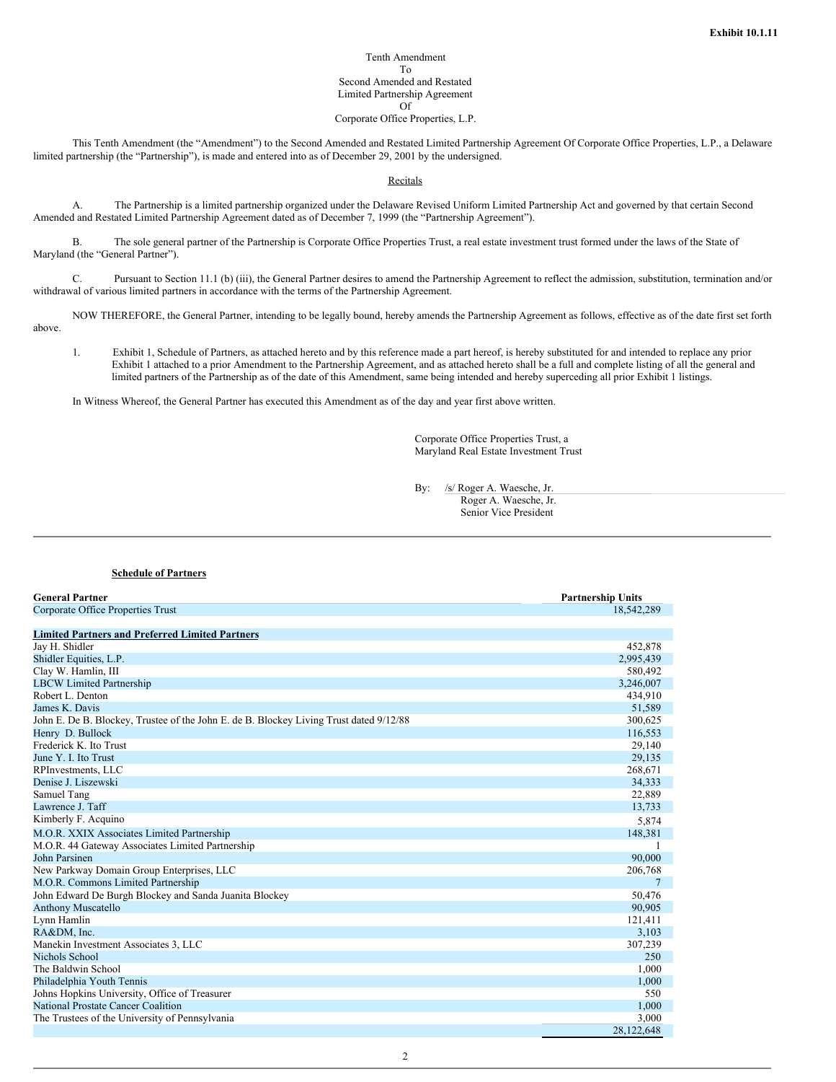Tenth Amendment To Second Amended and Restated Limited Partnership Agreement Of Corporate Office Properties, L.P.

This Tenth Amendment (the "Amendment") to the Second Amended and Restated Limited Partnership Agreement Of Corporate Office Properties, L.P., a Delaware limited partnership (the "Partnership"), is made and entered into as of December 29, 2001 by the undersigned.

## **Recitals**

A. The Partnership is a limited partnership organized under the Delaware Revised Uniform Limited Partnership Act and governed by that certain Second Amended and Restated Limited Partnership Agreement dated as of December 7, 1999 (the "Partnership Agreement").

B. The sole general partner of the Partnership is Corporate Office Properties Trust, a real estate investment trust formed under the laws of the State of Maryland (the "General Partner").

C. Pursuant to Section 11.1 (b) (iii), the General Partner desires to amend the Partnership Agreement to reflect the admission, substitution, termination and/or withdrawal of various limited partners in accordance with the terms of the Partnership Agreement.

NOW THEREFORE, the General Partner, intending to be legally bound, hereby amends the Partnership Agreement as follows, effective as of the date first set forth above.

1. Exhibit 1, Schedule of Partners, as attached hereto and by this reference made a part hereof, is hereby substituted for and intended to replace any prior Exhibit 1 attached to a prior Amendment to the Partnership Agreement, and as attached hereto shall be a full and complete listing of all the general and limited partners of the Partnership as of the date of this Amendment, same being intended and hereby superceding all prior Exhibit 1 listings.

In Witness Whereof, the General Partner has executed this Amendment as of the day and year first above written.

Corporate Office Properties Trust, a Maryland Real Estate Investment Trust

By: /s/ Roger A. Waesche, Jr.

Roger A. Waesche, Jr. Senior Vice President

## **Schedule of Partners**

| <b>General Partner</b>                                                                 | <b>Partnership Units</b> |
|----------------------------------------------------------------------------------------|--------------------------|
| Corporate Office Properties Trust                                                      | 18,542,289               |
|                                                                                        |                          |
| <b>Limited Partners and Preferred Limited Partners</b>                                 |                          |
| Jay H. Shidler                                                                         | 452,878                  |
| Shidler Equities, L.P.                                                                 | 2,995,439                |
| Clay W. Hamlin, III                                                                    | 580,492                  |
| <b>LBCW Limited Partnership</b>                                                        | 3,246,007                |
| Robert L. Denton                                                                       | 434,910                  |
| James K. Davis                                                                         | 51,589                   |
| John E. De B. Blockey, Trustee of the John E. de B. Blockey Living Trust dated 9/12/88 | 300,625                  |
| Henry D. Bullock                                                                       | 116,553                  |
| Frederick K. Ito Trust                                                                 | 29,140                   |
| June Y. I. Ito Trust                                                                   | 29,135                   |
| RPInvestments, LLC                                                                     | 268,671                  |
| Denise J. Liszewski                                                                    | 34,333                   |
| Samuel Tang                                                                            | 22,889                   |
| Lawrence J. Taff                                                                       | 13,733                   |
| Kimberly F. Acquino                                                                    | 5,874                    |
| M.O.R. XXIX Associates Limited Partnership                                             | 148,381                  |
| M.O.R. 44 Gateway Associates Limited Partnership                                       |                          |
| <b>John Parsinen</b>                                                                   | 90,000                   |
| New Parkway Domain Group Enterprises, LLC                                              | 206,768                  |
| M.O.R. Commons Limited Partnership                                                     |                          |
| John Edward De Burgh Blockey and Sanda Juanita Blockey                                 | 50,476                   |
| <b>Anthony Muscatello</b>                                                              | 90,905                   |
| Lynn Hamlin                                                                            | 121,411                  |
| RA&DM, Inc.                                                                            | 3,103                    |
| Manekin Investment Associates 3, LLC                                                   | 307,239                  |
| Nichols School                                                                         | 250                      |
| The Baldwin School                                                                     | 1,000                    |
| Philadelphia Youth Tennis                                                              | 1,000                    |
| Johns Hopkins University, Office of Treasurer                                          | 550                      |
| <b>National Prostate Cancer Coalition</b>                                              | 1,000                    |
| The Trustees of the University of Pennsylvania                                         | 3,000                    |
|                                                                                        | 28.122.648               |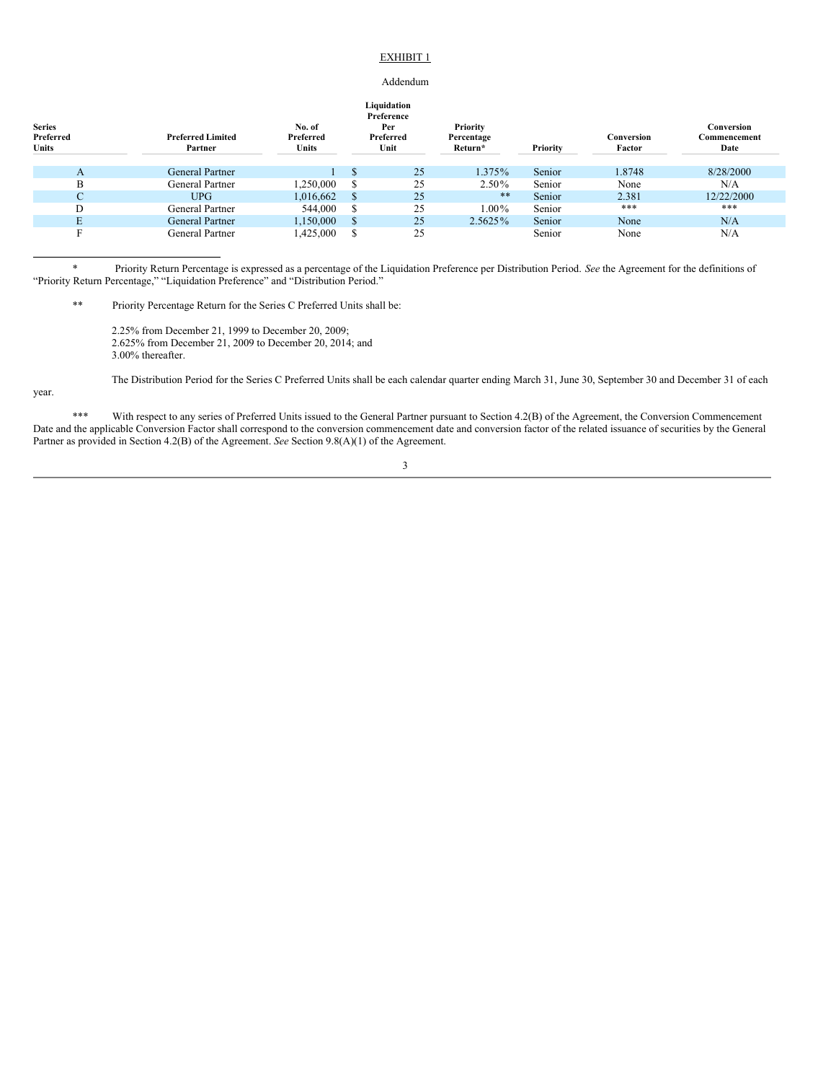## EXHIBIT 1

## Addendum

#### **Series Preferred Units Preferred Limited Partner No. of Preferred Units Liquidation Preference Per Preferred Unit Priority Percentage Priority Conversion Factor Conversion Commencement Date** A General Partner 1 \$ 25 1.375% Senior 1.8748 8/28/2000 B General Partner 1,250,000 \$ 25 2.50% Senior None N/A C 1,016,662 \$ 25 \* Senior 2.381 12/22/2000 D General Partner 544,000 \$ 25 1.00% Senior \*\*\* \*\*\* \*\*\* E General Partner 1,150,000 \$ 25 2.5625% Senior None N/A F General Partner 1,425,000 \$ 25 Senior None N/A

\* Priority Return Percentage is expressed as a percentage of the Liquidation Preference per Distribution Period. *See* the Agreement for the definitions of "Priority Return Percentage," "Liquidation Preference" and "Distribution Period."

\*\* Priority Percentage Return for the Series C Preferred Units shall be:

2.25% from December 21, 1999 to December 20, 2009; 2.625% from December 21, 2009 to December 20, 2014; and 3.00% thereafter.

The Distribution Period for the Series C Preferred Units shall be each calendar quarter ending March 31, June 30, September 30 and December 31 of each

year.

\*\*\* With respect to any series of Preferred Units issued to the General Partner pursuant to Section 4.2(B) of the Agreement, the Conversion Commencement Date and the applicable Conversion Factor shall correspond to the conversion commencement date and conversion factor of the related issuance of securities by the General Partner as provided in Section 4.2(B) of the Agreement. *See* Section 9.8(A)(1) of the Agreement.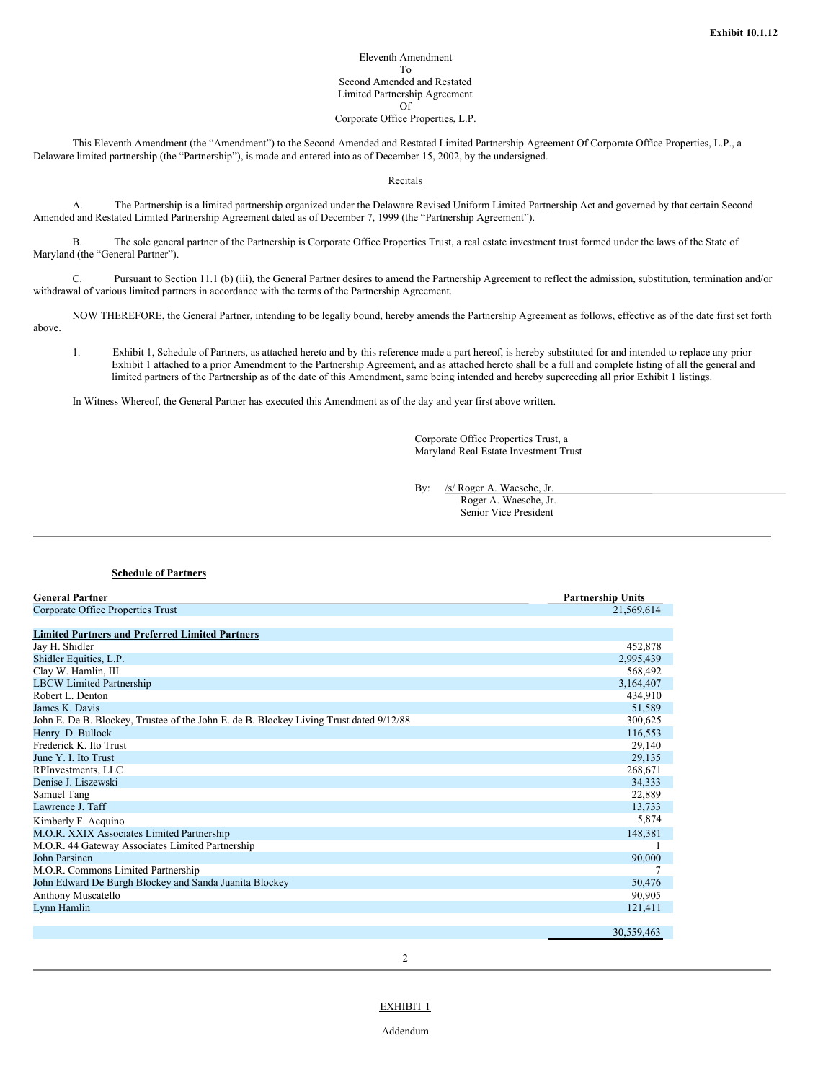Eleventh Amendment To Second Amended and Restated Limited Partnership Agreement Of Corporate Office Properties, L.P.

This Eleventh Amendment (the "Amendment") to the Second Amended and Restated Limited Partnership Agreement Of Corporate Office Properties, L.P., a Delaware limited partnership (the "Partnership"), is made and entered into as of December 15, 2002, by the undersigned.

## **Recitals**

A. The Partnership is a limited partnership organized under the Delaware Revised Uniform Limited Partnership Act and governed by that certain Second Amended and Restated Limited Partnership Agreement dated as of December 7, 1999 (the "Partnership Agreement").

B. The sole general partner of the Partnership is Corporate Office Properties Trust, a real estate investment trust formed under the laws of the State of Maryland (the "General Partner").

C. Pursuant to Section 11.1 (b) (iii), the General Partner desires to amend the Partnership Agreement to reflect the admission, substitution, termination and/or withdrawal of various limited partners in accordance with the terms of the Partnership Agreement.

NOW THEREFORE, the General Partner, intending to be legally bound, hereby amends the Partnership Agreement as follows, effective as of the date first set forth above.

1. Exhibit 1, Schedule of Partners, as attached hereto and by this reference made a part hereof, is hereby substituted for and intended to replace any prior Exhibit 1 attached to a prior Amendment to the Partnership Agreement, and as attached hereto shall be a full and complete listing of all the general and limited partners of the Partnership as of the date of this Amendment, same being intended and hereby superceding all prior Exhibit 1 listings.

In Witness Whereof, the General Partner has executed this Amendment as of the day and year first above written.

Corporate Office Properties Trust, a Maryland Real Estate Investment Trust

By: /s/ Roger A. Waesche, Jr.

Roger A. Waesche, Jr. Senior Vice President

## **Schedule of Partners**

| <b>General Partner</b>                                                                 | <b>Partnership Units</b> |
|----------------------------------------------------------------------------------------|--------------------------|
| Corporate Office Properties Trust                                                      | 21,569,614               |
|                                                                                        |                          |
| <b>Limited Partners and Preferred Limited Partners</b>                                 |                          |
| Jay H. Shidler                                                                         | 452,878                  |
| Shidler Equities, L.P.                                                                 | 2,995,439                |
| Clay W. Hamlin, III                                                                    | 568,492                  |
| <b>LBCW Limited Partnership</b>                                                        | 3,164,407                |
| Robert L. Denton                                                                       | 434,910                  |
| James K. Davis                                                                         | 51,589                   |
| John E. De B. Blockey, Trustee of the John E. de B. Blockey Living Trust dated 9/12/88 | 300,625                  |
| Henry D. Bullock                                                                       | 116,553                  |
| Frederick K. Ito Trust                                                                 | 29,140                   |
| June Y. I. Ito Trust                                                                   | 29,135                   |
| RPInvestments, LLC                                                                     | 268,671                  |
| Denise J. Liszewski                                                                    | 34,333                   |
| Samuel Tang                                                                            | 22,889                   |
| Lawrence J. Taff                                                                       | 13,733                   |
| Kimberly F. Acquino                                                                    | 5,874                    |
| M.O.R. XXIX Associates Limited Partnership                                             | 148,381                  |
| M.O.R. 44 Gateway Associates Limited Partnership                                       |                          |
| <b>John Parsinen</b>                                                                   | 90,000                   |
| M.O.R. Commons Limited Partnership                                                     |                          |
| John Edward De Burgh Blockey and Sanda Juanita Blockey                                 | 50,476                   |
| Anthony Muscatello                                                                     | 90,905                   |
| Lynn Hamlin                                                                            | 121,411                  |
|                                                                                        |                          |
|                                                                                        | 30,559,463               |

EXHIBIT 1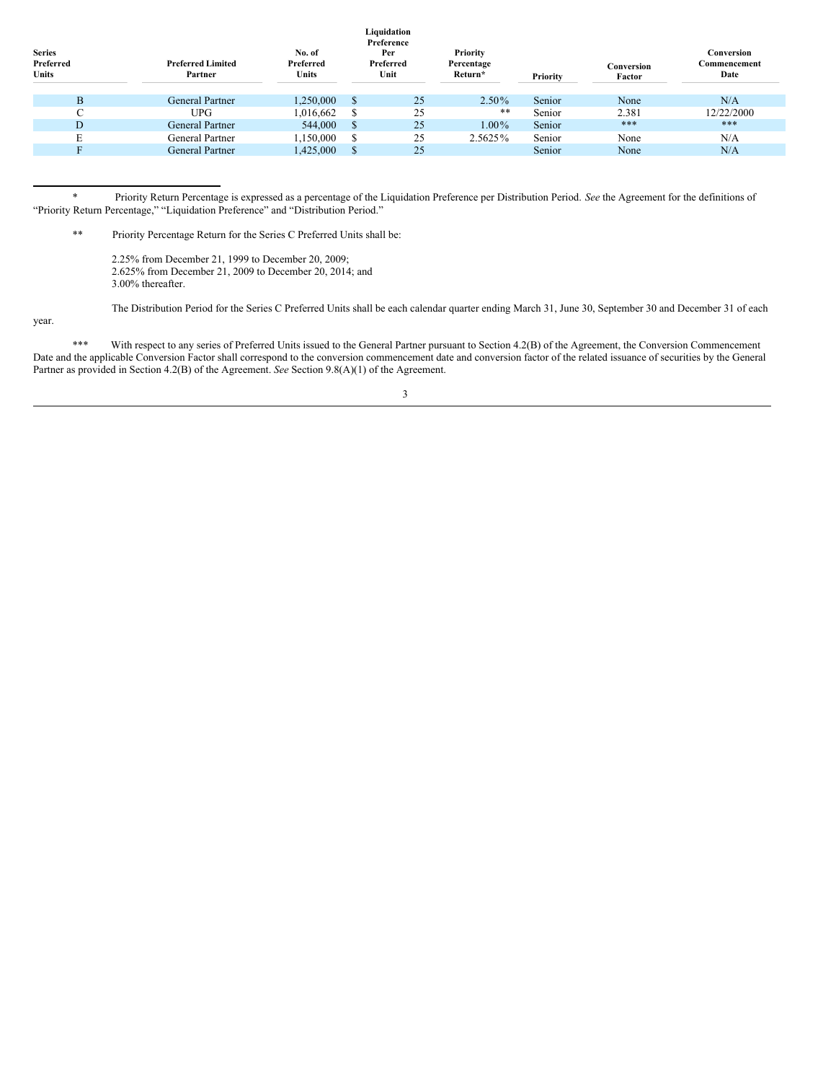| <b>Series</b><br>Preferred<br>Units | <b>Preferred Limited</b><br>Partner | No. of<br>Preferred<br><b>Units</b> |   | Liquidation<br>Preference<br>Per<br>Preferred<br>Unit | Priority<br>Percentage<br>Return* | Priority | Conversion<br>Factor | Conversion<br>Commencement<br>Date |
|-------------------------------------|-------------------------------------|-------------------------------------|---|-------------------------------------------------------|-----------------------------------|----------|----------------------|------------------------------------|
| B                                   | <b>General Partner</b>              | .250.000                            | Ъ | 25                                                    | $2.50\%$                          | Senior   | None                 | N/A                                |
|                                     | <b>UPG</b>                          | 1,016,662                           |   | 25                                                    | **                                | Senior   | 2.381                | 12/22/2000                         |
| D                                   | <b>General Partner</b>              | 544,000                             | S | 25                                                    | $1.00\%$                          | Senior   | ***                  | ***                                |
|                                     | General Partner                     | 1,150,000                           |   | 25                                                    | $2.5625\%$                        | Senior   | None                 | N/A                                |
|                                     | <b>General Partner</b>              | .425.000                            |   | 25                                                    |                                   | Senior   | None                 | N/A                                |

**Liquidation**

\*\* Priority Percentage Return for the Series C Preferred Units shall be:

2.25% from December 21, 1999 to December 20, 2009; 2.625% from December 21, 2009 to December 20, 2014; and 3.00% thereafter.

The Distribution Period for the Series C Preferred Units shall be each calendar quarter ending March 31, June 30, September 30 and December 31 of each

year.

\*\*\* With respect to any series of Preferred Units issued to the General Partner pursuant to Section 4.2(B) of the Agreement, the Conversion Commencement Date and the applicable Conversion Factor shall correspond to the conversion commencement date and conversion factor of the related issuance of securities by the General Partner as provided in Section 4.2(B) of the Agreement. *See* Section 9.8(A)(1) of the Agreement.

<sup>\*</sup> Priority Return Percentage is expressed as a percentage of the Liquidation Preference per Distribution Period. *See* the Agreement for the definitions of "Priority Return Percentage," "Liquidation Preference" and "Distribution Period."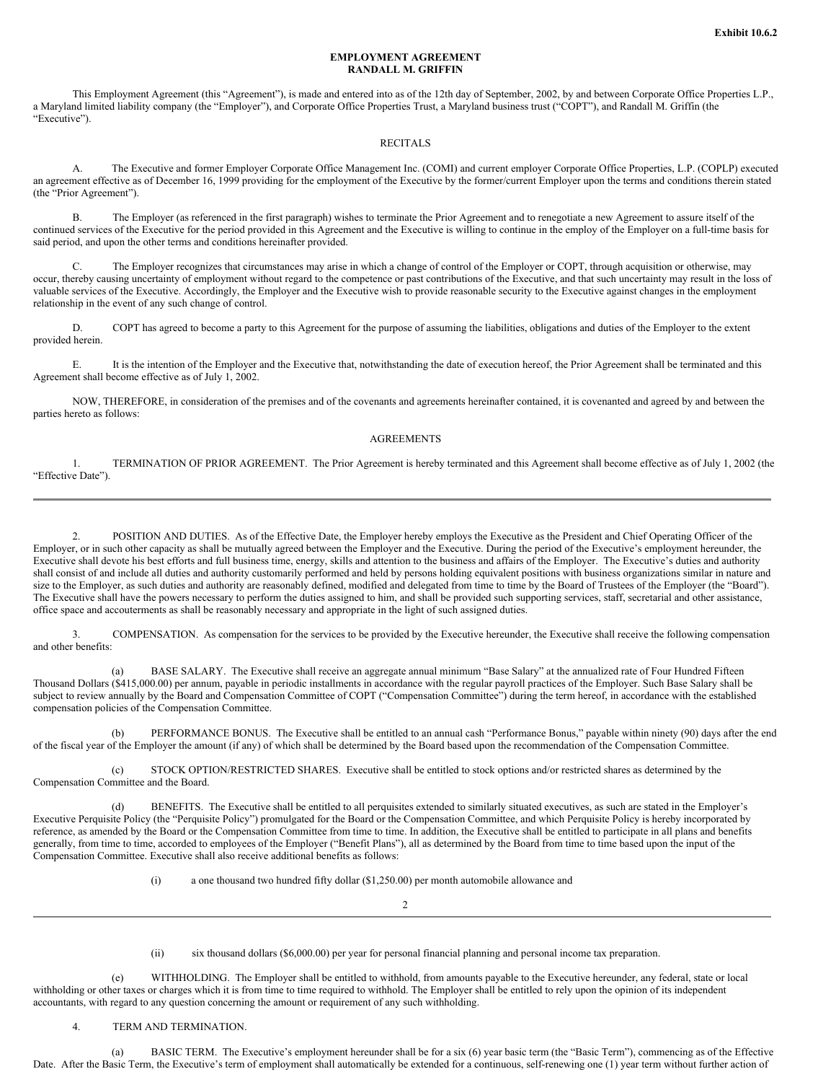## **EMPLOYMENT AGREEMENT RANDALL M. GRIFFIN**

This Employment Agreement (this "Agreement"), is made and entered into as of the 12th day of September, 2002, by and between Corporate Office Properties L.P., a Maryland limited liability company (the "Employer"), and Corporate Office Properties Trust, a Maryland business trust ("COPT"), and Randall M. Griffin (the "Executive").

## RECITALS

A. The Executive and former Employer Corporate Office Management Inc. (COMI) and current employer Corporate Office Properties, L.P. (COPLP) executed an agreement effective as of December 16, 1999 providing for the employment of the Executive by the former/current Employer upon the terms and conditions therein stated (the "Prior Agreement").

B. The Employer (as referenced in the first paragraph) wishes to terminate the Prior Agreement and to renegotiate a new Agreement to assure itself of the continued services of the Executive for the period provided in this Agreement and the Executive is willing to continue in the employ of the Employer on a full-time basis for said period, and upon the other terms and conditions hereinafter provided.

C. The Employer recognizes that circumstances may arise in which a change of control of the Employer or COPT, through acquisition or otherwise, may occur, thereby causing uncertainty of employment without regard to the competence or past contributions of the Executive, and that such uncertainty may result in the loss of valuable services of the Executive. Accordingly, the Employer and the Executive wish to provide reasonable security to the Executive against changes in the employment relationship in the event of any such change of control.

D. COPT has agreed to become a party to this Agreement for the purpose of assuming the liabilities, obligations and duties of the Employer to the extent provided herein.

E. It is the intention of the Employer and the Executive that, notwithstanding the date of execution hereof, the Prior Agreement shall be terminated and this Agreement shall become effective as of July 1, 2002.

NOW, THEREFORE, in consideration of the premises and of the covenants and agreements hereinafter contained, it is covenanted and agreed by and between the parties hereto as follows:

#### AGREEMENTS

1. TERMINATION OF PRIOR AGREEMENT. The Prior Agreement is hereby terminated and this Agreement shall become effective as of July 1, 2002 (the "Effective Date").

2. POSITION AND DUTIES. As of the Effective Date, the Employer hereby employs the Executive as the President and Chief Operating Officer of the Employer, or in such other capacity as shall be mutually agreed between the Employer and the Executive. During the period of the Executive's employment hereunder, the Executive shall devote his best efforts and full business time, energy, skills and attention to the business and affairs of the Employer. The Executive's duties and authority shall consist of and include all duties and authority customarily performed and held by persons holding equivalent positions with business organizations similar in nature and size to the Employer, as such duties and authority are reasonably defined, modified and delegated from time to time by the Board of Trustees of the Employer (the "Board"). The Executive shall have the powers necessary to perform the duties assigned to him, and shall be provided such supporting services, staff, secretarial and other assistance, office space and accouterments as shall be reasonably necessary and appropriate in the light of such assigned duties.

3. COMPENSATION. As compensation for the services to be provided by the Executive hereunder, the Executive shall receive the following compensation and other benefits:

(a) BASE SALARY. The Executive shall receive an aggregate annual minimum "Base Salary" at the annualized rate of Four Hundred Fifteen Thousand Dollars (\$415,000.00) per annum, payable in periodic installments in accordance with the regular payroll practices of the Employer. Such Base Salary shall be subject to review annually by the Board and Compensation Committee of COPT ("Compensation Committee") during the term hereof, in accordance with the established compensation policies of the Compensation Committee.

(b) PERFORMANCE BONUS. The Executive shall be entitled to an annual cash "Performance Bonus," payable within ninety (90) days after the end of the fiscal year of the Employer the amount (if any) of which shall be determined by the Board based upon the recommendation of the Compensation Committee.

(c) STOCK OPTION/RESTRICTED SHARES. Executive shall be entitled to stock options and/or restricted shares as determined by the Compensation Committee and the Board.

(d) BENEFITS. The Executive shall be entitled to all perquisites extended to similarly situated executives, as such are stated in the Employer's Executive Perquisite Policy (the "Perquisite Policy") promulgated for the Board or the Compensation Committee, and which Perquisite Policy is hereby incorporated by reference, as amended by the Board or the Compensation Committee from time to time. In addition, the Executive shall be entitled to participate in all plans and benefits generally, from time to time, accorded to employees of the Employer ("Benefit Plans"), all as determined by the Board from time to time based upon the input of the Compensation Committee. Executive shall also receive additional benefits as follows:

(i) a one thousand two hundred fifty dollar (\$1,250.00) per month automobile allowance and

 $\mathfrak{D}$ 

(ii) six thousand dollars (\$6,000.00) per year for personal financial planning and personal income tax preparation.

WITHHOLDING. The Employer shall be entitled to withhold, from amounts payable to the Executive hereunder, any federal, state or local withholding or other taxes or charges which it is from time to time required to withhold. The Employer shall be entitled to rely upon the opinion of its independent accountants, with regard to any question concerning the amount or requirement of any such withholding.

4. TERM AND TERMINATION.

(a) BASIC TERM. The Executive's employment hereunder shall be for a six (6) year basic term (the "Basic Term"), commencing as of the Effective Date. After the Basic Term, the Executive's term of employment shall automatically be extended for a continuous, self-renewing one (1) year term without further action of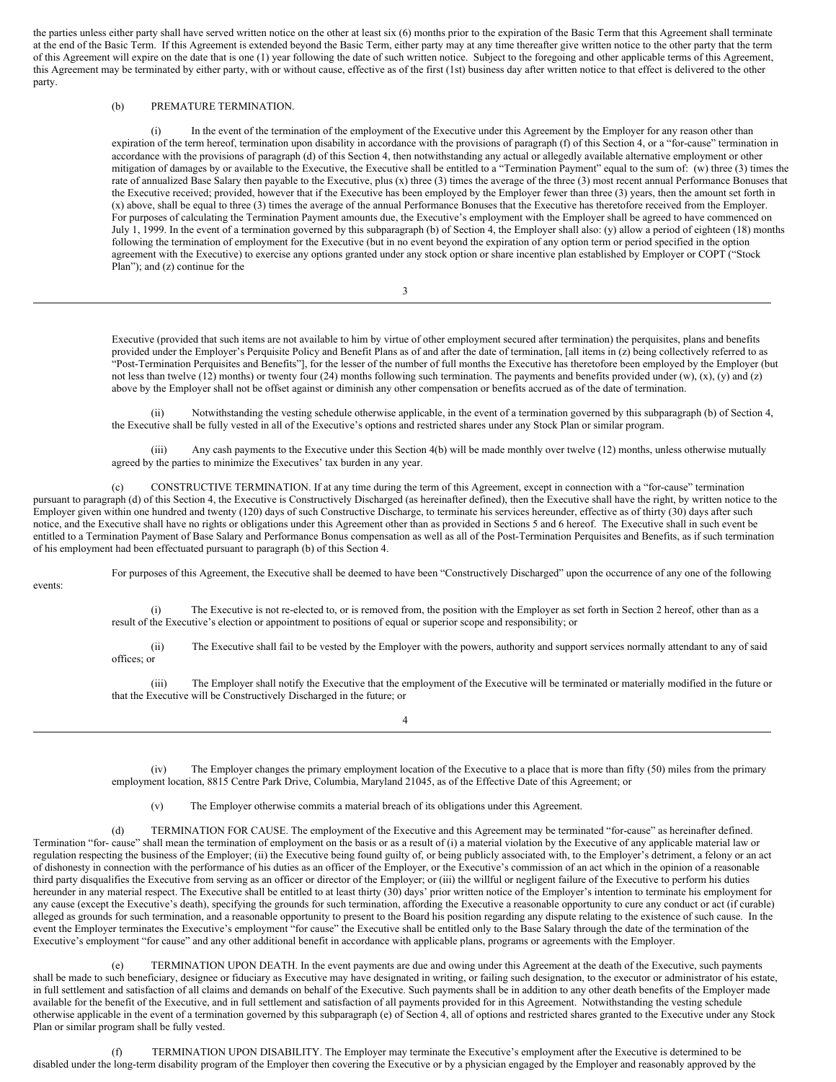the parties unless either party shall have served written notice on the other at least six (6) months prior to the expiration of the Basic Term that this Agreement shall terminate at the end of the Basic Term. If this Agreement is extended beyond the Basic Term, either party may at any time thereafter give written notice to the other party that the term of this Agreement will expire on the date that is one (1) year following the date of such written notice. Subject to the foregoing and other applicable terms of this Agreement, this Agreement may be terminated by either party, with or without cause, effective as of the first (1st) business day after written notice to that effect is delivered to the other party.

## (b) PREMATURE TERMINATION.

(i) In the event of the termination of the employment of the Executive under this Agreement by the Employer for any reason other than expiration of the term hereof, termination upon disability in accordance with the provisions of paragraph (f) of this Section 4, or a "for-cause" termination in accordance with the provisions of paragraph (d) of this Section 4, then notwithstanding any actual or allegedly available alternative employment or other mitigation of damages by or available to the Executive, the Executive shall be entitled to a "Termination Payment" equal to the sum of: (w) three (3) times the rate of annualized Base Salary then payable to the Executive, plus (x) three (3) times the average of the three (3) most recent annual Performance Bonuses that the Executive received; provided, however that if the Executive has been employed by the Employer fewer than three (3) years, then the amount set forth in (x) above, shall be equal to three (3) times the average of the annual Performance Bonuses that the Executive has theretofore received from the Employer. For purposes of calculating the Termination Payment amounts due, the Executive's employment with the Employer shall be agreed to have commenced on July 1, 1999. In the event of a termination governed by this subparagraph (b) of Section 4, the Employer shall also: (y) allow a period of eighteen (18) months following the termination of employment for the Executive (but in no event beyond the expiration of any option term or period specified in the option agreement with the Executive) to exercise any options granted under any stock option or share incentive plan established by Employer or COPT ("Stock Plan"); and (z) continue for the

| I<br>I<br>v |  |
|-------------|--|

Executive (provided that such items are not available to him by virtue of other employment secured after termination) the perquisites, plans and benefits provided under the Employer's Perquisite Policy and Benefit Plans as of and after the date of termination, [all items in (z) being collectively referred to as "Post-Termination Perquisites and Benefits"], for the lesser of the number of full months the Executive has theretofore been employed by the Employer (but not less than twelve (12) months) or twenty four (24) months following such termination. The payments and benefits provided under (w), (x), (y) and (z) above by the Employer shall not be offset against or diminish any other compensation or benefits accrued as of the date of termination.

(ii) Notwithstanding the vesting schedule otherwise applicable, in the event of a termination governed by this subparagraph (b) of Section 4, the Executive shall be fully vested in all of the Executive's options and restricted shares under any Stock Plan or similar program.

(iii) Any cash payments to the Executive under this Section 4(b) will be made monthly over twelve (12) months, unless otherwise mutually agreed by the parties to minimize the Executives' tax burden in any year.

(c) CONSTRUCTIVE TERMINATION. If at any time during the term of this Agreement, except in connection with a "for-cause" termination pursuant to paragraph (d) of this Section 4, the Executive is Constructively Discharged (as hereinafter defined), then the Executive shall have the right, by written notice to the Employer given within one hundred and twenty (120) days of such Constructive Discharge, to terminate his services hereunder, effective as of thirty (30) days after such notice, and the Executive shall have no rights or obligations under this Agreement other than as provided in Sections 5 and 6 hereof. The Executive shall in such event be entitled to a Termination Payment of Base Salary and Performance Bonus compensation as well as all of the Post-Termination Perquisites and Benefits, as if such termination of his employment had been effectuated pursuant to paragraph (b) of this Section 4.

For purposes of this Agreement, the Executive shall be deemed to have been "Constructively Discharged" upon the occurrence of any one of the following

events:

(i) The Executive is not re-elected to, or is removed from, the position with the Employer as set forth in Section 2 hereof, other than as a result of the Executive's election or appointment to positions of equal or superior scope and responsibility; or

(ii) The Executive shall fail to be vested by the Employer with the powers, authority and support services normally attendant to any of said offices; or

(iii) The Employer shall notify the Executive that the employment of the Executive will be terminated or materially modified in the future or that the Executive will be Constructively Discharged in the future; or

4

(iv) The Employer changes the primary employment location of the Executive to a place that is more than fifty (50) miles from the primary employment location, 8815 Centre Park Drive, Columbia, Maryland 21045, as of the Effective Date of this Agreement; or

(v) The Employer otherwise commits a material breach of its obligations under this Agreement.

TERMINATION FOR CAUSE. The employment of the Executive and this Agreement may be terminated "for-cause" as hereinafter defined. Termination "for- cause" shall mean the termination of employment on the basis or as a result of (i) a material violation by the Executive of any applicable material law or regulation respecting the business of the Employer; (ii) the Executive being found guilty of, or being publicly associated with, to the Employer's detriment, a felony or an act of dishonesty in connection with the performance of his duties as an officer of the Employer, or the Executive's commission of an act which in the opinion of a reasonable third party disqualifies the Executive from serving as an officer or director of the Employer; or (iii) the willful or negligent failure of the Executive to perform his duties hereunder in any material respect. The Executive shall be entitled to at least thirty (30) days' prior written notice of the Employer's intention to terminate his employment for any cause (except the Executive's death), specifying the grounds for such termination, affording the Executive a reasonable opportunity to cure any conduct or act (if curable) alleged as grounds for such termination, and a reasonable opportunity to present to the Board his position regarding any dispute relating to the existence of such cause. In the event the Employer terminates the Executive's employment "for cause" the Executive shall be entitled only to the Base Salary through the date of the termination of the Executive's employment "for cause" and any other additional benefit in accordance with applicable plans, programs or agreements with the Employer.

TERMINATION UPON DEATH. In the event payments are due and owing under this Agreement at the death of the Executive, such payments shall be made to such beneficiary, designee or fiduciary as Executive may have designated in writing, or failing such designation, to the executor or administrator of his estate, in full settlement and satisfaction of all claims and demands on behalf of the Executive. Such payments shall be in addition to any other death benefits of the Employer made available for the benefit of the Executive, and in full settlement and satisfaction of all payments provided for in this Agreement. Notwithstanding the vesting schedule otherwise applicable in the event of a termination governed by this subparagraph (e) of Section 4, all of options and restricted shares granted to the Executive under any Stock Plan or similar program shall be fully vested.

(f) TERMINATION UPON DISABILITY. The Employer may terminate the Executive's employment after the Executive is determined to be disabled under the long-term disability program of the Employer then covering the Executive or by a physician engaged by the Employer and reasonably approved by the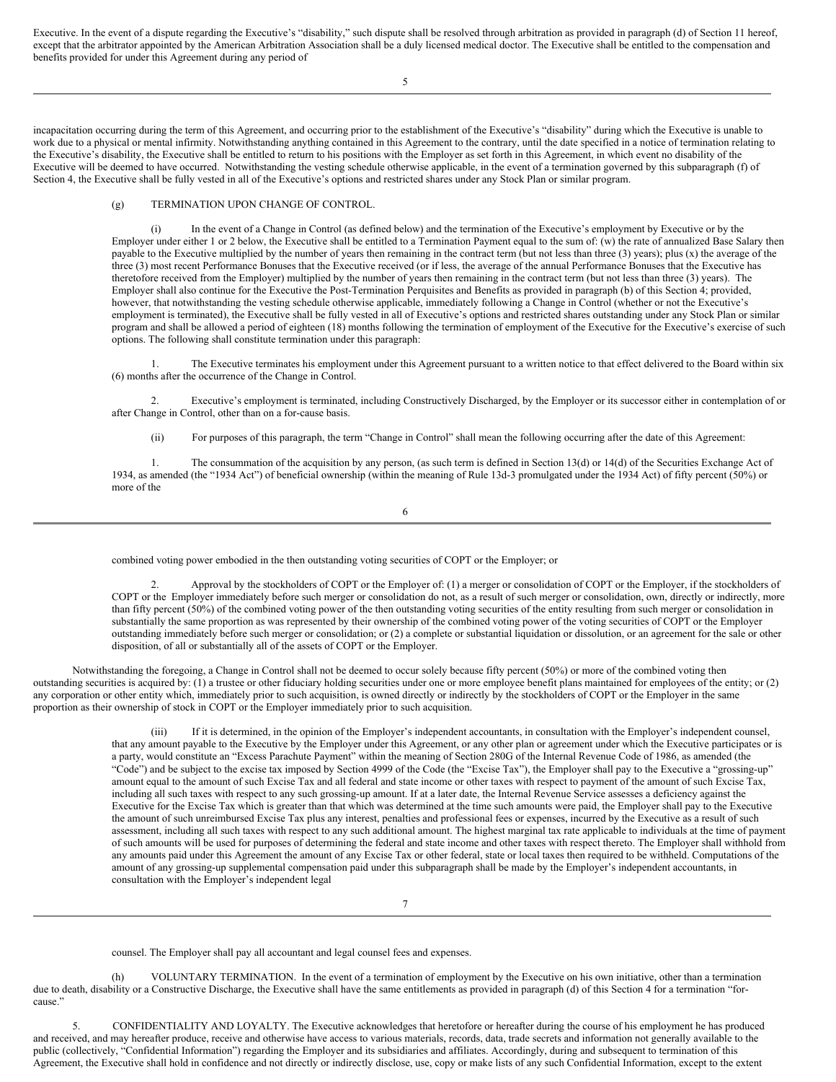Executive. In the event of a dispute regarding the Executive's "disability," such dispute shall be resolved through arbitration as provided in paragraph (d) of Section 11 hereof, except that the arbitrator appointed by the American Arbitration Association shall be a duly licensed medical doctor. The Executive shall be entitled to the compensation and benefits provided for under this Agreement during any period of

5

incapacitation occurring during the term of this Agreement, and occurring prior to the establishment of the Executive's "disability" during which the Executive is unable to work due to a physical or mental infirmity. Notwithstanding anything contained in this Agreement to the contrary, until the date specified in a notice of termination relating to the Executive's disability, the Executive shall be entitled to return to his positions with the Employer as set forth in this Agreement, in which event no disability of the Executive will be deemed to have occurred. Notwithstanding the vesting schedule otherwise applicable, in the event of a termination governed by this subparagraph (f) of Section 4, the Executive shall be fully vested in all of the Executive's options and restricted shares under any Stock Plan or similar program.

(g) TERMINATION UPON CHANGE OF CONTROL.

(i) In the event of a Change in Control (as defined below) and the termination of the Executive's employment by Executive or by the Employer under either 1 or 2 below, the Executive shall be entitled to a Termination Payment equal to the sum of: (w) the rate of annualized Base Salary then payable to the Executive multiplied by the number of years then remaining in the contract term (but not less than three (3) years); plus (x) the average of the three (3) most recent Performance Bonuses that the Executive received (or if less, the average of the annual Performance Bonuses that the Executive has theretofore received from the Employer) multiplied by the number of years then remaining in the contract term (but not less than three (3) years). The Employer shall also continue for the Executive the Post-Termination Perquisites and Benefits as provided in paragraph (b) of this Section 4; provided, however, that notwithstanding the vesting schedule otherwise applicable, immediately following a Change in Control (whether or not the Executive's employment is terminated), the Executive shall be fully vested in all of Executive's options and restricted shares outstanding under any Stock Plan or similar program and shall be allowed a period of eighteen (18) months following the termination of employment of the Executive for the Executive's exercise of such options. The following shall constitute termination under this paragraph:

1. The Executive terminates his employment under this Agreement pursuant to a written notice to that effect delivered to the Board within six (6) months after the occurrence of the Change in Control.

2. Executive's employment is terminated, including Constructively Discharged, by the Employer or its successor either in contemplation of or after Change in Control, other than on a for-cause basis.

(ii) For purposes of this paragraph, the term "Change in Control" shall mean the following occurring after the date of this Agreement:

1. The consummation of the acquisition by any person, (as such term is defined in Section 13(d) or 14(d) of the Securities Exchange Act of 1934, as amended (the "1934 Act") of beneficial ownership (within the meaning of Rule 13d-3 promulgated under the 1934 Act) of fifty percent (50%) or more of the

6

combined voting power embodied in the then outstanding voting securities of COPT or the Employer; or

2. Approval by the stockholders of COPT or the Employer of: (1) a merger or consolidation of COPT or the Employer, if the stockholders of COPT or the Employer immediately before such merger or consolidation do not, as a result of such merger or consolidation, own, directly or indirectly, more than fifty percent (50%) of the combined voting power of the then outstanding voting securities of the entity resulting from such merger or consolidation in substantially the same proportion as was represented by their ownership of the combined voting power of the voting securities of COPT or the Employer outstanding immediately before such merger or consolidation; or (2) a complete or substantial liquidation or dissolution, or an agreement for the sale or other disposition, of all or substantially all of the assets of COPT or the Employer.

Notwithstanding the foregoing, a Change in Control shall not be deemed to occur solely because fifty percent (50%) or more of the combined voting then outstanding securities is acquired by: (1) a trustee or other fiduciary holding securities under one or more employee benefit plans maintained for employees of the entity; or (2) any corporation or other entity which, immediately prior to such acquisition, is owned directly or indirectly by the stockholders of COPT or the Employer in the same proportion as their ownership of stock in COPT or the Employer immediately prior to such acquisition.

> (iii) If it is determined, in the opinion of the Employer's independent accountants, in consultation with the Employer's independent counsel, that any amount payable to the Executive by the Employer under this Agreement, or any other plan or agreement under which the Executive participates or is a party, would constitute an "Excess Parachute Payment" within the meaning of Section 280G of the Internal Revenue Code of 1986, as amended (the "Code") and be subject to the excise tax imposed by Section 4999 of the Code (the "Excise Tax"), the Employer shall pay to the Executive a "grossing-up" amount equal to the amount of such Excise Tax and all federal and state income or other taxes with respect to payment of the amount of such Excise Tax, including all such taxes with respect to any such grossing-up amount. If at a later date, the Internal Revenue Service assesses a deficiency against the Executive for the Excise Tax which is greater than that which was determined at the time such amounts were paid, the Employer shall pay to the Executive the amount of such unreimbursed Excise Tax plus any interest, penalties and professional fees or expenses, incurred by the Executive as a result of such assessment, including all such taxes with respect to any such additional amount. The highest marginal tax rate applicable to individuals at the time of payment of such amounts will be used for purposes of determining the federal and state income and other taxes with respect thereto. The Employer shall withhold from any amounts paid under this Agreement the amount of any Excise Tax or other federal, state or local taxes then required to be withheld. Computations of the amount of any grossing-up supplemental compensation paid under this subparagraph shall be made by the Employer's independent accountants, in consultation with the Employer's independent legal

counsel. The Employer shall pay all accountant and legal counsel fees and expenses.

(h) VOLUNTARY TERMINATION. In the event of a termination of employment by the Executive on his own initiative, other than a termination due to death, disability or a Constructive Discharge, the Executive shall have the same entitlements as provided in paragraph (d) of this Section 4 for a termination "forcause."

5. CONFIDENTIALITY AND LOYALTY. The Executive acknowledges that heretofore or hereafter during the course of his employment he has produced and received, and may hereafter produce, receive and otherwise have access to various materials, records, data, trade secrets and information not generally available to the public (collectively, "Confidential Information") regarding the Employer and its subsidiaries and affiliates. Accordingly, during and subsequent to termination of this Agreement, the Executive shall hold in confidence and not directly or indirectly disclose, use, copy or make lists of any such Confidential Information, except to the extent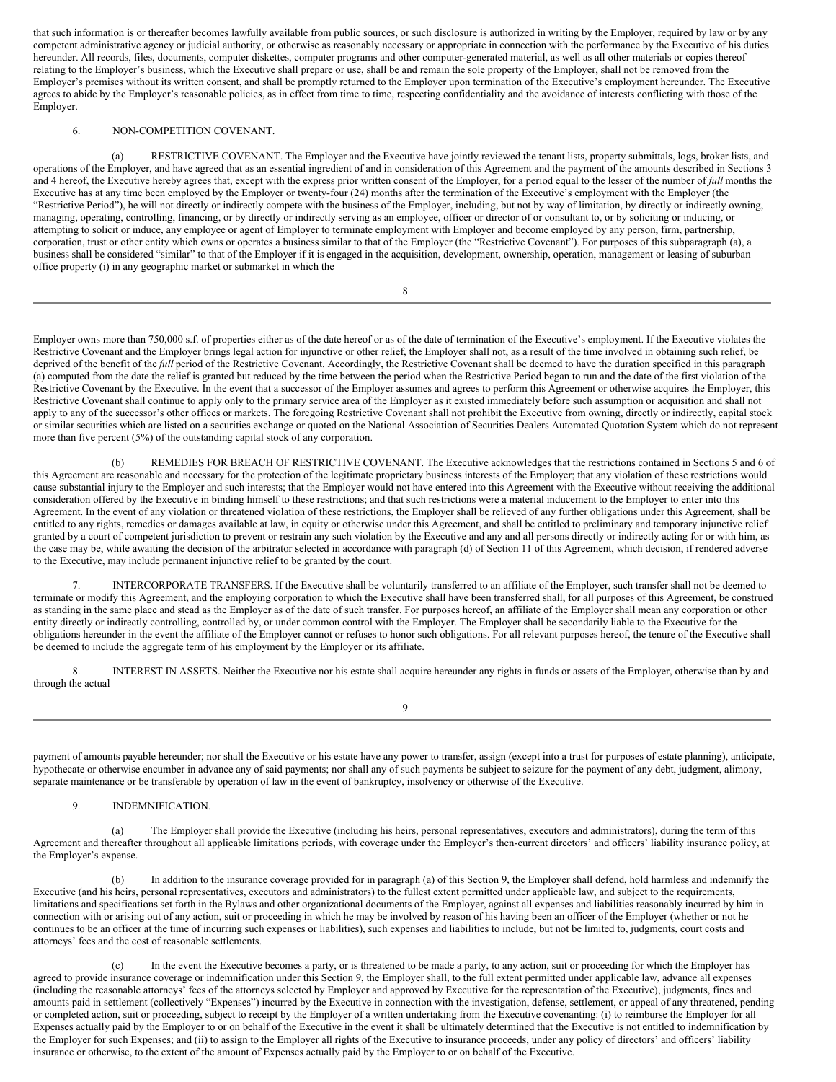that such information is or thereafter becomes lawfully available from public sources, or such disclosure is authorized in writing by the Employer, required by law or by any competent administrative agency or judicial authority, or otherwise as reasonably necessary or appropriate in connection with the performance by the Executive of his duties hereunder. All records, files, documents, computer diskettes, computer programs and other computer-generated material, as well as all other materials or copies thereof relating to the Employer's business, which the Executive shall prepare or use, shall be and remain the sole property of the Employer, shall not be removed from the Employer's premises without its written consent, and shall be promptly returned to the Employer upon termination of the Executive's employment hereunder. The Executive agrees to abide by the Employer's reasonable policies, as in effect from time to time, respecting confidentiality and the avoidance of interests conflicting with those of the Employer.

## 6. NON-COMPETITION COVENANT.

(a) RESTRICTIVE COVENANT. The Employer and the Executive have jointly reviewed the tenant lists, property submittals, logs, broker lists, and operations of the Employer, and have agreed that as an essential ingredient of and in consideration of this Agreement and the payment of the amounts described in Sections 3 and 4 hereof, the Executive hereby agrees that, except with the express prior written consent of the Employer, for a period equal to the lesser of the number of *full* months the Executive has at any time been employed by the Employer or twenty-four (24) months after the termination of the Executive's employment with the Employer (the "Restrictive Period"), he will not directly or indirectly compete with the business of the Employer, including, but not by way of limitation, by directly or indirectly owning, managing, operating, controlling, financing, or by directly or indirectly serving as an employee, officer or director of or consultant to, or by soliciting or inducing, or attempting to solicit or induce, any employee or agent of Employer to terminate employment with Employer and become employed by any person, firm, partnership, corporation, trust or other entity which owns or operates a business similar to that of the Employer (the "Restrictive Covenant"). For purposes of this subparagraph (a), a business shall be considered "similar" to that of the Employer if it is engaged in the acquisition, development, ownership, operation, management or leasing of suburban office property (i) in any geographic market or submarket in which the

| I            |  |
|--------------|--|
| I            |  |
| ï<br>×<br>۰, |  |

Employer owns more than 750,000 s.f. of properties either as of the date hereof or as of the date of termination of the Executive's employment. If the Executive violates the Restrictive Covenant and the Employer brings legal action for injunctive or other relief, the Employer shall not, as a result of the time involved in obtaining such relief, be deprived of the benefit of the *full* period of the Restrictive Covenant. Accordingly, the Restrictive Covenant shall be deemed to have the duration specified in this paragraph (a) computed from the date the relief is granted but reduced by the time between the period when the Restrictive Period began to run and the date of the first violation of the Restrictive Covenant by the Executive. In the event that a successor of the Employer assumes and agrees to perform this Agreement or otherwise acquires the Employer, this Restrictive Covenant shall continue to apply only to the primary service area of the Employer as it existed immediately before such assumption or acquisition and shall not apply to any of the successor's other offices or markets. The foregoing Restrictive Covenant shall not prohibit the Executive from owning, directly or indirectly, capital stock or similar securities which are listed on a securities exchange or quoted on the National Association of Securities Dealers Automated Quotation System which do not represent more than five percent (5%) of the outstanding capital stock of any corporation.

(b) REMEDIES FOR BREACH OF RESTRICTIVE COVENANT. The Executive acknowledges that the restrictions contained in Sections 5 and 6 of this Agreement are reasonable and necessary for the protection of the legitimate proprietary business interests of the Employer; that any violation of these restrictions would cause substantial injury to the Employer and such interests; that the Employer would not have entered into this Agreement with the Executive without receiving the additional consideration offered by the Executive in binding himself to these restrictions; and that such restrictions were a material inducement to the Employer to enter into this Agreement. In the event of any violation or threatened violation of these restrictions, the Employer shall be relieved of any further obligations under this Agreement, shall be entitled to any rights, remedies or damages available at law, in equity or otherwise under this Agreement, and shall be entitled to preliminary and temporary injunctive relief granted by a court of competent jurisdiction to prevent or restrain any such violation by the Executive and any and all persons directly or indirectly acting for or with him, as the case may be, while awaiting the decision of the arbitrator selected in accordance with paragraph (d) of Section 11 of this Agreement, which decision, if rendered adverse to the Executive, may include permanent injunctive relief to be granted by the court.

7. INTERCORPORATE TRANSFERS. If the Executive shall be voluntarily transferred to an affiliate of the Employer, such transfer shall not be deemed to terminate or modify this Agreement, and the employing corporation to which the Executive shall have been transferred shall, for all purposes of this Agreement, be construed as standing in the same place and stead as the Employer as of the date of such transfer. For purposes hereof, an affiliate of the Employer shall mean any corporation or other entity directly or indirectly controlling, controlled by, or under common control with the Employer. The Employer shall be secondarily liable to the Executive for the obligations hereunder in the event the affiliate of the Employer cannot or refuses to honor such obligations. For all relevant purposes hereof, the tenure of the Executive shall be deemed to include the aggregate term of his employment by the Employer or its affiliate.

8. INTEREST IN ASSETS. Neither the Executive nor his estate shall acquire hereunder any rights in funds or assets of the Employer, otherwise than by and through the actual

9

payment of amounts payable hereunder; nor shall the Executive or his estate have any power to transfer, assign (except into a trust for purposes of estate planning), anticipate, hypothecate or otherwise encumber in advance any of said payments; nor shall any of such payments be subject to seizure for the payment of any debt, judgment, alimony, separate maintenance or be transferable by operation of law in the event of bankruptcy, insolvency or otherwise of the Executive.

## 9. INDEMNIFICATION.

(a) The Employer shall provide the Executive (including his heirs, personal representatives, executors and administrators), during the term of this Agreement and thereafter throughout all applicable limitations periods, with coverage under the Employer's then-current directors' and officers' liability insurance policy, at the Employer's expense.

(b) In addition to the insurance coverage provided for in paragraph (a) of this Section 9, the Employer shall defend, hold harmless and indemnify the Executive (and his heirs, personal representatives, executors and administrators) to the fullest extent permitted under applicable law, and subject to the requirements, limitations and specifications set forth in the Bylaws and other organizational documents of the Employer, against all expenses and liabilities reasonably incurred by him in connection with or arising out of any action, suit or proceeding in which he may be involved by reason of his having been an officer of the Employer (whether or not he continues to be an officer at the time of incurring such expenses or liabilities), such expenses and liabilities to include, but not be limited to, judgments, court costs and attorneys' fees and the cost of reasonable settlements.

(c) In the event the Executive becomes a party, or is threatened to be made a party, to any action, suit or proceeding for which the Employer has agreed to provide insurance coverage or indemnification under this Section 9, the Employer shall, to the full extent permitted under applicable law, advance all expenses (including the reasonable attorneys' fees of the attorneys selected by Employer and approved by Executive for the representation of the Executive), judgments, fines and amounts paid in settlement (collectively "Expenses") incurred by the Executive in connection with the investigation, defense, settlement, or appeal of any threatened, pending or completed action, suit or proceeding, subject to receipt by the Employer of a written undertaking from the Executive covenanting: (i) to reimburse the Employer for all Expenses actually paid by the Employer to or on behalf of the Executive in the event it shall be ultimately determined that the Executive is not entitled to indemnification by the Employer for such Expenses; and (ii) to assign to the Employer all rights of the Executive to insurance proceeds, under any policy of directors' and officers' liability insurance or otherwise, to the extent of the amount of Expenses actually paid by the Employer to or on behalf of the Executive.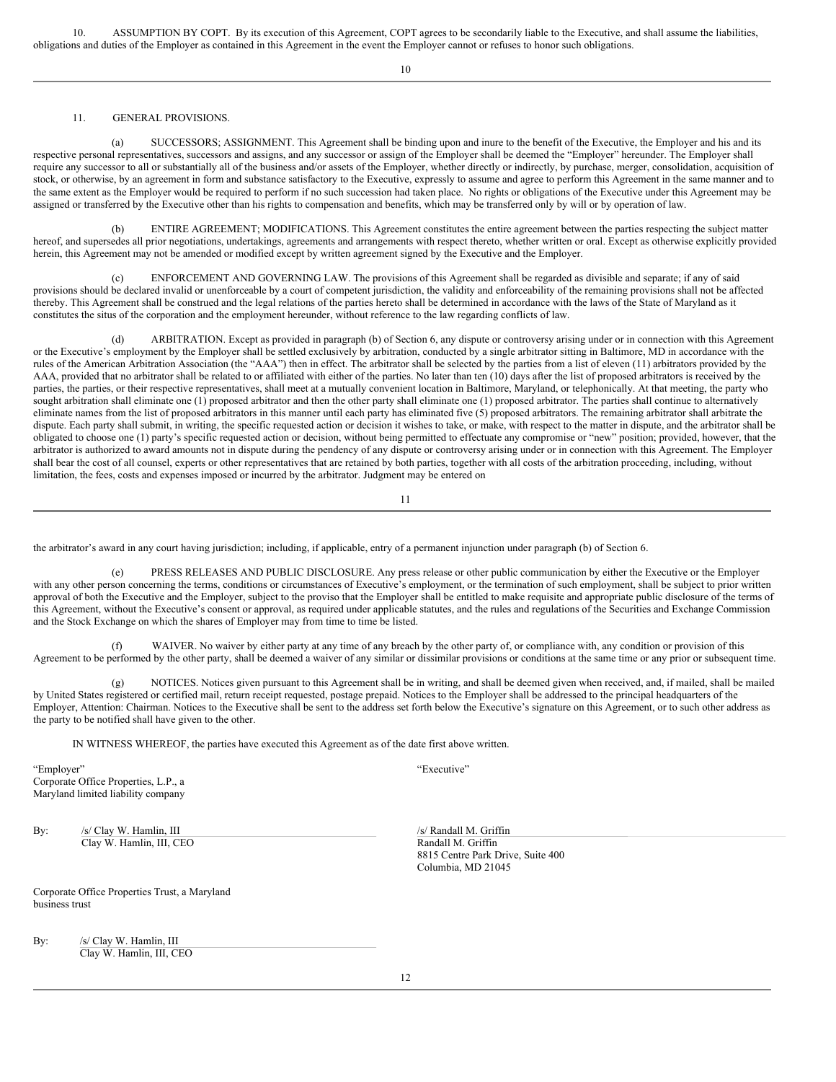10. ASSUMPTION BY COPT. By its execution of this Agreement, COPT agrees to be secondarily liable to the Executive, and shall assume the liabilities, obligations and duties of the Employer as contained in this Agreement in the event the Employer cannot or refuses to honor such obligations.

10

## 11. GENERAL PROVISIONS.

(a) SUCCESSORS; ASSIGNMENT. This Agreement shall be binding upon and inure to the benefit of the Executive, the Employer and his and its respective personal representatives, successors and assigns, and any successor or assign of the Employer shall be deemed the "Employer" hereunder. The Employer shall require any successor to all or substantially all of the business and/or assets of the Employer, whether directly or indirectly, by purchase, merger, consolidation, acquisition of stock, or otherwise, by an agreement in form and substance satisfactory to the Executive, expressly to assume and agree to perform this Agreement in the same manner and to the same extent as the Employer would be required to perform if no such succession had taken place. No rights or obligations of the Executive under this Agreement may be assigned or transferred by the Executive other than his rights to compensation and benefits, which may be transferred only by will or by operation of law.

ENTIRE AGREEMENT; MODIFICATIONS. This Agreement constitutes the entire agreement between the parties respecting the subject matter hereof, and supersedes all prior negotiations, undertakings, agreements and arrangements with respect thereto, whether written or oral. Except as otherwise explicitly provided herein, this Agreement may not be amended or modified except by written agreement signed by the Executive and the Employer.

(c) ENFORCEMENT AND GOVERNING LAW. The provisions of this Agreement shall be regarded as divisible and separate; if any of said provisions should be declared invalid or unenforceable by a court of competent jurisdiction, the validity and enforceability of the remaining provisions shall not be affected thereby. This Agreement shall be construed and the legal relations of the parties hereto shall be determined in accordance with the laws of the State of Maryland as it constitutes the situs of the corporation and the employment hereunder, without reference to the law regarding conflicts of law.

(d) ARBITRATION. Except as provided in paragraph (b) of Section 6, any dispute or controversy arising under or in connection with this Agreement or the Executive's employment by the Employer shall be settled exclusively by arbitration, conducted by a single arbitrator sitting in Baltimore, MD in accordance with the rules of the American Arbitration Association (the "AAA") then in effect. The arbitrator shall be selected by the parties from a list of eleven (11) arbitrators provided by the AAA, provided that no arbitrator shall be related to or affiliated with either of the parties. No later than ten (10) days after the list of proposed arbitrators is received by the parties, the parties, or their respective representatives, shall meet at a mutually convenient location in Baltimore, Maryland, or telephonically. At that meeting, the party who sought arbitration shall eliminate one (1) proposed arbitrator and then the other party shall eliminate one (1) proposed arbitrator. The parties shall continue to alternatively eliminate names from the list of proposed arbitrators in this manner until each party has eliminated five (5) proposed arbitrators. The remaining arbitrator shall arbitrate the dispute. Each party shall submit, in writing, the specific requested action or decision it wishes to take, or make, with respect to the matter in dispute, and the arbitrator shall be obligated to choose one (1) party's specific requested action or decision, without being permitted to effectuate any compromise or "new" position; provided, however, that the arbitrator is authorized to award amounts not in dispute during the pendency of any dispute or controversy arising under or in connection with this Agreement. The Employer shall bear the cost of all counsel, experts or other representatives that are retained by both parties, together with all costs of the arbitration proceeding, including, without limitation, the fees, costs and expenses imposed or incurred by the arbitrator. Judgment may be entered on

11

the arbitrator's award in any court having jurisdiction; including, if applicable, entry of a permanent injunction under paragraph (b) of Section 6.

PRESS RELEASES AND PUBLIC DISCLOSURE. Any press release or other public communication by either the Executive or the Employer with any other person concerning the terms, conditions or circumstances of Executive's employment, or the termination of such employment, shall be subject to prior written approval of both the Executive and the Employer, subject to the proviso that the Employer shall be entitled to make requisite and appropriate public disclosure of the terms of this Agreement, without the Executive's consent or approval, as required under applicable statutes, and the rules and regulations of the Securities and Exchange Commission and the Stock Exchange on which the shares of Employer may from time to time be listed.

(f) WAIVER. No waiver by either party at any time of any breach by the other party of, or compliance with, any condition or provision of this Agreement to be performed by the other party, shall be deemed a waiver of any similar or dissimilar provisions or conditions at the same time or any prior or subsequent time.

(g) NOTICES. Notices given pursuant to this Agreement shall be in writing, and shall be deemed given when received, and, if mailed, shall be mailed by United States registered or certified mail, return receipt requested, postage prepaid. Notices to the Employer shall be addressed to the principal headquarters of the Employer, Attention: Chairman. Notices to the Executive shall be sent to the address set forth below the Executive's signature on this Agreement, or to such other address as the party to be notified shall have given to the other.

"Executive"

IN WITNESS WHEREOF, the parties have executed this Agreement as of the date first above written.

"Employer" Corporate Office Properties, L.P., a Maryland limited liability company

By: /s/ Clay W. Hamlin, III /s/ Clay Games /s/ Randall M. Griffin Clay W. Hamlin, III, CEO Randall M. Griffin

8815 Centre Park Drive, Suite 400 Columbia, MD 21045

Corporate Office Properties Trust, a Maryland business trust

By: /s/ Clay W. Hamlin, III Clay W. Hamlin, III, CEO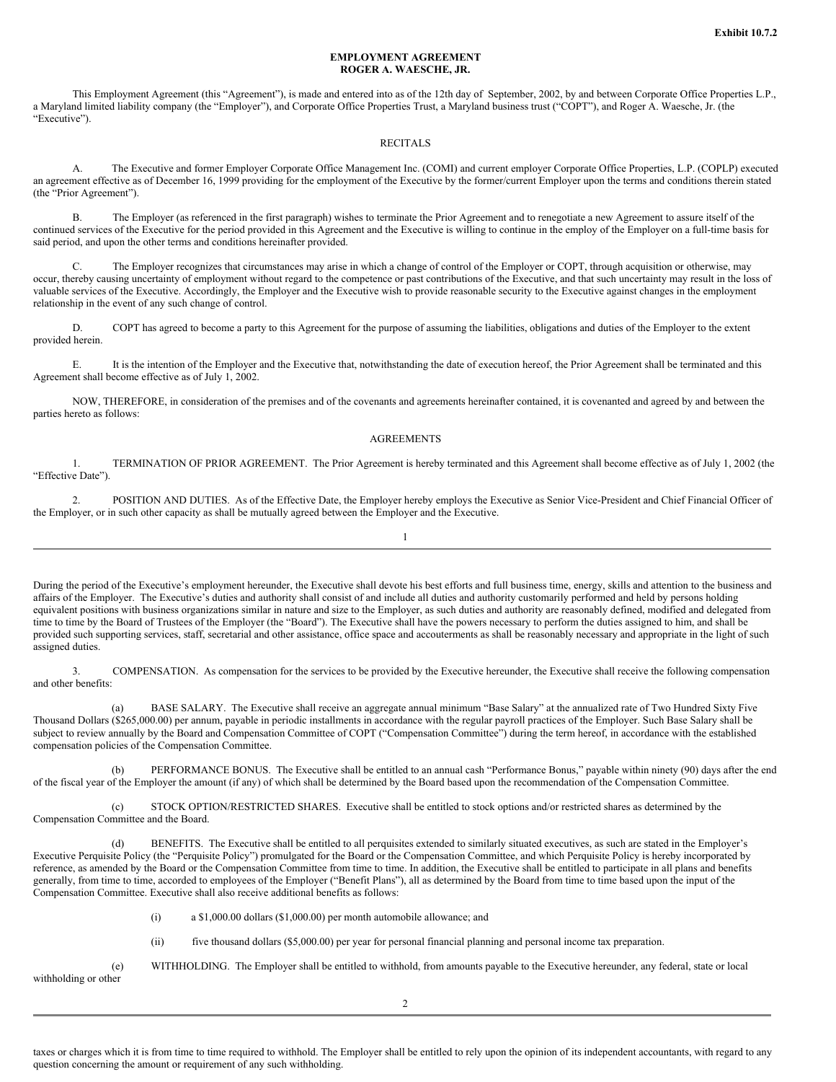## **EMPLOYMENT AGREEMENT ROGER A. WAESCHE, JR.**

This Employment Agreement (this "Agreement"), is made and entered into as of the 12th day of September, 2002, by and between Corporate Office Properties L.P., a Maryland limited liability company (the "Employer"), and Corporate Office Properties Trust, a Maryland business trust ("COPT"), and Roger A. Waesche, Jr. (the "Executive").

## RECITALS

A. The Executive and former Employer Corporate Office Management Inc. (COMI) and current employer Corporate Office Properties, L.P. (COPLP) executed an agreement effective as of December 16, 1999 providing for the employment of the Executive by the former/current Employer upon the terms and conditions therein stated (the "Prior Agreement").

B. The Employer (as referenced in the first paragraph) wishes to terminate the Prior Agreement and to renegotiate a new Agreement to assure itself of the continued services of the Executive for the period provided in this Agreement and the Executive is willing to continue in the employ of the Employer on a full-time basis for said period, and upon the other terms and conditions hereinafter provided.

C. The Employer recognizes that circumstances may arise in which a change of control of the Employer or COPT, through acquisition or otherwise, may occur, thereby causing uncertainty of employment without regard to the competence or past contributions of the Executive, and that such uncertainty may result in the loss of valuable services of the Executive. Accordingly, the Employer and the Executive wish to provide reasonable security to the Executive against changes in the employment relationship in the event of any such change of control.

D. COPT has agreed to become a party to this Agreement for the purpose of assuming the liabilities, obligations and duties of the Employer to the extent provided herein.

E. It is the intention of the Employer and the Executive that, notwithstanding the date of execution hereof, the Prior Agreement shall be terminated and this Agreement shall become effective as of July 1, 2002.

NOW, THEREFORE, in consideration of the premises and of the covenants and agreements hereinafter contained, it is covenanted and agreed by and between the parties hereto as follows:

## AGREEMENTS

1. TERMINATION OF PRIOR AGREEMENT. The Prior Agreement is hereby terminated and this Agreement shall become effective as of July 1, 2002 (the "Effective Date").

2. POSITION AND DUTIES. As of the Effective Date, the Employer hereby employs the Executive as Senior Vice-President and Chief Financial Officer of the Employer, or in such other capacity as shall be mutually agreed between the Employer and the Executive.

1

During the period of the Executive's employment hereunder, the Executive shall devote his best efforts and full business time, energy, skills and attention to the business and affairs of the Employer. The Executive's duties and authority shall consist of and include all duties and authority customarily performed and held by persons holding equivalent positions with business organizations similar in nature and size to the Employer, as such duties and authority are reasonably defined, modified and delegated from time to time by the Board of Trustees of the Employer (the "Board"). The Executive shall have the powers necessary to perform the duties assigned to him, and shall be provided such supporting services, staff, secretarial and other assistance, office space and accouterments as shall be reasonably necessary and appropriate in the light of such assigned duties.

3. COMPENSATION. As compensation for the services to be provided by the Executive hereunder, the Executive shall receive the following compensation and other benefits:

(a) BASE SALARY. The Executive shall receive an aggregate annual minimum "Base Salary" at the annualized rate of Two Hundred Sixty Five Thousand Dollars (\$265,000.00) per annum, payable in periodic installments in accordance with the regular payroll practices of the Employer. Such Base Salary shall be subject to review annually by the Board and Compensation Committee of COPT ("Compensation Committee") during the term hereof, in accordance with the established compensation policies of the Compensation Committee.

(b) PERFORMANCE BONUS. The Executive shall be entitled to an annual cash "Performance Bonus," payable within ninety (90) days after the end of the fiscal year of the Employer the amount (if any) of which shall be determined by the Board based upon the recommendation of the Compensation Committee.

(c) STOCK OPTION/RESTRICTED SHARES. Executive shall be entitled to stock options and/or restricted shares as determined by the Compensation Committee and the Board.

(d) BENEFITS. The Executive shall be entitled to all perquisites extended to similarly situated executives, as such are stated in the Employer's Executive Perquisite Policy (the "Perquisite Policy") promulgated for the Board or the Compensation Committee, and which Perquisite Policy is hereby incorporated by reference, as amended by the Board or the Compensation Committee from time to time. In addition, the Executive shall be entitled to participate in all plans and benefits generally, from time to time, accorded to employees of the Employer ("Benefit Plans"), all as determined by the Board from time to time based upon the input of the Compensation Committee. Executive shall also receive additional benefits as follows:

(i) a \$1,000.00 dollars (\$1,000.00) per month automobile allowance; and

(ii) five thousand dollars (\$5,000.00) per year for personal financial planning and personal income tax preparation.

(e) WITHHOLDING. The Employer shall be entitled to withhold, from amounts payable to the Executive hereunder, any federal, state or local withholding or other

taxes or charges which it is from time to time required to withhold. The Employer shall be entitled to rely upon the opinion of its independent accountants, with regard to any question concerning the amount or requirement of any such withholding.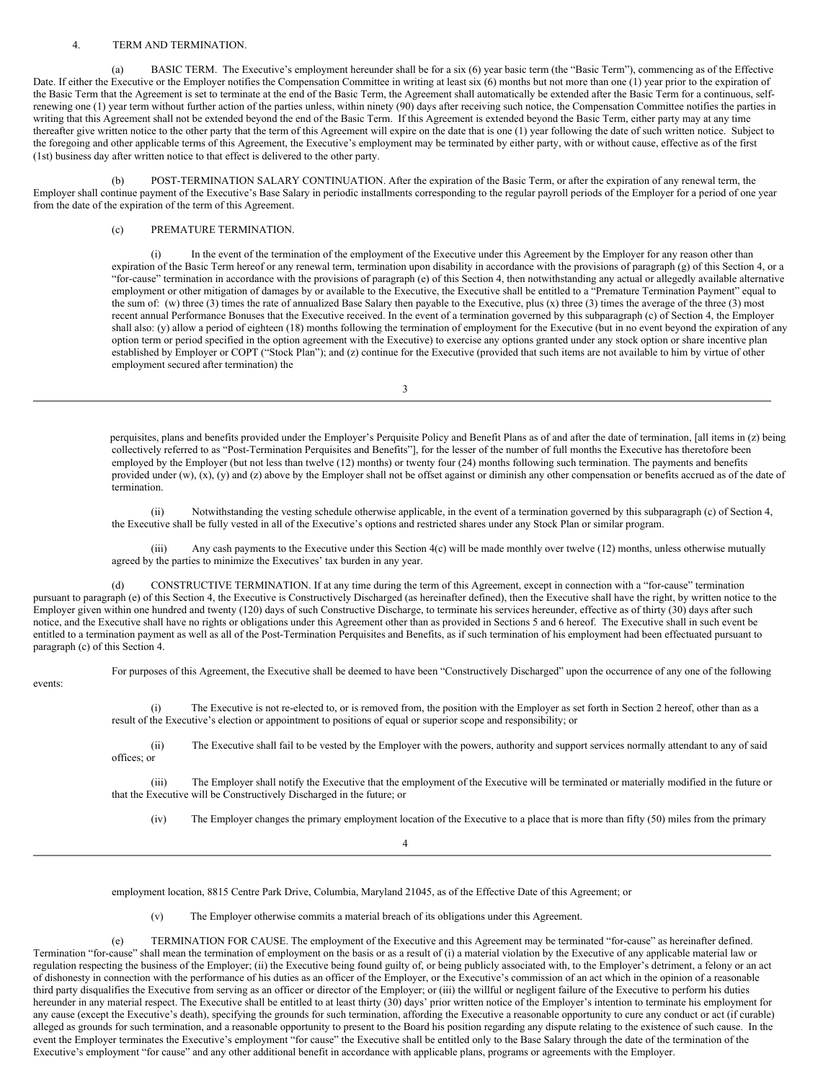## 4. TERM AND TERMINATION.

(a) BASIC TERM. The Executive's employment hereunder shall be for a six (6) year basic term (the "Basic Term"), commencing as of the Effective Date. If either the Executive or the Employer notifies the Compensation Committee in writing at least six (6) months but not more than one (1) year prior to the expiration of the Basic Term that the Agreement is set to terminate at the end of the Basic Term, the Agreement shall automatically be extended after the Basic Term for a continuous, selfrenewing one (1) year term without further action of the parties unless, within ninety (90) days after receiving such notice, the Compensation Committee notifies the parties in writing that this Agreement shall not be extended beyond the end of the Basic Term. If this Agreement is extended beyond the Basic Term, either party may at any time thereafter give written notice to the other party that the term of this Agreement will expire on the date that is one (1) year following the date of such written notice. Subject to the foregoing and other applicable terms of this Agreement, the Executive's employment may be terminated by either party, with or without cause, effective as of the first (1st) business day after written notice to that effect is delivered to the other party.

(b) POST-TERMINATION SALARY CONTINUATION. After the expiration of the Basic Term, or after the expiration of any renewal term, the Employer shall continue payment of the Executive's Base Salary in periodic installments corresponding to the regular payroll periods of the Employer for a period of one year from the date of the expiration of the term of this Agreement.

#### (c) PREMATURE TERMINATION.

In the event of the termination of the employment of the Executive under this Agreement by the Employer for any reason other than expiration of the Basic Term hereof or any renewal term, termination upon disability in accordance with the provisions of paragraph (g) of this Section 4, or a "for-cause" termination in accordance with the provisions of paragraph (e) of this Section 4, then notwithstanding any actual or allegedly available alternative employment or other mitigation of damages by or available to the Executive, the Executive shall be entitled to a "Premature Termination Payment" equal to the sum of: (w) three (3) times the rate of annualized Base Salary then payable to the Executive, plus (x) three (3) times the average of the three (3) most recent annual Performance Bonuses that the Executive received. In the event of a termination governed by this subparagraph (c) of Section 4, the Employer shall also: (y) allow a period of eighteen (18) months following the termination of employment for the Executive (but in no event beyond the expiration of any option term or period specified in the option agreement with the Executive) to exercise any options granted under any stock option or share incentive plan established by Employer or COPT ("Stock Plan"); and (z) continue for the Executive (provided that such items are not available to him by virtue of other employment secured after termination) the

perquisites, plans and benefits provided under the Employer's Perquisite Policy and Benefit Plans as of and after the date of termination, [all items in (z) being collectively referred to as "Post-Termination Perquisites and Benefits"], for the lesser of the number of full months the Executive has theretofore been employed by the Employer (but not less than twelve (12) months) or twenty four (24) months following such termination. The payments and benefits provided under  $(w)$ ,  $(x)$ ,  $(y)$  and  $(z)$  above by the Employer shall not be offset against or diminish any other compensation or benefits accrued as of the date of termination.

(ii) Notwithstanding the vesting schedule otherwise applicable, in the event of a termination governed by this subparagraph (c) of Section 4, the Executive shall be fully vested in all of the Executive's options and restricted shares under any Stock Plan or similar program.

(iii) Any cash payments to the Executive under this Section 4(c) will be made monthly over twelve (12) months, unless otherwise mutually agreed by the parties to minimize the Executives' tax burden in any year.

(d) CONSTRUCTIVE TERMINATION. If at any time during the term of this Agreement, except in connection with a "for-cause" termination pursuant to paragraph (e) of this Section 4, the Executive is Constructively Discharged (as hereinafter defined), then the Executive shall have the right, by written notice to the Employer given within one hundred and twenty (120) days of such Constructive Discharge, to terminate his services hereunder, effective as of thirty (30) days after such notice, and the Executive shall have no rights or obligations under this Agreement other than as provided in Sections 5 and 6 hereof. The Executive shall in such event be entitled to a termination payment as well as all of the Post-Termination Perquisites and Benefits, as if such termination of his employment had been effectuated pursuant to paragraph (c) of this Section 4.

For purposes of this Agreement, the Executive shall be deemed to have been "Constructively Discharged" upon the occurrence of any one of the following

events:

(i) The Executive is not re-elected to, or is removed from, the position with the Employer as set forth in Section 2 hereof, other than as a result of the Executive's election or appointment to positions of equal or superior scope and responsibility; or

(ii) The Executive shall fail to be vested by the Employer with the powers, authority and support services normally attendant to any of said offices; or

(iii) The Employer shall notify the Executive that the employment of the Executive will be terminated or materially modified in the future or that the Executive will be Constructively Discharged in the future; or

(iv) The Employer changes the primary employment location of the Executive to a place that is more than fifty (50) miles from the primary

employment location, 8815 Centre Park Drive, Columbia, Maryland 21045, as of the Effective Date of this Agreement; or

(v) The Employer otherwise commits a material breach of its obligations under this Agreement.

(e) TERMINATION FOR CAUSE. The employment of the Executive and this Agreement may be terminated "for-cause" as hereinafter defined. Termination "for-cause" shall mean the termination of employment on the basis or as a result of (i) a material violation by the Executive of any applicable material law or regulation respecting the business of the Employer; (ii) the Executive being found guilty of, or being publicly associated with, to the Employer's detriment, a felony or an act of dishonesty in connection with the performance of his duties as an officer of the Employer, or the Executive's commission of an act which in the opinion of a reasonable third party disqualifies the Executive from serving as an officer or director of the Employer; or (iii) the willful or negligent failure of the Executive to perform his duties hereunder in any material respect. The Executive shall be entitled to at least thirty (30) days' prior written notice of the Employer's intention to terminate his employment for any cause (except the Executive's death), specifying the grounds for such termination, affording the Executive a reasonable opportunity to cure any conduct or act (if curable) alleged as grounds for such termination, and a reasonable opportunity to present to the Board his position regarding any dispute relating to the existence of such cause. In the event the Employer terminates the Executive's employment "for cause" the Executive shall be entitled only to the Base Salary through the date of the termination of the Executive's employment "for cause" and any other additional benefit in accordance with applicable plans, programs or agreements with the Employer.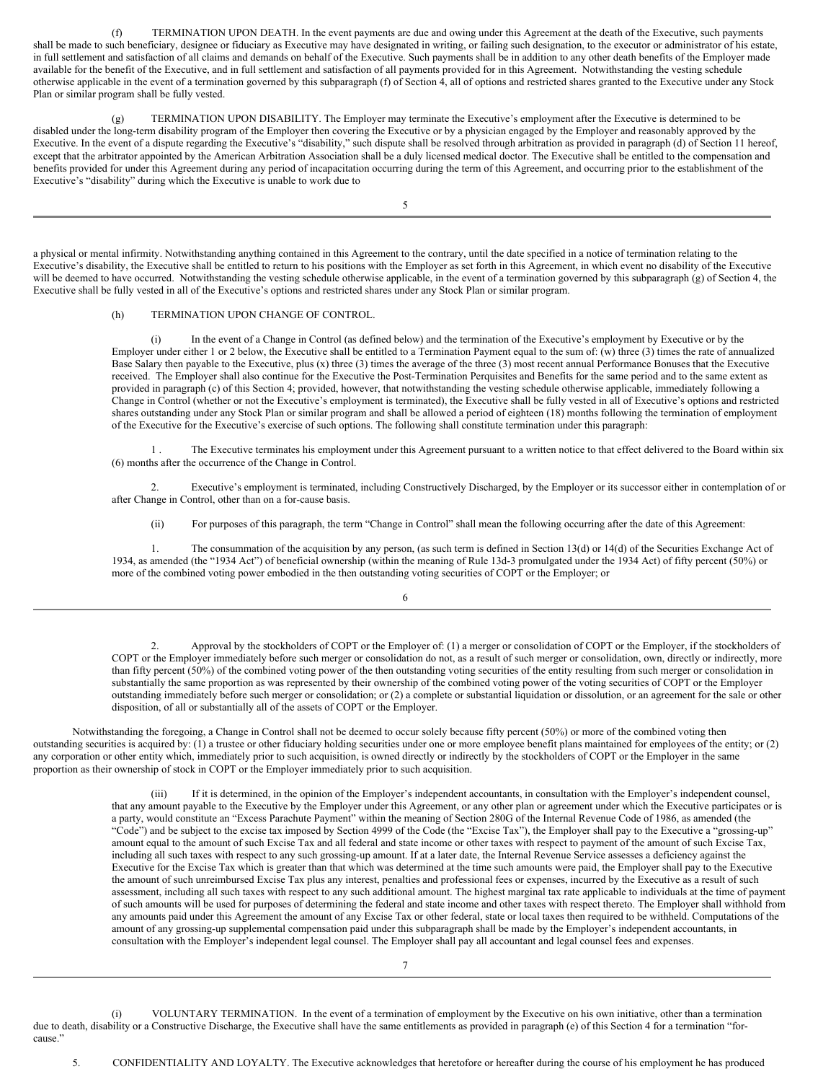(f) TERMINATION UPON DEATH. In the event payments are due and owing under this Agreement at the death of the Executive, such payments shall be made to such beneficiary, designee or fiduciary as Executive may have designated in writing, or failing such designation, to the executor or administrator of his estate, in full settlement and satisfaction of all claims and demands on behalf of the Executive. Such payments shall be in addition to any other death benefits of the Employer made available for the benefit of the Executive, and in full settlement and satisfaction of all payments provided for in this Agreement. Notwithstanding the vesting schedule otherwise applicable in the event of a termination governed by this subparagraph (f) of Section 4, all of options and restricted shares granted to the Executive under any Stock Plan or similar program shall be fully vested.

(g) TERMINATION UPON DISABILITY. The Employer may terminate the Executive's employment after the Executive is determined to be disabled under the long-term disability program of the Employer then covering the Executive or by a physician engaged by the Employer and reasonably approved by the Executive. In the event of a dispute regarding the Executive's "disability," such dispute shall be resolved through arbitration as provided in paragraph (d) of Section 11 hereof, except that the arbitrator appointed by the American Arbitration Association shall be a duly licensed medical doctor. The Executive shall be entitled to the compensation and benefits provided for under this Agreement during any period of incapacitation occurring during the term of this Agreement, and occurring prior to the establishment of the Executive's "disability" during which the Executive is unable to work due to

5

a physical or mental infirmity. Notwithstanding anything contained in this Agreement to the contrary, until the date specified in a notice of termination relating to the Executive's disability, the Executive shall be entitled to return to his positions with the Employer as set forth in this Agreement, in which event no disability of the Executive will be deemed to have occurred. Notwithstanding the vesting schedule otherwise applicable, in the event of a termination governed by this subparagraph (g) of Section 4, the Executive shall be fully vested in all of the Executive's options and restricted shares under any Stock Plan or similar program.

### (h) TERMINATION UPON CHANGE OF CONTROL.

(i) In the event of a Change in Control (as defined below) and the termination of the Executive's employment by Executive or by the Employer under either 1 or 2 below, the Executive shall be entitled to a Termination Payment equal to the sum of: (w) three (3) times the rate of annualized Base Salary then payable to the Executive, plus (x) three (3) times the average of the three (3) most recent annual Performance Bonuses that the Executive received. The Employer shall also continue for the Executive the Post-Termination Perquisites and Benefits for the same period and to the same extent as provided in paragraph (c) of this Section 4; provided, however, that notwithstanding the vesting schedule otherwise applicable, immediately following a Change in Control (whether or not the Executive's employment is terminated), the Executive shall be fully vested in all of Executive's options and restricted shares outstanding under any Stock Plan or similar program and shall be allowed a period of eighteen (18) months following the termination of employment of the Executive for the Executive's exercise of such options. The following shall constitute termination under this paragraph:

1 . The Executive terminates his employment under this Agreement pursuant to a written notice to that effect delivered to the Board within six (6) months after the occurrence of the Change in Control.

2. Executive's employment is terminated, including Constructively Discharged, by the Employer or its successor either in contemplation of or after Change in Control, other than on a for-cause basis.

(ii) For purposes of this paragraph, the term "Change in Control" shall mean the following occurring after the date of this Agreement:

1. The consummation of the acquisition by any person, (as such term is defined in Section 13(d) or 14(d) of the Securities Exchange Act of 1934, as amended (the "1934 Act") of beneficial ownership (within the meaning of Rule 13d-3 promulgated under the 1934 Act) of fifty percent (50%) or more of the combined voting power embodied in the then outstanding voting securities of COPT or the Employer; or

6

2. Approval by the stockholders of COPT or the Employer of: (1) a merger or consolidation of COPT or the Employer, if the stockholders of COPT or the Employer immediately before such merger or consolidation do not, as a result of such merger or consolidation, own, directly or indirectly, more than fifty percent (50%) of the combined voting power of the then outstanding voting securities of the entity resulting from such merger or consolidation in substantially the same proportion as was represented by their ownership of the combined voting power of the voting securities of COPT or the Employer outstanding immediately before such merger or consolidation; or (2) a complete or substantial liquidation or dissolution, or an agreement for the sale or other disposition, of all or substantially all of the assets of COPT or the Employer.

Notwithstanding the foregoing, a Change in Control shall not be deemed to occur solely because fifty percent (50%) or more of the combined voting then outstanding securities is acquired by: (1) a trustee or other fiduciary holding securities under one or more employee benefit plans maintained for employees of the entity; or (2) any corporation or other entity which, immediately prior to such acquisition, is owned directly or indirectly by the stockholders of COPT or the Employer in the same proportion as their ownership of stock in COPT or the Employer immediately prior to such acquisition.

> (iii) If it is determined, in the opinion of the Employer's independent accountants, in consultation with the Employer's independent counsel, that any amount payable to the Executive by the Employer under this Agreement, or any other plan or agreement under which the Executive participates or is a party, would constitute an "Excess Parachute Payment" within the meaning of Section 280G of the Internal Revenue Code of 1986, as amended (the "Code") and be subject to the excise tax imposed by Section 4999 of the Code (the "Excise Tax"), the Employer shall pay to the Executive a "grossing-up" amount equal to the amount of such Excise Tax and all federal and state income or other taxes with respect to payment of the amount of such Excise Tax, including all such taxes with respect to any such grossing-up amount. If at a later date, the Internal Revenue Service assesses a deficiency against the Executive for the Excise Tax which is greater than that which was determined at the time such amounts were paid, the Employer shall pay to the Executive the amount of such unreimbursed Excise Tax plus any interest, penalties and professional fees or expenses, incurred by the Executive as a result of such assessment, including all such taxes with respect to any such additional amount. The highest marginal tax rate applicable to individuals at the time of payment of such amounts will be used for purposes of determining the federal and state income and other taxes with respect thereto. The Employer shall withhold from any amounts paid under this Agreement the amount of any Excise Tax or other federal, state or local taxes then required to be withheld. Computations of the amount of any grossing-up supplemental compensation paid under this subparagraph shall be made by the Employer's independent accountants, in consultation with the Employer's independent legal counsel. The Employer shall pay all accountant and legal counsel fees and expenses.

> > 7

(i) VOLUNTARY TERMINATION. In the event of a termination of employment by the Executive on his own initiative, other than a termination due to death, disability or a Constructive Discharge, the Executive shall have the same entitlements as provided in paragraph (e) of this Section 4 for a termination "forcause."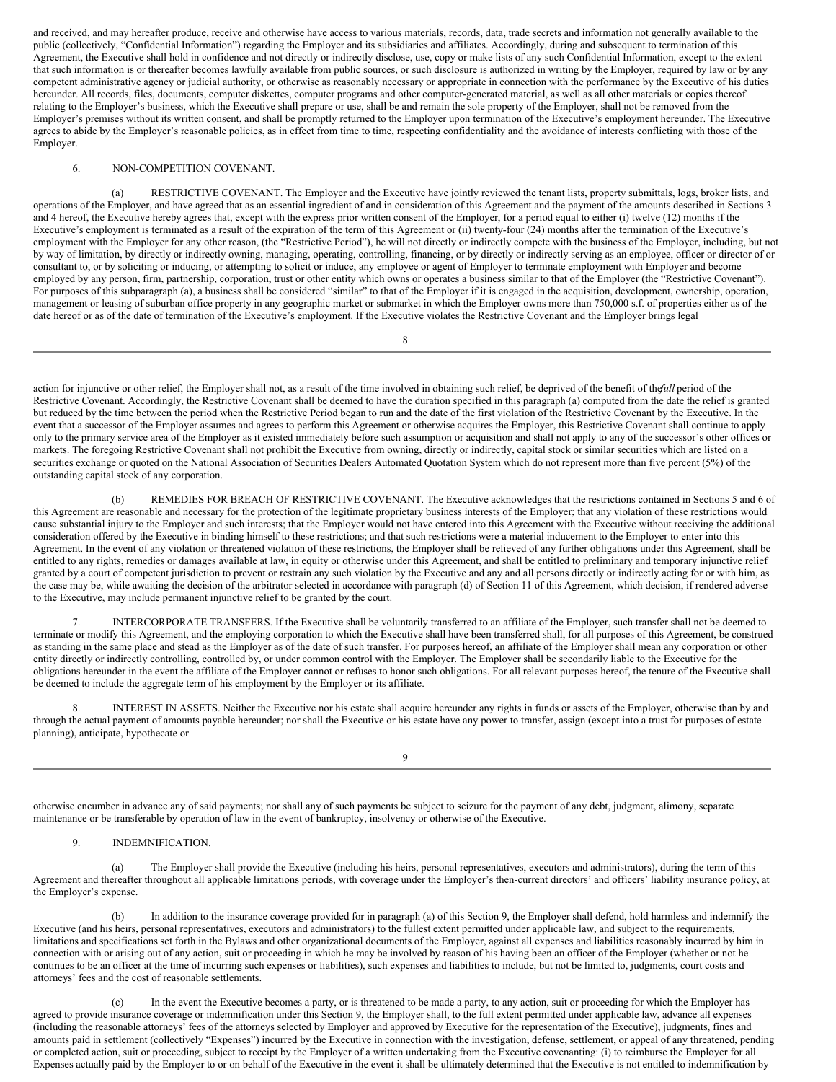and received, and may hereafter produce, receive and otherwise have access to various materials, records, data, trade secrets and information not generally available to the public (collectively, "Confidential Information") regarding the Employer and its subsidiaries and affiliates. Accordingly, during and subsequent to termination of this Agreement, the Executive shall hold in confidence and not directly or indirectly disclose, use, copy or make lists of any such Confidential Information, except to the extent that such information is or thereafter becomes lawfully available from public sources, or such disclosure is authorized in writing by the Employer, required by law or by any competent administrative agency or judicial authority, or otherwise as reasonably necessary or appropriate in connection with the performance by the Executive of his duties hereunder. All records, files, documents, computer diskettes, computer programs and other computer-generated material, as well as all other materials or copies thereof relating to the Employer's business, which the Executive shall prepare or use, shall be and remain the sole property of the Employer, shall not be removed from the Employer's premises without its written consent, and shall be promptly returned to the Employer upon termination of the Executive's employment hereunder. The Executive agrees to abide by the Employer's reasonable policies, as in effect from time to time, respecting confidentiality and the avoidance of interests conflicting with those of the Employer.

## 6. NON-COMPETITION COVENANT.

(a) RESTRICTIVE COVENANT. The Employer and the Executive have jointly reviewed the tenant lists, property submittals, logs, broker lists, and operations of the Employer, and have agreed that as an essential ingredient of and in consideration of this Agreement and the payment of the amounts described in Sections 3 and 4 hereof, the Executive hereby agrees that, except with the express prior written consent of the Employer, for a period equal to either (i) twelve (12) months if the Executive's employment is terminated as a result of the expiration of the term of this Agreement or (ii) twenty-four (24) months after the termination of the Executive's employment with the Employer for any other reason, (the "Restrictive Period"), he will not directly or indirectly compete with the business of the Employer, including, but not by way of limitation, by directly or indirectly owning, managing, operating, controlling, financing, or by directly or indirectly serving as an employee, officer or director of or consultant to, or by soliciting or inducing, or attempting to solicit or induce, any employee or agent of Employer to terminate employment with Employer and become employed by any person, firm, partnership, corporation, trust or other entity which owns or operates a business similar to that of the Employer (the "Restrictive Covenant"). For purposes of this subparagraph (a), a business shall be considered "similar" to that of the Employer if it is engaged in the acquisition, development, ownership, operation, management or leasing of suburban office property in any geographic market or submarket in which the Employer owns more than 750,000 s.f. of properties either as of the date hereof or as of the date of termination of the Executive's employment. If the Executive violates the Restrictive Covenant and the Employer brings legal

8

action for injunctive or other relief, the Employer shall not, as a result of the time involved in obtaining such relief, be deprived of the benefit of the*full* period of the Restrictive Covenant. Accordingly, the Restrictive Covenant shall be deemed to have the duration specified in this paragraph (a) computed from the date the relief is granted but reduced by the time between the period when the Restrictive Period began to run and the date of the first violation of the Restrictive Covenant by the Executive. In the event that a successor of the Employer assumes and agrees to perform this Agreement or otherwise acquires the Employer, this Restrictive Covenant shall continue to apply only to the primary service area of the Employer as it existed immediately before such assumption or acquisition and shall not apply to any of the successor's other offices or markets. The foregoing Restrictive Covenant shall not prohibit the Executive from owning, directly or indirectly, capital stock or similar securities which are listed on a securities exchange or quoted on the National Association of Securities Dealers Automated Quotation System which do not represent more than five percent (5%) of the outstanding capital stock of any corporation.

(b) REMEDIES FOR BREACH OF RESTRICTIVE COVENANT. The Executive acknowledges that the restrictions contained in Sections 5 and 6 of this Agreement are reasonable and necessary for the protection of the legitimate proprietary business interests of the Employer; that any violation of these restrictions would cause substantial injury to the Employer and such interests; that the Employer would not have entered into this Agreement with the Executive without receiving the additional consideration offered by the Executive in binding himself to these restrictions; and that such restrictions were a material inducement to the Employer to enter into this Agreement. In the event of any violation or threatened violation of these restrictions, the Employer shall be relieved of any further obligations under this Agreement, shall be entitled to any rights, remedies or damages available at law, in equity or otherwise under this Agreement, and shall be entitled to preliminary and temporary injunctive relief granted by a court of competent jurisdiction to prevent or restrain any such violation by the Executive and any and all persons directly or indirectly acting for or with him, as the case may be, while awaiting the decision of the arbitrator selected in accordance with paragraph (d) of Section 11 of this Agreement, which decision, if rendered adverse to the Executive, may include permanent injunctive relief to be granted by the court.

7. INTERCORPORATE TRANSFERS. If the Executive shall be voluntarily transferred to an affiliate of the Employer, such transfer shall not be deemed to terminate or modify this Agreement, and the employing corporation to which the Executive shall have been transferred shall, for all purposes of this Agreement, be construed as standing in the same place and stead as the Employer as of the date of such transfer. For purposes hereof, an affiliate of the Employer shall mean any corporation or other entity directly or indirectly controlling, controlled by, or under common control with the Employer. The Employer shall be secondarily liable to the Executive for the obligations hereunder in the event the affiliate of the Employer cannot or refuses to honor such obligations. For all relevant purposes hereof, the tenure of the Executive shall be deemed to include the aggregate term of his employment by the Employer or its affiliate.

8. INTEREST IN ASSETS. Neither the Executive nor his estate shall acquire hereunder any rights in funds or assets of the Employer, otherwise than by and through the actual payment of amounts payable hereunder; nor shall the Executive or his estate have any power to transfer, assign (except into a trust for purposes of estate planning), anticipate, hypothecate or

9

otherwise encumber in advance any of said payments; nor shall any of such payments be subject to seizure for the payment of any debt, judgment, alimony, separate maintenance or be transferable by operation of law in the event of bankruptcy, insolvency or otherwise of the Executive.

# 9. INDEMNIFICATION.

(a) The Employer shall provide the Executive (including his heirs, personal representatives, executors and administrators), during the term of this Agreement and thereafter throughout all applicable limitations periods, with coverage under the Employer's then-current directors' and officers' liability insurance policy, at the Employer's expense.

(b) In addition to the insurance coverage provided for in paragraph (a) of this Section 9, the Employer shall defend, hold harmless and indemnify the Executive (and his heirs, personal representatives, executors and administrators) to the fullest extent permitted under applicable law, and subject to the requirements, limitations and specifications set forth in the Bylaws and other organizational documents of the Employer, against all expenses and liabilities reasonably incurred by him in connection with or arising out of any action, suit or proceeding in which he may be involved by reason of his having been an officer of the Employer (whether or not he continues to be an officer at the time of incurring such expenses or liabilities), such expenses and liabilities to include, but not be limited to, judgments, court costs and attorneys' fees and the cost of reasonable settlements.

In the event the Executive becomes a party, or is threatened to be made a party, to any action, suit or proceeding for which the Employer has agreed to provide insurance coverage or indemnification under this Section 9, the Employer shall, to the full extent permitted under applicable law, advance all expenses (including the reasonable attorneys' fees of the attorneys selected by Employer and approved by Executive for the representation of the Executive), judgments, fines and amounts paid in settlement (collectively "Expenses") incurred by the Executive in connection with the investigation, defense, settlement, or appeal of any threatened, pending or completed action, suit or proceeding, subject to receipt by the Employer of a written undertaking from the Executive covenanting: (i) to reimburse the Employer for all Expenses actually paid by the Employer to or on behalf of the Executive in the event it shall be ultimately determined that the Executive is not entitled to indemnification by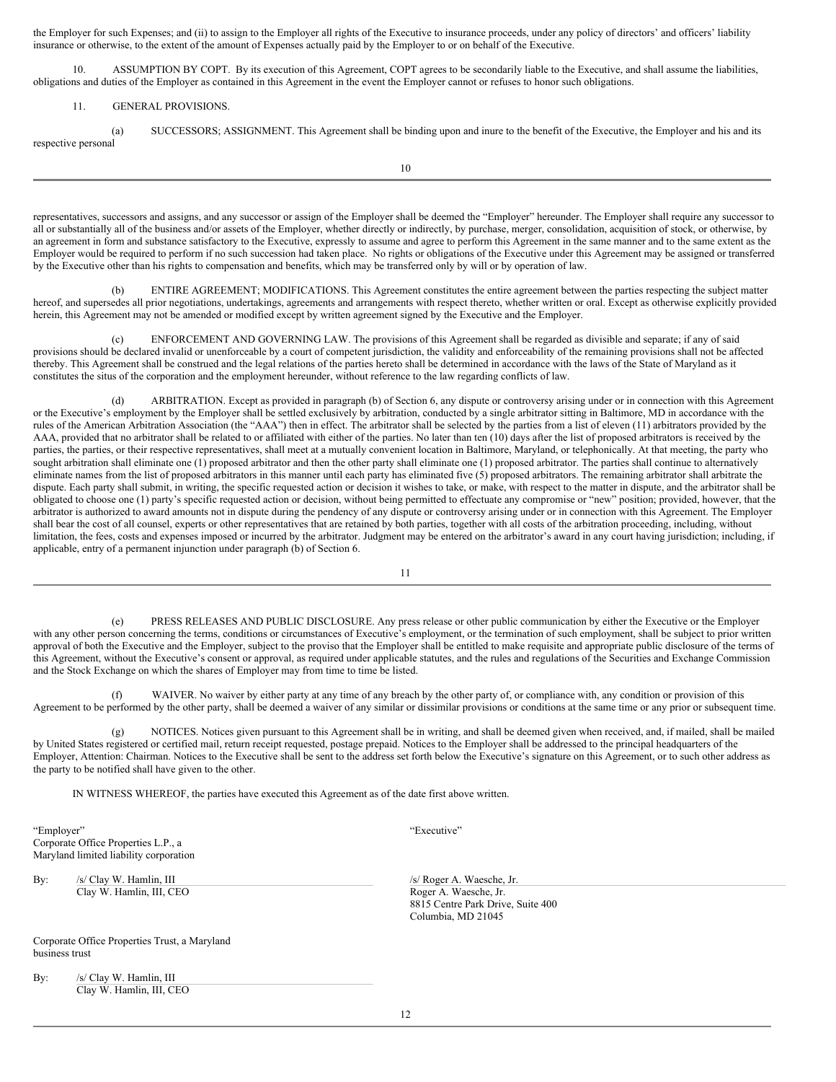the Employer for such Expenses; and (ii) to assign to the Employer all rights of the Executive to insurance proceeds, under any policy of directors' and officers' liability insurance or otherwise, to the extent of the amount of Expenses actually paid by the Employer to or on behalf of the Executive.

10. ASSUMPTION BY COPT. By its execution of this Agreement, COPT agrees to be secondarily liable to the Executive, and shall assume the liabilities, obligations and duties of the Employer as contained in this Agreement in the event the Employer cannot or refuses to honor such obligations.

# 11. GENERAL PROVISIONS.

(a) SUCCESSORS; ASSIGNMENT. This Agreement shall be binding upon and inure to the benefit of the Executive, the Employer and his and its respective personal

10

representatives, successors and assigns, and any successor or assign of the Employer shall be deemed the "Employer" hereunder. The Employer shall require any successor to all or substantially all of the business and/or assets of the Employer, whether directly or indirectly, by purchase, merger, consolidation, acquisition of stock, or otherwise, by an agreement in form and substance satisfactory to the Executive, expressly to assume and agree to perform this Agreement in the same manner and to the same extent as the Employer would be required to perform if no such succession had taken place. No rights or obligations of the Executive under this Agreement may be assigned or transferred by the Executive other than his rights to compensation and benefits, which may be transferred only by will or by operation of law.

(b) ENTIRE AGREEMENT; MODIFICATIONS. This Agreement constitutes the entire agreement between the parties respecting the subject matter hereof, and supersedes all prior negotiations, undertakings, agreements and arrangements with respect thereto, whether written or oral. Except as otherwise explicitly provided herein, this Agreement may not be amended or modified except by written agreement signed by the Executive and the Employer.

(c) ENFORCEMENT AND GOVERNING LAW. The provisions of this Agreement shall be regarded as divisible and separate; if any of said provisions should be declared invalid or unenforceable by a court of competent jurisdiction, the validity and enforceability of the remaining provisions shall not be affected thereby. This Agreement shall be construed and the legal relations of the parties hereto shall be determined in accordance with the laws of the State of Maryland as it constitutes the situs of the corporation and the employment hereunder, without reference to the law regarding conflicts of law.

(d) ARBITRATION. Except as provided in paragraph (b) of Section 6, any dispute or controversy arising under or in connection with this Agreement or the Executive's employment by the Employer shall be settled exclusively by arbitration, conducted by a single arbitrator sitting in Baltimore, MD in accordance with the rules of the American Arbitration Association (the "AAA") then in effect. The arbitrator shall be selected by the parties from a list of eleven (11) arbitrators provided by the AAA, provided that no arbitrator shall be related to or affiliated with either of the parties. No later than ten (10) days after the list of proposed arbitrators is received by the parties, the parties, or their respective representatives, shall meet at a mutually convenient location in Baltimore, Maryland, or telephonically. At that meeting, the party who sought arbitration shall eliminate one (1) proposed arbitrator and then the other party shall eliminate one (1) proposed arbitrator. The parties shall continue to alternatively eliminate names from the list of proposed arbitrators in this manner until each party has eliminated five (5) proposed arbitrators. The remaining arbitrator shall arbitrate the dispute. Each party shall submit, in writing, the specific requested action or decision it wishes to take, or make, with respect to the matter in dispute, and the arbitrator shall be obligated to choose one (1) party's specific requested action or decision, without being permitted to effectuate any compromise or "new" position; provided, however, that the arbitrator is authorized to award amounts not in dispute during the pendency of any dispute or controversy arising under or in connection with this Agreement. The Employer shall bear the cost of all counsel, experts or other representatives that are retained by both parties, together with all costs of the arbitration proceeding, including, without limitation, the fees, costs and expenses imposed or incurred by the arbitrator. Judgment may be entered on the arbitrator's award in any court having jurisdiction; including, if applicable, entry of a permanent injunction under paragraph (b) of Section 6.

(e) PRESS RELEASES AND PUBLIC DISCLOSURE. Any press release or other public communication by either the Executive or the Employer with any other person concerning the terms, conditions or circumstances of Executive's employment, or the termination of such employment, shall be subject to prior written approval of both the Executive and the Employer, subject to the proviso that the Employer shall be entitled to make requisite and appropriate public disclosure of the terms of this Agreement, without the Executive's consent or approval, as required under applicable statutes, and the rules and regulations of the Securities and Exchange Commission and the Stock Exchange on which the shares of Employer may from time to time be listed.

(f) WAIVER. No waiver by either party at any time of any breach by the other party of, or compliance with, any condition or provision of this Agreement to be performed by the other party, shall be deemed a waiver of any similar or dissimilar provisions or conditions at the same time or any prior or subsequent time.

(g) NOTICES. Notices given pursuant to this Agreement shall be in writing, and shall be deemed given when received, and, if mailed, shall be mailed by United States registered or certified mail, return receipt requested, postage prepaid. Notices to the Employer shall be addressed to the principal headquarters of the Employer, Attention: Chairman. Notices to the Executive shall be sent to the address set forth below the Executive's signature on this Agreement, or to such other address as the party to be notified shall have given to the other.

IN WITNESS WHEREOF, the parties have executed this Agreement as of the date first above written.

"Employer" "Executive" Corporate Office Properties L.P., a Maryland limited liability corporation

By: /s/ Clay W. Hamlin, III /s/ Clay W. Hamlin, III /s/ Roger A. Waesche, Jr. /s/ Roger A. Waesche, Jr. /s/ Roger A. Waesche, Jr. Clay W. Hamlin, III, CEO

Corporate Office Properties Trust, a Maryland business trust

By: /s/ Clay W. Hamlin, III Clay W. Hamlin, III, CEO

8815 Centre Park Drive, Suite 400 Columbia, MD 21045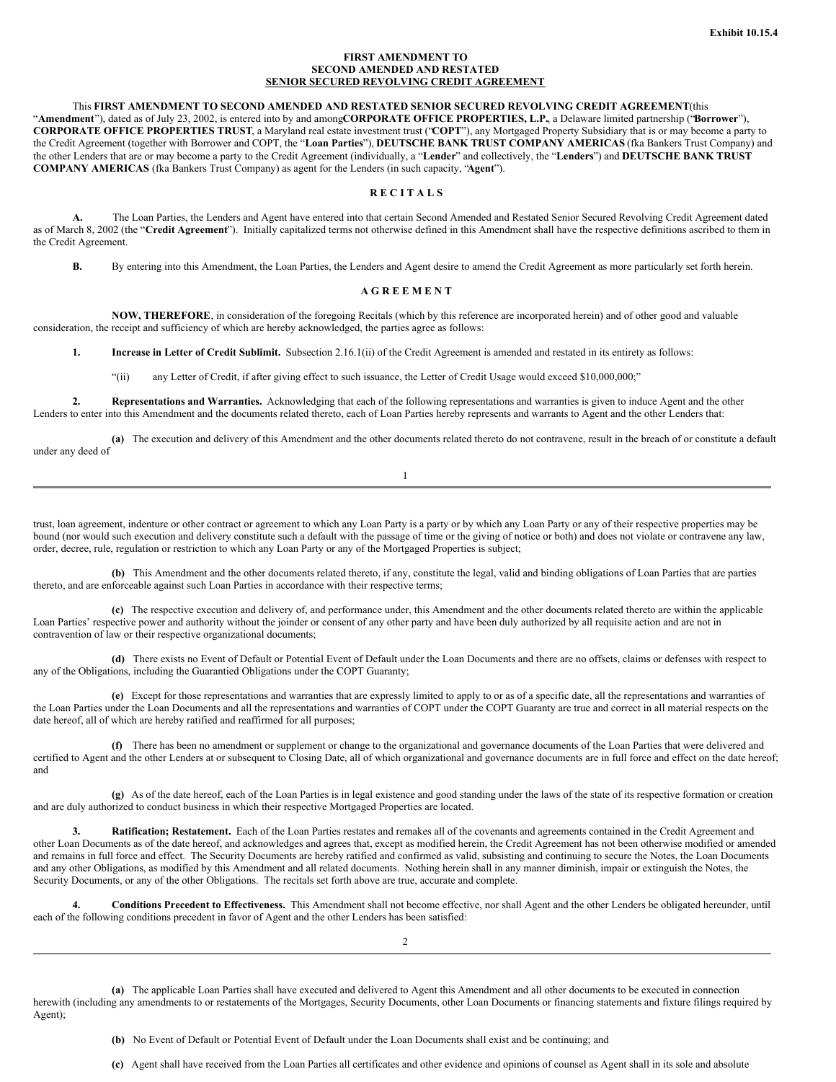#### **FIRST AMENDMENT TO SECOND AMENDED AND RESTATED SENIOR SECURED REVOLVING CREDIT AGREEMENT**

# This **FIRST AMENDMENT TO SECOND AMENDED AND RESTATED SENIOR SECURED REVOLVING CREDIT AGREEMENT**(this

"**Amendment**"), dated as of July 23, 2002, is entered into by and among**CORPORATE OFFICE PROPERTIES, L.P.**, a Delaware limited partnership ("**Borrower**"), **CORPORATE OFFICE PROPERTIES TRUST**, a Maryland real estate investment trust ("**COPT**"), any Mortgaged Property Subsidiary that is or may become a party to the Credit Agreement (together with Borrower and COPT, the "**Loan Parties**"), **DEUTSCHE BANK TRUST COMPANY AMERICAS** (fka Bankers Trust Company) and the other Lenders that are or may become a party to the Credit Agreement (individually, a "**Lender**" and collectively, the "**Lenders**") and **DEUTSCHE BANK TRUST COMPANY AMERICAS** (fka Bankers Trust Company) as agent for the Lenders (in such capacity, "**Agent**").

## **R E C I T A L S**

**A.** The Loan Parties, the Lenders and Agent have entered into that certain Second Amended and Restated Senior Secured Revolving Credit Agreement dated as of March 8, 2002 (the "**Credit Agreement**"). Initially capitalized terms not otherwise defined in this Amendment shall have the respective definitions ascribed to them in the Credit Agreement.

**B.** By entering into this Amendment, the Loan Parties, the Lenders and Agent desire to amend the Credit Agreement as more particularly set forth herein.

## **A G R E E M E N T**

**NOW, THEREFORE**, in consideration of the foregoing Recitals (which by this reference are incorporated herein) and of other good and valuable consideration, the receipt and sufficiency of which are hereby acknowledged, the parties agree as follows:

**1. Increase in Letter of Credit Sublimit.** Subsection 2.16.1(ii) of the Credit Agreement is amended and restated in its entirety as follows:

"(ii) any Letter of Credit, if after giving effect to such issuance, the Letter of Credit Usage would exceed \$10,000,000;"

**2. Representations and Warranties.** Acknowledging that each of the following representations and warranties is given to induce Agent and the other Lenders to enter into this Amendment and the documents related thereto, each of Loan Parties hereby represents and warrants to Agent and the other Lenders that:

**(a)** The execution and delivery of this Amendment and the other documents related thereto do not contravene, result in the breach of or constitute a default under any deed of

1

trust, loan agreement, indenture or other contract or agreement to which any Loan Party is a party or by which any Loan Party or any of their respective properties may be bound (nor would such execution and delivery constitute such a default with the passage of time or the giving of notice or both) and does not violate or contravene any law, order, decree, rule, regulation or restriction to which any Loan Party or any of the Mortgaged Properties is subject;

**(b)** This Amendment and the other documents related thereto, if any, constitute the legal, valid and binding obligations of Loan Parties that are parties thereto, and are enforceable against such Loan Parties in accordance with their respective terms;

**(c)** The respective execution and delivery of, and performance under, this Amendment and the other documents related thereto are within the applicable Loan Parties' respective power and authority without the joinder or consent of any other party and have been duly authorized by all requisite action and are not in contravention of law or their respective organizational documents;

**(d)** There exists no Event of Default or Potential Event of Default under the Loan Documents and there are no offsets, claims or defenses with respect to any of the Obligations, including the Guarantied Obligations under the COPT Guaranty;

**(e)** Except for those representations and warranties that are expressly limited to apply to or as of a specific date, all the representations and warranties of the Loan Parties under the Loan Documents and all the representations and warranties of COPT under the COPT Guaranty are true and correct in all material respects on the date hereof, all of which are hereby ratified and reaffirmed for all purposes;

**(f)** There has been no amendment or supplement or change to the organizational and governance documents of the Loan Parties that were delivered and certified to Agent and the other Lenders at or subsequent to Closing Date, all of which organizational and governance documents are in full force and effect on the date hereof; and

**(g)** As of the date hereof, each of the Loan Parties is in legal existence and good standing under the laws of the state of its respective formation or creation and are duly authorized to conduct business in which their respective Mortgaged Properties are located.

**3. Ratification; Restatement.** Each of the Loan Parties restates and remakes all of the covenants and agreements contained in the Credit Agreement and other Loan Documents as of the date hereof, and acknowledges and agrees that, except as modified herein, the Credit Agreement has not been otherwise modified or amended and remains in full force and effect. The Security Documents are hereby ratified and confirmed as valid, subsisting and continuing to secure the Notes, the Loan Documents and any other Obligations, as modified by this Amendment and all related documents. Nothing herein shall in any manner diminish, impair or extinguish the Notes, the Security Documents, or any of the other Obligations. The recitals set forth above are true, accurate and complete.

**4. Conditions Precedent to Effectiveness.** This Amendment shall not become effective, nor shall Agent and the other Lenders be obligated hereunder, until each of the following conditions precedent in favor of Agent and the other Lenders has been satisfied:

 $\overline{2}$ 

**(a)** The applicable Loan Parties shall have executed and delivered to Agent this Amendment and all other documents to be executed in connection herewith (including any amendments to or restatements of the Mortgages, Security Documents, other Loan Documents or financing statements and fixture filings required by Agent);

**(b)** No Event of Default or Potential Event of Default under the Loan Documents shall exist and be continuing; and

**(c)** Agent shall have received from the Loan Parties all certificates and other evidence and opinions of counsel as Agent shall in its sole and absolute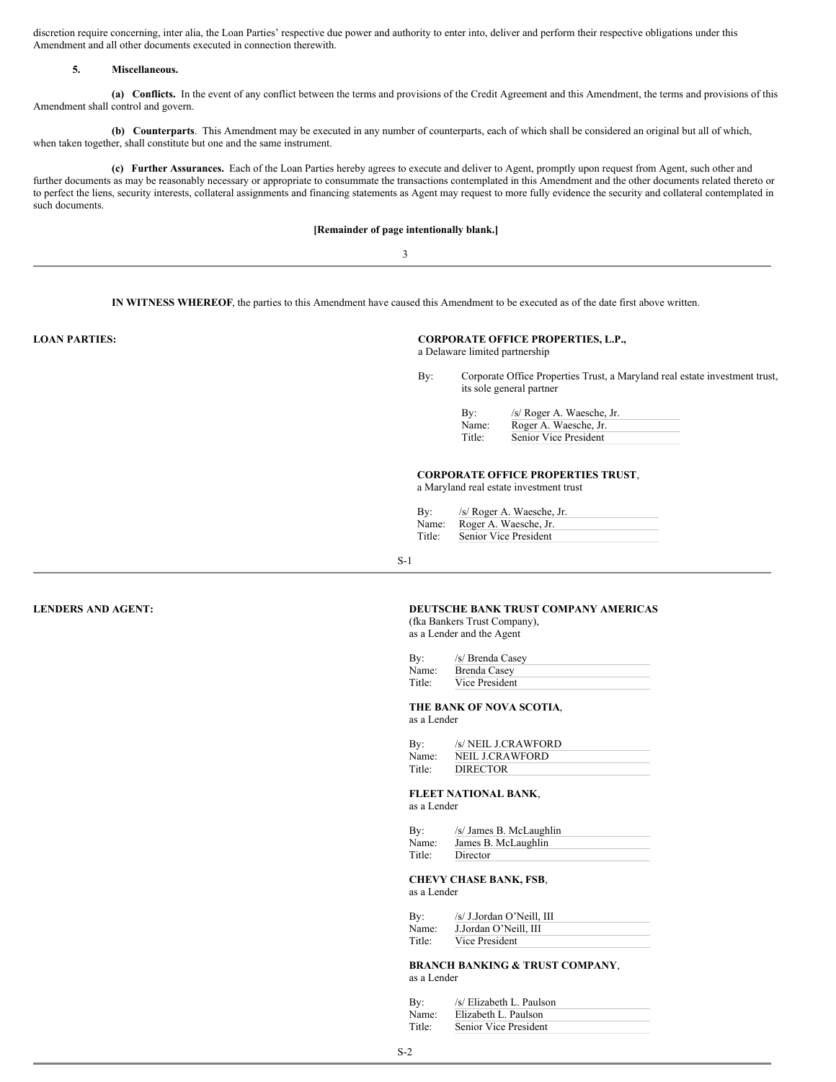discretion require concerning, inter alia, the Loan Parties' respective due power and authority to enter into, deliver and perform their respective obligations under this Amendment and all other documents executed in connection therewith.

## **5. Miscellaneous.**

**(a) Conflicts.** In the event of any conflict between the terms and provisions of the Credit Agreement and this Amendment, the terms and provisions of this Amendment shall control and govern.

**(b) Counterparts**. This Amendment may be executed in any number of counterparts, each of which shall be considered an original but all of which, when taken together, shall constitute but one and the same instrument.

**(c) Further Assurances.** Each of the Loan Parties hereby agrees to execute and deliver to Agent, promptly upon request from Agent, such other and further documents as may be reasonably necessary or appropriate to consummate the transactions contemplated in this Amendment and the other documents related thereto or to perfect the liens, security interests, collateral assignments and financing statements as Agent may request to more fully evidence the security and collateral contemplated in such documents.

## **[Remainder of page intentionally blank.]**

3

**IN WITNESS WHEREOF**, the parties to this Amendment have caused this Amendment to be executed as of the date first above written.

# **LOAN PARTIES: CORPORATE OFFICE PROPERTIES, L.P.,**

a Delaware limited partnership

By: Corporate Office Properties Trust, a Maryland real estate investment trust, its sole general partner

| Bv:    | /s/ Roger A. Waesche, Jr. |
|--------|---------------------------|
| Name:  | Roger A. Waesche, Jr.     |
| Title: | Senior Vice President     |

#### **CORPORATE OFFICE PROPERTIES TRUST**,

a Maryland real estate investment trust

| By:    | /s/ Roger A. Waesche, Jr. |
|--------|---------------------------|
| Name:  | Roger A. Waesche, Jr.     |
| Title: | Senior Vice President     |

S-1

#### **LENDERS AND AGENT: DEUTSCHE BANK TRUST COMPANY AMERICAS** (fka Bankers Trust Company),

as a Lender and the Agent

| By:    | /s/ Brenda Casey |
|--------|------------------|
| Name:  | Brenda Casey     |
| Title: | Vice President   |

## **THE BANK OF NOVA SCOTIA**,

as a Lender

| By:    | /s/ NEIL J.CRAWFORD    |
|--------|------------------------|
| Name:  | <b>NEIL J.CRAWFORD</b> |
| Title: | <b>DIRECTOR</b>        |

## **FLEET NATIONAL BANK**,

as a Lender

| By:    | /s/ James B. McLaughlin |
|--------|-------------------------|
| Name:  | James B. McLaughlin     |
| Title: | Director                |

# **CHEVY CHASE BANK, FSB**,

as a Lender

| By:    | /s/ J.Jordan O'Neill. III |
|--------|---------------------------|
| Name:  | J.Jordan O'Neill, III     |
| Title: | Vice President            |

# **BRANCH BANKING & TRUST COMPANY**,

as a Lender

| By:    | /s/ Elizabeth L. Paulson |
|--------|--------------------------|
| Name:  | Elizabeth L. Paulson     |
| Title: | Senior Vice President    |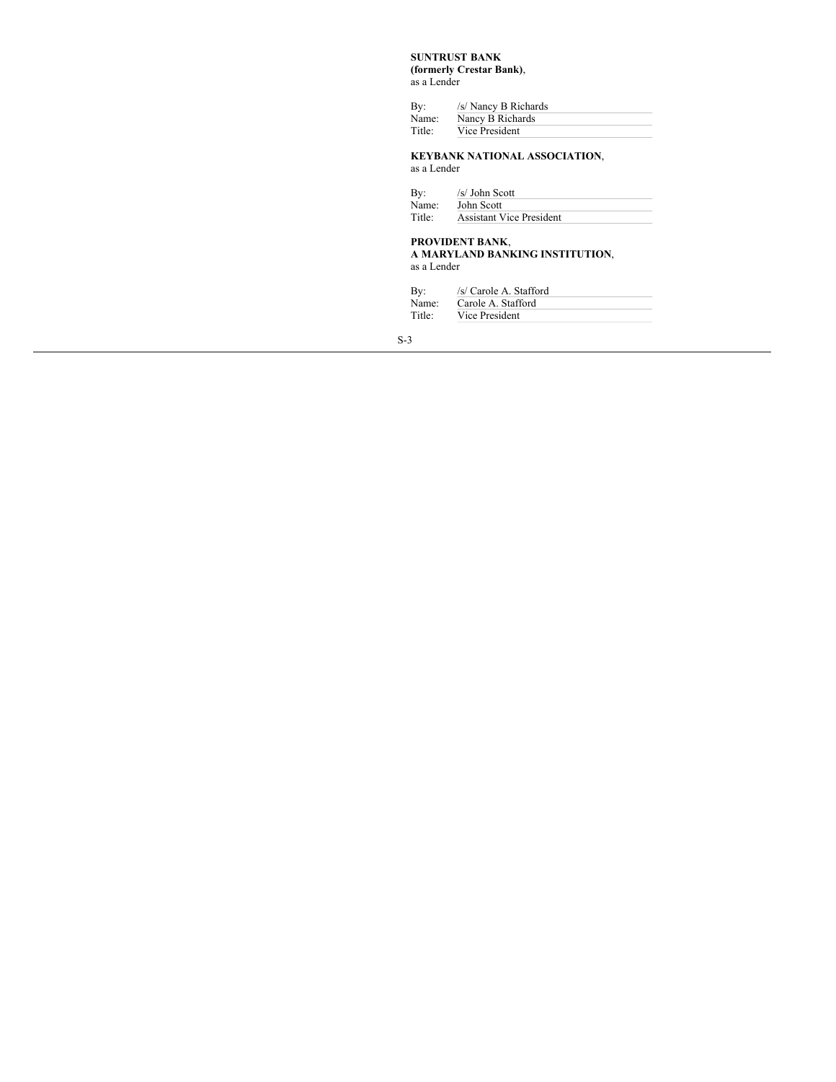# **SUNTRUST BANK**

**(formerly Crestar Bank)**,

as a Lender

| By:    | /s/ Nancy B Richards |
|--------|----------------------|
| Name:  | Nancy B Richards     |
| Title: | Vice President       |

# **KEYBANK NATIONAL ASSOCIATION**,

as a Lender

| By:    | /s/ John Scott                  |
|--------|---------------------------------|
| Name:  | John Scott                      |
| Title: | <b>Assistant Vice President</b> |

#### **PROVIDENT BANK**,

**A MARYLAND BANKING INSTITUTION**, as a Lender

| By:    | /s/ Carole A. Stafford |  |
|--------|------------------------|--|
| Name:  | Carole A. Stafford     |  |
| Title: | Vice President         |  |

S-3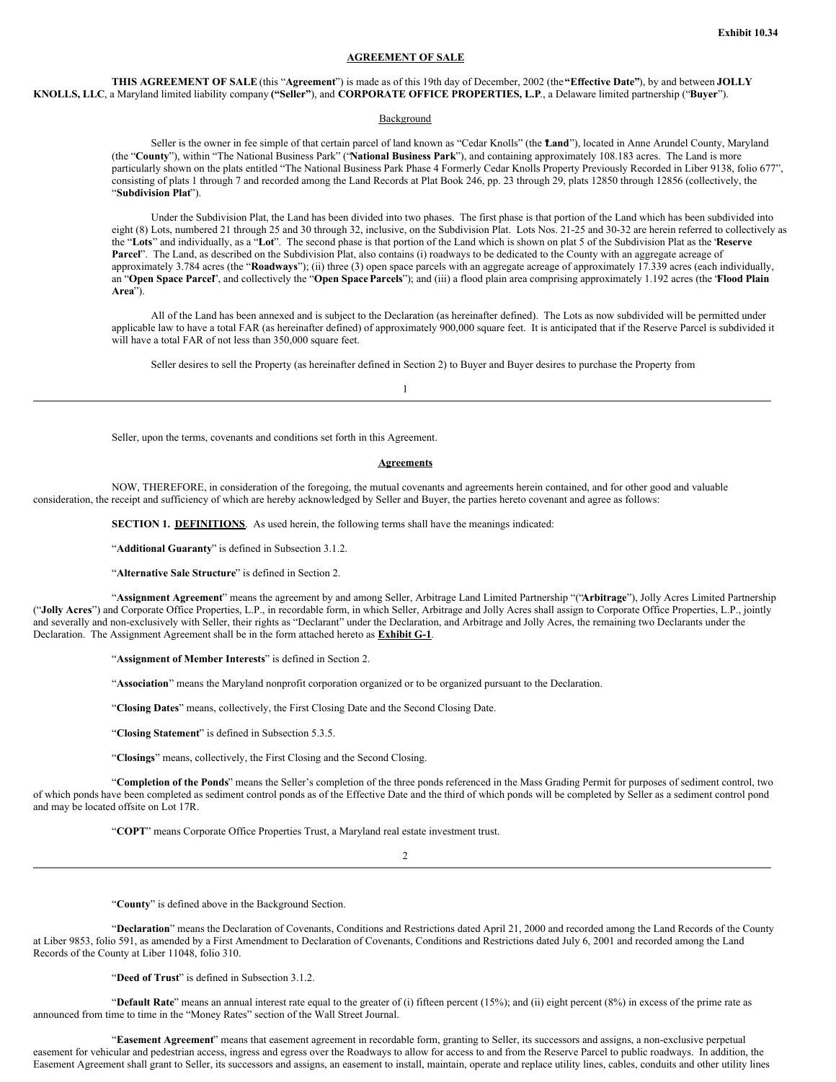## **AGREEMENT OF SALE**

**THIS AGREEMENT OF SALE** (this "**Agreement**") is made as of this 19th day of December, 2002 (the**"Effective Date"**), by and between **JOLLY KNOLLS, LLC**, a Maryland limited liability company **("Seller"**), and **CORPORATE OFFICE PROPERTIES, L.P**., a Delaware limited partnership ("**Buyer**").

## **Background**

Seller is the owner in fee simple of that certain parcel of land known as "Cedar Knolls" (the *Land*"), located in Anne Arundel County, Maryland (the "**County**"), within "The National Business Park" ("**National Business Park**"), and containing approximately 108.183 acres. The Land is more particularly shown on the plats entitled "The National Business Park Phase 4 Formerly Cedar Knolls Property Previously Recorded in Liber 9138, folio 677", consisting of plats 1 through 7 and recorded among the Land Records at Plat Book 246, pp. 23 through 29, plats 12850 through 12856 (collectively, the "**Subdivision Plat**").

Under the Subdivision Plat, the Land has been divided into two phases. The first phase is that portion of the Land which has been subdivided into eight (8) Lots, numbered 21 through 25 and 30 through 32, inclusive, on the Subdivision Plat. Lots Nos. 21-25 and 30-32 are herein referred to collectively as the "**Lots**" and individually, as a "**Lot**". The second phase is that portion of the Land which is shown on plat 5 of the Subdivision Plat as the "**Reserve** Parcel". The Land, as described on the Subdivision Plat, also contains (i) roadways to be dedicated to the County with an aggregate acreage of approximately 3.784 acres (the "**Roadways**"); (ii) three (3) open space parcels with an aggregate acreage of approximately 17.339 acres (each individually, an "**Open Space Parcel**", and collectively the "**Open Space Parcels**"); and (iii) a flood plain area comprising approximately 1.192 acres (the "**Flood Plain Area**").

All of the Land has been annexed and is subject to the Declaration (as hereinafter defined). The Lots as now subdivided will be permitted under applicable law to have a total FAR (as hereinafter defined) of approximately 900,000 square feet. It is anticipated that if the Reserve Parcel is subdivided it will have a total FAR of not less than 350,000 square feet.

Seller desires to sell the Property (as hereinafter defined in Section 2) to Buyer and Buyer desires to purchase the Property from

1

Seller, upon the terms, covenants and conditions set forth in this Agreement.

#### **Agreements**

NOW, THEREFORE, in consideration of the foregoing, the mutual covenants and agreements herein contained, and for other good and valuable consideration, the receipt and sufficiency of which are hereby acknowledged by Seller and Buyer, the parties hereto covenant and agree as follows:

**SECTION 1. DEFINITIONS**. As used herein, the following terms shall have the meanings indicated:

"**Additional Guaranty**" is defined in Subsection 3.1.2.

"**Alternative Sale Structure**" is defined in Section 2.

"**Assignment Agreement**" means the agreement by and among Seller, Arbitrage Land Limited Partnership "("**Arbitrage**"), Jolly Acres Limited Partnership ("**Jolly Acres**") and Corporate Office Properties, L.P., in recordable form, in which Seller, Arbitrage and Jolly Acres shall assign to Corporate Office Properties, L.P., jointly and severally and non-exclusively with Seller, their rights as "Declarant" under the Declaration, and Arbitrage and Jolly Acres, the remaining two Declarants under the Declaration. The Assignment Agreement shall be in the form attached hereto as **Exhibit G-1**.

"**Assignment of Member Interests**" is defined in Section 2.

"**Association**" means the Maryland nonprofit corporation organized or to be organized pursuant to the Declaration.

"**Closing Dates**" means, collectively, the First Closing Date and the Second Closing Date.

"**Closing Statement**" is defined in Subsection 5.3.5.

"**Closings**" means, collectively, the First Closing and the Second Closing.

"**Completion of the Ponds**" means the Seller's completion of the three ponds referenced in the Mass Grading Permit for purposes of sediment control, two of which ponds have been completed as sediment control ponds as of the Effective Date and the third of which ponds will be completed by Seller as a sediment control pond and may be located offsite on Lot 17R.

"**COPT**" means Corporate Office Properties Trust, a Maryland real estate investment trust.

 $\overline{2}$ 

"**County**" is defined above in the Background Section.

"**Declaration**" means the Declaration of Covenants, Conditions and Restrictions dated April 21, 2000 and recorded among the Land Records of the County at Liber 9853, folio 591, as amended by a First Amendment to Declaration of Covenants, Conditions and Restrictions dated July 6, 2001 and recorded among the Land Records of the County at Liber 11048, folio 310.

"**Deed of Trust**" is defined in Subsection 3.1.2.

"**Default Rate**" means an annual interest rate equal to the greater of (i) fifteen percent (15%); and (ii) eight percent (8%) in excess of the prime rate as announced from time to time in the "Money Rates" section of the Wall Street Journal.

"**Easement Agreement**" means that easement agreement in recordable form, granting to Seller, its successors and assigns, a non-exclusive perpetual easement for vehicular and pedestrian access, ingress and egress over the Roadways to allow for access to and from the Reserve Parcel to public roadways. In addition, the Easement Agreement shall grant to Seller, its successors and assigns, an easement to install, maintain, operate and replace utility lines, cables, conduits and other utility lines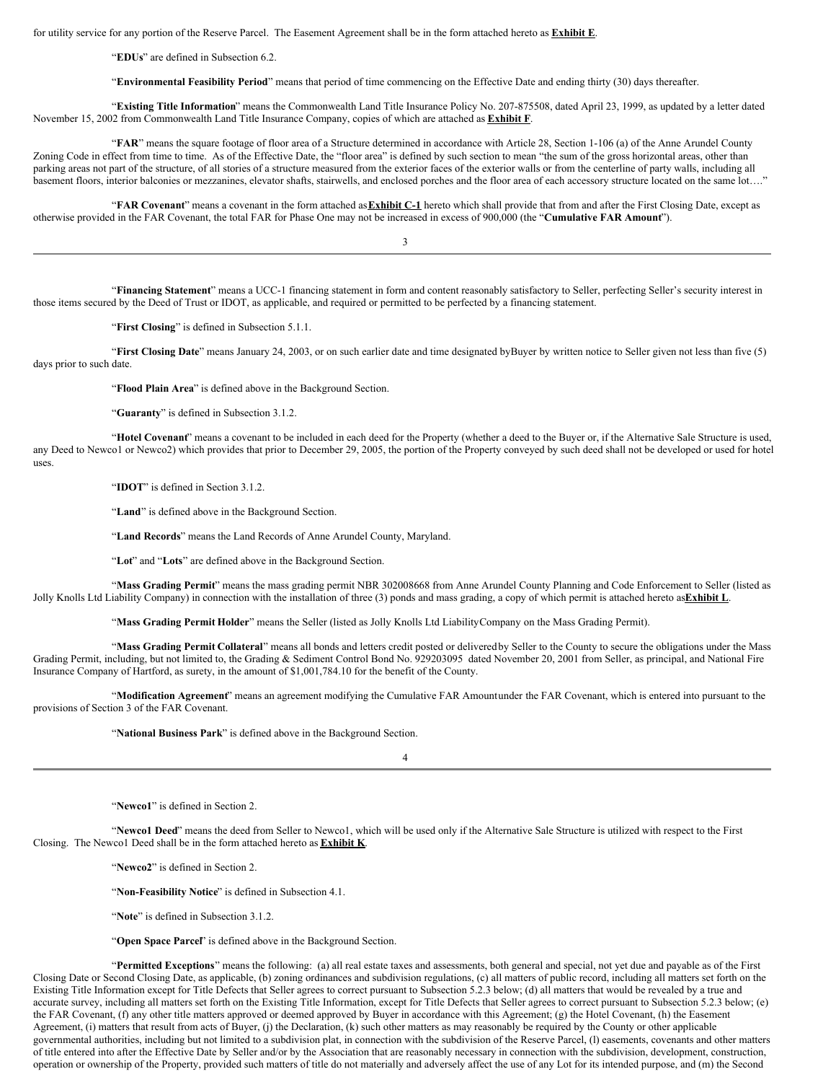for utility service for any portion of the Reserve Parcel. The Easement Agreement shall be in the form attached hereto as **Exhibit E**.

"**EDUs**" are defined in Subsection 6.2.

"**Environmental Feasibility Period**" means that period of time commencing on the Effective Date and ending thirty (30) days thereafter.

"**Existing Title Information**" means the Commonwealth Land Title Insurance Policy No. 207-875508, dated April 23, 1999, as updated by a letter dated November 15, 2002 from Commonwealth Land Title Insurance Company, copies of which are attached as **Exhibit F**.

"**FAR**" means the square footage of floor area of a Structure determined in accordance with Article 28, Section 1-106 (a) of the Anne Arundel County Zoning Code in effect from time to time. As of the Effective Date, the "floor area" is defined by such section to mean "the sum of the gross horizontal areas, other than parking areas not part of the structure, of all stories of a structure measured from the exterior faces of the exterior walls or from the centerline of party walls, including all basement floors, interior balconies or mezzanines, elevator shafts, stairwells, and enclosed porches and the floor area of each accessory structure located on the same lot…."

"**FAR Covenant**" means a covenant in the form attached as**Exhibit C-1** hereto which shall provide that from and after the First Closing Date, except as otherwise provided in the FAR Covenant, the total FAR for Phase One may not be increased in excess of 900,000 (the "**Cumulative FAR Amount**").

3

"**Financing Statement**" means a UCC-1 financing statement in form and content reasonably satisfactory to Seller, perfecting Seller's security interest in those items secured by the Deed of Trust or IDOT, as applicable, and required or permitted to be perfected by a financing statement.

"**First Closing**" is defined in Subsection 5.1.1.

"**First Closing Date**" means January 24, 2003, or on such earlier date and time designated byBuyer by written notice to Seller given not less than five (5) days prior to such date.

"**Flood Plain Area**" is defined above in the Background Section.

"**Guaranty**" is defined in Subsection 3.1.2.

"Hotel Covenant" means a covenant to be included in each deed for the Property (whether a deed to the Buyer or, if the Alternative Sale Structure is used, any Deed to Newco1 or Newco2) which provides that prior to December 29, 2005, the portion of the Property conveyed by such deed shall not be developed or used for hotel uses.

"**IDOT**" is defined in Section 3.1.2.

"**Land**" is defined above in the Background Section.

"**Land Records**" means the Land Records of Anne Arundel County, Maryland.

"**Lot**" and "**Lots**" are defined above in the Background Section.

"**Mass Grading Permit**" means the mass grading permit NBR 302008668 from Anne Arundel County Planning and Code Enforcement to Seller (listed as Jolly Knolls Ltd Liability Company) in connection with the installation of three (3) ponds and mass grading, a copy of which permit is attached hereto as**Exhibit L**.

"**Mass Grading Permit Holder**" means the Seller (listed as Jolly Knolls Ltd LiabilityCompany on the Mass Grading Permit).

"**Mass Grading Permit Collateral**" means all bonds and letters credit posted or delivered by Seller to the County to secure the obligations under the Mass Grading Permit, including, but not limited to, the Grading & Sediment Control Bond No. 929203095 dated November 20, 2001 from Seller, as principal, and National Fire Insurance Company of Hartford, as surety, in the amount of \$1,001,784.10 for the benefit of the County.

"**Modification Agreement**" means an agreement modifying the Cumulative FAR Amountunder the FAR Covenant, which is entered into pursuant to the provisions of Section 3 of the FAR Covenant.

"**National Business Park**" is defined above in the Background Section.

4

"**Newco1**" is defined in Section 2.

"**Newco1 Deed**" means the deed from Seller to Newco1, which will be used only if the Alternative Sale Structure is utilized with respect to the First Closing. The Newco1 Deed shall be in the form attached hereto as **Exhibit K**.

"**Newco2**" is defined in Section 2.

"**Non-Feasibility Notice**" is defined in Subsection 4.1.

"**Note**" is defined in Subsection 3.1.2.

"**Open Space Parcel**" is defined above in the Background Section.

"**Permitted Exceptions**" means the following: (a) all real estate taxes and assessments, both general and special, not yet due and payable as of the First Closing Date or Second Closing Date, as applicable, (b) zoning ordinances and subdivision regulations, (c) all matters of public record, including all matters set forth on the Existing Title Information except for Title Defects that Seller agrees to correct pursuant to Subsection 5.2.3 below; (d) all matters that would be revealed by a true and accurate survey, including all matters set forth on the Existing Title Information, except for Title Defects that Seller agrees to correct pursuant to Subsection 5.2.3 below; (e) the FAR Covenant, (f) any other title matters approved or deemed approved by Buyer in accordance with this Agreement; (g) the Hotel Covenant, (h) the Easement Agreement, (i) matters that result from acts of Buyer, (j) the Declaration, (k) such other matters as may reasonably be required by the County or other applicable governmental authorities, including but not limited to a subdivision plat, in connection with the subdivision of the Reserve Parcel, (l) easements, covenants and other matters of title entered into after the Effective Date by Seller and/or by the Association that are reasonably necessary in connection with the subdivision, development, construction, operation or ownership of the Property, provided such matters of title do not materially and adversely affect the use of any Lot for its intended purpose, and (m) the Second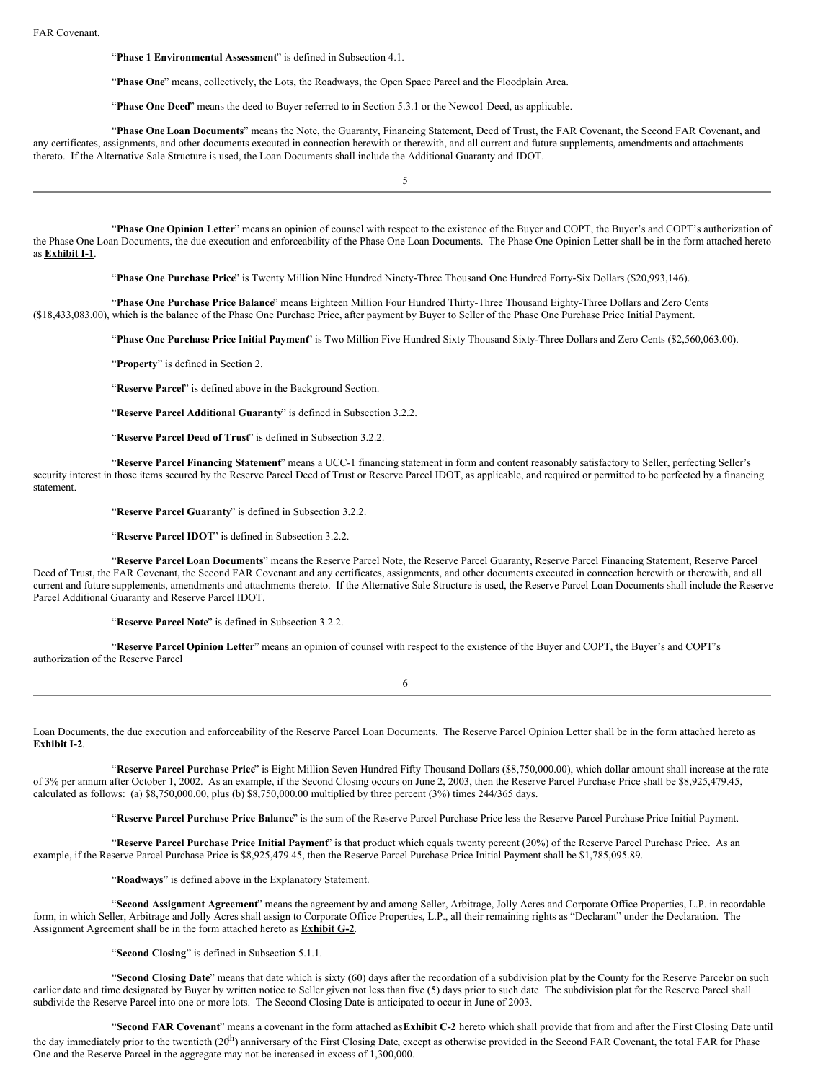"**Phase 1 Environmental Assessment**" is defined in Subsection 4.1.

"**Phase One**" means, collectively, the Lots, the Roadways, the Open Space Parcel and the Floodplain Area.

"**Phase One Deed**" means the deed to Buyer referred to in Section 5.3.1 or the Newco1 Deed, as applicable.

"**Phase One Loan Documents**" means the Note, the Guaranty, Financing Statement, Deed of Trust, the FAR Covenant, the Second FAR Covenant, and any certificates, assignments, and other documents executed in connection herewith or therewith, and all current and future supplements, amendments and attachments thereto. If the Alternative Sale Structure is used, the Loan Documents shall include the Additional Guaranty and IDOT.

5

"**Phase One Opinion Letter**" means an opinion of counsel with respect to the existence of the Buyer and COPT, the Buyer's and COPT's authorization of the Phase One Loan Documents, the due execution and enforceability of the Phase One Loan Documents. The Phase One Opinion Letter shall be in the form attached hereto as **Exhibit I-1**.

"**Phase One Purchase Price**" is Twenty Million Nine Hundred Ninety-Three Thousand One Hundred Forty-Six Dollars (\$20,993,146).

"**Phase One Purchase Price Balance**" means Eighteen Million Four Hundred Thirty-Three Thousand Eighty-Three Dollars and Zero Cents (\$18,433,083.00), which is the balance of the Phase One Purchase Price, after payment by Buyer to Seller of the Phase One Purchase Price Initial Payment.

"**Phase One Purchase Price Initial Payment**" is Two Million Five Hundred Sixty Thousand Sixty-Three Dollars and Zero Cents (\$2,560,063.00).

"**Property**" is defined in Section 2.

"**Reserve Parcel**" is defined above in the Background Section.

"**Reserve Parcel Additional Guaranty**" is defined in Subsection 3.2.2.

"**Reserve Parcel Deed of Trust**" is defined in Subsection 3.2.2.

"**Reserve Parcel Financing Statement**" means a UCC-1 financing statement in form and content reasonably satisfactory to Seller, perfecting Seller's security interest in those items secured by the Reserve Parcel Deed of Trust or Reserve Parcel IDOT, as applicable, and required or permitted to be perfected by a financing statement.

"**Reserve Parcel Guaranty**" is defined in Subsection 3.2.2.

"**Reserve Parcel IDOT**" is defined in Subsection 3.2.2.

"**Reserve Parcel Loan Documents**" means the Reserve Parcel Note, the Reserve Parcel Guaranty, Reserve Parcel Financing Statement, Reserve Parcel Deed of Trust, the FAR Covenant, the Second FAR Covenant and any certificates, assignments, and other documents executed in connection herewith or therewith, and all current and future supplements, amendments and attachments thereto. If the Alternative Sale Structure is used, the Reserve Parcel Loan Documents shall include the Reserve Parcel Additional Guaranty and Reserve Parcel IDOT.

"**Reserve Parcel Note**" is defined in Subsection 3.2.2.

"**Reserve Parcel Opinion Letter**" means an opinion of counsel with respect to the existence of the Buyer and COPT, the Buyer's and COPT's authorization of the Reserve Parcel

6

Loan Documents, the due execution and enforceability of the Reserve Parcel Loan Documents. The Reserve Parcel Opinion Letter shall be in the form attached hereto as **Exhibit I-2**.

"**Reserve Parcel Purchase Price**" is Eight Million Seven Hundred Fifty Thousand Dollars (\$8,750,000.00), which dollar amount shall increase at the rate of 3% per annum after October 1, 2002. As an example, if the Second Closing occurs on June 2, 2003, then the Reserve Parcel Purchase Price shall be \$8,925,479.45, calculated as follows: (a)  $$8,750,000.00$ , plus (b)  $$8,750,000.00$  multiplied by three percent (3%) times 244/365 days.

"**Reserve Parcel Purchase Price Balance**" is the sum of the Reserve Parcel Purchase Price less the Reserve Parcel Purchase Price Initial Payment.

"**Reserve Parcel Purchase Price Initial Payment**" is that product which equals twenty percent (20%) of the Reserve Parcel Purchase Price. As an example, if the Reserve Parcel Purchase Price is \$8,925,479.45, then the Reserve Parcel Purchase Price Initial Payment shall be \$1,785,095.89.

"**Roadways**" is defined above in the Explanatory Statement.

"**Second Assignment Agreement**" means the agreement by and among Seller, Arbitrage, Jolly Acres and Corporate Office Properties, L.P. in recordable form, in which Seller, Arbitrage and Jolly Acres shall assign to Corporate Office Properties, L.P., all their remaining rights as "Declarant" under the Declaration. The Assignment Agreement shall be in the form attached hereto as **Exhibit G-2**.

"**Second Closing**" is defined in Subsection 5.1.1.

"**Second Closing Date**" means that date which is sixty (60) days after the recordation of a subdivision plat by the County for the Reserve Parcelor on such earlier date and time designated by Buyer by written notice to Seller given not less than five (5) days prior to such date. The subdivision plat for the Reserve Parcel shall subdivide the Reserve Parcel into one or more lots. The Second Closing Date is anticipated to occur in June of 2003.

"**Second FAR Covenant**" means a covenant in the form attached as**Exhibit C-2** hereto which shall provide that from and after the First Closing Date until the day immediately prior to the twentieth  $(20^{\text{th}})$  anniversary of the First Closing Date, except as otherwise provided in the Second FAR Covenant, the total FAR for Phase One and the Reserve Parcel in the aggregate may not be increased in excess of 1,300,000.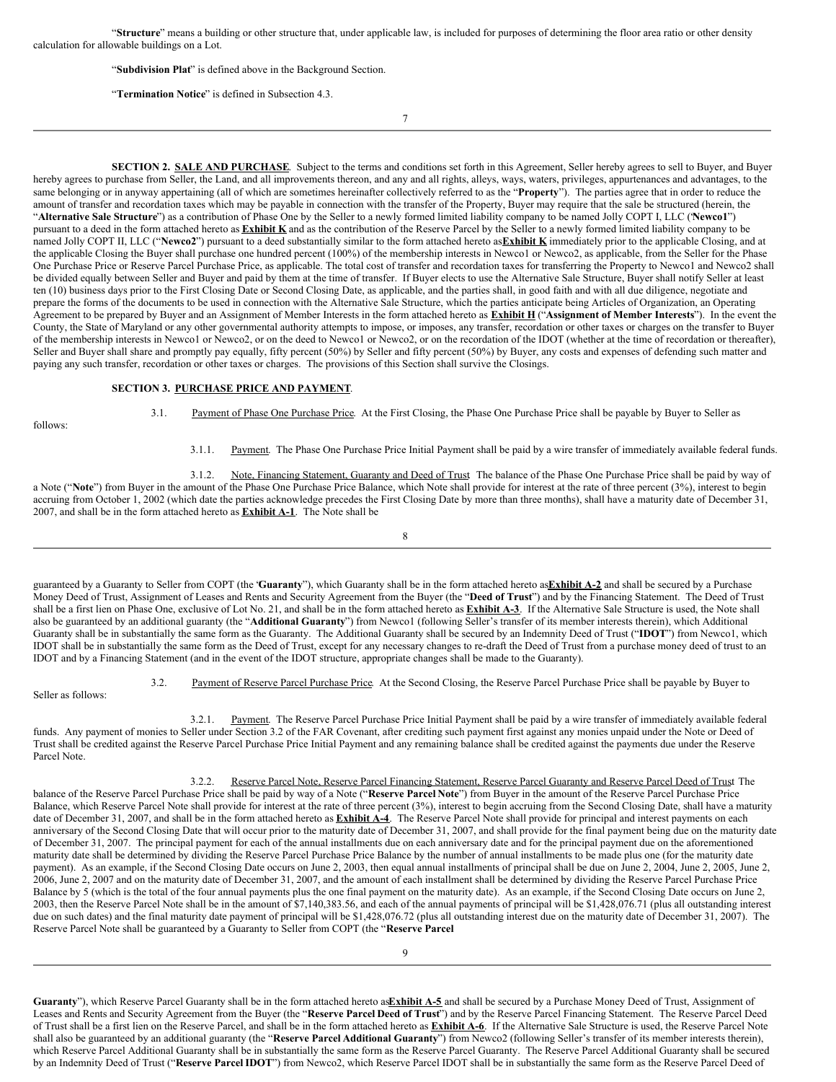"**Structure**" means a building or other structure that, under applicable law, is included for purposes of determining the floor area ratio or other density calculation for allowable buildings on a Lot.

"**Subdivision Plat**" is defined above in the Background Section.

"**Termination Notice**" is defined in Subsection 4.3.

7

**SECTION 2. SALE AND PURCHASE**. Subject to the terms and conditions set forth in this Agreement, Seller hereby agrees to sell to Buyer, and Buyer hereby agrees to purchase from Seller, the Land, and all improvements thereon, and any and all rights, alleys, ways, waters, privileges, appurtenances and advantages, to the same belonging or in anyway appertaining (all of which are sometimes hereinafter collectively referred to as the "**Property**"). The parties agree that in order to reduce the amount of transfer and recordation taxes which may be payable in connection with the transfer of the Property, Buyer may require that the sale be structured (herein, the "**Alternative Sale Structure**") as a contribution of Phase One by the Seller to a newly formed limited liability company to be named Jolly COPT I, LLC ("**Newco1**") pursuant to a deed in the form attached hereto as **Exhibit K** and as the contribution of the Reserve Parcel by the Seller to a newly formed limited liability company to be named Jolly COPT II, LLC ("**Newco2**") pursuant to a deed substantially similar to the form attached hereto as**Exhibit K** immediately prior to the applicable Closing, and at the applicable Closing the Buyer shall purchase one hundred percent (100%) of the membership interests in Newco1 or Newco2, as applicable, from the Seller for the Phase One Purchase Price or Reserve Parcel Purchase Price, as applicable. The total cost of transfer and recordation taxes for transferring the Property to Newco1 and Newco2 shall be divided equally between Seller and Buyer and paid by them at the time of transfer. If Buyer elects to use the Alternative Sale Structure, Buyer shall notify Seller at least ten (10) business days prior to the First Closing Date or Second Closing Date, as applicable, and the parties shall, in good faith and with all due diligence, negotiate and prepare the forms of the documents to be used in connection with the Alternative Sale Structure, which the parties anticipate being Articles of Organization, an Operating Agreement to be prepared by Buyer and an Assignment of Member Interests in the form attached hereto as **Exhibit H** ("**Assignment of Member Interests**"). In the event the County, the State of Maryland or any other governmental authority attempts to impose, or imposes, any transfer, recordation or other taxes or charges on the transfer to Buyer of the membership interests in Newco1 or Newco2, or on the deed to Newco1 or Newco2, or on the recordation of the IDOT (whether at the time of recordation or thereafter), Seller and Buyer shall share and promptly pay equally, fifty percent (50%) by Seller and fifty percent (50%) by Buyer, any costs and expenses of defending such matter and paying any such transfer, recordation or other taxes or charges. The provisions of this Section shall survive the Closings.

# **SECTION 3. PURCHASE PRICE AND PAYMENT**.

follows:

3.1. Payment of Phase One Purchase Price. At the First Closing, the Phase One Purchase Price shall be payable by Buyer to Seller as

3.1.1. Payment. The Phase One Purchase Price Initial Payment shall be paid by a wire transfer of immediately available federal funds.

3.1.2. Note, Financing Statement, Guaranty and Deed of Trust. The balance of the Phase One Purchase Price shall be paid by way of a Note ("Note") from Buyer in the amount of the Phase One Purchase Price Balance, which Note shall provide for interest at the rate of three percent (3%), interest to begin accruing from October 1, 2002 (which date the parties acknowledge precedes the First Closing Date by more than three months), shall have a maturity date of December 31, 2007, and shall be in the form attached hereto as **Exhibit A-1**. The Note shall be

8

guaranteed by a Guaranty to Seller from COPT (the "**Guaranty**"), which Guaranty shall be in the form attached hereto as**Exhibit A-2** and shall be secured by a Purchase Money Deed of Trust, Assignment of Leases and Rents and Security Agreement from the Buyer (the "**Deed of Trust**") and by the Financing Statement. The Deed of Trust shall be a first lien on Phase One, exclusive of Lot No. 21, and shall be in the form attached hereto as **Exhibit A-3**. If the Alternative Sale Structure is used, the Note shall also be guaranteed by an additional guaranty (the "**Additional Guaranty**") from Newco1 (following Seller's transfer of its member interests therein), which Additional Guaranty shall be in substantially the same form as the Guaranty. The Additional Guaranty shall be secured by an Indemnity Deed of Trust ("**IDOT**") from Newco1, which IDOT shall be in substantially the same form as the Deed of Trust, except for any necessary changes to re-draft the Deed of Trust from a purchase money deed of trust to an IDOT and by a Financing Statement (and in the event of the IDOT structure, appropriate changes shall be made to the Guaranty).

3.2. Payment of Reserve Parcel Purchase Price. At the Second Closing, the Reserve Parcel Purchase Price shall be payable by Buyer to

Seller as follows:

3.2.1. Payment. The Reserve Parcel Purchase Price Initial Payment shall be paid by a wire transfer of immediately available federal funds. Any payment of monies to Seller under Section 3.2 of the FAR Covenant, after crediting such payment first against any monies unpaid under the Note or Deed of Trust shall be credited against the Reserve Parcel Purchase Price Initial Payment and any remaining balance shall be credited against the payments due under the Reserve Parcel Note.

3.2.2. Reserve Parcel Note, Reserve Parcel Financing Statement, Reserve Parcel Guaranty and Reserve Parcel Deed of Trust The balance of the Reserve Parcel Purchase Price shall be paid by way of a Note ("**Reserve Parcel Note**") from Buyer in the amount of the Reserve Parcel Purchase Price Balance, which Reserve Parcel Note shall provide for interest at the rate of three percent (3%), interest to begin accruing from the Second Closing Date, shall have a maturity date of December 31, 2007, and shall be in the form attached hereto as **Exhibit A-4**. The Reserve Parcel Note shall provide for principal and interest payments on each anniversary of the Second Closing Date that will occur prior to the maturity date of December 31, 2007, and shall provide for the final payment being due on the maturity date of December 31, 2007. The principal payment for each of the annual installments due on each anniversary date and for the principal payment due on the aforementioned maturity date shall be determined by dividing the Reserve Parcel Purchase Price Balance by the number of annual installments to be made plus one (for the maturity date payment). As an example, if the Second Closing Date occurs on June 2, 2003, then equal annual installments of principal shall be due on June 2, 2004, June 2, 2005, June 2, 2006, June 2, 2007 and on the maturity date of December 31, 2007, and the amount of each installment shall be determined by dividing the Reserve Parcel Purchase Price Balance by 5 (which is the total of the four annual payments plus the one final payment on the maturity date). As an example, if the Second Closing Date occurs on June 2, 2003, then the Reserve Parcel Note shall be in the amount of \$7,140,383.56, and each of the annual payments of principal will be \$1,428,076.71 (plus all outstanding interest due on such dates) and the final maturity date payment of principal will be \$1,428,076.72 (plus all outstanding interest due on the maturity date of December 31, 2007). The Reserve Parcel Note shall be guaranteed by a Guaranty to Seller from COPT (the "**Reserve Parcel**

**Guaranty**"), which Reserve Parcel Guaranty shall be in the form attached hereto as**Exhibit A-5** and shall be secured by a Purchase Money Deed of Trust, Assignment of Leases and Rents and Security Agreement from the Buyer (the "**Reserve Parcel Deed of Trust**") and by the Reserve Parcel Financing Statement. The Reserve Parcel Deed of Trust shall be a first lien on the Reserve Parcel, and shall be in the form attached hereto as **Exhibit A-6**. If the Alternative Sale Structure is used, the Reserve Parcel Note shall also be guaranteed by an additional guaranty (the "**Reserve Parcel Additional Guaranty**") from Newco2 (following Seller's transfer of its member interests therein), which Reserve Parcel Additional Guaranty shall be in substantially the same form as the Reserve Parcel Guaranty. The Reserve Parcel Additional Guaranty shall be secured by an Indemnity Deed of Trust ("**Reserve ParcelIDOT**") from Newco2, which Reserve Parcel IDOT shall be in substantially the same form as the Reserve Parcel Deed of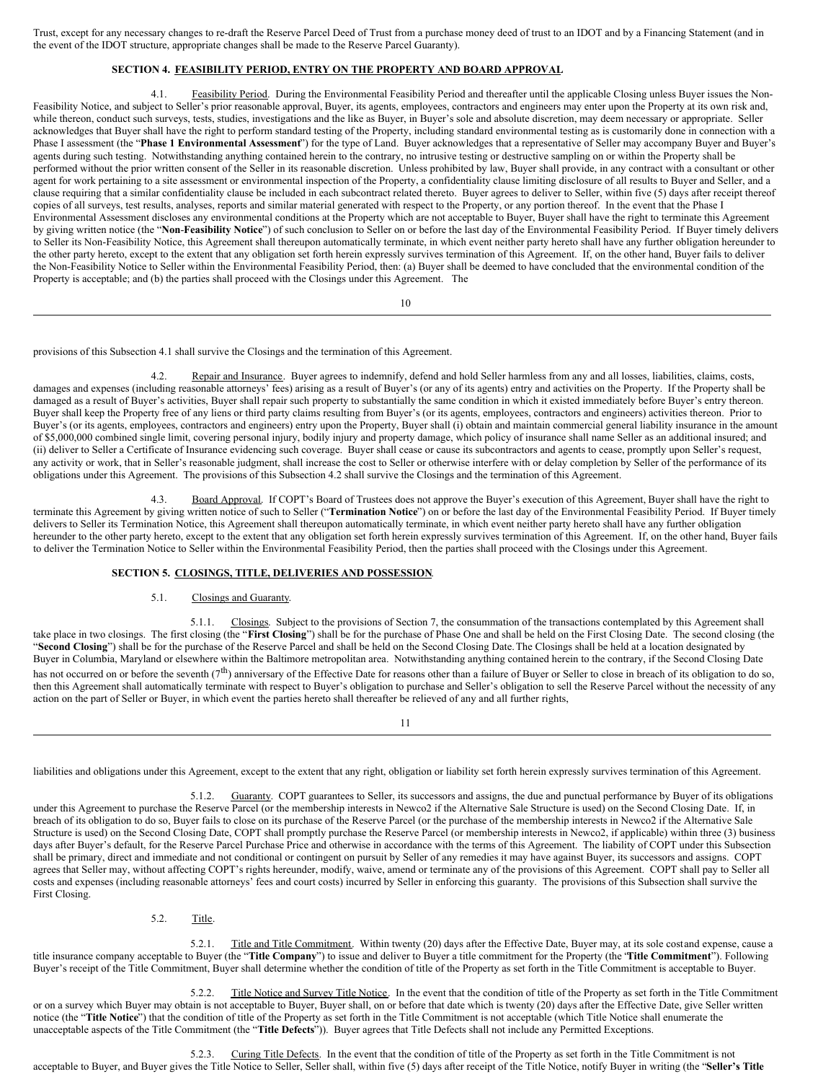Trust, except for any necessary changes to re-draft the Reserve Parcel Deed of Trust from a purchase money deed of trust to an IDOT and by a Financing Statement (and in the event of the IDOT structure, appropriate changes shall be made to the Reserve Parcel Guaranty).

# **SECTION 4. FEASIBILITY PERIOD, ENTRY ON THE PROPERTY AND BOARD APPROVAL**.

4.1. Feasibility Period. During the Environmental Feasibility Period and thereafter until the applicable Closing unless Buyer issues the Non-Feasibility Notice, and subject to Seller's prior reasonable approval, Buyer, its agents, employees, contractors and engineers may enter upon the Property at its own risk and, while thereon, conduct such surveys, tests, studies, investigations and the like as Buyer, in Buyer's sole and absolute discretion, may deem necessary or appropriate. Seller acknowledges that Buyer shall have the right to perform standard testing of the Property, including standard environmental testing as is customarily done in connection with a Phase I assessment (the "**Phase 1 Environmental Assessment**") for the type of Land. Buyer acknowledges that a representative of Seller may accompany Buyer and Buyer's agents during such testing. Notwithstanding anything contained herein to the contrary, no intrusive testing or destructive sampling on or within the Property shall be performed without the prior written consent of the Seller in its reasonable discretion. Unless prohibited by law, Buyer shall provide, in any contract with a consultant or other agent for work pertaining to a site assessment or environmental inspection of the Property, a confidentiality clause limiting disclosure of all results to Buyer and Seller, and a clause requiring that a similar confidentiality clause be included in each subcontract related thereto. Buyer agrees to deliver to Seller, within five (5) days after receipt thereof copies of all surveys, test results, analyses, reports and similar material generated with respect to the Property, or any portion thereof. In the event that the Phase I Environmental Assessment discloses any environmental conditions at the Property which are not acceptable to Buyer, Buyer shall have the right to terminate this Agreement by giving written notice (the "**Non**-**Feasibility Notice**") of such conclusion to Seller on or before the last day of the Environmental Feasibility Period. If Buyer timely delivers to Seller its Non-Feasibility Notice, this Agreement shall thereupon automatically terminate, in which event neither party hereto shall have any further obligation hereunder to the other party hereto, except to the extent that any obligation set forth herein expressly survives termination of this Agreement. If, on the other hand, Buyer fails to deliver the Non-Feasibility Notice to Seller within the Environmental Feasibility Period, then: (a) Buyer shall be deemed to have concluded that the environmental condition of the Property is acceptable; and (b) the parties shall proceed with the Closings under this Agreement. The

10

provisions of this Subsection 4.1 shall survive the Closings and the termination of this Agreement.

4.2. Repair and Insurance. Buyer agrees to indemnify, defend and hold Seller harmless from any and all losses, liabilities, claims, costs, damages and expenses (including reasonable attorneys' fees) arising as a result of Buyer's (or any of its agents) entry and activities on the Property. If the Property shall be damaged as a result of Buyer's activities, Buyer shall repair such property to substantially the same condition in which it existed immediately before Buyer's entry thereon. Buyer shall keep the Property free of any liens or third party claims resulting from Buyer's (or its agents, employees, contractors and engineers) activities thereon. Prior to Buyer's (or its agents, employees, contractors and engineers) entry upon the Property, Buyer shall (i) obtain and maintain commercial general liability insurance in the amount of \$5,000,000 combined single limit, covering personal injury, bodily injury and property damage, which policy of insurance shall name Seller as an additional insured; and (ii) deliver to Seller a Certificate of Insurance evidencing such coverage. Buyer shall cease or cause its subcontractors and agents to cease, promptly upon Seller's request, any activity or work, that in Seller's reasonable judgment, shall increase the cost to Seller or otherwise interfere with or delay completion by Seller of the performance of its obligations under this Agreement. The provisions of this Subsection 4.2 shall survive the Closings and the termination of this Agreement.

4.3. Board Approval. If COPT's Board of Trustees does not approve the Buyer's execution of this Agreement, Buyer shall have the right to terminate this Agreement by giving written notice of such to Seller ("**Termination Notice**") on or before the last day of the Environmental Feasibility Period. If Buyer timely delivers to Seller its Termination Notice, this Agreement shall thereupon automatically terminate, in which event neither party hereto shall have any further obligation hereunder to the other party hereto, except to the extent that any obligation set forth herein expressly survives termination of this Agreement. If, on the other hand, Buyer fails to deliver the Termination Notice to Seller within the Environmental Feasibility Period, then the parties shall proceed with the Closings under this Agreement.

## **SECTION 5. CLOSINGS, TITLE, DELIVERIES AND POSSESSION**.

#### 5.1. Closings and Guaranty.

5.1.1. Closings. Subject to the provisions of Section 7, the consummation of the transactions contemplated by this Agreement shall take place in two closings. The first closing (the "**First Closing**") shall be for the purchase of Phase One and shall be held on the First Closing Date. The second closing (the "**Second Closing**") shall be for the purchase of the Reserve Parcel and shall be held on the Second Closing Date.The Closings shall be held at a location designated by Buyer in Columbia, Maryland or elsewhere within the Baltimore metropolitan area. Notwithstanding anything contained herein to the contrary, if the Second Closing Date has not occurred on or before the seventh (7<sup>th</sup>) anniversary of the Effective Date for reasons other than a failure of Buyer or Seller to close in breach of its obligation to do so, then this Agreement shall automatically terminate with respect to Buyer's obligation to purchase and Seller's obligation to sell the Reserve Parcel without the necessity of any action on the part of Seller or Buyer, in which event the parties hereto shall thereafter be relieved of any and all further rights,

11

liabilities and obligations under this Agreement, except to the extent that any right, obligation or liability set forth herein expressly survives termination of this Agreement.

5.1.2. Guaranty. COPT guarantees to Seller, its successors and assigns, the due and punctual performance by Buyer of its obligations under this Agreement to purchase the Reserve Parcel (or the membership interests in Newco2 if the Alternative Sale Structure is used) on the Second Closing Date. If, in breach of its obligation to do so, Buyer fails to close on its purchase of the Reserve Parcel (or the purchase of the membership interests in Newco2 if the Alternative Sale Structure is used) on the Second Closing Date, COPT shall promptly purchase the Reserve Parcel (or membership interests in Newco2, if applicable) within three (3) business days after Buyer's default, for the Reserve Parcel Purchase Price and otherwise in accordance with the terms of this Agreement. The liability of COPT under this Subsection shall be primary, direct and immediate and not conditional or contingent on pursuit by Seller of any remedies it may have against Buyer, its successors and assigns. COPT agrees that Seller may, without affecting COPT's rights hereunder, modify, waive, amend or terminate any of the provisions of this Agreement. COPT shall pay to Seller all costs and expenses (including reasonable attorneys' fees and court costs) incurred by Seller in enforcing this guaranty. The provisions of this Subsection shall survive the First Closing.

5.2. Title.

5.2.1. Title and Title Commitment. Within twenty (20) days after the Effective Date, Buyer may, at its sole costand expense, cause a title insurance company acceptable to Buyer (the "**Title Company**") to issue and deliver to Buyer a title commitment for the Property (the "**Title Commitment**"). Following Buyer's receipt of the Title Commitment, Buyer shall determine whether the condition of title of the Property as set forth in the Title Commitment is acceptable to Buyer.

5.2.2. Title Notice and Survey Title Notice. In the event that the condition of title of the Property as set forth in the Title Commitment or on a survey which Buyer may obtain is not acceptable to Buyer, Buyer shall, on or before that date which is twenty (20) days after the Effective Date, give Seller written notice (the "**Title Notice**") that the condition of title of the Property as set forth in the Title Commitment is not acceptable (which Title Notice shall enumerate the unacceptable aspects of the Title Commitment (the "**Title Defects**")). Buyer agrees that Title Defects shall not include any Permitted Exceptions.

5.2.3. Curing Title Defects. In the event that the condition of title of the Property as set forth in the Title Commitment is not acceptable to Buyer, and Buyer gives the Title Notice to Seller, Seller shall, within five (5) days after receipt of the Title Notice, notify Buyer in writing (the "**Seller's Title**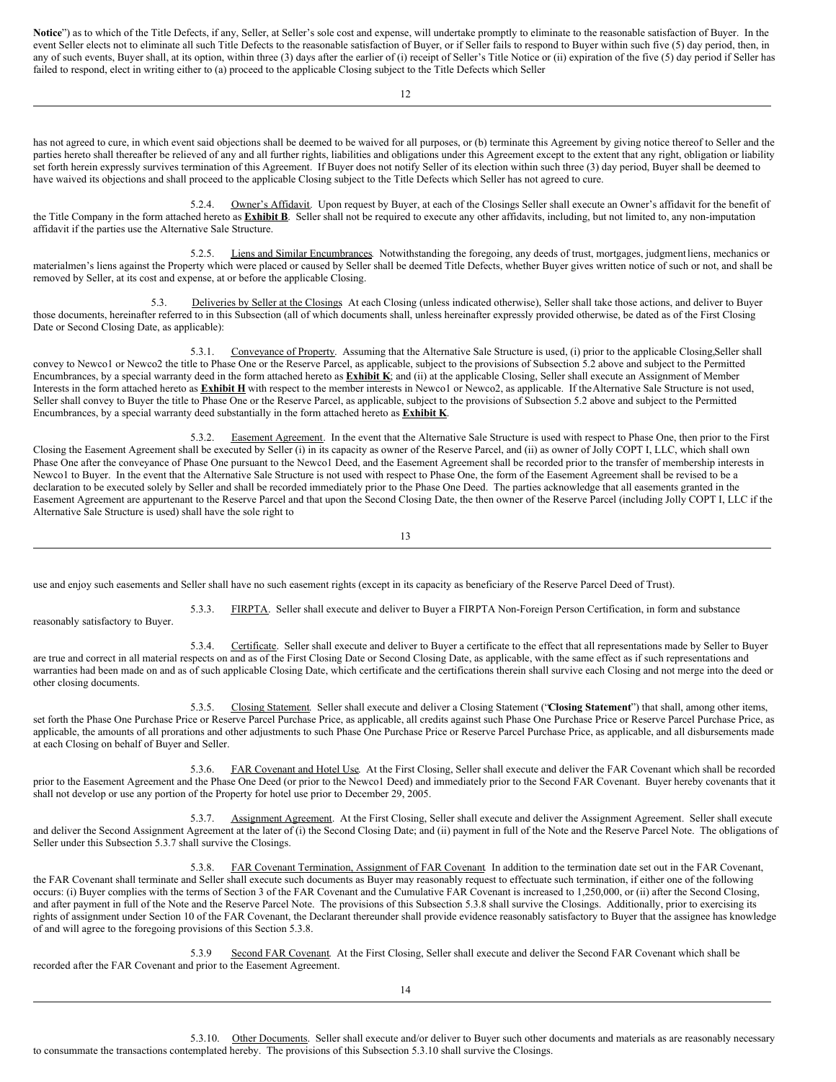Notice") as to which of the Title Defects, if any, Seller, at Seller's sole cost and expense, will undertake promptly to eliminate to the reasonable satisfaction of Buyer. In the event Seller elects not to eliminate all such Title Defects to the reasonable satisfaction of Buyer, or if Seller fails to respond to Buyer within such five (5) day period, then, in any of such events, Buyer shall, at its option, within three (3) days after the earlier of (i) receipt of Seller's Title Notice or (ii) expiration of the five (5) day period if Seller has failed to respond, elect in writing either to (a) proceed to the applicable Closing subject to the Title Defects which Seller

12

has not agreed to cure, in which event said objections shall be deemed to be waived for all purposes, or (b) terminate this Agreement by giving notice thereof to Seller and the parties hereto shall thereafter be relieved of any and all further rights, liabilities and obligations under this Agreement except to the extent that any right, obligation or liability set forth herein expressly survives termination of this Agreement. If Buyer does not notify Seller of its election within such three (3) day period, Buyer shall be deemed to have waived its objections and shall proceed to the applicable Closing subject to the Title Defects which Seller has not agreed to cure.

5.2.4. Owner's Affidavit. Upon request by Buyer, at each of the Closings Seller shall execute an Owner's affidavit for the benefit of the Title Company in the form attached hereto as **Exhibit B**. Seller shall not be required to execute any other affidavits, including, but not limited to, any non-imputation affidavit if the parties use the Alternative Sale Structure.

5.2.5. Liens and Similar Encumbrances. Notwithstanding the foregoing, any deeds of trust, mortgages, judgmentliens, mechanics or materialmen's liens against the Property which were placed or caused by Seller shall be deemed Title Defects, whether Buyer gives written notice of such or not, and shall be removed by Seller, at its cost and expense, at or before the applicable Closing.

5.3. Deliveries by Seller at the Closings. At each Closing (unless indicated otherwise), Seller shall take those actions, and deliver to Buyer those documents, hereinafter referred to in this Subsection (all of which documents shall, unless hereinafter expressly provided otherwise, be dated as of the First Closing Date or Second Closing Date, as applicable):

5.3.1. Conveyance of Property. Assuming that the Alternative Sale Structure is used, (i) prior to the applicable Closing,Seller shall convey to Newco1 or Newco2 the title to Phase One or the Reserve Parcel, as applicable, subject to the provisions of Subsection 5.2 above and subject to the Permitted Encumbrances, by a special warranty deed in the form attached hereto as **Exhibit K**; and (ii) at the applicable Closing, Seller shall execute an Assignment of Member Interests in the form attached hereto as **Exhibit H** with respect to the member interests in Newco1 or Newco2, as applicable. If theAlternative Sale Structure is not used, Seller shall convey to Buyer the title to Phase One or the Reserve Parcel, as applicable, subject to the provisions of Subsection 5.2 above and subject to the Permitted Encumbrances, by a special warranty deed substantially in the form attached hereto as **Exhibit K**.

5.3.2. Easement Agreement. In the event that the Alternative Sale Structure is used with respect to Phase One, then prior to the First Closing the Easement Agreement shall be executed by Seller (i) in its capacity as owner of the Reserve Parcel, and (ii) as owner of Jolly COPT I, LLC, which shall own Phase One after the conveyance of Phase One pursuant to the Newco1 Deed, and the Easement Agreement shall be recorded prior to the transfer of membership interests in Newco1 to Buyer. In the event that the Alternative Sale Structure is not used with respect to Phase One, the form of the Easement Agreement shall be revised to be a declaration to be executed solely by Seller and shall be recorded immediately prior to the Phase One Deed. The parties acknowledge that all easements granted in the Easement Agreement are appurtenant to the Reserve Parcel and that upon the Second Closing Date, the then owner of the Reserve Parcel (including Jolly COPT I, LLC if the Alternative Sale Structure is used) shall have the sole right to

13

use and enjoy such easements and Seller shall have no such easement rights (except in its capacity as beneficiary of the Reserve Parcel Deed of Trust).

reasonably satisfactory to Buyer.

5.3.3. FIRPTA. Seller shall execute and deliver to Buyer a FIRPTA Non-Foreign Person Certification, in form and substance

5.3.4. Certificate. Seller shall execute and deliver to Buyer a certificate to the effect that all representations made by Seller to Buyer are true and correct in all material respects on and as of the First Closing Date or Second Closing Date, as applicable, with the same effect as if such representations and warranties had been made on and as of such applicable Closing Date, which certificate and the certifications therein shall survive each Closing and not merge into the deed or other closing documents.

5.3.5. Closing Statement. Seller shall execute and deliver a Closing Statement ("**Closing Statement**") that shall, among other items, set forth the Phase One Purchase Price or Reserve Parcel Purchase Price, as applicable, all credits against such Phase One Purchase Price or Reserve Parcel Purchase Price, as applicable, the amounts of all prorations and other adjustments to such Phase One Purchase Price or Reserve Parcel Purchase Price, as applicable, and all disbursements made at each Closing on behalf of Buyer and Seller.

5.3.6. FAR Covenant and Hotel Use. At the First Closing, Seller shall execute and deliver the FAR Covenant which shall be recorded prior to the Easement Agreement and the Phase One Deed (or prior to the Newco1 Deed) and immediately prior to the Second FAR Covenant. Buyer hereby covenants that it shall not develop or use any portion of the Property for hotel use prior to December 29, 2005.

5.3.7. Assignment Agreement. At the First Closing, Seller shall execute and deliver the Assignment Agreement. Seller shall execute and deliver the Second Assignment Agreement at the later of (i) the Second Closing Date; and (ii) payment in full of the Note and the Reserve Parcel Note. The obligations of Seller under this Subsection 5.3.7 shall survive the Closings.

5.3.8. FAR Covenant Termination, Assignment of FAR Covenant. In addition to the termination date set out in the FAR Covenant, the FAR Covenant shall terminate and Seller shall execute such documents as Buyer may reasonably request to effectuate such termination, if either one of the following occurs: (i) Buyer complies with the terms of Section 3 of the FAR Covenant and the Cumulative FAR Covenant is increased to 1,250,000, or (ii) after the Second Closing, and after payment in full of the Note and the Reserve Parcel Note. The provisions of this Subsection 5.3.8 shall survive the Closings. Additionally, prior to exercising its rights of assignment under Section 10 of the FAR Covenant, the Declarant thereunder shall provide evidence reasonably satisfactory to Buyer that the assignee has knowledge of and will agree to the foregoing provisions of this Section 5.3.8.

5.3.9 Second FAR Covenant. At the First Closing, Seller shall execute and deliver the Second FAR Covenant which shall be recorded after the FAR Covenant and prior to the Easement Agreement.

5.3.10. Other Documents. Seller shall execute and/or deliver to Buyer such other documents and materials as are reasonably necessary to consummate the transactions contemplated hereby. The provisions of this Subsection 5.3.10 shall survive the Closings.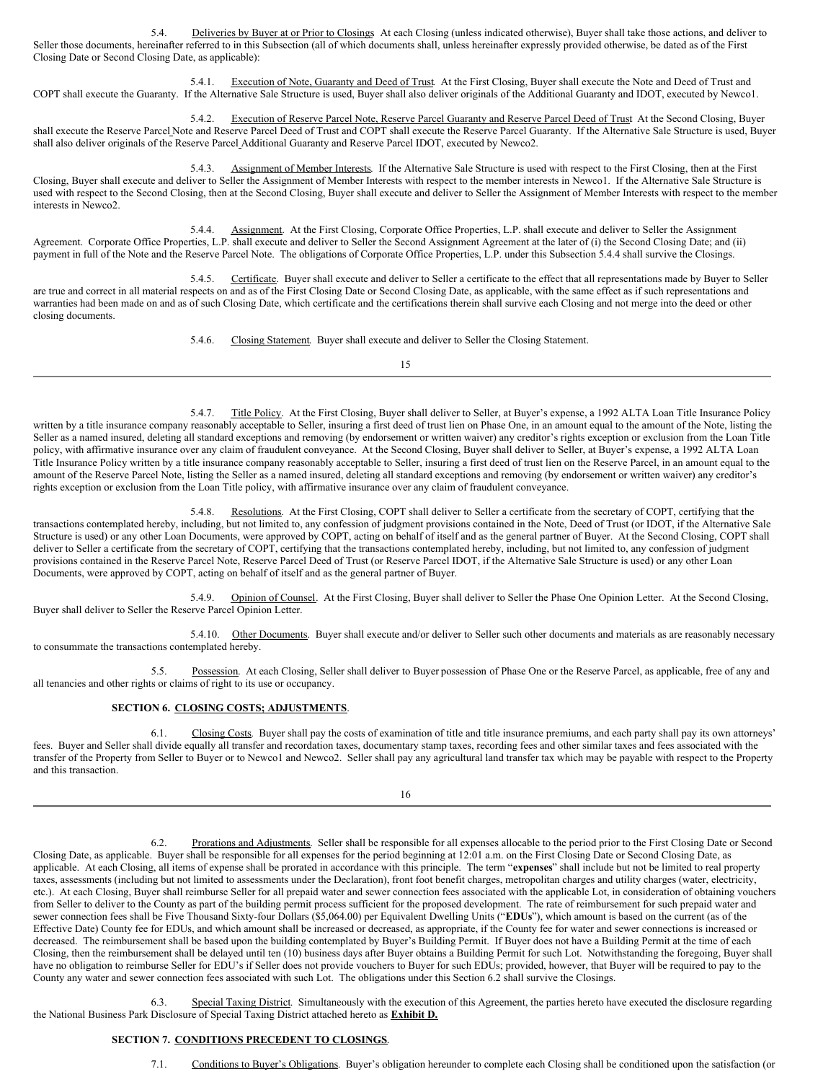5.4. Deliveries by Buyer at or Prior to Closings At each Closing (unless indicated otherwise), Buyer shall take those actions, and deliver to Seller those documents, hereinafter referred to in this Subsection (all of which documents shall, unless hereinafter expressly provided otherwise, be dated as of the First Closing Date or Second Closing Date, as applicable):

5.4.1. Execution of Note, Guaranty and Deed of Trust. At the First Closing, Buyer shall execute the Note and Deed of Trust and COPT shall execute the Guaranty. If the Alternative Sale Structure is used, Buyer shall also deliver originals of the Additional Guaranty and IDOT, executed by Newco1.

5.4.2. Execution of Reserve Parcel Note, Reserve Parcel Guaranty and Reserve Parcel Deed of Trust At the Second Closing, Buyer shall execute the Reserve Parcel Note and Reserve Parcel Deed of Trust and COPT shall execute the Reserve Parcel Guaranty. If the Alternative Sale Structure is used, Buyer shall also deliver originals of the Reserve Parcel Additional Guaranty and Reserve Parcel IDOT, executed by Newco2.

5.4.3. Assignment of Member Interests. If the Alternative Sale Structure is used with respect to the First Closing, then at the First Closing, Buyer shall execute and deliver to Seller the Assignment of Member Interests with respect to the member interests in Newco1. If the Alternative Sale Structure is used with respect to the Second Closing, then at the Second Closing, Buyer shall execute and deliver to Seller the Assignment of Member Interests with respect to the member interests in Newco2.

5.4.4. Assignment. At the First Closing, Corporate Office Properties, L.P. shall execute and deliver to Seller the Assignment Agreement. Corporate Office Properties, L.P. shall execute and deliver to Seller the Second Assignment Agreement at the later of (i) the Second Closing Date; and (ii) payment in full of the Note and the Reserve Parcel Note. The obligations of Corporate Office Properties, L.P. under this Subsection 5.4.4 shall survive the Closings.

5.4.5. Certificate. Buyer shall execute and deliver to Seller a certificate to the effect that all representations made by Buyer to Seller are true and correct in all material respects on and as of the First Closing Date or Second Closing Date, as applicable, with the same effect as if such representations and warranties had been made on and as of such Closing Date, which certificate and the certifications therein shall survive each Closing and not merge into the deed or other closing documents.

5.4.6. Closing Statement. Buyer shall execute and deliver to Seller the Closing Statement.

15

5.4.7. Title Policy. At the First Closing, Buyer shall deliver to Seller, at Buyer's expense, a 1992 ALTA Loan Title Insurance Policy written by a title insurance company reasonably acceptable to Seller, insuring a first deed of trust lien on Phase One, in an amount equal to the amount of the Note, listing the Seller as a named insured, deleting all standard exceptions and removing (by endorsement or written waiver) any creditor's rights exception or exclusion from the Loan Title policy, with affirmative insurance over any claim of fraudulent conveyance. At the Second Closing, Buyer shall deliver to Seller, at Buyer's expense, a 1992 ALTA Loan Title Insurance Policy written by a title insurance company reasonably acceptable to Seller, insuring a first deed of trust lien on the Reserve Parcel, in an amount equal to the amount of the Reserve Parcel Note, listing the Seller as a named insured, deleting all standard exceptions and removing (by endorsement or written waiver) any creditor's rights exception or exclusion from the Loan Title policy, with affirmative insurance over any claim of fraudulent conveyance.

5.4.8. Resolutions. At the First Closing, COPT shall deliver to Seller a certificate from the secretary of COPT, certifying that the transactions contemplated hereby, including, but not limited to, any confession of judgment provisions contained in the Note, Deed of Trust (or IDOT, if the Alternative Sale Structure is used) or any other Loan Documents, were approved by COPT, acting on behalf of itself and as the general partner of Buyer. At the Second Closing, COPT shall deliver to Seller a certificate from the secretary of COPT, certifying that the transactions contemplated hereby, including, but not limited to, any confession of judgment provisions contained in the Reserve Parcel Note, Reserve Parcel Deed of Trust (or Reserve Parcel IDOT, if the Alternative Sale Structure is used) or any other Loan Documents, were approved by COPT, acting on behalf of itself and as the general partner of Buyer.

5.4.9. Opinion of Counsel. At the First Closing, Buyer shall deliver to Seller the Phase One Opinion Letter. At the Second Closing, Buyer shall deliver to Seller the Reserve Parcel Opinion Letter.

5.4.10. Other Documents. Buyer shall execute and/or deliver to Seller such other documents and materials as are reasonably necessary to consummate the transactions contemplated hereby.

5.5. Possession. At each Closing, Seller shall deliver to Buyer possession of Phase One or the Reserve Parcel, as applicable, free of any and all tenancies and other rights or claims of right to its use or occupancy.

# **SECTION 6. CLOSING COSTS; ADJUSTMENTS**.

6.1. Closing Costs. Buyer shall pay the costs of examination of title and title insurance premiums, and each party shall pay its own attorneys' fees. Buyer and Seller shall divide equally all transfer and recordation taxes, documentary stamp taxes, recording fees and other similar taxes and fees associated with the transfer of the Property from Seller to Buyer or to Newco1 and Newco2. Seller shall pay any agricultural land transfer tax which may be payable with respect to the Property and this transaction.

16

6.2. Prorations and Adjustments. Seller shall be responsible for all expenses allocable to the period prior to the First Closing Date or Second Closing Date, as applicable. Buyer shall be responsible for all expenses for the period beginning at 12:01 a.m. on the First Closing Date or Second Closing Date, as applicable. At each Closing, all items of expense shall be prorated in accordance with this principle. The term "**expenses**" shall include but not be limited to real property taxes, assessments (including but not limited to assessments under the Declaration), front foot benefit charges, metropolitan charges and utility charges (water, electricity, etc.). At each Closing, Buyer shall reimburse Seller for all prepaid water and sewer connection fees associated with the applicable Lot, in consideration of obtaining vouchers from Seller to deliver to the County as part of the building permit process sufficient for the proposed development. The rate of reimbursement for such prepaid water and sewer connection fees shall be Five Thousand Sixty-four Dollars (\$5,064.00) per Equivalent Dwelling Units ("**EDUs**"), which amount is based on the current (as of the Effective Date) County fee for EDUs, and which amount shall be increased or decreased, as appropriate, if the County fee for water and sewer connections is increased or decreased. The reimbursement shall be based upon the building contemplated by Buyer's Building Permit. If Buyer does not have a Building Permit at the time of each Closing, then the reimbursement shall be delayed until ten (10) business days after Buyer obtains a Building Permit for such Lot. Notwithstanding the foregoing, Buyer shall have no obligation to reimburse Seller for EDU's if Seller does not provide vouchers to Buyer for such EDUs; provided, however, that Buyer will be required to pay to the County any water and sewer connection fees associated with such Lot. The obligations under this Section 6.2 shall survive the Closings.

6.3. Special Taxing District. Simultaneously with the execution of this Agreement, the parties hereto have executed the disclosure regarding the National Business Park Disclosure of Special Taxing District attached hereto as **Exhibit D.**

# **SECTION 7. CONDITIONS PRECEDENT TO CLOSINGS**.

7.1. Conditions to Buyer's Obligations. Buyer's obligation hereunder to complete each Closing shall be conditioned upon the satisfaction (or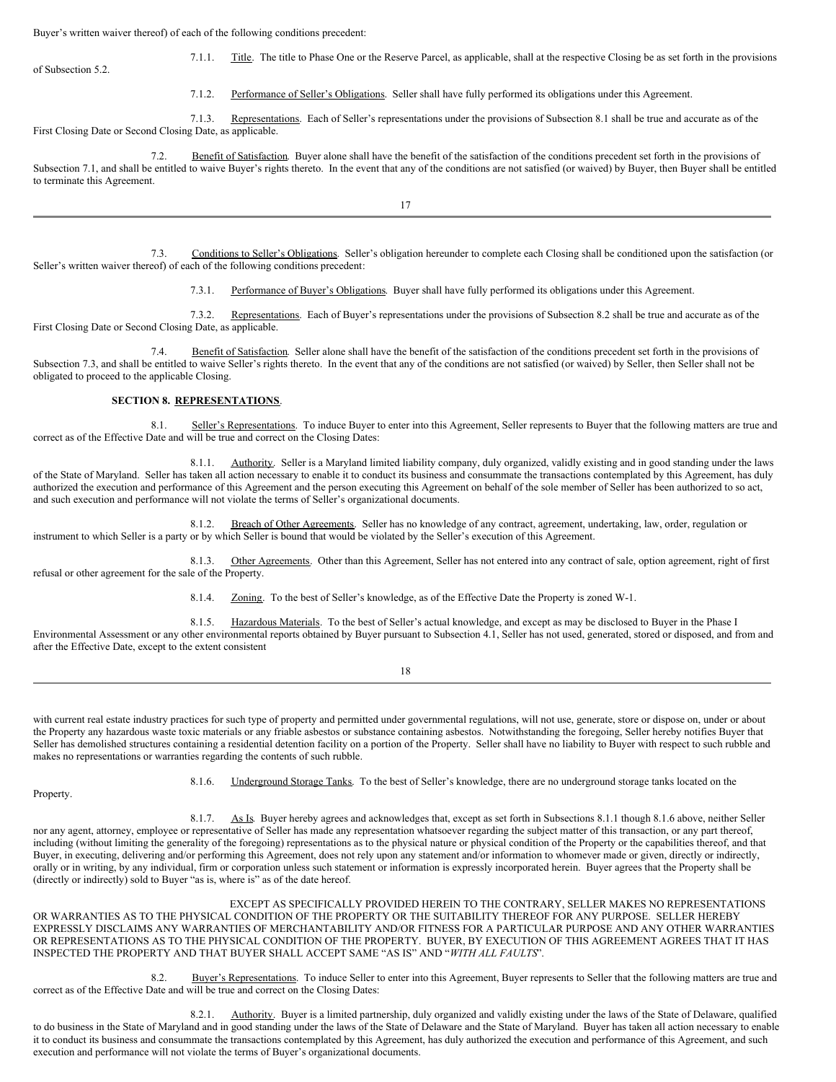Buyer's written waiver thereof) of each of the following conditions precedent:

of Subsection 5.2.

7.1.1. Title. The title to Phase One or the Reserve Parcel, as applicable, shall at the respective Closing be as set forth in the provisions

7.1.2. Performance of Seller's Obligations. Seller shall have fully performed its obligations under this Agreement.

7.1.3. Representations. Each of Seller's representations under the provisions of Subsection 8.1 shall be true and accurate as of the First Closing Date or Second Closing Date, as applicable.

7.2. Benefit of Satisfaction. Buyer alone shall have the benefit of the satisfaction of the conditions precedent set forth in the provisions of Subsection 7.1, and shall be entitled to waive Buyer's rights thereto. In the event that any of the conditions are not satisfied (or waived) by Buyer, then Buyer shall be entitled to terminate this Agreement.

7.3. Conditions to Seller's Obligations. Seller's obligation hereunder to complete each Closing shall be conditioned upon the satisfaction (or Seller's written waiver thereof) of each of the following conditions precedent:

7.3.1. Performance of Buyer's Obligations. Buyer shall have fully performed its obligations under this Agreement.

7.3.2. Representations. Each of Buyer's representations under the provisions of Subsection 8.2 shall be true and accurate as of the First Closing Date or Second Closing Date, as applicable.

7.4. Benefit of Satisfaction. Seller alone shall have the benefit of the satisfaction of the conditions precedent set forth in the provisions of Subsection 7.3, and shall be entitled to waive Seller's rights thereto. In the event that any of the conditions are not satisfied (or waived) by Seller, then Seller shall not be obligated to proceed to the applicable Closing.

# **SECTION 8. REPRESENTATIONS**.

8.1. Seller's Representations. To induce Buyer to enter into this Agreement, Seller represents to Buyer that the following matters are true and correct as of the Effective Date and will be true and correct on the Closing Dates:

8.1.1. Authority. Seller is a Maryland limited liability company, duly organized, validly existing and in good standing under the laws of the State of Maryland. Seller has taken all action necessary to enable it to conduct its business and consummate the transactions contemplated by this Agreement, has duly authorized the execution and performance of this Agreement and the person executing this Agreement on behalf of the sole member of Seller has been authorized to so act, and such execution and performance will not violate the terms of Seller's organizational documents.

8.1.2. Breach of Other Agreements. Seller has no knowledge of any contract, agreement, undertaking, law, order, regulation or instrument to which Seller is a party or by which Seller is bound that would be violated by the Seller's execution of this Agreement.

8.1.3. Other Agreements. Other than this Agreement, Seller has not entered into any contract of sale, option agreement, right of first refusal or other agreement for the sale of the Property.

8.1.4. Zoning. To the best of Seller's knowledge, as of the Effective Date the Property is zoned W-1.

8.1.5. Hazardous Materials. To the best of Seller's actual knowledge, and except as may be disclosed to Buyer in the Phase I Environmental Assessment or any other environmental reports obtained by Buyer pursuant to Subsection 4.1, Seller has not used, generated, stored or disposed, and from and after the Effective Date, except to the extent consistent

18

with current real estate industry practices for such type of property and permitted under governmental regulations, will not use, generate, store or dispose on, under or about the Property any hazardous waste toxic materials or any friable asbestos or substance containing asbestos. Notwithstanding the foregoing, Seller hereby notifies Buyer that Seller has demolished structures containing a residential detention facility on a portion of the Property. Seller shall have no liability to Buyer with respect to such rubble and makes no representations or warranties regarding the contents of such rubble.

Property.

8.1.6. Underground Storage Tanks. To the best of Seller's knowledge, there are no underground storage tanks located on the

8.1.7. As Is. Buyer hereby agrees and acknowledges that, except as set forth in Subsections 8.1.1 though 8.1.6 above, neither Seller nor any agent, attorney, employee or representative of Seller has made any representation whatsoever regarding the subject matter of this transaction, or any part thereof, including (without limiting the generality of the foregoing) representations as to the physical nature or physical condition of the Property or the capabilities thereof, and that Buyer, in executing, delivering and/or performing this Agreement, does not rely upon any statement and/or information to whomever made or given, directly or indirectly, orally or in writing, by any individual, firm or corporation unless such statement or information is expressly incorporated herein. Buyer agrees that the Property shall be (directly or indirectly) sold to Buyer "as is, where is" as of the date hereof.

EXCEPT AS SPECIFICALLY PROVIDED HEREIN TO THE CONTRARY, SELLER MAKES NO REPRESENTATIONS OR WARRANTIES AS TO THE PHYSICAL CONDITION OF THE PROPERTY OR THE SUITABILITY THEREOF FOR ANY PURPOSE. SELLER HEREBY EXPRESSLY DISCLAIMS ANY WARRANTIES OF MERCHANTABILITY AND/OR FITNESS FOR A PARTICULAR PURPOSE AND ANY OTHER WARRANTIES OR REPRESENTATIONS AS TO THE PHYSICAL CONDITION OF THE PROPERTY. BUYER, BY EXECUTION OF THIS AGREEMENT AGREES THAT IT HAS INSPECTED THE PROPERTY AND THAT BUYER SHALL ACCEPT SAME "AS IS" AND "*WITH ALL FAULTS*".

8.2. Buyer's Representations. To induce Seller to enter into this Agreement, Buyer represents to Seller that the following matters are true and correct as of the Effective Date and will be true and correct on the Closing Dates:

8.2.1. Authority. Buyer is a limited partnership, duly organized and validly existing under the laws of the State of Delaware, qualified to do business in the State of Maryland and in good standing under the laws of the State of Delaware and the State of Maryland. Buyer has taken all action necessary to enable it to conduct its business and consummate the transactions contemplated by this Agreement, has duly authorized the execution and performance of this Agreement, and such execution and performance will not violate the terms of Buyer's organizational documents.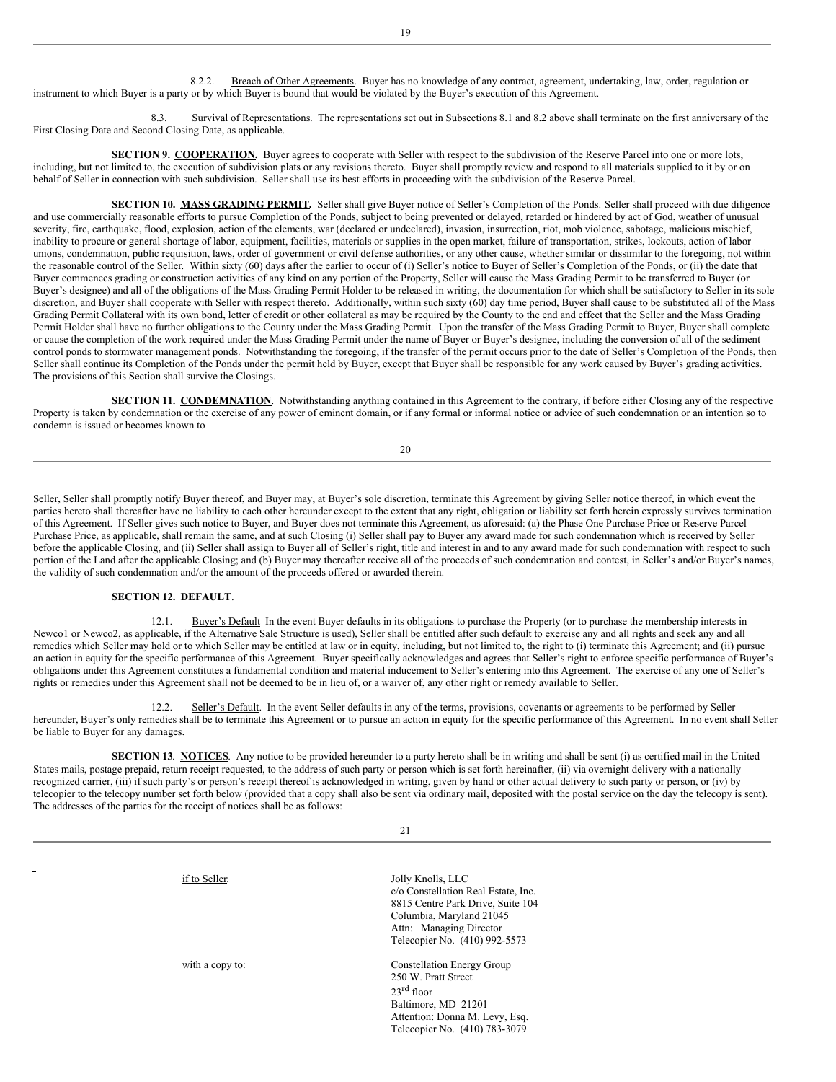8.2.2. Breach of Other Agreements. Buyer has no knowledge of any contract, agreement, undertaking, law, order, regulation or instrument to which Buyer is a party or by which Buyer is bound that would be violated by the Buyer's execution of this Agreement.

8.3. Survival of Representations. The representations set out in Subsections 8.1 and 8.2 above shall terminate on the first anniversary of the First Closing Date and Second Closing Date, as applicable.

**SECTION 9. COOPERATION.** Buyer agrees to cooperate with Seller with respect to the subdivision of the Reserve Parcel into one or more lots, including, but not limited to, the execution of subdivision plats or any revisions thereto. Buyer shall promptly review and respond to all materials supplied to it by or on behalf of Seller in connection with such subdivision. Seller shall use its best efforts in proceeding with the subdivision of the Reserve Parcel.

**SECTION 10. MASS GRADING PERMIT.** Seller shall give Buyer notice of Seller's Completion of the Ponds. Seller shall proceed with due diligence and use commercially reasonable efforts to pursue Completion of the Ponds, subject to being prevented or delayed, retarded or hindered by act of God, weather of unusual severity, fire, earthquake, flood, explosion, action of the elements, war (declared or undeclared), invasion, insurrection, riot, mob violence, sabotage, malicious mischief, inability to procure or general shortage of labor, equipment, facilities, materials or supplies in the open market, failure of transportation, strikes, lockouts, action of labor unions, condemnation, public requisition, laws, order of government or civil defense authorities, or any other cause, whether similar or dissimilar to the foregoing, not within the reasonable control of the Seller. Within sixty (60) days after the earlier to occur of (i) Seller's notice to Buyer of Seller's Completion of the Ponds, or (ii) the date that Buyer commences grading or construction activities of any kind on any portion of the Property, Seller will cause the Mass Grading Permit to be transferred to Buyer (or Buyer's designee) and all of the obligations of the Mass Grading Permit Holder to be released in writing, the documentation for which shall be satisfactory to Seller in its sole discretion, and Buyer shall cooperate with Seller with respect thereto. Additionally, within such sixty (60) day time period, Buyer shall cause to be substituted all of the Mass Grading Permit Collateral with its own bond, letter of credit or other collateral as may be required by the County to the end and effect that the Seller and the Mass Grading Permit Holder shall have no further obligations to the County under the Mass Grading Permit. Upon the transfer of the Mass Grading Permit to Buyer, Buyer shall complete or cause the completion of the work required under the Mass Grading Permit under the name of Buyer or Buyer's designee, including the conversion of all of the sediment control ponds to stormwater management ponds. Notwithstanding the foregoing, if the transfer of the permit occurs prior to the date of Seller's Completion of the Ponds, then Seller shall continue its Completion of the Ponds under the permit held by Buyer, except that Buyer shall be responsible for any work caused by Buyer's grading activities. The provisions of this Section shall survive the Closings.

**SECTION 11. <b>CONDEMNATION**. Notwithstanding anything contained in this Agreement to the contrary, if before either Closing any of the respective Property is taken by condemnation or the exercise of any power of eminent domain, or if any formal or informal notice or advice of such condemnation or an intention so to condemn is issued or becomes known to

20

Seller, Seller shall promptly notify Buyer thereof, and Buyer may, at Buyer's sole discretion, terminate this Agreement by giving Seller notice thereof, in which event the parties hereto shall thereafter have no liability to each other hereunder except to the extent that any right, obligation or liability set forth herein expressly survives termination of this Agreement. If Seller gives such notice to Buyer, and Buyer does not terminate this Agreement, as aforesaid: (a) the Phase One Purchase Price or Reserve Parcel Purchase Price, as applicable, shall remain the same, and at such Closing (i) Seller shall pay to Buyer any award made for such condemnation which is received by Seller before the applicable Closing, and (ii) Seller shall assign to Buyer all of Seller's right, title and interest in and to any award made for such condemnation with respect to such portion of the Land after the applicable Closing; and (b) Buyer may thereafter receive all of the proceeds of such condemnation and contest, in Seller's and/or Buyer's names, the validity of such condemnation and/or the amount of the proceeds offered or awarded therein.

## **SECTION 12. DEFAULT**.

12.1. Buyer's Default In the event Buyer defaults in its obligations to purchase the Property (or to purchase the membership interests in Newco1 or Newco2, as applicable, if the Alternative Sale Structure is used), Seller shall be entitled after such default to exercise any and all rights and seek any and all remedies which Seller may hold or to which Seller may be entitled at law or in equity, including, but not limited to, the right to (i) terminate this Agreement; and (ii) pursue an action in equity for the specific performance of this Agreement. Buyer specifically acknowledges and agrees that Seller's right to enforce specific performance of Buyer's obligations under this Agreement constitutes a fundamental condition and material inducement to Seller's entering into this Agreement. The exercise of any one of Seller's rights or remedies under this Agreement shall not be deemed to be in lieu of, or a waiver of, any other right or remedy available to Seller.

12.2. Seller's Default. In the event Seller defaults in any of the terms, provisions, covenants or agreements to be performed by Seller hereunder, Buyer's only remedies shall be to terminate this Agreement or to pursue an action in equity for the specific performance of this Agreement. In no event shall Seller be liable to Buyer for any damages.

**SECTION 13**. **NOTICES**. Any notice to be provided hereunder to a party hereto shall be in writing and shall be sent (i) as certified mail in the United States mails, postage prepaid, return receipt requested, to the address of such party or person which is set forth hereinafter, (ii) via overnight delivery with a nationally recognized carrier, (iii) if such party's or person's receipt thereof is acknowledged in writing, given by hand or other actual delivery to such party or person, or (iv) by telecopier to the telecopy number set forth below (provided that a copy shall also be sent via ordinary mail, deposited with the postal service on the day the telecopy is sent). The addresses of the parties for the receipt of notices shall be as follows:

21 if to Seller: Jolly Knolls, LLC c/o Constellation Real Estate, Inc. 8815 Centre Park Drive, Suite 104 Columbia, Maryland 21045 Attn: Managing Director Telecopier No. (410) 992-5573 with a copy to: Constellation Energy Group 250 W. Pratt Street 23 rd floor Baltimore, MD 21201 Attention: Donna M. Levy, Esq. Telecopier No. (410) 783-3079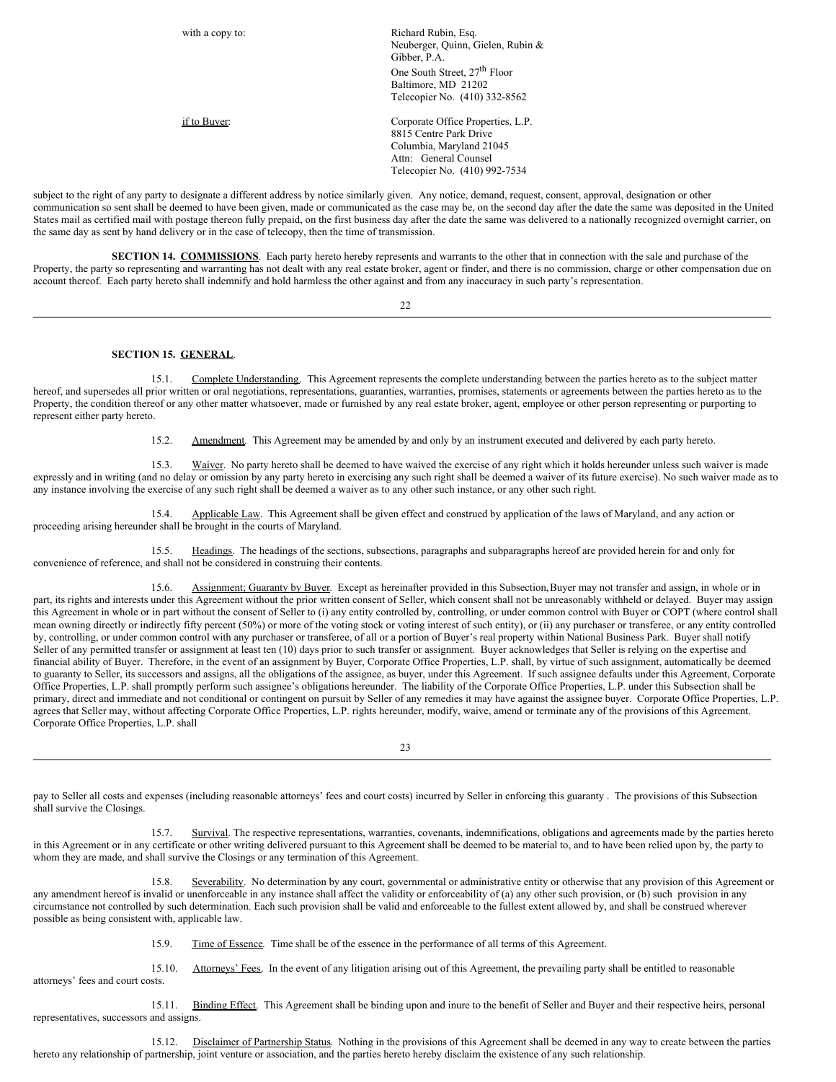| with a copy to: | Richard Rubin, Esq.                      |
|-----------------|------------------------------------------|
|                 | Neuberger, Quinn, Gielen, Rubin &        |
|                 | Gibber, P.A.                             |
|                 | One South Street, 27 <sup>th</sup> Floor |
|                 | Baltimore, MD 21202                      |
|                 | Telecopier No. (410) 332-8562            |
| if to Buyer:    | Corporate Office Properties, L.P.        |
|                 | 8815 Centre Park Drive                   |
|                 | Columbia, Maryland 21045                 |
|                 | Attn: General Counsel                    |
|                 | Telecopier No. (410) 992-7534            |

subject to the right of any party to designate a different address by notice similarly given. Any notice, demand, request, consent, approval, designation or other communication so sent shall be deemed to have been given, made or communicated as the case may be, on the second day after the date the same was deposited in the United States mail as certified mail with postage thereon fully prepaid, on the first business day after the date the same was delivered to a nationally recognized overnight carrier, on the same day as sent by hand delivery or in the case of telecopy, then the time of transmission.

**SECTION 14. COMMISSIONS**. Each party hereto hereby represents and warrants to the other that in connection with the sale and purchase of the Property, the party so representing and warranting has not dealt with any real estate broker, agent or finder, and there is no commission, charge or other compensation due on account thereof. Each party hereto shall indemnify and hold harmless the other against and from any inaccuracy in such party's representation.

22

## **SECTION 15. GENERAL**.

15.1. Complete Understanding. This Agreement represents the complete understanding between the parties hereto as to the subject matter hereof, and supersedes all prior written or oral negotiations, representations, guaranties, warranties, promises, statements or agreements between the parties hereto as to the Property, the condition thereof or any other matter whatsoever, made or furnished by any real estate broker, agent, employee or other person representing or purporting to represent either party hereto.

15.2. Amendment. This Agreement may be amended by and only by an instrument executed and delivered by each party hereto.

15.3. Waiver. No party hereto shall be deemed to have waived the exercise of any right which it holds hereunder unless such waiver is made expressly and in writing (and no delay or omission by any party hereto in exercising any such right shall be deemed a waiver of its future exercise). No such waiver made as to any instance involving the exercise of any such right shall be deemed a waiver as to any other such instance, or any other such right.

15.4. Applicable Law. This Agreement shall be given effect and construed by application of the laws of Maryland, and any action or proceeding arising hereunder shall be brought in the courts of Maryland.

15.5. Headings. The headings of the sections, subsections, paragraphs and subparagraphs hereof are provided herein for and only for convenience of reference, and shall not be considered in construing their contents.

15.6. Assignment; Guaranty by Buyer. Except as hereinafter provided in this Subsection, Buyer may not transfer and assign, in whole or in part, its rights and interests under this Agreement without the prior written consent of Seller, which consent shall not be unreasonably withheld or delayed. Buyer may assign this Agreement in whole or in part without the consent of Seller to (i) any entity controlled by, controlling, or under common control with Buyer or COPT (where control shall mean owning directly or indirectly fifty percent (50%) or more of the voting stock or voting interest of such entity), or (ii) any purchaser or transferee, or any entity controlled by, controlling, or under common control with any purchaser or transferee, of all or a portion of Buyer's real property within National Business Park. Buyer shall notify Seller of any permitted transfer or assignment at least ten (10) days prior to such transfer or assignment. Buyer acknowledges that Seller is relying on the expertise and financial ability of Buyer. Therefore, in the event of an assignment by Buyer, Corporate Office Properties, L.P. shall, by virtue of such assignment, automatically be deemed to guaranty to Seller, its successors and assigns, all the obligations of the assignee, as buyer, under this Agreement. If such assignee defaults under this Agreement, Corporate Office Properties, L.P. shall promptly perform such assignee's obligations hereunder. The liability of the Corporate Office Properties, L.P. under this Subsection shall be primary, direct and immediate and not conditional or contingent on pursuit by Seller of any remedies it may have against the assignee buyer. Corporate Office Properties, L.P. agrees that Seller may, without affecting Corporate Office Properties, L.P. rights hereunder, modify, waive, amend or terminate any of the provisions of this Agreement. Corporate Office Properties, L.P. shall

23

pay to Seller all costs and expenses (including reasonable attorneys' fees and court costs) incurred by Seller in enforcing this guaranty . The provisions of this Subsection shall survive the Closings.

15.7. Survival. The respective representations, warranties, covenants, indemnifications, obligations and agreements made by the parties hereto in this Agreement or in any certificate or other writing delivered pursuant to this Agreement shall be deemed to be material to, and to have been relied upon by, the party to whom they are made, and shall survive the Closings or any termination of this Agreement.

15.8. Severability. No determination by any court, governmental or administrative entity or otherwise that any provision of this Agreement or any amendment hereof is invalid or unenforceable in any instance shall affect the validity or enforceability of (a) any other such provision, or (b) such provision in any circumstance not controlled by such determination. Each such provision shall be valid and enforceable to the fullest extent allowed by, and shall be construed wherever possible as being consistent with, applicable law.

15.9. Time of Essence. Time shall be of the essence in the performance of all terms of this Agreement.

15.10. Attorneys' Fees. In the event of any litigation arising out of this Agreement, the prevailing party shall be entitled to reasonable attorneys' fees and court costs.

15.11. Binding Effect. This Agreement shall be binding upon and inure to the benefit of Seller and Buyer and their respective heirs, personal representatives, successors and assigns.

15.12. Disclaimer of Partnership Status. Nothing in the provisions of this Agreement shall be deemed in any way to create between the parties hereto any relationship of partnership, joint venture or association, and the parties hereto hereby disclaim the existence of any such relationship.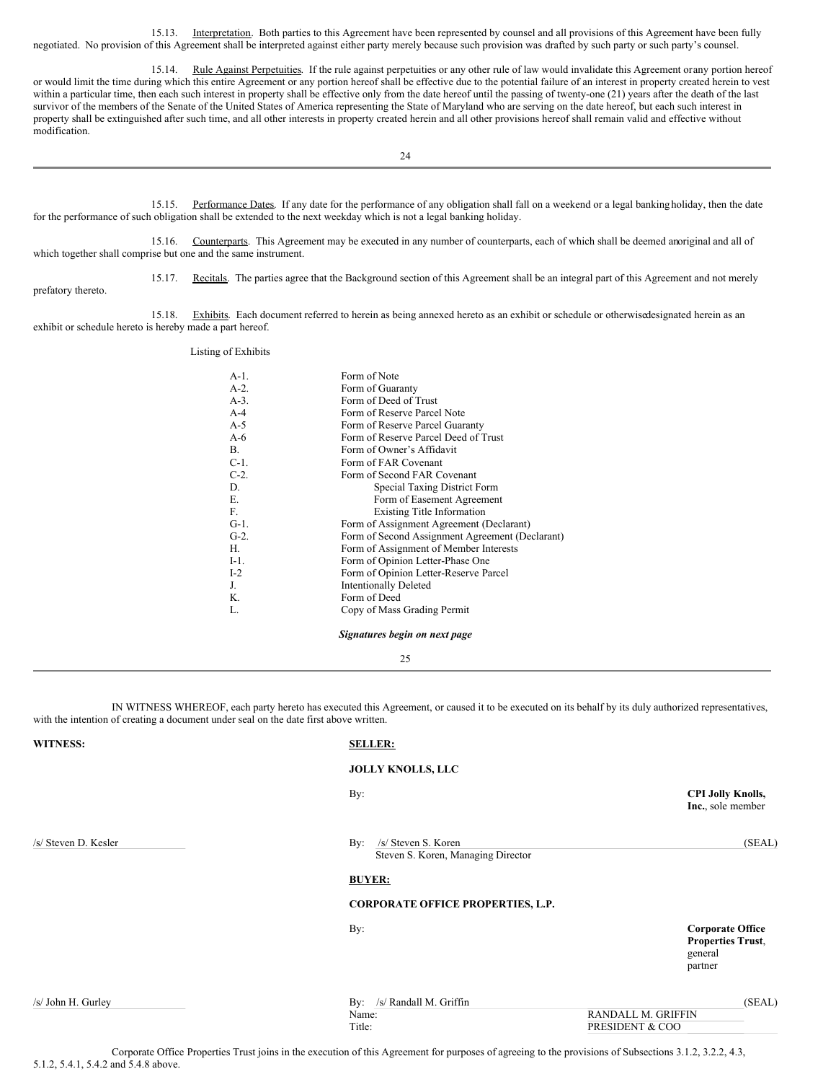15.13. Interpretation. Both parties to this Agreement have been represented by counsel and all provisions of this Agreement have been fully negotiated. No provision of this Agreement shall be interpreted against either party merely because such provision was drafted by such party or such party's counsel.

15.14. Rule Against Perpetuities. If the rule against perpetuities or any other rule of law would invalidate this Agreement orany portion hereof or would limit the time during which this entire Agreement or any portion hereof shall be effective due to the potential failure of an interest in property created herein to vest within a particular time, then each such interest in property shall be effective only from the date hereof until the passing of twenty-one (21) years after the death of the last survivor of the members of the Senate of the United States of America representing the State of Maryland who are serving on the date hereof, but each such interest in property shall be extinguished after such time, and all other interests in property created herein and all other provisions hereof shall remain valid and effective without modification.

24

15.15. Performance Dates. If any date for the performance of any obligation shall fall on a weekend or a legal banking holiday, then the date for the performance of such obligation shall be extended to the next weekday which is not a legal banking holiday.

15.16. Counterparts. This Agreement may be executed in any number of counterparts, each of which shall be deemed anoriginal and all of which together shall comprise but one and the same instrument.

prefatory thereto.

15.17. Recitals. The parties agree that the Background section of this Agreement shall be an integral part of this Agreement and not merely

15.18. Exhibits. Each document referred to herein as being annexed hereto as an exhibit or schedule or otherwisedesignated herein as an exhibit or schedule hereto is hereby made a part hereof.

Listing of Exhibits

| A-1. | Form of Note                                    |
|------|-------------------------------------------------|
| A-2. | Form of Guaranty                                |
| A-3. | Form of Deed of Trust                           |
| A-4  | Form of Reserve Parcel Note                     |
| A-5  | Form of Reserve Parcel Guaranty                 |
| A-6  | Form of Reserve Parcel Deed of Trust            |
| В.   | Form of Owner's Affidavit                       |
| C-1. | Form of FAR Covenant                            |
| C-2. | Form of Second FAR Covenant                     |
| D.   | Special Taxing District Form                    |
| E.   | Form of Easement Agreement                      |
| F.   | <b>Existing Title Information</b>               |
| G-1. | Form of Assignment Agreement (Declarant)        |
| G-2. | Form of Second Assignment Agreement (Declarant) |
| Н.   | Form of Assignment of Member Interests          |
| I-1. | Form of Opinion Letter-Phase One                |
| I-2  | Form of Opinion Letter-Reserve Parcel           |
| J.   | <b>Intentionally Deleted</b>                    |
| K.   | Form of Deed                                    |
| L.   | Copy of Mass Grading Permit                     |
|      |                                                 |

*Signatures begin on next page*

25

IN WITNESS WHEREOF, each party hereto has executed this Agreement, or caused it to be executed on its behalf by its duly authorized representatives, with the intention of creating a document under seal on the date first above written.

**WITNESS: SELLER:**

# **JOLLY KNOLLS, LLC**

# By: **CPI Jolly Knolls,**

/s/ Steven D. Kesler By: /s/ Steven S. Koren (SEAL)

Steven S. Koren, Managing Director

**BUYER:**

## **CORPORATE OFFICE PROPERTIES, L.P.**

By: **Corporate Office** 

/s/ John H. Gurley By: /s/ Randall M. Griffin (SEAL)

Name: RANDALL M. GRIFFIN<br>Title: PRESIDENT & COO PRESIDENT & COO

**Inc.**, sole member

**Properties Trust**, general partner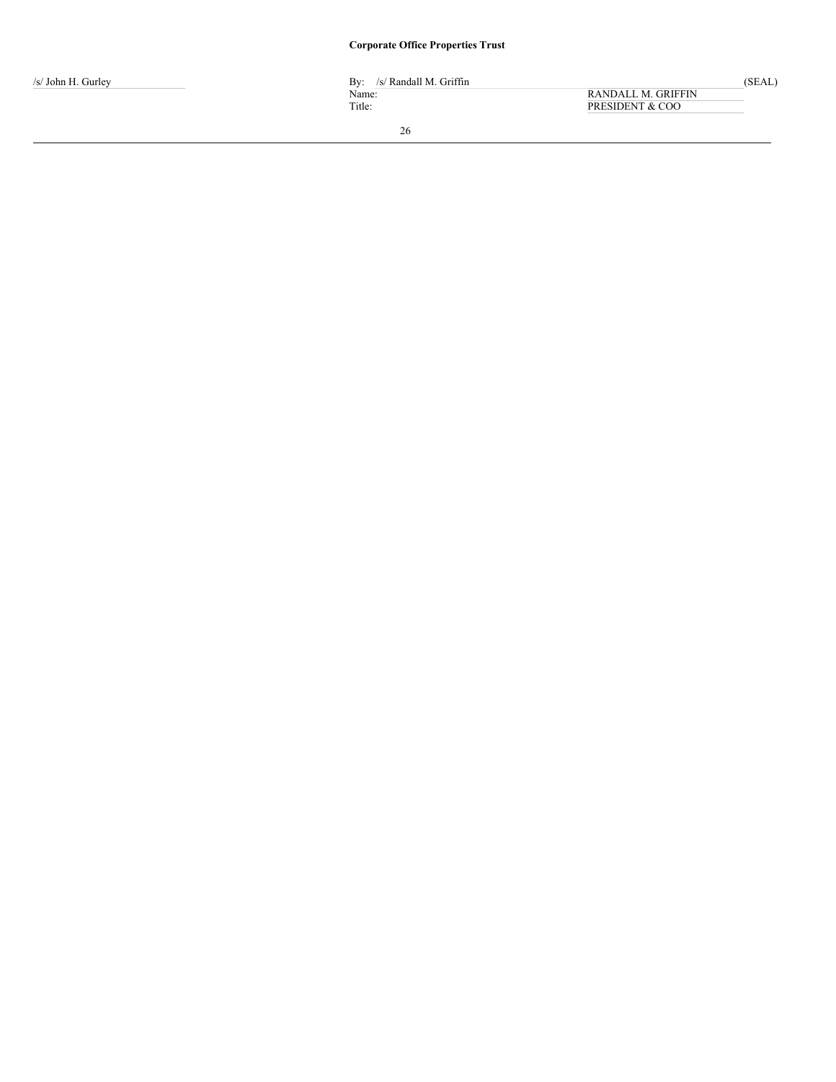/s/ John H. Gurley By: /s/ Randall M. Griffin (SEAL) Name: RANDALL M. GRIFFIN Title: PRESIDENT & COO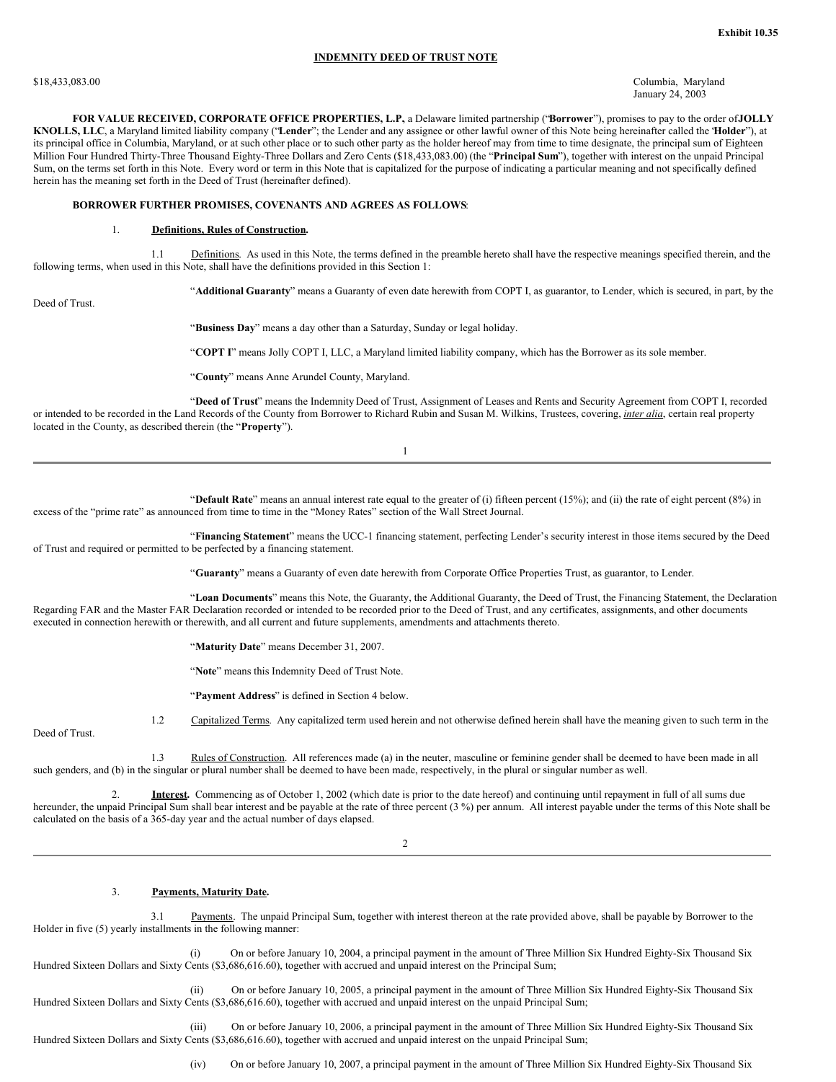## **INDEMNITY DEED OF TRUST NOTE**

\$18,433,083.00 Columbia, Maryland January 24, 2003

**FOR VALUE RECEIVED, CORPORATE OFFICE PROPERTIES, L.P.**, a Delaware limited partnership ("**Borrower**"), promises to pay to the order of**JOLLY KNOLLS, LLC**, a Maryland limited liability company ("**Lender**"; the Lender and any assignee or other lawful owner of this Note being hereinafter called the "**Holder**"), at its principal office in Columbia, Maryland, or at such other place or to such other party as the holder hereof may from time to time designate, the principal sum of Eighteen Million Four Hundred Thirty-Three Thousand Eighty-Three Dollars and Zero Cents (\$18,433,083.00) (the "**Principal Sum**"), together with interest on the unpaid Principal Sum, on the terms set forth in this Note. Every word or term in this Note that is capitalized for the purpose of indicating a particular meaning and not specifically defined herein has the meaning set forth in the Deed of Trust (hereinafter defined).

## **BORROWER FURTHER PROMISES, COVENANTS AND AGREES AS FOLLOWS**:

## 1. **Definitions, Rules of Construction.**

1.1 Definitions. As used in this Note, the terms defined in the preamble hereto shall have the respective meanings specified therein, and the following terms, when used in this Note, shall have the definitions provided in this Section 1:

Deed of Trust.

"**Additional Guaranty**" means a Guaranty of even date herewith from COPT I, as guarantor, to Lender, which is secured, in part, by the

"**Business Day**" means a day other than a Saturday, Sunday or legal holiday.

"**COPT I**" means Jolly COPT I, LLC, a Maryland limited liability company, which has the Borrower as its sole member.

"**County**" means Anne Arundel County, Maryland.

"**Deed of Trust**" means the Indemnity Deed of Trust, Assignment of Leases and Rents and Security Agreement from COPT I, recorded or intended to be recorded in the Land Records of the County from Borrower to Richard Rubin and Susan M. Wilkins, Trustees, covering, *inter alia*, certain real property located in the County, as described therein (the "**Property**").

1

"**Default Rate**" means an annual interest rate equal to the greater of (i) fifteen percent (15%); and (ii) the rate of eight percent (8%) in excess of the "prime rate" as announced from time to time in the "Money Rates" section of the Wall Street Journal.

"**Financing Statement**" means the UCC-1 financing statement, perfecting Lender's security interest in those items secured by the Deed of Trust and required or permitted to be perfected by a financing statement.

"**Guaranty**" means a Guaranty of even date herewith from Corporate Office Properties Trust, as guarantor, to Lender.

"**Loan Documents**" means this Note, the Guaranty, the Additional Guaranty, the Deed of Trust, the Financing Statement, the Declaration Regarding FAR and the Master FAR Declaration recorded or intended to be recorded prior to the Deed of Trust, and any certificates, assignments, and other documents executed in connection herewith or therewith, and all current and future supplements, amendments and attachments thereto.

"**Maturity Date**" means December 31, 2007.

"**Note**" means this Indemnity Deed of Trust Note.

"**Payment Address**" is defined in Section 4 below.

Deed of Trust.

1.2 Capitalized Terms. Any capitalized term used herein and not otherwise defined herein shall have the meaning given to such term in the

1.3 Rules of Construction. All references made (a) in the neuter, masculine or feminine gender shall be deemed to have been made in all

such genders, and (b) in the singular or plural number shall be deemed to have been made, respectively, in the plural or singular number as well. 2. **Interest.** Commencing as of October 1, 2002 (which date is prior to the date hereof) and continuing until repayment in full of all sums due

hereunder, the unpaid Principal Sum shall bear interest and be payable at the rate of three percent (3 %) per annum. All interest payable under the terms of this Note shall be calculated on the basis of a 365-day year and the actual number of days elapsed.

2

# 3. **Payments, Maturity Date.**

3.1 Payments. The unpaid Principal Sum, together with interest thereon at the rate provided above, shall be payable by Borrower to the Holder in five (5) yearly installments in the following manner:

(i) On or before January 10, 2004, a principal payment in the amount of Three Million Six Hundred Eighty-Six Thousand Six Hundred Sixteen Dollars and Sixty Cents (\$3,686,616.60), together with accrued and unpaid interest on the Principal Sum;

(ii) On or before January 10, 2005, a principal payment in the amount of Three Million Six Hundred Eighty-Six Thousand Six Hundred Sixteen Dollars and Sixty Cents (\$3,686,616.60), together with accrued and unpaid interest on the unpaid Principal Sum;

(iii) On or before January 10, 2006, a principal payment in the amount of Three Million Six Hundred Eighty-Six Thousand Six Hundred Sixteen Dollars and Sixty Cents (\$3,686,616.60), together with accrued and unpaid interest on the unpaid Principal Sum;

(iv) On or before January 10, 2007, a principal payment in the amount of Three Million Six Hundred Eighty-Six Thousand Six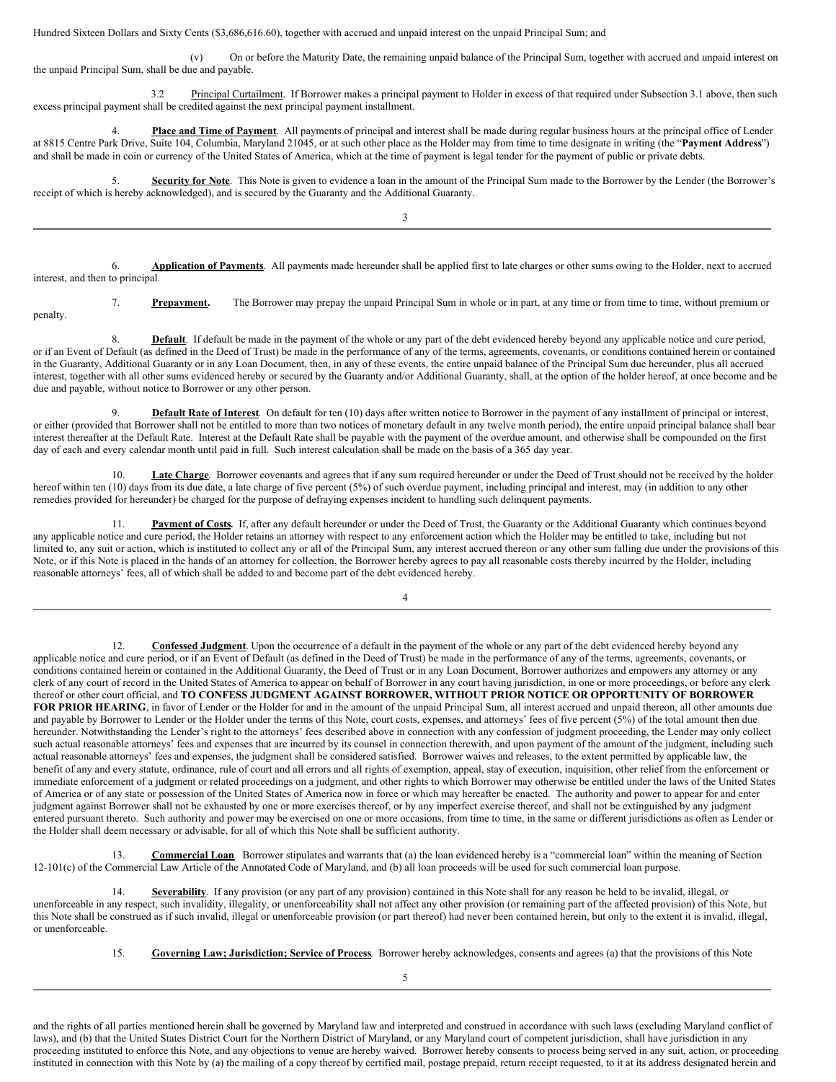Hundred Sixteen Dollars and Sixty Cents (\$3,686,616.60), together with accrued and unpaid interest on the unpaid Principal Sum; and

penalty.

(v) On or before the Maturity Date, the remaining unpaid balance of the Principal Sum, together with accrued and unpaid interest on the unpaid Principal Sum, shall be due and payable.

3.2 Principal Curtailment. If Borrower makes a principal payment to Holder in excess of that required under Subsection 3.1 above, then such excess principal payment shall be credited against the next principal payment installment.

4. **Place and Time of Payment**. All payments of principal and interest shall be made during regular business hours at the principal office of Lender at 8815 Centre Park Drive, Suite 104, Columbia, Maryland 21045, or at such other place as the Holder may from time to time designate in writing (the "**Payment Address**") and shall be made in coin or currency of the United States of America, which at the time of payment is legal tender for the payment of public or private debts.

5. **Security for Note**. This Note is given to evidence a loan in the amount of the Principal Sum made to the Borrower by the Lender (the Borrower's receipt of which is hereby acknowledged), and is secured by the Guaranty and the Additional Guaranty.

3

6. **Application of Payments**. All payments made hereunder shall be applied first to late charges or other sums owing to the Holder, next to accrued interest, and then to principal.

7. **Prepayment.** The Borrower may prepay the unpaid Principal Sum in whole or in part, at any time or from time to time, without premium or

8. Default. If default be made in the payment of the whole or any part of the debt evidenced hereby beyond any applicable notice and cure period, or if an Event of Default (as defined in the Deed of Trust) be made in the performance of any of the terms, agreements, covenants, or conditions contained herein or contained in the Guaranty, Additional Guaranty or in any Loan Document, then, in any of these events, the entire unpaid balance of the Principal Sum due hereunder, plus all accrued interest, together with all other sums evidenced hereby or secured by the Guaranty and/or Additional Guaranty, shall, at the option of the holder hereof, at once become and be due and payable, without notice to Borrower or any other person.

9. **Default Rate of Interest**. On default for ten (10) days after written notice to Borrower in the payment of any installment of principal or interest, or either (provided that Borrower shall not be entitled to more than two notices of monetary default in any twelve month period), the entire unpaid principal balance shall bear interest thereafter at the Default Rate. Interest at the Default Rate shall be payable with the payment of the overdue amount, and otherwise shall be compounded on the first day of each and every calendar month until paid in full. Such interest calculation shall be made on the basis of a 365 day year.

10. **Late Charge**. Borrower covenants and agrees that if any sum required hereunder or under the Deed of Trust should not be received by the holder hereof within ten (10) days from its due date, a late charge of five percent (5%) of such overdue payment, including principal and interest, may (in addition to any other remedies provided for hereunder) be charged for the purpose of defraying expenses incident to handling such delinquent payments.

11. **Payment of Costs.** If, after any default hereunder or under the Deed of Trust, the Guaranty or the Additional Guaranty which continues beyond any applicable notice and cure period, the Holder retains an attorney with respect to any enforcement action which the Holder may be entitled to take, including but not limited to, any suit or action, which is instituted to collect any or all of the Principal Sum, any interest accrued thereon or any other sum falling due under the provisions of this Note, or if this Note is placed in the hands of an attorney for collection, the Borrower hereby agrees to pay all reasonable costs thereby incurred by the Holder, including reasonable attorneys' fees, all of which shall be added to and become part of the debt evidenced hereby.

4

12. **Confessed Judgment**. Upon the occurrence of a default in the payment of the whole or any part of the debt evidenced hereby beyond any applicable notice and cure period, or if an Event of Default (as defined in the Deed of Trust) be made in the performance of any of the terms, agreements, covenants, or conditions contained herein or contained in the Additional Guaranty, the Deed of Trust or in any Loan Document, Borrower authorizes and empowers any attorney or any clerk of any court of record in the United States of America to appear on behalf of Borrower in any court having jurisdiction, in one or more proceedings, or before any clerk thereof or other court official, and **TO CONFESS JUDGMENT AGAINST BORROWER, WITHOUT PRIOR NOTICE OR OPPORTUNITY OF BORROWER FOR PRIOR HEARING**, in favor of Lender or the Holder for and in the amount of the unpaid Principal Sum, all interest accrued and unpaid thereon, all other amounts due and payable by Borrower to Lender or the Holder under the terms of this Note, court costs, expenses, and attorneys' fees of five percent (5%) of the total amount then due hereunder. Notwithstanding the Lender's right to the attorneys' fees described above in connection with any confession of judgment proceeding, the Lender may only collect such actual reasonable attorneys' fees and expenses that are incurred by its counsel in connection therewith, and upon payment of the amount of the judgment, including such actual reasonable attorneys' fees and expenses, the judgment shall be considered satisfied. Borrower waives and releases, to the extent permitted by applicable law, the benefit of any and every statute, ordinance, rule of court and all errors and all rights of exemption, appeal, stay of execution, inquisition, other relief from the enforcement or immediate enforcement of a judgment or related proceedings on a judgment, and other rights to which Borrower may otherwise be entitled under the laws of the United States of America or of any state or possession of the United States of America now in force or which may hereafter be enacted. The authority and power to appear for and enter judgment against Borrower shall not be exhausted by one or more exercises thereof, or by any imperfect exercise thereof, and shall not be extinguished by any judgment entered pursuant thereto. Such authority and power may be exercised on one or more occasions, from time to time, in the same or different jurisdictions as often as Lender or the Holder shall deem necessary or advisable, for all of which this Note shall be sufficient authority.

13. **Commercial Loan**. Borrower stipulates and warrants that (a) the loan evidenced hereby is a "commercial loan" within the meaning of Section 12-101(c) of the Commercial Law Article of the Annotated Code of Maryland, and (b) all loan proceeds will be used for such commercial loan purpose.

Severability. If any provision (or any part of any provision) contained in this Note shall for any reason be held to be invalid, illegal, or unenforceable in any respect, such invalidity, illegality, or unenforceability shall not affect any other provision (or remaining part of the affected provision) of this Note, but this Note shall be construed as if such invalid, illegal or unenforceable provision (or part thereof) had never been contained herein, but only to the extent it is invalid, illegal, or unenforceable.

15. **Governing Law; Jurisdiction; Service of Process**. Borrower hereby acknowledges, consents and agrees (a) that the provisions of this Note

5

and the rights of all parties mentioned herein shall be governed by Maryland law and interpreted and construed in accordance with such laws (excluding Maryland conflict of laws), and (b) that the United States District Court for the Northern District of Maryland, or any Maryland court of competent jurisdiction, shall have jurisdiction in any proceeding instituted to enforce this Note, and any objections to venue are hereby waived. Borrower hereby consents to process being served in any suit, action, or proceeding instituted in connection with this Note by (a) the mailing of a copy thereof by certified mail, postage prepaid, return receipt requested, to it at its address designated herein and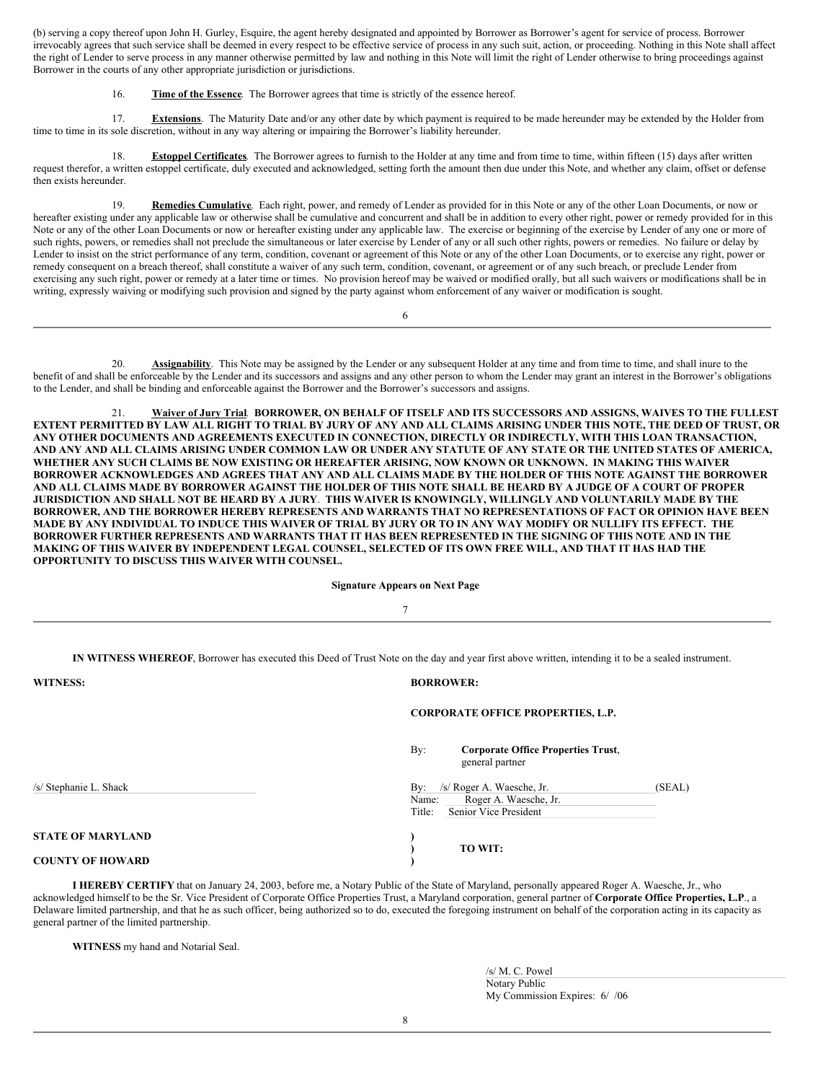(b) serving a copy thereof upon John H. Gurley, Esquire, the agent hereby designated and appointed by Borrower as Borrower's agent for service of process. Borrower irrevocably agrees that such service shall be deemed in every respect to be effective service of process in any such suit, action, or proceeding. Nothing in this Note shall affect the right of Lender to serve process in any manner otherwise permitted by law and nothing in this Note will limit the right of Lender otherwise to bring proceedings against Borrower in the courts of any other appropriate jurisdiction or jurisdictions.

16. **Time of the Essence**. The Borrower agrees that time is strictly of the essence hereof.

17. **Extensions**. The Maturity Date and/or any other date by which payment is required to be made hereunder may be extended by the Holder from time to time in its sole discretion, without in any way altering or impairing the Borrower's liability hereunder.

18. **Estoppel Certificates**. The Borrower agrees to furnish to the Holder at any time and from time to time, within fifteen (15) days after written request therefor, a written estoppel certificate, duly executed and acknowledged, setting forth the amount then due under this Note, and whether any claim, offset or defense then exists hereunder.

19. **Remedies Cumulative**. Each right, power, and remedy of Lender as provided for in this Note or any of the other Loan Documents, or now or hereafter existing under any applicable law or otherwise shall be cumulative and concurrent and shall be in addition to every other right, power or remedy provided for in this Note or any of the other Loan Documents or now or hereafter existing under any applicable law. The exercise or beginning of the exercise by Lender of any one or more of such rights, powers, or remedies shall not preclude the simultaneous or later exercise by Lender of any or all such other rights, powers or remedies. No failure or delay by Lender to insist on the strict performance of any term, condition, covenant or agreement of this Note or any of the other Loan Documents, or to exercise any right, power or remedy consequent on a breach thereof, shall constitute a waiver of any such term, condition, covenant, or agreement or of any such breach, or preclude Lender from exercising any such right, power or remedy at a later time or times. No provision hereof may be waived or modified orally, but all such waivers or modifications shall be in writing, expressly waiving or modifying such provision and signed by the party against whom enforcement of any waiver or modification is sought.

6

20. **Assignability**. This Note may be assigned by the Lender or any subsequent Holder at any time and from time to time, and shall inure to the benefit of and shall be enforceable by the Lender and its successors and assigns and any other person to whom the Lender may grant an interest in the Borrower's obligations to the Lender, and shall be binding and enforceable against the Borrower and the Borrower's successors and assigns.

21. Waiver of Jury Trial BORROWER, ON BEHALF OF ITSELF AND ITS SUCCESSORS AND ASSIGNS, WAIVES TO THE FULLEST EXTENT PERMITTED BY LAW ALL RIGHT TO TRIAL BY JURY OF ANY AND ALL CLAIMS ARISING UNDER THIS NOTE, THE DEED OF TRUST, OR **ANY OTHER DOCUMENTS AND AGREEMENTS EXECUTED IN CONNECTION, DIRECTLY OR INDIRECTLY, WITH THIS LOAN TRANSACTION,** AND ANY AND ALL CLAIMS ARISING UNDER COMMON LAW OR UNDER ANY STATUTE OF ANY STATE OR THE UNITED STATES OF AMERICA, WHETHER ANY SUCH CLAIMS BE NOW EXISTING OR HEREAFTER ARISING, NOW KNOWN OR UNKNOWN. IN MAKING THIS WAIVER BORROWER ACKNOWLEDGES AND AGREES THAT ANY AND ALL CLAIMS MADE BY THE HOLDER OF THIS NOTE AGAINST THE BORROWER AND ALL CLAIMS MADE BY BORROWER AGAINST THE HOLDER OF THIS NOTE SHALL BE HEARD BY A JUDGE OF A COURT OF PROPER JURISDICTION AND SHALL NOT BE HEARD BY A JURY. THIS WAIVER IS KNOWINGLY, WILLINGLY AND VOLUNTARILY MADE BY THE BORROWER, AND THE BORROWER HEREBY REPRESENTS AND WARRANTS THAT NO REPRESENTATIONS OF FACT OR OPINION HAVE BEEN MADE BY ANY INDIVIDUAL TO INDUCE THIS WAIVER OF TRIAL BY JURY OR TO IN ANY WAY MODIFY OR NULLIFY ITS EFFECT. THE BORROWER FURTHER REPRESENTS AND WARRANTS THAT IT HAS BEEN REPRESENTED IN THE SIGNING OF THIS NOTE AND IN THE MAKING OF THIS WAIVER BY INDEPENDENT LEGAL COUNSEL, SELECTED OF ITS OWN FREE WILL, AND THAT IT HAS HAD THE **OPPORTUNITY TO DISCUSS THIS WAIVER WITH COUNSEL.**

#### **Signature Appears on Next Page**

7

**IN WITNESS WHEREOF**, Borrower has executed this Deed of Trust Note on the day and year first above written, intending it to be a sealed instrument.

| <b>WITNESS:</b>          | <b>BORROWER:</b>                                                                                                           |  |  |  |  |  |  |  |
|--------------------------|----------------------------------------------------------------------------------------------------------------------------|--|--|--|--|--|--|--|
|                          | <b>CORPORATE OFFICE PROPERTIES, L.P.</b>                                                                                   |  |  |  |  |  |  |  |
|                          | By:<br><b>Corporate Office Properties Trust,</b><br>general partner                                                        |  |  |  |  |  |  |  |
| /s/ Stephanie L. Shack   | (SEAL)<br>/s/ Roger A. Waesche, Jr.<br>$\mathbf{By:}$<br>Roger A. Waesche, Jr.<br>Name:<br>Senior Vice President<br>Title: |  |  |  |  |  |  |  |
| <b>STATE OF MARYLAND</b> | TO WIT:                                                                                                                    |  |  |  |  |  |  |  |
| <b>COUNTY OF HOWARD</b>  |                                                                                                                            |  |  |  |  |  |  |  |

**I HEREBY CERTIFY** that on January 24, 2003, before me, a Notary Public of the State of Maryland, personally appeared Roger A. Waesche, Jr., who acknowledged himself to be the Sr. Vice President of Corporate Office Properties Trust, a Maryland corporation, general partner of **Corporate Office Properties, L.P**., a Delaware limited partnership, and that he as such officer, being authorized so to do, executed the foregoing instrument on behalf of the corporation acting in its capacity as general partner of the limited partnership.

**WITNESS** my hand and Notarial Seal.

/s/ M. C. Powel Notary Public My Commission Expires: 6/ /06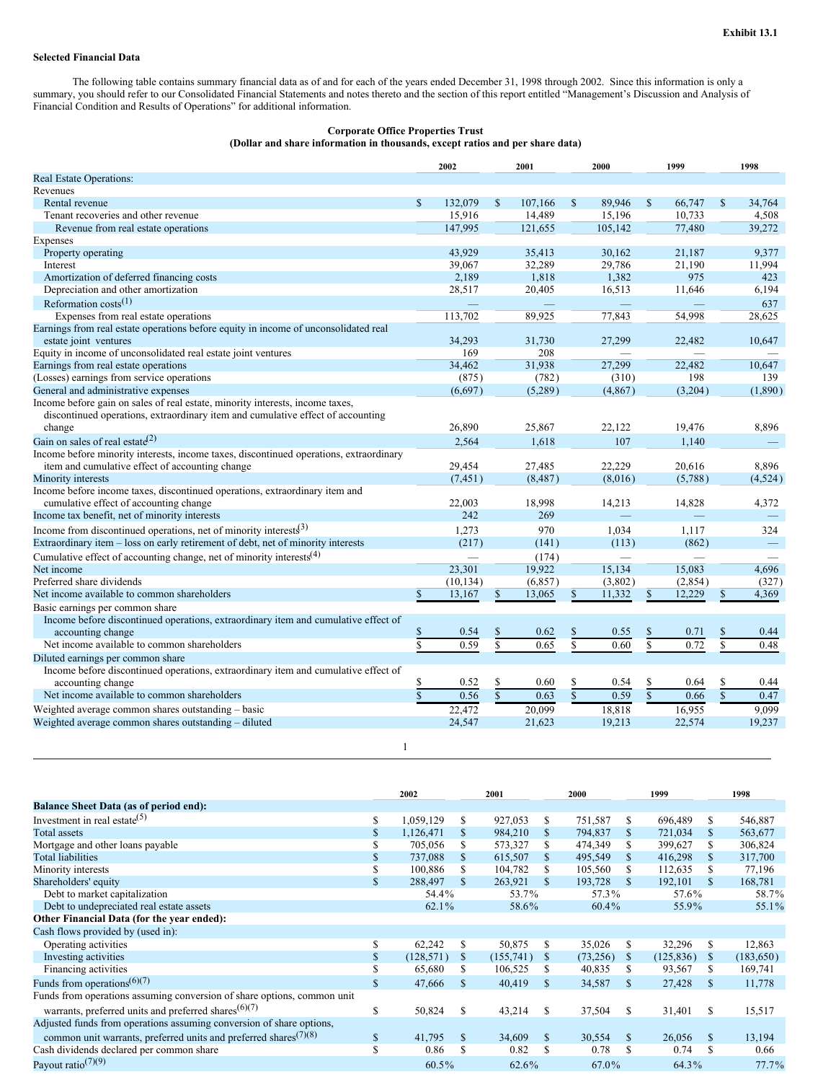## **Selected Financial Data**

The following table contains summary financial data as of and for each of the years ended December 31, 1998 through 2002. Since this information is only a summary, you should refer to our Consolidated Financial Statements and notes thereto and the section of this report entitled "Management's Discussion and Analysis of Financial Condition and Results of Operations" for additional information.

# **Corporate Office Properties Trust (Dollar and share information in thousands, except ratios and per share data)**

|                                                                                        |                               | 2002      |                | 2001     |                      | 2000     |                         | 1999    |                      | 1998              |
|----------------------------------------------------------------------------------------|-------------------------------|-----------|----------------|----------|----------------------|----------|-------------------------|---------|----------------------|-------------------|
| <b>Real Estate Operations:</b>                                                         |                               |           |                |          |                      |          |                         |         |                      |                   |
| Revenues                                                                               |                               |           |                |          |                      |          |                         |         |                      |                   |
| Rental revenue                                                                         | $\mathbb{S}$                  | 132,079   | $\mathbb{S}$   | 107.166  | $\mathbb{S}$         | 89.946   | $\mathbb{S}$            | 66.747  | $\mathbf S$          | 34.764            |
| Tenant recoveries and other revenue                                                    |                               | 15,916    |                | 14,489   |                      | 15,196   |                         | 10,733  |                      | 4,508             |
| Revenue from real estate operations                                                    |                               | 147,995   |                | 121,655  |                      | 105,142  |                         | 77,480  |                      | 39,272            |
| Expenses                                                                               |                               |           |                |          |                      |          |                         |         |                      |                   |
| Property operating                                                                     |                               | 43,929    |                | 35,413   |                      | 30,162   |                         | 21,187  |                      | 9,377             |
| Interest                                                                               |                               | 39.067    |                | 32,289   |                      | 29,786   |                         | 21,190  |                      | 11,994            |
| Amortization of deferred financing costs                                               |                               | 2,189     |                | 1,818    |                      | 1,382    |                         | 975     |                      | 423               |
| Depreciation and other amortization                                                    |                               | 28,517    |                | 20,405   |                      | 16,513   |                         | 11,646  |                      | 6,194             |
| Reformation $costs^{(1)}$                                                              |                               |           |                |          |                      |          |                         |         |                      | 637               |
| Expenses from real estate operations                                                   |                               | 113,702   |                | 89,925   |                      | 77,843   |                         | 54,998  |                      | 28,625            |
| Earnings from real estate operations before equity in income of unconsolidated real    |                               |           |                |          |                      |          |                         |         |                      |                   |
| estate joint ventures                                                                  |                               | 34,293    |                | 31,730   |                      | 27,299   |                         | 22,482  |                      | 10,647            |
| Equity in income of unconsolidated real estate joint ventures                          |                               | 169       |                | 208      |                      |          |                         |         |                      |                   |
| Earnings from real estate operations                                                   |                               | 34,462    |                | 31.938   |                      | 27,299   |                         | 22,482  |                      | 10.647            |
| (Losses) earnings from service operations                                              |                               | (875)     |                | (782)    |                      | (310)    |                         | 198     |                      | 139               |
| General and administrative expenses                                                    |                               | (6,697)   |                | (5,289)  |                      | (4, 867) |                         | (3,204) |                      | (1,890)           |
| Income before gain on sales of real estate, minority interests, income taxes,          |                               |           |                |          |                      |          |                         |         |                      |                   |
| discontinued operations, extraordinary item and cumulative effect of accounting        |                               |           |                |          |                      |          |                         |         |                      |                   |
| change                                                                                 |                               | 26,890    |                | 25,867   |                      | 22,122   |                         | 19,476  |                      | 8,896             |
| Gain on sales of real estate <sup>(2)</sup>                                            |                               | 2,564     |                | 1,618    |                      | 107      |                         | 1.140   |                      |                   |
| Income before minority interests, income taxes, discontinued operations, extraordinary |                               |           |                |          |                      |          |                         |         |                      |                   |
| item and cumulative effect of accounting change                                        |                               | 29,454    |                | 27,485   |                      | 22,229   |                         | 20,616  |                      | 8,896             |
| Minority interests                                                                     |                               | (7, 451)  |                | (8, 487) |                      | (8,016)  |                         | (5,788) |                      | (4, 524)          |
| Income before income taxes, discontinued operations, extraordinary item and            |                               |           |                |          |                      |          |                         |         |                      |                   |
| cumulative effect of accounting change                                                 |                               | 22,003    |                | 18,998   |                      | 14,213   |                         | 14,828  |                      | 4,372             |
| Income tax benefit, net of minority interests                                          |                               | 242       |                | 269      |                      |          |                         |         |                      |                   |
| Income from discontinued operations, net of minority interests $(3)$                   |                               | 1,273     |                | 970      |                      | 1.034    |                         | 1.117   |                      | 324               |
| Extraordinary item - loss on early retirement of debt, net of minority interests       |                               | (217)     |                | (141)    |                      | (113)    |                         | (862)   |                      | $\qquad \qquad -$ |
| Cumulative effect of accounting change, net of minority interests $(4)$                |                               |           |                | (174)    |                      |          |                         |         |                      |                   |
| Net income                                                                             |                               | 23.301    |                | 19.922   |                      | 15,134   |                         | 15,083  |                      | 4,696             |
| Preferred share dividends                                                              |                               | (10, 134) |                | (6, 857) |                      | (3,802)  |                         | (2,854) |                      | (327)             |
| Net income available to common shareholders                                            | $\mathbb{S}$                  | 13,167    | $\mathbb{S}$   | 13,065   | $\mathbb{S}$         | 11,332   | $\mathbb{S}$            | 12,229  | $\mathbb{S}$         | 4,369             |
|                                                                                        |                               |           |                |          |                      |          |                         |         |                      |                   |
| Basic earnings per common share                                                        |                               |           |                |          |                      |          |                         |         |                      |                   |
| Income before discontinued operations, extraordinary item and cumulative effect of     |                               | 0.54      |                | 0.62     |                      | 0.55     |                         | 0.71    |                      | 0.44              |
| accounting change<br>Net income available to common shareholders                       | \$<br>$\overline{\mathbb{S}}$ | 0.59      | $rac{1}{s}$    |          | \$<br>$\overline{s}$ |          | $rac{s}{s}$             | 0.72    | \$<br>$\overline{s}$ |                   |
|                                                                                        |                               |           |                | 0.65     |                      | 0.60     |                         |         |                      | 0.48              |
| Diluted earnings per common share                                                      |                               |           |                |          |                      |          |                         |         |                      |                   |
| Income before discontinued operations, extraordinary item and cumulative effect of     |                               |           |                |          |                      |          |                         |         |                      |                   |
| accounting change                                                                      | \$                            | 0.52      | \$             | 0.60     | \$                   | 0.54     | \$                      | 0.64    | \$                   | 0.44              |
| Net income available to common shareholders                                            | $\mathbf S$                   | 0.56      | $\overline{s}$ | 0.63     | $\overline{s}$       | 0.59     | $\overline{\mathbf{s}}$ | 0.66    | $\overline{s}$       | 0.47              |
| Weighted average common shares outstanding - basic                                     |                               | 22.472    |                | 20.099   |                      | 18,818   |                         | 16,955  |                      | 9.099             |
| Weighted average common shares outstanding - diluted                                   |                               | 24,547    |                | 21,623   |                      | 19,213   |                         | 22,574  |                      | 19,237            |
|                                                                                        |                               |           |                |          |                      |          |                         |         |                      |                   |

|                                                                                           | 2002             |               | 2001      |               | 2000     |              | 1999       |               | 1998       |
|-------------------------------------------------------------------------------------------|------------------|---------------|-----------|---------------|----------|--------------|------------|---------------|------------|
| <b>Balance Sheet Data (as of period end):</b>                                             |                  |               |           |               |          |              |            |               |            |
| Investment in real estate <sup>(5)</sup>                                                  | \$<br>1,059,129  | S.            | 927,053   | S             | 751,587  | S            | 696,489    | S             | 546,887    |
| Total assets                                                                              | 1,126,471        |               | 984,210   | S.            | 794,837  | S            | 721,034    | S             | 563,677    |
| Mortgage and other loans payable                                                          | 705,056          |               | 573,327   |               | 474,349  | S            | 399.627    |               | 306,824    |
| Total liabilities                                                                         | 737,088          | S             | 615,507   | <sup>S</sup>  | 495,549  | S.           | 416,298    | S             | 317,700    |
| Minority interests                                                                        | 100,886          |               | 104,782   |               | 105,560  | S            | 112,635    | S             | 77,196     |
| Shareholders' equity                                                                      | \$<br>288,497    | <sup>\$</sup> | 263,921   | \$.           | 193,728  | S            | 192,101    | S             | 168,781    |
| Debt to market capitalization                                                             | 54.4%            |               | 53.7%     |               | 57.3%    |              | 57.6%      |               | 58.7%      |
| Debt to undepreciated real estate assets                                                  | 62.1%            |               | 58.6%     |               | 60.4%    |              | 55.9%      |               | 55.1%      |
| Other Financial Data (for the year ended):                                                |                  |               |           |               |          |              |            |               |            |
| Cash flows provided by (used in):                                                         |                  |               |           |               |          |              |            |               |            |
| Operating activities                                                                      | \$<br>62,242     | S             | 50,875    | S             | 35,026   | S            | 32,296     | S             | 12,863     |
| Investing activities                                                                      | \$<br>(128, 571) | <sup>S</sup>  | (155,741) | <sup>S</sup>  | (73,256) | <sup>S</sup> | (125, 836) | <sup>\$</sup> | (183, 650) |
| Financing activities                                                                      | \$<br>65,680     | S.            | 106,525   | S             | 40,835   | \$           | 93,567     | S             | 169,741    |
| Funds from operations <sup><math>(6)(7)</math></sup>                                      | \$<br>47,666     | <sup>\$</sup> | 40,419    | \$.           | 34,587   | S            | 27,428     | S             | 11,778     |
| Funds from operations assuming conversion of share options, common unit                   |                  |               |           |               |          |              |            |               |            |
| warrants, preferred units and preferred shares $(6)(7)$                                   | \$<br>50,824     | S             | 43,214    | \$.           | 37,504   | S            | 31,401     | S             | 15,517     |
| Adjusted funds from operations assuming conversion of share options,                      |                  |               |           |               |          |              |            |               |            |
| common unit warrants, preferred units and preferred shares <sup><math>(7)(8)</math></sup> | \$<br>41,795     | S             | 34,609    | <sup>\$</sup> | 30,554   | S            | 26,056     | S             | 13,194     |
| Cash dividends declared per common share                                                  | \$<br>0.86       | S             | 0.82      |               | 0.78     | S            | 0.74       | S             | 0.66       |
| Payout ratio <sup>(7)(9)</sup>                                                            | 60.5%            |               | 62.6%     |               | 67.0%    |              | 64.3%      |               | 77.7%      |

1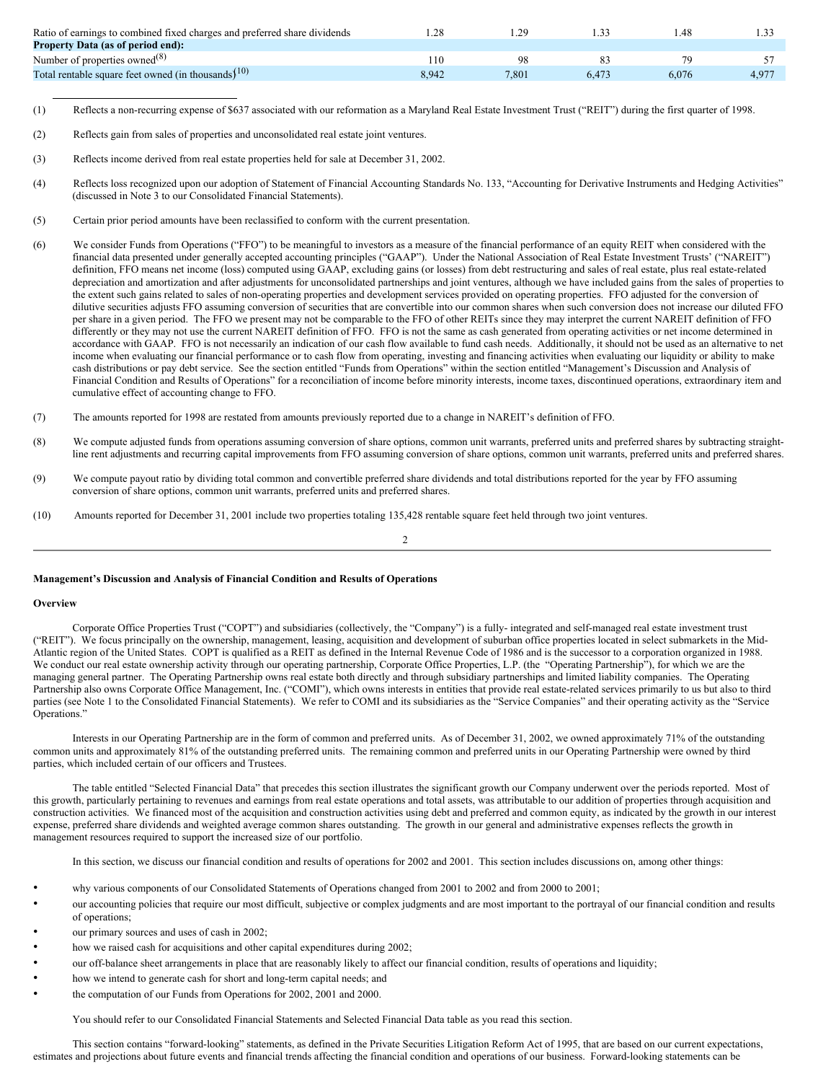| Ratio of earnings to combined fixed charges and preferred share dividends |       | .29   |       | .48   |       |
|---------------------------------------------------------------------------|-------|-------|-------|-------|-------|
| <b>Property Data (as of period end):</b>                                  |       |       |       |       |       |
| Number of properties owned $(8)$                                          | 10    | QR    |       |       |       |
| Total rentable square feet owned (in thousands) $10$ )                    | 8.942 | 7.801 | 6.473 | 6.076 | 4.977 |

(1) Reflects a non-recurring expense of \$637 associated with our reformation as a Maryland Real Estate Investment Trust ("REIT") during the first quarter of 1998.

- (3) Reflects income derived from real estate properties held for sale at December 31, 2002.
- (4) Reflects loss recognized upon our adoption of Statement of Financial Accounting Standards No. 133, "Accounting for Derivative Instruments and Hedging Activities" (discussed in Note 3 to our Consolidated Financial Statements).
- (5) Certain prior period amounts have been reclassified to conform with the current presentation.
- (6) We consider Funds from Operations ("FFO") to be meaningful to investors as a measure of the financial performance of an equity REIT when considered with the financial data presented under generally accepted accounting principles ("GAAP"). Under the National Association of Real Estate Investment Trusts' ("NAREIT") definition, FFO means net income (loss) computed using GAAP, excluding gains (or losses) from debt restructuring and sales of real estate, plus real estate-related depreciation and amortization and after adjustments for unconsolidated partnerships and joint ventures, although we have included gains from the sales of properties to the extent such gains related to sales of non-operating properties and development services provided on operating properties. FFO adjusted for the conversion of dilutive securities adjusts FFO assuming conversion of securities that are convertible into our common shares when such conversion does not increase our diluted FFO per share in a given period. The FFO we present may not be comparable to the FFO of other REITs since they may interpret the current NAREIT definition of FFO differently or they may not use the current NAREIT definition of FFO. FFO is not the same as cash generated from operating activities or net income determined in accordance with GAAP. FFO is not necessarily an indication of our cash flow available to fund cash needs. Additionally, it should not be used as an alternative to net income when evaluating our financial performance or to cash flow from operating, investing and financing activities when evaluating our liquidity or ability to make cash distributions or pay debt service. See the section entitled "Funds from Operations" within the section entitled "Management's Discussion and Analysis of Financial Condition and Results of Operations" for a reconciliation of income before minority interests, income taxes, discontinued operations, extraordinary item and cumulative effect of accounting change to FFO.
- (7) The amounts reported for 1998 are restated from amounts previously reported due to a change in NAREIT's definition of FFO.
- (8) We compute adjusted funds from operations assuming conversion of share options, common unit warrants, preferred units and preferred shares by subtracting straightline rent adjustments and recurring capital improvements from FFO assuming conversion of share options, common unit warrants, preferred units and preferred shares.
- (9) We compute payout ratio by dividing total common and convertible preferred share dividends and total distributions reported for the year by FFO assuming conversion of share options, common unit warrants, preferred units and preferred shares.
- (10) Amounts reported for December 31, 2001 include two properties totaling 135,428 rentable square feet held through two joint ventures.

2

## **Management's Discussion and Analysis of Financial Condition and Results of Operations**

## **Overview**

Corporate Office Properties Trust ("COPT") and subsidiaries (collectively, the "Company") is a fully- integrated and self-managed real estate investment trust ("REIT"). We focus principally on the ownership, management, leasing, acquisition and development of suburban office properties located in select submarkets in the Mid-Atlantic region of the United States. COPT is qualified as a REIT as defined in the Internal Revenue Code of 1986 and is the successor to a corporation organized in 1988. We conduct our real estate ownership activity through our operating partnership, Corporate Office Properties, L.P. (the "Operating Partnership"), for which we are the managing general partner. The Operating Partnership owns real estate both directly and through subsidiary partnerships and limited liability companies. The Operating Partnership also owns Corporate Office Management, Inc. ("COMI"), which owns interests in entities that provide real estate-related services primarily to us but also to third parties (see Note 1 to the Consolidated Financial Statements). We refer to COMI and its subsidiaries as the "Service Companies" and their operating activity as the "Service Operations."

Interests in our Operating Partnership are in the form of common and preferred units. As of December 31, 2002, we owned approximately 71% of the outstanding common units and approximately 81% of the outstanding preferred units. The remaining common and preferred units in our Operating Partnership were owned by third parties, which included certain of our officers and Trustees.

The table entitled "Selected Financial Data" that precedes this section illustrates the significant growth our Company underwent over the periods reported. Most of this growth, particularly pertaining to revenues and earnings from real estate operations and total assets, was attributable to our addition of properties through acquisition and construction activities. We financed most of the acquisition and construction activities using debt and preferred and common equity, as indicated by the growth in our interest expense, preferred share dividends and weighted average common shares outstanding. The growth in our general and administrative expenses reflects the growth in management resources required to support the increased size of our portfolio.

In this section, we discuss our financial condition and results of operations for 2002 and 2001. This section includes discussions on, among other things:

- why various components of our Consolidated Statements of Operations changed from 2001 to 2002 and from 2000 to 2001;
- our accounting policies that require our most difficult, subjective or complex judgments and are most important to the portrayal of our financial condition and results of operations;
- our primary sources and uses of cash in 2002;
- how we raised cash for acquisitions and other capital expenditures during 2002;
- our off-balance sheet arrangements in place that are reasonably likely to affect our financial condition, results of operations and liquidity;
- how we intend to generate cash for short and long-term capital needs; and
- the computation of our Funds from Operations for 2002, 2001 and 2000.

You should refer to our Consolidated Financial Statements and Selected Financial Data table as you read this section.

This section contains "forward-looking" statements, as defined in the Private Securities Litigation Reform Act of 1995, that are based on our current expectations, estimates and projections about future events and financial trends affecting the financial condition and operations of our business. Forward-looking statements can be

<sup>(2)</sup> Reflects gain from sales of properties and unconsolidated real estate joint ventures.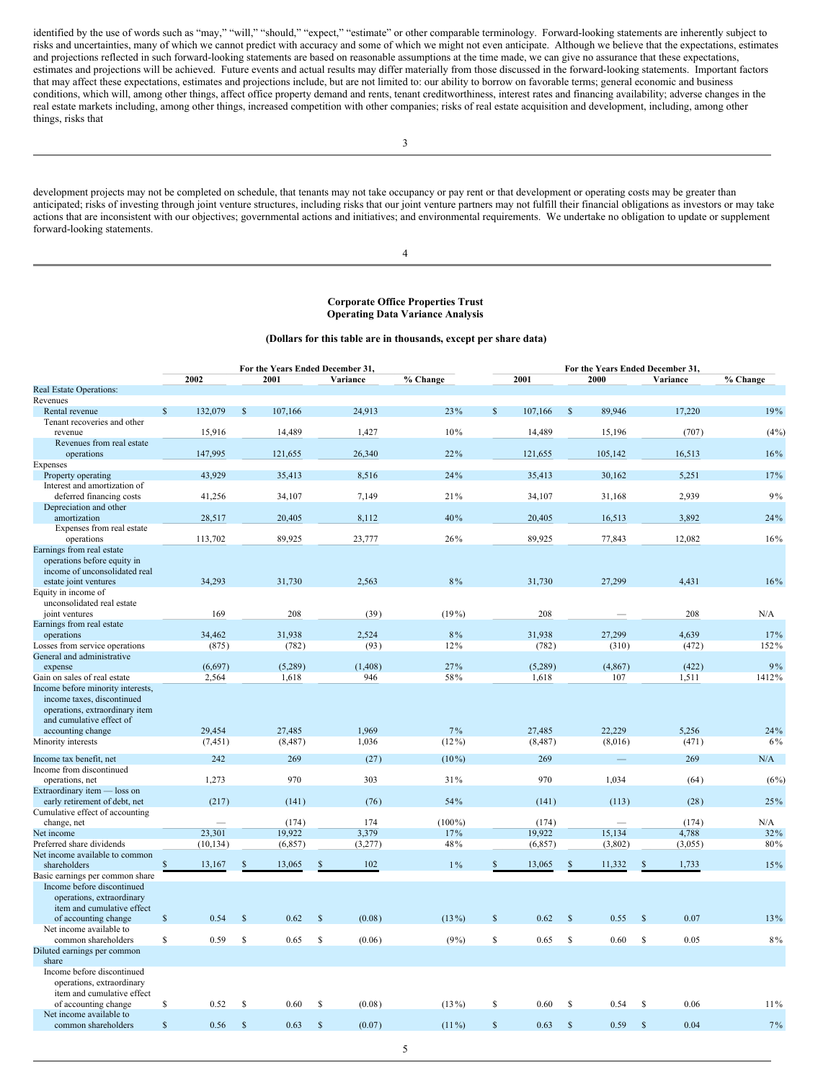identified by the use of words such as "may," "will," "should," "expect," "estimate" or other comparable terminology. Forward-looking statements are inherently subject to risks and uncertainties, many of which we cannot predict with accuracy and some of which we might not even anticipate. Although we believe that the expectations, estimates and projections reflected in such forward-looking statements are based on reasonable assumptions at the time made, we can give no assurance that these expectations, estimates and projections will be achieved. Future events and actual results may differ materially from those discussed in the forward-looking statements. Important factors that may affect these expectations, estimates and projections include, but are not limited to: our ability to borrow on favorable terms; general economic and business conditions, which will, among other things, affect office property demand and rents, tenant creditworthiness, interest rates and financing availability; adverse changes in the real estate markets including, among other things, increased competition with other companies; risks of real estate acquisition and development, including, among other things, risks that

3

development projects may not be completed on schedule, that tenants may not take occupancy or pay rent or that development or operating costs may be greater than anticipated; risks of investing through joint venture structures, including risks that our joint venture partners may not fulfill their financial obligations as investors or may take actions that are inconsistent with our objectives; governmental actions and initiatives; and environmental requirements. We undertake no obligation to update or supplement forward-looking statements.

## 4

#### **Corporate Office Properties Trust Operating Data Variance Analysis**

#### **(Dollars for this table are in thousands, except per share data)**

|                                                                                                                               |                    | For the Years Ended December 31, |              |          |              |          |                           | For the Years Ended December 31, |                    |          |                    |          |               |         |            |
|-------------------------------------------------------------------------------------------------------------------------------|--------------------|----------------------------------|--------------|----------|--------------|----------|---------------------------|----------------------------------|--------------------|----------|--------------------|----------|---------------|---------|------------|
| Real Estate Operations:                                                                                                       |                    | 2002                             |              | 2001     |              | Variance | $\sqrt[6]{\text{Change}}$ |                                  |                    | 2001     |                    | 2000     | Variance      |         | $% Change$ |
| Revenues                                                                                                                      |                    |                                  |              |          |              |          |                           |                                  |                    |          |                    |          |               |         |            |
| Rental revenue                                                                                                                | $\mathbb{S}$       | 132,079                          | $\mathbb{S}$ | 107,166  |              | 24,913   |                           | 23%                              | $\mathbf{\hat{s}}$ | 107,166  | $\mathbb{S}$       | 89,946   |               | 17,220  | 19%        |
| Tenant recoveries and other                                                                                                   |                    |                                  |              |          |              |          |                           |                                  |                    |          |                    |          |               |         |            |
| revenue                                                                                                                       |                    | 15,916                           |              | 14,489   |              | 1,427    |                           | 10%                              |                    | 14,489   |                    | 15,196   |               | (707)   | $(4\%)$    |
| Revenues from real estate                                                                                                     |                    |                                  |              |          |              |          |                           |                                  |                    |          |                    |          |               |         |            |
| operations                                                                                                                    |                    | 147,995                          |              | 121,655  |              | 26,340   |                           | 22%                              |                    | 121,655  |                    | 105,142  |               | 16,513  | 16%        |
| Expenses                                                                                                                      |                    |                                  |              |          |              |          |                           |                                  |                    |          |                    |          |               |         |            |
| Property operating<br>Interest and amortization of                                                                            |                    | 43.929                           |              | 35.413   |              | 8.516    |                           | 24%                              |                    | 35,413   |                    | 30.162   |               | 5,251   | 17%        |
| deferred financing costs                                                                                                      |                    | 41,256                           |              | 34,107   |              | 7,149    |                           | 21%                              |                    | 34,107   |                    | 31,168   |               | 2,939   | 9%         |
| Depreciation and other                                                                                                        |                    |                                  |              |          |              |          |                           |                                  |                    |          |                    |          |               |         |            |
| amortization                                                                                                                  |                    | 28,517                           |              | 20,405   |              | 8,112    |                           | 40%                              |                    | 20,405   |                    | 16,513   |               | 3,892   | 24%        |
| Expenses from real estate                                                                                                     |                    |                                  |              |          |              |          |                           |                                  |                    |          |                    |          |               |         |            |
| operations                                                                                                                    |                    | 113,702                          |              | 89,925   |              | 23,777   |                           | 26%                              |                    | 89,925   |                    | 77,843   |               | 12,082  | 16%        |
| Earnings from real estate                                                                                                     |                    |                                  |              |          |              |          |                           |                                  |                    |          |                    |          |               |         |            |
| operations before equity in                                                                                                   |                    |                                  |              |          |              |          |                           |                                  |                    |          |                    |          |               |         |            |
| income of unconsolidated real                                                                                                 |                    |                                  |              |          |              |          |                           |                                  |                    |          |                    |          |               |         |            |
| estate joint ventures                                                                                                         |                    | 34,293                           |              | 31,730   |              | 2,563    |                           | 8%                               |                    | 31,730   |                    | 27,299   |               | 4,431   | 16%        |
| Equity in income of                                                                                                           |                    |                                  |              |          |              |          |                           |                                  |                    |          |                    |          |               |         |            |
| unconsolidated real estate<br>joint ventures                                                                                  |                    | 169                              |              | 208      |              |          |                           | $(19\%)$                         |                    | 208      |                    |          |               | 208     | N/A        |
| Earnings from real estate                                                                                                     |                    |                                  |              |          |              | (39)     |                           |                                  |                    |          |                    |          |               |         |            |
| operations                                                                                                                    |                    | 34,462                           |              | 31,938   |              | 2,524    |                           | 8%                               |                    | 31,938   |                    | 27,299   |               | 4,639   | 17%        |
| Losses from service operations                                                                                                |                    | (875)                            |              | (782)    |              | (93)     |                           | 12%                              |                    | (782)    |                    | (310)    |               | (472)   | 152%       |
| General and administrative                                                                                                    |                    |                                  |              |          |              |          |                           |                                  |                    |          |                    |          |               |         |            |
| expense                                                                                                                       |                    | (6,697)                          |              | (5,289)  |              | (1, 408) |                           | 27%                              |                    | (5,289)  |                    | (4, 867) |               | (422)   | 9%         |
| Gain on sales of real estate                                                                                                  |                    | 2,564                            |              | 1,618    |              | 946      |                           | 58%                              |                    | 1,618    |                    | 107      |               | 1,511   | 1412%      |
| Income before minority interests,<br>income taxes, discontinued<br>operations, extraordinary item<br>and cumulative effect of |                    |                                  |              |          |              |          |                           |                                  |                    |          |                    |          |               |         |            |
| accounting change                                                                                                             |                    | 29,454                           |              | 27,485   |              | 1,969    |                           | $7\%$                            |                    | 27,485   |                    | 22,229   |               | 5,256   | 24%        |
| Minority interests                                                                                                            |                    | (7, 451)                         |              | (8, 487) |              | 1,036    |                           | $(12\%)$                         |                    | (8, 487) |                    | (8,016)  |               | (471)   | 6%         |
| Income tax benefit, net                                                                                                       |                    | 242                              |              | 269      |              | (27)     |                           | $(10\%)$                         |                    | 269      |                    |          |               | 269     | $\rm N/A$  |
| Income from discontinued                                                                                                      |                    |                                  |              |          |              |          |                           |                                  |                    |          |                    |          |               |         |            |
| operations, net                                                                                                               |                    | 1,273                            |              | 970      |              | 303      |                           | 31%                              |                    | 970      |                    | 1,034    |               | (64)    | $(6\%)$    |
| Extraordinary item - loss on                                                                                                  |                    |                                  |              |          |              |          |                           |                                  |                    |          |                    |          |               |         |            |
| early retirement of debt, net                                                                                                 |                    | (217)                            |              | (141)    |              | (76)     |                           | 54%                              |                    | (141)    |                    | (113)    |               | (28)    | 25%        |
| Cumulative effect of accounting                                                                                               |                    |                                  |              |          |              |          |                           |                                  |                    |          |                    |          |               |         |            |
| change, net                                                                                                                   |                    |                                  |              | (174)    |              | 174      | $(100\%)$                 |                                  |                    | (174)    |                    |          |               | (174)   | N/A        |
| Net income                                                                                                                    |                    | 23,301                           |              | 19,922   |              | 3,379    |                           | 17%                              |                    | 19,922   |                    | 15,134   |               | 4,788   | 32%        |
| Preferred share dividends<br>Net income available to common                                                                   |                    | (10, 134)                        |              | (6, 857) |              | (3,277)  |                           | 48%                              |                    | (6, 857) |                    | (3,802)  |               | (3,055) | 80%        |
| shareholders                                                                                                                  | $\mathbf{\hat{s}}$ | 13,167                           | $\mathbb{S}$ | 13,065   | $\mathbf{s}$ | 102      |                           | $1\%$                            | $\mathbf{s}$       | 13,065   | $\mathcal{S}$      | 11,332   | \$            | 1,733   | 15%        |
| Basic earnings per common share<br>Income before discontinued                                                                 |                    |                                  |              |          |              |          |                           |                                  |                    |          |                    |          |               |         |            |
| operations, extraordinary<br>item and cumulative effect                                                                       |                    |                                  |              |          |              |          |                           |                                  |                    |          |                    |          |               |         |            |
| of accounting change                                                                                                          | $\mathbf S$        | 0.54                             | $\mathbf S$  | 0.62     | $\mathbb{S}$ | (0.08)   |                           | $(13\%)$                         | \$                 | 0.62     | $\mathcal{S}$      | 0.55     | $\mathbf S$   | 0.07    | 13%        |
| Net income available to                                                                                                       |                    |                                  |              |          |              |          |                           |                                  |                    |          |                    |          |               |         |            |
| common shareholders<br>Diluted earnings per common                                                                            | \$                 | 0.59                             | \$           | 0.65     | $\mathbb{S}$ | (0.06)   |                           | $(9\%)$                          | \$                 | 0.65     | <sup>\$</sup>      | 0.60     | <sup>\$</sup> | 0.05    | 8%         |
| share<br>Income before discontinued                                                                                           |                    |                                  |              |          |              |          |                           |                                  |                    |          |                    |          |               |         |            |
| operations, extraordinary<br>item and cumulative effect                                                                       |                    |                                  |              |          |              |          |                           |                                  |                    |          |                    |          |               |         |            |
| of accounting change                                                                                                          | \$                 | 0.52                             | S            | 0.60     | $\mathbb{S}$ | (0.08)   | $(13\%)$                  |                                  | \$                 | 0.60     | \$                 | 0.54     | \$            | 0.06    | 11%        |
| Net income available to<br>common shareholders                                                                                | $\mathsf{\$}$      | 0.56                             | $\mathbf S$  | 0.63     | $\mathbb{S}$ | (0.07)   |                           | $(11\%)$                         | \$                 | 0.63     | $\mathbf{\hat{s}}$ | 0.59     | $\mathcal{S}$ | 0.04    | $7\%$      |
|                                                                                                                               |                    |                                  |              |          |              |          |                           |                                  |                    |          |                    |          |               |         |            |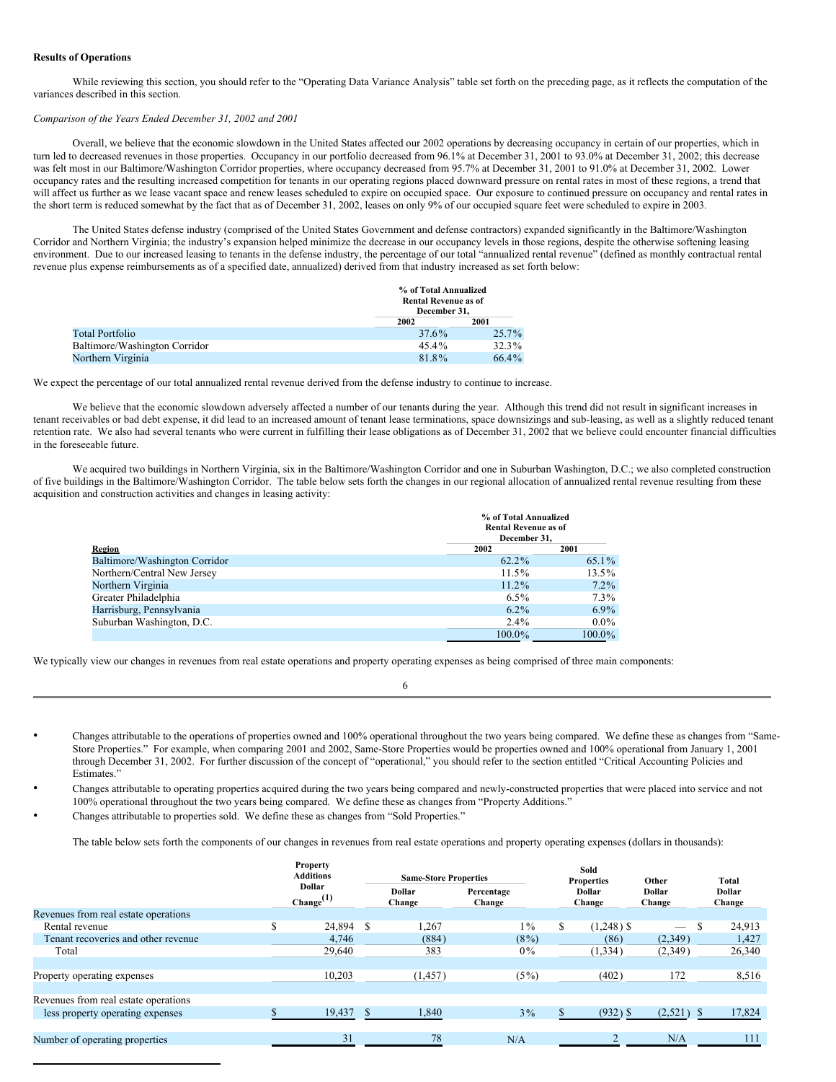#### **Results of Operations**

While reviewing this section, you should refer to the "Operating Data Variance Analysis" table set forth on the preceding page, as it reflects the computation of the variances described in this section.

#### *Comparison of the Years Ended December 31, 2002 and 2001*

Overall, we believe that the economic slowdown in the United States affected our 2002 operations by decreasing occupancy in certain of our properties, which in turn led to decreased revenues in those properties. Occupancy in our portfolio decreased from 96.1% at December 31, 2001 to 93.0% at December 31, 2002; this decrease was felt most in our Baltimore/Washington Corridor properties, where occupancy decreased from 95.7% at December 31, 2001 to 91.0% at December 31, 2002. Lower occupancy rates and the resulting increased competition for tenants in our operating regions placed downward pressure on rental rates in most of these regions, a trend that will affect us further as we lease vacant space and renew leases scheduled to expire on occupied space. Our exposure to continued pressure on occupancy and rental rates in the short term is reduced somewhat by the fact that as of December 31, 2002, leases on only 9% of our occupied square feet were scheduled to expire in 2003.

The United States defense industry (comprised of the United States Government and defense contractors) expanded significantly in the Baltimore/Washington Corridor and Northern Virginia; the industry's expansion helped minimize the decrease in our occupancy levels in those regions, despite the otherwise softening leasing environment. Due to our increased leasing to tenants in the defense industry, the percentage of our total "annualized rental revenue" (defined as monthly contractual rental revenue plus expense reimbursements as of a specified date, annualized) derived from that industry increased as set forth below:

|                               | % of Total Annualized<br><b>Rental Revenue as of</b><br>December 31, |       |
|-------------------------------|----------------------------------------------------------------------|-------|
|                               | 2002                                                                 | 2001  |
| <b>Total Portfolio</b>        | 37.6%                                                                | 25.7% |
| Baltimore/Washington Corridor | $45.4\%$                                                             | 32.3% |
| Northern Virginia             | 81.8%                                                                | 66.4% |

We expect the percentage of our total annualized rental revenue derived from the defense industry to continue to increase.

We believe that the economic slowdown adversely affected a number of our tenants during the year. Although this trend did not result in significant increases in tenant receivables or bad debt expense, it did lead to an increased amount of tenant lease terminations, space downsizings and sub-leasing, as well as a slightly reduced tenant retention rate. We also had several tenants who were current in fulfilling their lease obligations as of December 31, 2002 that we believe could encounter financial difficulties in the foreseeable future.

We acquired two buildings in Northern Virginia, six in the Baltimore/Washington Corridor and one in Suburban Washington, D.C.; we also completed construction of five buildings in the Baltimore/Washington Corridor. The table below sets forth the changes in our regional allocation of annualized rental revenue resulting from these acquisition and construction activities and changes in leasing activity:

|                               | % of Total Annualized<br><b>Rental Revenue as of</b><br>December 31. |           |  |  |  |  |  |  |
|-------------------------------|----------------------------------------------------------------------|-----------|--|--|--|--|--|--|
| <b>Region</b>                 | 2002                                                                 | 2001      |  |  |  |  |  |  |
| Baltimore/Washington Corridor | 62.2%                                                                | $65.1\%$  |  |  |  |  |  |  |
| Northern/Central New Jersey   | $11.5\%$                                                             | 13.5%     |  |  |  |  |  |  |
| Northern Virginia             | $11.2\%$                                                             | $7.2\%$   |  |  |  |  |  |  |
| Greater Philadelphia          | $6.5\%$                                                              | $7.3\%$   |  |  |  |  |  |  |
| Harrisburg, Pennsylvania      | $6.2\%$                                                              | $6.9\%$   |  |  |  |  |  |  |
| Suburban Washington, D.C.     | $2.4\%$                                                              | $0.0\%$   |  |  |  |  |  |  |
|                               | 100.0%                                                               | $100.0\%$ |  |  |  |  |  |  |

We typically view our changes in revenues from real estate operations and property operating expenses as being comprised of three main components:

• Changes attributable to the operations of properties owned and 100% operational throughout the two years being compared. We define these as changes from "Same-Store Properties." For example, when comparing 2001 and 2002, Same-Store Properties would be properties owned and 100% operational from January 1, 2001 through December 31, 2002. For further discussion of the concept of "operational," you should refer to the section entitled "Critical Accounting Policies and Estimates."

6

• Changes attributable to operating properties acquired during the two years being compared and newly-constructed properties that were placed into service and not 100% operational throughout the two years being compared. We define these as changes from "Property Additions."

• Changes attributable to properties sold. We define these as changes from "Sold Properties."

The table below sets forth the components of our changes in revenues from real estate operations and property operating expenses (dollars in thousands):

|                                      | <b>Property</b><br><b>Additions</b> |                                        |     | <b>Same-Store Properties</b> |                      |   | Sold<br><b>Properties</b> | Other                    |  | <b>Total</b>            |  |
|--------------------------------------|-------------------------------------|----------------------------------------|-----|------------------------------|----------------------|---|---------------------------|--------------------------|--|-------------------------|--|
|                                      |                                     | <b>Dollar</b><br>Change <sup>(1)</sup> |     | <b>Dollar</b><br>Change      | Percentage<br>Change |   | Dollar<br>Change          | <b>Dollar</b><br>Change  |  | <b>Dollar</b><br>Change |  |
| Revenues from real estate operations |                                     |                                        |     |                              |                      |   |                           |                          |  |                         |  |
| Rental revenue                       |                                     | 24.894                                 | \$. | .267                         | $1\%$                | S | $(1,248)$ \$              | $\overline{\phantom{a}}$ |  | 24,913                  |  |
| Tenant recoveries and other revenue  |                                     | 4.746                                  |     | (884)                        | $(8\%)$              |   | (86)                      | (2,349)                  |  | 1,427                   |  |
| Total                                |                                     | 29,640                                 |     | 383                          | $0\%$                |   | (1, 334)                  | (2, 349)                 |  | 26,340                  |  |
| Property operating expenses          |                                     | 10,203                                 |     | (1,457)                      | $(5\%)$              |   | (402)                     | 172                      |  | 8,516                   |  |
| Revenues from real estate operations |                                     |                                        |     |                              |                      |   |                           |                          |  |                         |  |
| less property operating expenses     |                                     | 19,437                                 |     | 1,840                        | $3\%$                |   | $(932)$ \$                | (2,521)                  |  | 17,824                  |  |
| Number of operating properties       |                                     | 31                                     |     | 78                           | N/A                  |   |                           | N/A                      |  | 111                     |  |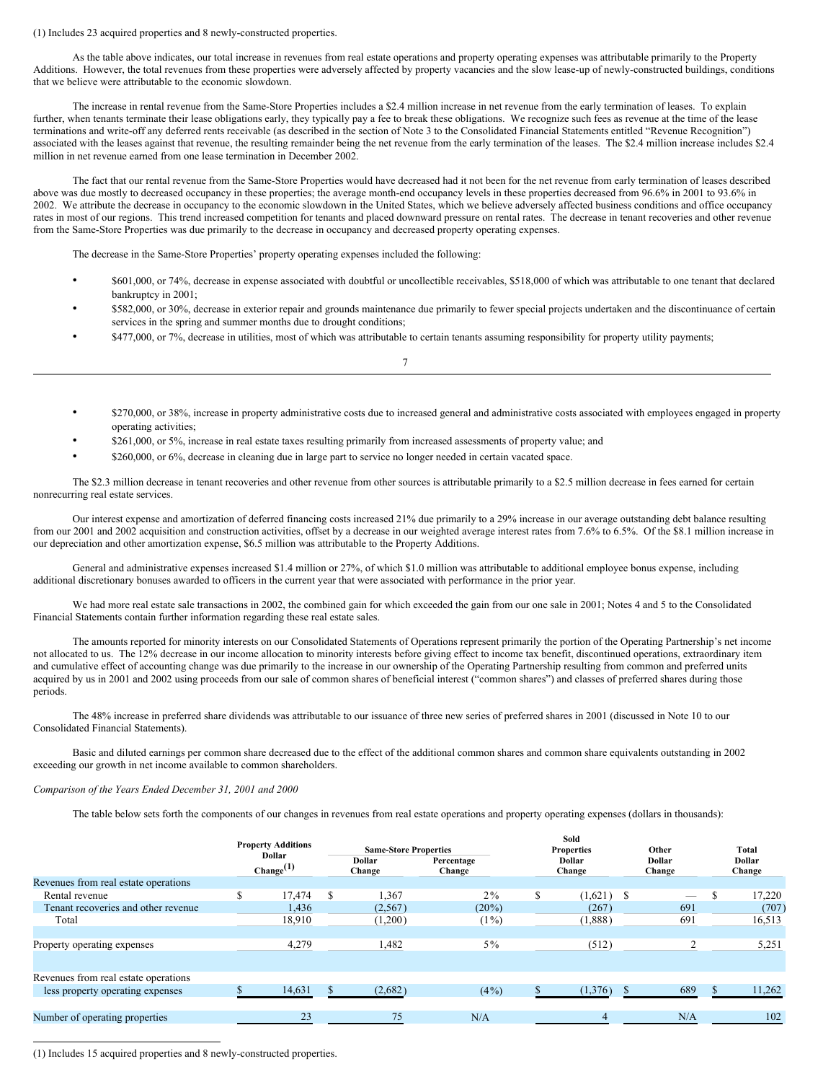#### (1) Includes 23 acquired properties and 8 newly-constructed properties.

As the table above indicates, our total increase in revenues from real estate operations and property operating expenses was attributable primarily to the Property Additions. However, the total revenues from these properties were adversely affected by property vacancies and the slow lease-up of newly-constructed buildings, conditions that we believe were attributable to the economic slowdown.

The increase in rental revenue from the Same-Store Properties includes a \$2.4 million increase in net revenue from the early termination of leases. To explain further, when tenants terminate their lease obligations early, they typically pay a fee to break these obligations. We recognize such fees as revenue at the time of the lease terminations and write-off any deferred rents receivable (as described in the section of Note 3 to the Consolidated Financial Statements entitled "Revenue Recognition") associated with the leases against that revenue, the resulting remainder being the net revenue from the early termination of the leases. The \$2.4 million increase includes \$2.4 million in net revenue earned from one lease termination in December 2002.

The fact that our rental revenue from the Same-Store Properties would have decreased had it not been for the net revenue from early termination of leases described above was due mostly to decreased occupancy in these properties; the average month-end occupancy levels in these properties decreased from 96.6% in 2001 to 93.6% in 2002. We attribute the decrease in occupancy to the economic slowdown in the United States, which we believe adversely affected business conditions and office occupancy rates in most of our regions. This trend increased competition for tenants and placed downward pressure on rental rates. The decrease in tenant recoveries and other revenue from the Same-Store Properties was due primarily to the decrease in occupancy and decreased property operating expenses.

The decrease in the Same-Store Properties' property operating expenses included the following:

- \$601,000, or 74%, decrease in expense associated with doubtful or uncollectible receivables, \$518,000 of which was attributable to one tenant that declared bankruptcy in 2001;
- \$582,000, or 30%, decrease in exterior repair and grounds maintenance due primarily to fewer special projects undertaken and the discontinuance of certain services in the spring and summer months due to drought conditions;
- \$477,000, or 7%, decrease in utilities, most of which was attributable to certain tenants assuming responsibility for property utility payments;

7

- \$270,000, or 38%, increase in property administrative costs due to increased general and administrative costs associated with employees engaged in property operating activities;
- \$261,000, or 5%, increase in real estate taxes resulting primarily from increased assessments of property value; and
- \$260,000, or 6%, decrease in cleaning due in large part to service no longer needed in certain vacated space.

The \$2.3 million decrease in tenant recoveries and other revenue from other sources is attributable primarily to a \$2.5 million decrease in fees earned for certain nonrecurring real estate services.

Our interest expense and amortization of deferred financing costs increased 21% due primarily to a 29% increase in our average outstanding debt balance resulting from our 2001 and 2002 acquisition and construction activities, offset by a decrease in our weighted average interest rates from 7.6% to 6.5%. Of the \$8.1 million increase in our depreciation and other amortization expense, \$6.5 million was attributable to the Property Additions.

General and administrative expenses increased \$1.4 million or 27%, of which \$1.0 million was attributable to additional employee bonus expense, including additional discretionary bonuses awarded to officers in the current year that were associated with performance in the prior year.

We had more real estate sale transactions in 2002, the combined gain for which exceeded the gain from our one sale in 2001; Notes 4 and 5 to the Consolidated Financial Statements contain further information regarding these real estate sales.

The amounts reported for minority interests on our Consolidated Statements of Operations represent primarily the portion of the Operating Partnership's net income not allocated to us. The 12% decrease in our income allocation to minority interests before giving effect to income tax benefit, discontinued operations, extraordinary item and cumulative effect of accounting change was due primarily to the increase in our ownership of the Operating Partnership resulting from common and preferred units acquired by us in 2001 and 2002 using proceeds from our sale of common shares of beneficial interest ("common shares") and classes of preferred shares during those periods.

The 48% increase in preferred share dividends was attributable to our issuance of three new series of preferred shares in 2001 (discussed in Note 10 to our Consolidated Financial Statements).

Basic and diluted earnings per common share decreased due to the effect of the additional common shares and common share equivalents outstanding in 2002 exceeding our growth in net income available to common shareholders.

*Comparison of the Years Ended December 31, 2001 and 2000*

The table below sets forth the components of our changes in revenues from real estate operations and property operating expenses (dollars in thousands):

|                                      | <b>Property Additions</b>              |   | <b>Same-Store Properties</b> |                      | Sold<br><b>Properties</b> |                         | Other |   | Total                   |  |
|--------------------------------------|----------------------------------------|---|------------------------------|----------------------|---------------------------|-------------------------|-------|---|-------------------------|--|
|                                      | <b>Dollar</b><br>Change <sup>(1)</sup> |   | Dollar<br>Change             | Percentage<br>Change | <b>Dollar</b><br>Change   | <b>Dollar</b><br>Change |       |   | <b>Dollar</b><br>Change |  |
| Revenues from real estate operations |                                        |   |                              |                      |                           |                         |       |   |                         |  |
| Rental revenue                       | \$<br>17,474                           | S | 1,367                        | $2\%$                | \$<br>$(1,621)$ \$        |                         |       | S | 17,220                  |  |
| Tenant recoveries and other revenue  | 1,436                                  |   | (2,567)                      | $(20\%)$             | (267)                     |                         | 691   |   | (707)                   |  |
| Total                                | 18,910                                 |   | (1,200)                      | $(1\%)$              | (1,888)                   |                         | 691   |   | 16,513                  |  |
|                                      |                                        |   |                              |                      |                           |                         |       |   |                         |  |
| Property operating expenses          | 4,279                                  |   | 1,482                        | $5\%$                | (512)                     |                         |       |   | 5,251                   |  |
|                                      |                                        |   |                              |                      |                           |                         |       |   |                         |  |
| Revenues from real estate operations |                                        |   |                              |                      |                           |                         |       |   |                         |  |
| less property operating expenses     | 14,631                                 |   | (2,682)                      | $(4\%)$              | (1,376)                   |                         | 689   |   | 11,262                  |  |
|                                      |                                        |   |                              |                      |                           |                         |       |   |                         |  |
| Number of operating properties       | 23                                     |   | 75                           | N/A                  |                           |                         | N/A   |   | 102                     |  |

(1) Includes 15 acquired properties and 8 newly-constructed properties.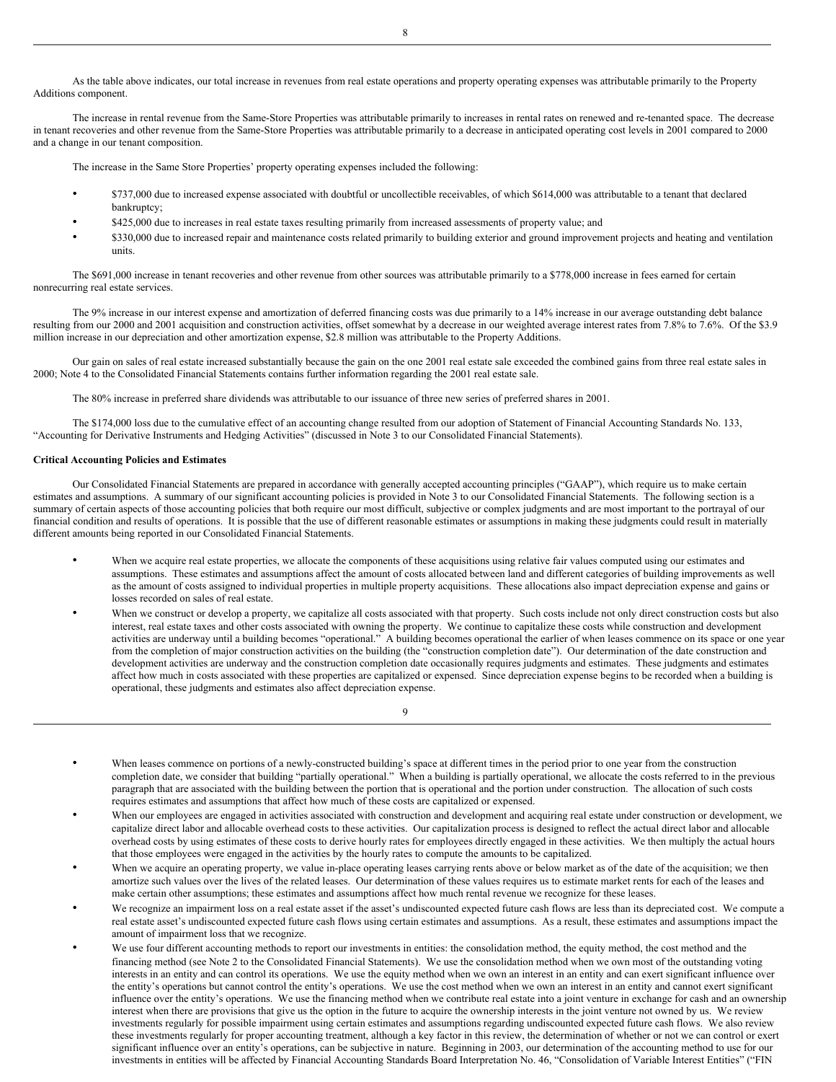As the table above indicates, our total increase in revenues from real estate operations and property operating expenses was attributable primarily to the Property Additions component.

The increase in rental revenue from the Same-Store Properties was attributable primarily to increases in rental rates on renewed and re-tenanted space. The decrease in tenant recoveries and other revenue from the Same-Store Properties was attributable primarily to a decrease in anticipated operating cost levels in 2001 compared to 2000 and a change in our tenant composition.

The increase in the Same Store Properties' property operating expenses included the following:

- \$737,000 due to increased expense associated with doubtful or uncollectible receivables, of which \$614,000 was attributable to a tenant that declared bankruptcy;
- \$425,000 due to increases in real estate taxes resulting primarily from increased assessments of property value; and
- \$330,000 due to increased repair and maintenance costs related primarily to building exterior and ground improvement projects and heating and ventilation units.

The \$691,000 increase in tenant recoveries and other revenue from other sources was attributable primarily to a \$778,000 increase in fees earned for certain nonrecurring real estate services.

The 9% increase in our interest expense and amortization of deferred financing costs was due primarily to a 14% increase in our average outstanding debt balance resulting from our 2000 and 2001 acquisition and construction activities, offset somewhat by a decrease in our weighted average interest rates from 7.8% to 7.6%. Of the \$3.9 million increase in our depreciation and other amortization expense, \$2.8 million was attributable to the Property Additions.

Our gain on sales of real estate increased substantially because the gain on the one 2001 real estate sale exceeded the combined gains from three real estate sales in 2000; Note 4 to the Consolidated Financial Statements contains further information regarding the 2001 real estate sale.

The 80% increase in preferred share dividends was attributable to our issuance of three new series of preferred shares in 2001.

The \$174,000 loss due to the cumulative effect of an accounting change resulted from our adoption of Statement of Financial Accounting Standards No. 133, "Accounting for Derivative Instruments and Hedging Activities" (discussed in Note 3 to our Consolidated Financial Statements).

#### **Critical Accounting Policies and Estimates**

Our Consolidated Financial Statements are prepared in accordance with generally accepted accounting principles ("GAAP"), which require us to make certain estimates and assumptions. A summary of our significant accounting policies is provided in Note 3 to our Consolidated Financial Statements. The following section is a summary of certain aspects of those accounting policies that both require our most difficult, subjective or complex judgments and are most important to the portrayal of our financial condition and results of operations. It is possible that the use of different reasonable estimates or assumptions in making these judgments could result in materially different amounts being reported in our Consolidated Financial Statements.

- When we acquire real estate properties, we allocate the components of these acquisitions using relative fair values computed using our estimates and assumptions. These estimates and assumptions affect the amount of costs allocated between land and different categories of building improvements as well as the amount of costs assigned to individual properties in multiple property acquisitions. These allocations also impact depreciation expense and gains or losses recorded on sales of real estate.
- When we construct or develop a property, we capitalize all costs associated with that property. Such costs include not only direct construction costs but also interest, real estate taxes and other costs associated with owning the property. We continue to capitalize these costs while construction and development activities are underway until a building becomes "operational." A building becomes operational the earlier of when leases commence on its space or one year from the completion of major construction activities on the building (the "construction completion date"). Our determination of the date construction and development activities are underway and the construction completion date occasionally requires judgments and estimates. These judgments and estimates affect how much in costs associated with these properties are capitalized or expensed. Since depreciation expense begins to be recorded when a building is operational, these judgments and estimates also affect depreciation expense.

| ٧                      |
|------------------------|
| ×                      |
| I<br>I<br>ł<br>۰.<br>v |

- When leases commence on portions of a newly-constructed building's space at different times in the period prior to one year from the construction completion date, we consider that building "partially operational." When a building is partially operational, we allocate the costs referred to in the previous paragraph that are associated with the building between the portion that is operational and the portion under construction. The allocation of such costs requires estimates and assumptions that affect how much of these costs are capitalized or expensed.
- When our employees are engaged in activities associated with construction and development and acquiring real estate under construction or development, we capitalize direct labor and allocable overhead costs to these activities. Our capitalization process is designed to reflect the actual direct labor and allocable overhead costs by using estimates of these costs to derive hourly rates for employees directly engaged in these activities. We then multiply the actual hours that those employees were engaged in the activities by the hourly rates to compute the amounts to be capitalized.
- When we acquire an operating property, we value in-place operating leases carrying rents above or below market as of the date of the acquisition; we then amortize such values over the lives of the related leases. Our determination of these values requires us to estimate market rents for each of the leases and make certain other assumptions; these estimates and assumptions affect how much rental revenue we recognize for these leases.
- We recognize an impairment loss on a real estate asset if the asset's undiscounted expected future cash flows are less than its depreciated cost. We compute a real estate asset's undiscounted expected future cash flows using certain estimates and assumptions. As a result, these estimates and assumptions impact the amount of impairment loss that we recognize.
- We use four different accounting methods to report our investments in entities: the consolidation method, the equity method, the cost method and the financing method (see Note 2 to the Consolidated Financial Statements). We use the consolidation method when we own most of the outstanding voting interests in an entity and can control its operations. We use the equity method when we own an interest in an entity and can exert significant influence over the entity's operations but cannot control the entity's operations. We use the cost method when we own an interest in an entity and cannot exert significant influence over the entity's operations. We use the financing method when we contribute real estate into a joint venture in exchange for cash and an ownership interest when there are provisions that give us the option in the future to acquire the ownership interests in the joint venture not owned by us. We review investments regularly for possible impairment using certain estimates and assumptions regarding undiscounted expected future cash flows. We also review these investments regularly for proper accounting treatment, although a key factor in this review, the determination of whether or not we can control or exert significant influence over an entity's operations, can be subjective in nature. Beginning in 2003, our determination of the accounting method to use for our investments in entities will be affected by Financial Accounting Standards Board Interpretation No. 46, "Consolidation of Variable Interest Entities" ("FIN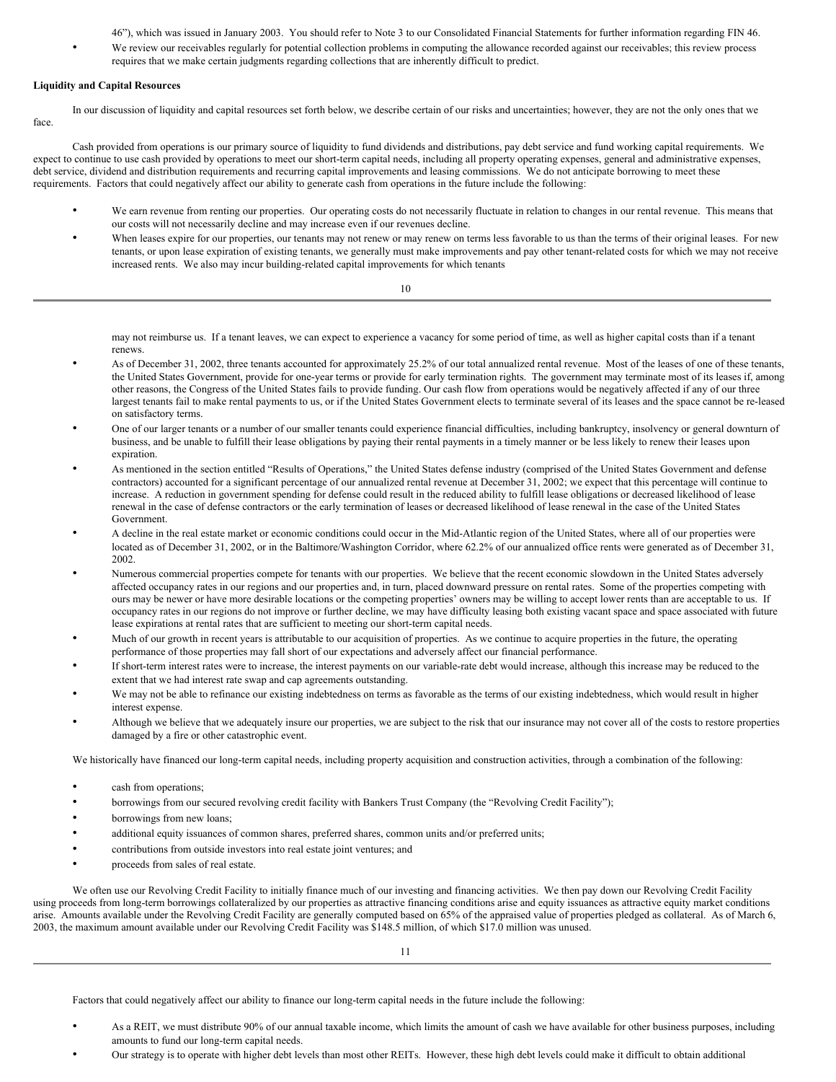46"), which was issued in January 2003. You should refer to Note 3 to our Consolidated Financial Statements for further information regarding FIN 46. • We review our receivables regularly for potential collection problems in computing the allowance recorded against our receivables; this review process requires that we make certain judgments regarding collections that are inherently difficult to predict.

### **Liquidity and Capital Resources**

In our discussion of liquidity and capital resources set forth below, we describe certain of our risks and uncertainties; however, they are not the only ones that we face.

Cash provided from operations is our primary source of liquidity to fund dividends and distributions, pay debt service and fund working capital requirements. We expect to continue to use cash provided by operations to meet our short-term capital needs, including all property operating expenses, general and administrative expenses, debt service, dividend and distribution requirements and recurring capital improvements and leasing commissions. We do not anticipate borrowing to meet these requirements. Factors that could negatively affect our ability to generate cash from operations in the future include the following:

- We earn revenue from renting our properties. Our operating costs do not necessarily fluctuate in relation to changes in our rental revenue. This means that our costs will not necessarily decline and may increase even if our revenues decline.
- When leases expire for our properties, our tenants may not renew or may renew on terms less favorable to us than the terms of their original leases. For new tenants, or upon lease expiration of existing tenants, we generally must make improvements and pay other tenant-related costs for which we may not receive increased rents. We also may incur building-related capital improvements for which tenants

10

may not reimburse us. If a tenant leaves, we can expect to experience a vacancy for some period of time, as well as higher capital costs than if a tenant renews.

- As of December 31, 2002, three tenants accounted for approximately 25.2% of our total annualized rental revenue. Most of the leases of one of these tenants, the United States Government, provide for one-year terms or provide for early termination rights. The government may terminate most of its leases if, among other reasons, the Congress of the United States fails to provide funding. Our cash flow from operations would be negatively affected if any of our three largest tenants fail to make rental payments to us, or if the United States Government elects to terminate several of its leases and the space cannot be re-leased on satisfactory terms.
- One of our larger tenants or a number of our smaller tenants could experience financial difficulties, including bankruptcy, insolvency or general downturn of business, and be unable to fulfill their lease obligations by paying their rental payments in a timely manner or be less likely to renew their leases upon expiration.
- As mentioned in the section entitled "Results of Operations," the United States defense industry (comprised of the United States Government and defense contractors) accounted for a significant percentage of our annualized rental revenue at December 31, 2002; we expect that this percentage will continue to increase. A reduction in government spending for defense could result in the reduced ability to fulfill lease obligations or decreased likelihood of lease renewal in the case of defense contractors or the early termination of leases or decreased likelihood of lease renewal in the case of the United States **Government**
- A decline in the real estate market or economic conditions could occur in the Mid-Atlantic region of the United States, where all of our properties were located as of December 31, 2002, or in the Baltimore/Washington Corridor, where 62.2% of our annualized office rents were generated as of December 31, 2002.
- Numerous commercial properties compete for tenants with our properties. We believe that the recent economic slowdown in the United States adversely affected occupancy rates in our regions and our properties and, in turn, placed downward pressure on rental rates. Some of the properties competing with ours may be newer or have more desirable locations or the competing properties' owners may be willing to accept lower rents than are acceptable to us. If occupancy rates in our regions do not improve or further decline, we may have difficulty leasing both existing vacant space and space associated with future lease expirations at rental rates that are sufficient to meeting our short-term capital needs.
- Much of our growth in recent years is attributable to our acquisition of properties. As we continue to acquire properties in the future, the operating performance of those properties may fall short of our expectations and adversely affect our financial performance.
- If short-term interest rates were to increase, the interest payments on our variable-rate debt would increase, although this increase may be reduced to the extent that we had interest rate swap and cap agreements outstanding.
- We may not be able to refinance our existing indebtedness on terms as favorable as the terms of our existing indebtedness, which would result in higher interest expense.
- Although we believe that we adequately insure our properties, we are subject to the risk that our insurance may not cover all of the costs to restore properties damaged by a fire or other catastrophic event.

We historically have financed our long-term capital needs, including property acquisition and construction activities, through a combination of the following:

- cash from operations;
- borrowings from our secured revolving credit facility with Bankers Trust Company (the "Revolving Credit Facility");
- borrowings from new loans;
- additional equity issuances of common shares, preferred shares, common units and/or preferred units;
- contributions from outside investors into real estate joint ventures; and
- proceeds from sales of real estate.

We often use our Revolving Credit Facility to initially finance much of our investing and financing activities. We then pay down our Revolving Credit Facility using proceeds from long-term borrowings collateralized by our properties as attractive financing conditions arise and equity issuances as attractive equity market conditions arise. Amounts available under the Revolving Credit Facility are generally computed based on 65% of the appraised value of properties pledged as collateral. As of March 6, 2003, the maximum amount available under our Revolving Credit Facility was \$148.5 million, of which \$17.0 million was unused.

Factors that could negatively affect our ability to finance our long-term capital needs in the future include the following:

- As a REIT, we must distribute 90% of our annual taxable income, which limits the amount of cash we have available for other business purposes, including amounts to fund our long-term capital needs.
- Our strategy is to operate with higher debt levels than most other REITs. However, these high debt levels could make it difficult to obtain additional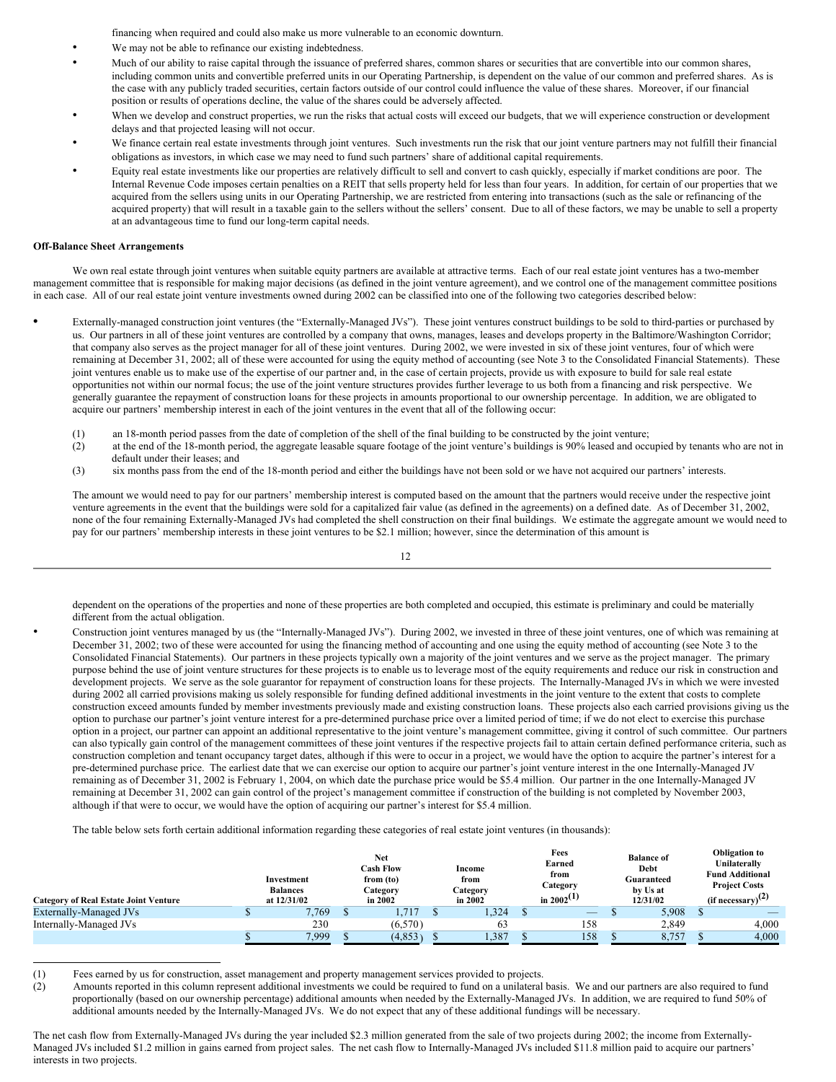financing when required and could also make us more vulnerable to an economic downturn.

- We may not be able to refinance our existing indebtedness.
- Much of our ability to raise capital through the issuance of preferred shares, common shares or securities that are convertible into our common shares, including common units and convertible preferred units in our Operating Partnership, is dependent on the value of our common and preferred shares. As is the case with any publicly traded securities, certain factors outside of our control could influence the value of these shares. Moreover, if our financial position or results of operations decline, the value of the shares could be adversely affected.
- When we develop and construct properties, we run the risks that actual costs will exceed our budgets, that we will experience construction or development delays and that projected leasing will not occur.
- We finance certain real estate investments through joint ventures. Such investments run the risk that our joint venture partners may not fulfill their financial obligations as investors, in which case we may need to fund such partners' share of additional capital requirements.
- Equity real estate investments like our properties are relatively difficult to sell and convert to cash quickly, especially if market conditions are poor. The Internal Revenue Code imposes certain penalties on a REIT that sells property held for less than four years. In addition, for certain of our properties that we acquired from the sellers using units in our Operating Partnership, we are restricted from entering into transactions (such as the sale or refinancing of the acquired property) that will result in a taxable gain to the sellers without the sellers' consent. Due to all of these factors, we may be unable to sell a property at an advantageous time to fund our long-term capital needs.

#### **Off-Balance Sheet Arrangements**

We own real estate through joint ventures when suitable equity partners are available at attractive terms. Each of our real estate joint ventures has a two-member management committee that is responsible for making major decisions (as defined in the joint venture agreement), and we control one of the management committee positions in each case. All of our real estate joint venture investments owned during 2002 can be classified into one of the following two categories described below:

**•** Externally-managed construction joint ventures (the "Externally-Managed JVs"). These joint ventures construct buildings to be sold to third-parties or purchased by us. Our partners in all of these joint ventures are controlled by a company that owns, manages, leases and develops property in the Baltimore/Washington Corridor; that company also serves as the project manager for all of these joint ventures. During 2002, we were invested in six of these joint ventures, four of which were remaining at December 31, 2002; all of these were accounted for using the equity method of accounting (see Note 3 to the Consolidated Financial Statements). These joint ventures enable us to make use of the expertise of our partner and, in the case of certain projects, provide us with exposure to build for sale real estate opportunities not within our normal focus; the use of the joint venture structures provides further leverage to us both from a financing and risk perspective. We generally guarantee the repayment of construction loans for these projects in amounts proportional to our ownership percentage. In addition, we are obligated to acquire our partners' membership interest in each of the joint ventures in the event that all of the following occur:

- (1) an 18-month period passes from the date of completion of the shell of the final building to be constructed by the joint venture;
- (2) at the end of the 18-month period, the aggregate leasable square footage of the joint venture's buildings is 90% leased and occupied by tenants who are not in default under their leases; and
- (3) six months pass from the end of the 18-month period and either the buildings have not been sold or we have not acquired our partners' interests.

The amount we would need to pay for our partners' membership interest is computed based on the amount that the partners would receive under the respective joint venture agreements in the event that the buildings were sold for a capitalized fair value (as defined in the agreements) on a defined date. As of December 31, 2002, none of the four remaining Externally-Managed JVs had completed the shell construction on their final buildings. We estimate the aggregate amount we would need to pay for our partners' membership interests in these joint ventures to be \$2.1 million; however, since the determination of this amount is

#### 12

dependent on the operations of the properties and none of these properties are both completed and occupied, this estimate is preliminary and could be materially different from the actual obligation.

• Construction joint ventures managed by us (the "Internally-Managed JVs"). During 2002, we invested in three of these joint ventures, one of which was remaining at December 31, 2002; two of these were accounted for using the financing method of accounting and one using the equity method of accounting (see Note 3 to the Consolidated Financial Statements). Our partners in these projects typically own a majority of the joint ventures and we serve as the project manager. The primary purpose behind the use of joint venture structures for these projects is to enable us to leverage most of the equity requirements and reduce our risk in construction and development projects. We serve as the sole guarantor for repayment of construction loans for these projects. The Internally-Managed JVs in which we were invested during 2002 all carried provisions making us solely responsible for funding defined additional investments in the joint venture to the extent that costs to complete construction exceed amounts funded by member investments previously made and existing construction loans. These projects also each carried provisions giving us the option to purchase our partner's joint venture interest for a pre-determined purchase price over a limited period of time; if we do not elect to exercise this purchase option in a project, our partner can appoint an additional representative to the joint venture's management committee, giving it control of such committee. Our partners can also typically gain control of the management committees of these joint ventures if the respective projects fail to attain certain defined performance criteria, such as construction completion and tenant occupancy target dates, although if this were to occur in a project, we would have the option to acquire the partner's interest for a pre-determined purchase price. The earliest date that we can exercise our option to acquire our partner's joint venture interest in the one Internally-Managed JV remaining as of December 31, 2002 is February 1, 2004, on which date the purchase price would be \$5.4 million. Our partner in the one Internally-Managed JV remaining at December 31, 2002 can gain control of the project's management committee if construction of the building is not completed by November 2003, although if that were to occur, we would have the option of acquiring our partner's interest for \$5.4 million.

The table below sets forth certain additional information regarding these categories of real estate joint ventures (in thousands):

| from (to)<br>Guaranteed<br>Investment<br>from<br>Category<br>by Us at<br><b>Balances</b><br>Category<br>Category<br>in 2002 <sup>(1)</sup><br>12/31/02<br>at $12/31/02$<br>in 2002<br>in 2002<br><b>Category of Real Estate Joint Venture</b> | Unilaterally<br><b>Fund Additional</b><br><b>Project Costs</b><br>$(i$ f necessary $)(2)$ |
|-----------------------------------------------------------------------------------------------------------------------------------------------------------------------------------------------------------------------------------------------|-------------------------------------------------------------------------------------------|
| 5,908<br>1,324<br>Externally-Managed JVs<br>7,769<br>.717<br>$-$                                                                                                                                                                              |                                                                                           |
| 230<br>(6,570)<br>2,849<br>158<br>63<br>Internally-Managed JVs                                                                                                                                                                                | 4,000                                                                                     |
| 7.999<br>1,387<br>158<br>(4, 853)<br>8,757                                                                                                                                                                                                    | 4,000                                                                                     |

(1) Fees earned by us for construction, asset management and property management services provided to projects.

(2) Amounts reported in this column represent additional investments we could be required to fund on a unilateral basis. We and our partners are also required to fund proportionally (based on our ownership percentage) additional amounts when needed by the Externally-Managed JVs. In addition, we are required to fund 50% of additional amounts needed by the Internally-Managed JVs. We do not expect that any of these additional fundings will be necessary.

The net cash flow from Externally-Managed JVs during the year included \$2.3 million generated from the sale of two projects during 2002; the income from Externally-Managed JVs included \$1.2 million in gains earned from project sales. The net cash flow to Internally-Managed JVs included \$11.8 million paid to acquire our partners' interests in two projects.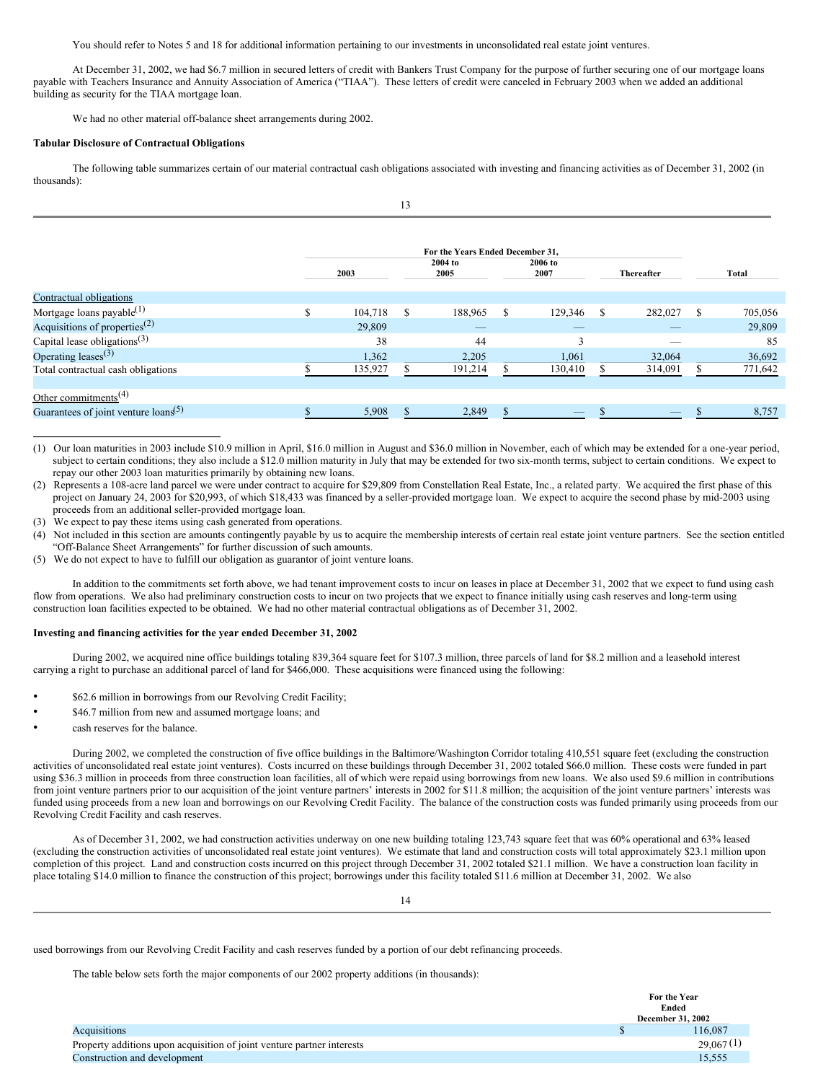You should refer to Notes 5 and 18 for additional information pertaining to our investments in unconsolidated real estate joint ventures.

At December 31, 2002, we had \$6.7 million in secured letters of credit with Bankers Trust Company for the purpose of further securing one of our mortgage loans payable with Teachers Insurance and Annuity Association of America ("TIAA"). These letters of credit were canceled in February 2003 when we added an additional building as security for the TIAA mortgage loan.

We had no other material off-balance sheet arrangements during 2002.

#### **Tabular Disclosure of Contractual Obligations**

The following table summarizes certain of our material contractual cash obligations associated with investing and financing activities as of December 31, 2002 (in thousands):

|                                                        |      | For the Years Ended December 31, |                 |                          |                 |                          |            |         |   |         |
|--------------------------------------------------------|------|----------------------------------|-----------------|--------------------------|-----------------|--------------------------|------------|---------|---|---------|
|                                                        | 2003 |                                  | 2004 to<br>2005 |                          | 2006 to<br>2007 |                          | Thereafter |         |   | Total   |
| Contractual obligations                                |      |                                  |                 |                          |                 |                          |            |         |   |         |
| Mortgage loans payable $(1)$                           | S    | 104.718                          | S               | 188,965                  | S               | 129,346                  |            | 282,027 | S | 705,056 |
| Acquisitions of properties <sup><math>(2)</math></sup> |      | 29,809                           |                 | $\qquad \qquad - \qquad$ |                 | $\overline{\phantom{a}}$ |            |         |   | 29,809  |
| Capital lease obligations <sup>(3)</sup>               |      | 38                               |                 | 44                       |                 | $\mathcal{F}$            |            |         |   | 85      |
| Operating leases $^{(3)}$                              |      | 1,362                            |                 | 2,205                    |                 | 1,061                    |            | 32,064  |   | 36,692  |
| Total contractual cash obligations                     |      | 135,927                          |                 | 191,214                  |                 | 130,410                  |            | 314,091 |   | 771,642 |
| Other commitments <sup><math>(4)</math></sup>          |      |                                  |                 |                          |                 |                          |            |         |   |         |
| Guarantees of joint venture loans <sup>(5)</sup>       |      | 5,908                            |                 | 2,849                    |                 |                          |            |         |   | 8,757   |

(1) Our loan maturities in 2003 include \$10.9 million in April, \$16.0 million in August and \$36.0 million in November, each of which may be extended for a one-year period, subject to certain conditions; they also include a \$12.0 million maturity in July that may be extended for two six-month terms, subject to certain conditions. We expect to repay our other 2003 loan maturities primarily by obtaining new loans.

(2) Represents a 108-acre land parcel we were under contract to acquire for \$29,809 from Constellation Real Estate, Inc., a related party. We acquired the first phase of this project on January 24, 2003 for \$20,993, of which \$18,433 was financed by a seller-provided mortgage loan. We expect to acquire the second phase by mid-2003 using proceeds from an additional seller-provided mortgage loan.

(3) We expect to pay these items using cash generated from operations.

(4) Not included in this section are amounts contingently payable by us to acquire the membership interests of certain real estate joint venture partners. See the section entitled "Off-Balance Sheet Arrangements" for further discussion of such amounts.

(5) We do not expect to have to fulfill our obligation as guarantor of joint venture loans.

In addition to the commitments set forth above, we had tenant improvement costs to incur on leases in place at December 31, 2002 that we expect to fund using cash flow from operations. We also had preliminary construction costs to incur on two projects that we expect to finance initially using cash reserves and long-term using construction loan facilities expected to be obtained. We had no other material contractual obligations as of December 31, 2002.

#### **Investing and financing activities for the year ended December 31, 2002**

During 2002, we acquired nine office buildings totaling 839,364 square feet for \$107.3 million, three parcels of land for \$8.2 million and a leasehold interest carrying a right to purchase an additional parcel of land for \$466,000. These acquisitions were financed using the following:

- \$62.6 million in borrowings from our Revolving Credit Facility;
- \$46.7 million from new and assumed mortgage loans; and
- cash reserves for the balance.

During 2002, we completed the construction of five office buildings in the Baltimore/Washington Corridor totaling 410,551 square feet (excluding the construction activities of unconsolidated real estate joint ventures). Costs incurred on these buildings through December 31, 2002 totaled \$66.0 million. These costs were funded in part using \$36.3 million in proceeds from three construction loan facilities, all of which were repaid using borrowings from new loans. We also used \$9.6 million in contributions from joint venture partners prior to our acquisition of the joint venture partners' interests in 2002 for \$11.8 million; the acquisition of the joint venture partners' interests was funded using proceeds from a new loan and borrowings on our Revolving Credit Facility. The balance of the construction costs was funded primarily using proceeds from our Revolving Credit Facility and cash reserves.

As of December 31, 2002, we had construction activities underway on one new building totaling 123,743 square feet that was 60% operational and 63% leased (excluding the construction activities of unconsolidated real estate joint ventures). We estimate that land and construction costs will total approximately \$23.1 million upon completion of this project. Land and construction costs incurred on this project through December 31, 2002 totaled \$21.1 million. We have a construction loan facility in place totaling \$14.0 million to finance the construction of this project; borrowings under this facility totaled \$11.6 million at December 31, 2002. We also

14

used borrowings from our Revolving Credit Facility and cash reserves funded by a portion of our debt refinancing proceeds.

The table below sets forth the major components of our 2002 property additions (in thousands):

|                                                                        | For the Year             |
|------------------------------------------------------------------------|--------------------------|
|                                                                        | Ended                    |
|                                                                        | <b>December 31, 2002</b> |
| Acquisitions                                                           | 116,087                  |
| Property additions upon acquisition of joint venture partner interests | 29,067(1)                |
| Construction and development                                           | 15.555                   |
|                                                                        |                          |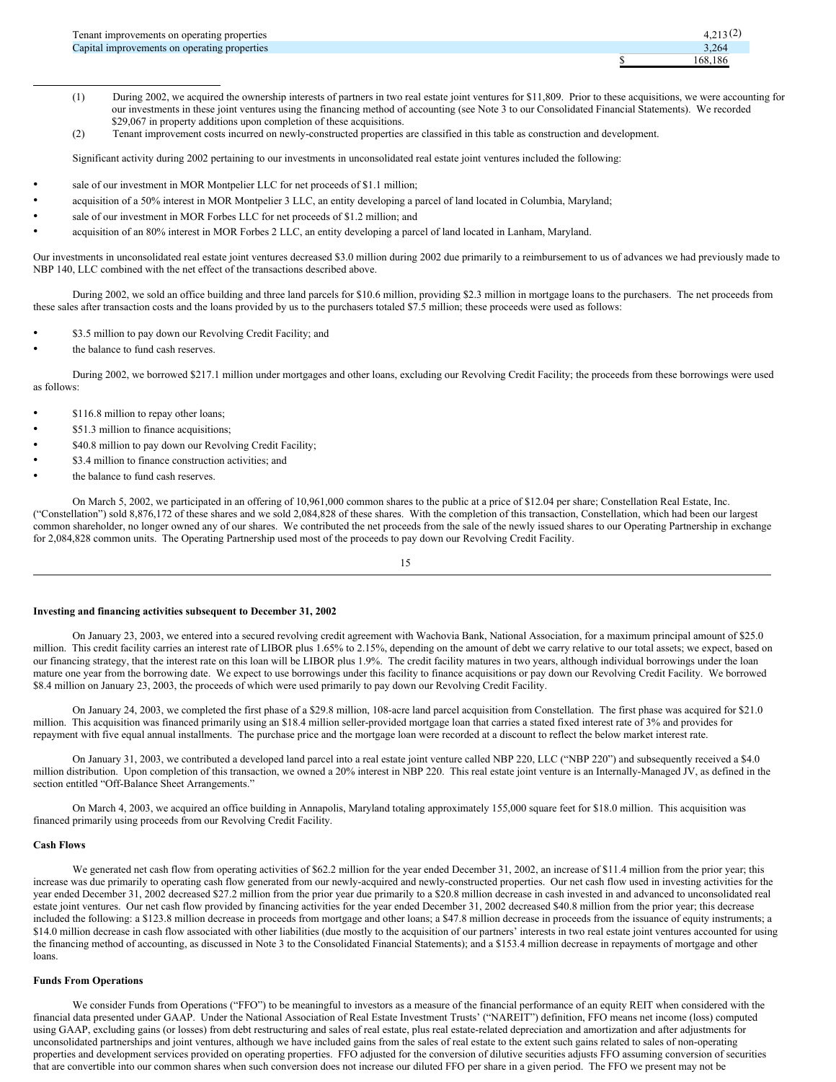| Tenant improvements on operating properties  |         |
|----------------------------------------------|---------|
| Capital improvements on operating properties | 3.264   |
|                                              | 168.186 |

- (1) During 2002, we acquired the ownership interests of partners in two real estate joint ventures for \$11,809. Prior to these acquisitions, we were accounting for our investments in these joint ventures using the financing method of accounting (see Note 3 to our Consolidated Financial Statements). We recorded \$29,067 in property additions upon completion of these acquisitions.
- (2) Tenant improvement costs incurred on newly-constructed properties are classified in this table as construction and development.

Significant activity during 2002 pertaining to our investments in unconsolidated real estate joint ventures included the following:

- sale of our investment in MOR Montpelier LLC for net proceeds of \$1.1 million;
- acquisition of a 50% interest in MOR Montpelier 3 LLC, an entity developing a parcel of land located in Columbia, Maryland;
- sale of our investment in MOR Forbes LLC for net proceeds of \$1.2 million; and
- acquisition of an 80% interest in MOR Forbes 2 LLC, an entity developing a parcel of land located in Lanham, Maryland.

Our investments in unconsolidated real estate joint ventures decreased \$3.0 million during 2002 due primarily to a reimbursement to us of advances we had previously made to NBP 140, LLC combined with the net effect of the transactions described above.

During 2002, we sold an office building and three land parcels for \$10.6 million, providing \$2.3 million in mortgage loans to the purchasers. The net proceeds from these sales after transaction costs and the loans provided by us to the purchasers totaled \$7.5 million; these proceeds were used as follows:

- \$3.5 million to pay down our Revolving Credit Facility; and
- the balance to fund cash reserves.

During 2002, we borrowed \$217.1 million under mortgages and other loans, excluding our Revolving Credit Facility; the proceeds from these borrowings were used as follows:

- \$116.8 million to repay other loans;
- \$51.3 million to finance acquisitions;
- \$40.8 million to pay down our Revolving Credit Facility;
- \$3.4 million to finance construction activities; and
- the balance to fund cash reserves.

On March 5, 2002, we participated in an offering of 10,961,000 common shares to the public at a price of \$12.04 per share; Constellation Real Estate, Inc. ("Constellation") sold 8,876,172 of these shares and we sold 2,084,828 of these shares. With the completion of this transaction, Constellation, which had been our largest common shareholder, no longer owned any of our shares. We contributed the net proceeds from the sale of the newly issued shares to our Operating Partnership in exchange for 2,084,828 common units. The Operating Partnership used most of the proceeds to pay down our Revolving Credit Facility.

15

#### **Investing and financing activities subsequent to December 31, 2002**

On January 23, 2003, we entered into a secured revolving credit agreement with Wachovia Bank, National Association, for a maximum principal amount of \$25.0 million. This credit facility carries an interest rate of LIBOR plus 1.65% to 2.15%, depending on the amount of debt we carry relative to our total assets; we expect, based on our financing strategy, that the interest rate on this loan will be LIBOR plus 1.9%. The credit facility matures in two years, although individual borrowings under the loan mature one year from the borrowing date. We expect to use borrowings under this facility to finance acquisitions or pay down our Revolving Credit Facility. We borrowed \$8.4 million on January 23, 2003, the proceeds of which were used primarily to pay down our Revolving Credit Facility.

On January 24, 2003, we completed the first phase of a \$29.8 million, 108-acre land parcel acquisition from Constellation. The first phase was acquired for \$21.0 million. This acquisition was financed primarily using an \$18.4 million seller-provided mortgage loan that carries a stated fixed interest rate of 3% and provides for repayment with five equal annual installments. The purchase price and the mortgage loan were recorded at a discount to reflect the below market interest rate.

On January 31, 2003, we contributed a developed land parcel into a real estate joint venture called NBP 220, LLC ("NBP 220") and subsequently received a \$4.0 million distribution. Upon completion of this transaction, we owned a 20% interest in NBP 220. This real estate joint venture is an Internally-Managed JV, as defined in the section entitled "Off-Balance Sheet Arrangements."

On March 4, 2003, we acquired an office building in Annapolis, Maryland totaling approximately 155,000 square feet for \$18.0 million. This acquisition was financed primarily using proceeds from our Revolving Credit Facility.

#### **Cash Flows**

We generated net cash flow from operating activities of \$62.2 million for the year ended December 31, 2002, an increase of \$11.4 million from the prior year; this increase was due primarily to operating cash flow generated from our newly-acquired and newly-constructed properties. Our net cash flow used in investing activities for the year ended December 31, 2002 decreased \$27.2 million from the prior year due primarily to a \$20.8 million decrease in cash invested in and advanced to unconsolidated real estate joint ventures. Our net cash flow provided by financing activities for the year ended December 31, 2002 decreased \$40.8 million from the prior year; this decrease included the following: a \$123.8 million decrease in proceeds from mortgage and other loans; a \$47.8 million decrease in proceeds from the issuance of equity instruments; a \$14.0 million decrease in cash flow associated with other liabilities (due mostly to the acquisition of our partners' interests in two real estate joint ventures accounted for using the financing method of accounting, as discussed in Note 3 to the Consolidated Financial Statements); and a \$153.4 million decrease in repayments of mortgage and other loans.

#### **Funds From Operations**

We consider Funds from Operations ("FFO") to be meaningful to investors as a measure of the financial performance of an equity REIT when considered with the financial data presented under GAAP. Under the National Association of Real Estate Investment Trusts' ("NAREIT") definition, FFO means net income (loss) computed using GAAP, excluding gains (or losses) from debt restructuring and sales of real estate, plus real estate-related depreciation and amortization and after adjustments for unconsolidated partnerships and joint ventures, although we have included gains from the sales of real estate to the extent such gains related to sales of non-operating properties and development services provided on operating properties. FFO adjusted for the conversion of dilutive securities adjusts FFO assuming conversion of securities that are convertible into our common shares when such conversion does not increase our diluted FFO per share in a given period. The FFO we present may not be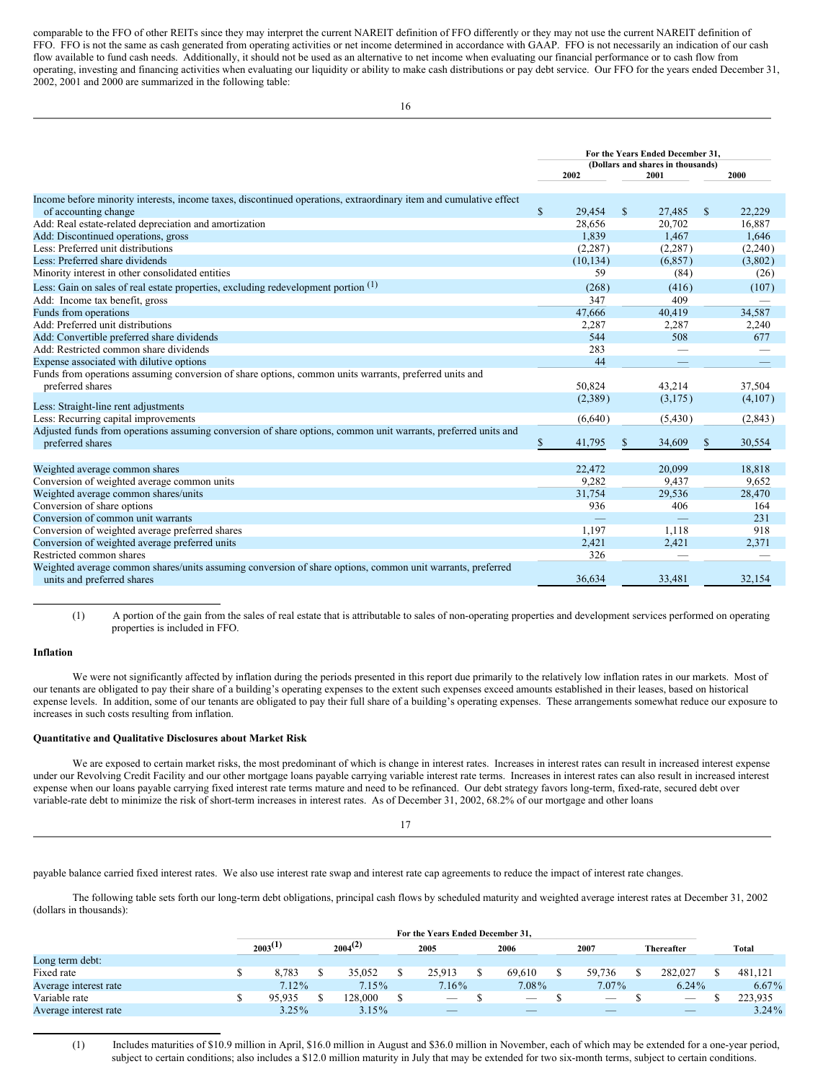comparable to the FFO of other REITs since they may interpret the current NAREIT definition of FFO differently or they may not use the current NAREIT definition of FFO. FFO is not the same as cash generated from operating activities or net income determined in accordance with GAAP. FFO is not necessarily an indication of our cash flow available to fund cash needs. Additionally, it should not be used as an alternative to net income when evaluating our financial performance or to cash flow from operating, investing and financing activities when evaluating our liquidity or ability to make cash distributions or pay debt service. Our FFO for the years ended December 31, 2002, 2001 and 2000 are summarized in the following table:

|                                                                                                                   | For the Years Ended December 31. |           |              |                                   |              |          |
|-------------------------------------------------------------------------------------------------------------------|----------------------------------|-----------|--------------|-----------------------------------|--------------|----------|
|                                                                                                                   |                                  |           |              | (Dollars and shares in thousands) |              |          |
|                                                                                                                   |                                  | 2002      |              | 2001                              |              | 2000     |
| Income before minority interests, income taxes, discontinued operations, extraordinary item and cumulative effect |                                  |           |              |                                   |              |          |
| of accounting change                                                                                              | \$                               | 29,454    | $\mathbb{S}$ | 27,485                            | <sup>S</sup> | 22,229   |
| Add: Real estate-related depreciation and amortization                                                            |                                  | 28,656    |              | 20,702                            |              | 16,887   |
| Add: Discontinued operations, gross                                                                               |                                  | 1,839     |              | 1,467                             |              | 1,646    |
| Less: Preferred unit distributions                                                                                |                                  | (2, 287)  |              | (2, 287)                          |              | (2,240)  |
| Less: Preferred share dividends                                                                                   |                                  | (10, 134) |              | (6, 857)                          |              | (3,802)  |
| Minority interest in other consolidated entities                                                                  |                                  | 59        |              | (84)                              |              | (26)     |
| Less: Gain on sales of real estate properties, excluding redevelopment portion $(1)$                              |                                  | (268)     |              | (416)                             |              | (107)    |
| Add: Income tax benefit, gross                                                                                    |                                  | 347       |              | 409                               |              |          |
| Funds from operations                                                                                             |                                  | 47.666    |              | 40.419                            |              | 34,587   |
| Add: Preferred unit distributions                                                                                 |                                  | 2,287     |              | 2,287                             |              | 2,240    |
| Add: Convertible preferred share dividends                                                                        |                                  | 544       |              | 508                               |              | 677      |
| Add: Restricted common share dividends                                                                            |                                  | 283       |              |                                   |              |          |
| Expense associated with dilutive options                                                                          |                                  | 44        |              |                                   |              |          |
| Funds from operations assuming conversion of share options, common units warrants, preferred units and            |                                  |           |              |                                   |              |          |
| preferred shares                                                                                                  |                                  | 50,824    |              | 43,214                            |              | 37,504   |
|                                                                                                                   |                                  | (2,389)   |              | (3,175)                           |              | (4,107)  |
| Less: Straight-line rent adjustments                                                                              |                                  |           |              |                                   |              |          |
| Less: Recurring capital improvements                                                                              |                                  | (6,640)   |              | (5, 430)                          |              | (2, 843) |
| Adjusted funds from operations assuming conversion of share options, common unit warrants, preferred units and    | \$                               | 41,795    |              | 34,609                            |              | 30,554   |
| preferred shares                                                                                                  |                                  |           |              |                                   |              |          |
| Weighted average common shares                                                                                    |                                  | 22,472    |              | 20,099                            |              | 18,818   |
| Conversion of weighted average common units                                                                       |                                  | 9,282     |              | 9,437                             |              | 9,652    |
| Weighted average common shares/units                                                                              |                                  | 31,754    |              | 29,536                            |              | 28,470   |
| Conversion of share options                                                                                       |                                  | 936       |              | 406                               |              | 164      |
| Conversion of common unit warrants                                                                                |                                  |           |              |                                   |              | 231      |
| Conversion of weighted average preferred shares                                                                   |                                  | 1.197     |              | 1.118                             |              | 918      |
| Conversion of weighted average preferred units                                                                    |                                  | 2,421     |              | 2,421                             |              | 2,371    |
| Restricted common shares                                                                                          |                                  | 326       |              |                                   |              |          |
| Weighted average common shares/units assuming conversion of share options, common unit warrants, preferred        |                                  |           |              |                                   |              |          |
| units and preferred shares                                                                                        |                                  | 36,634    |              | 33,481                            |              | 32,154   |

(1) A portion of the gain from the sales of real estate that is attributable to sales of non-operating properties and development services performed on operating properties is included in FFO.

#### **Inflation**

We were not significantly affected by inflation during the periods presented in this report due primarily to the relatively low inflation rates in our markets. Most of our tenants are obligated to pay their share of a building's operating expenses to the extent such expenses exceed amounts established in their leases, based on historical expense levels. In addition, some of our tenants are obligated to pay their full share of a building's operating expenses. These arrangements somewhat reduce our exposure to increases in such costs resulting from inflation.

#### **Quantitative and Qualitative Disclosures about Market Risk**

We are exposed to certain market risks, the most predominant of which is change in interest rates. Increases in interest rates can result in increased interest expense under our Revolving Credit Facility and our other mortgage loans payable carrying variable interest rate terms. Increases in interest rates can also result in increased interest expense when our loans payable carrying fixed interest rate terms mature and need to be refinanced. Our debt strategy favors long-term, fixed-rate, secured debt over variable-rate debt to minimize the risk of short-term increases in interest rates. As of December 31, 2002, 68.2% of our mortgage and other loans

payable balance carried fixed interest rates. We also use interest rate swap and interest rate cap agreements to reduce the impact of interest rate changes.

The following table sets forth our long-term debt obligations, principal cash flows by scheduled maturity and weighted average interest rates at December 31, 2002 (dollars in thousands):

|                       |   | For the Years Ended December 31. |  |              |  |                          |  |                          |  |          |  |            |          |
|-----------------------|---|----------------------------------|--|--------------|--|--------------------------|--|--------------------------|--|----------|--|------------|----------|
|                       |   | $2003^{(1)}$                     |  | $2004^{(2)}$ |  | 2005                     |  | 2006                     |  | 2007     |  | Thereafter | Total    |
| Long term debt:       |   |                                  |  |              |  |                          |  |                          |  |          |  |            |          |
| Fixed rate            | Φ | 8.783                            |  | 35.052       |  | 25.913                   |  | 69.610                   |  | 59.736   |  | 282,027    | 481.121  |
| Average interest rate |   | $7.12\%$                         |  | $7.15\%$     |  | $7.16\%$                 |  | $7.08\%$                 |  | $7.07\%$ |  | $6.24\%$   | $6.67\%$ |
| Variable rate         |   | 95.935                           |  | 128,000      |  | $\overline{\phantom{0}}$ |  | $\overline{\phantom{0}}$ |  |          |  |            | 223.935  |
| Average interest rate |   | $3.25\%$                         |  | $3.15\%$     |  | _                        |  |                          |  |          |  |            | $3.24\%$ |

(1) Includes maturities of \$10.9 million in April, \$16.0 million in August and \$36.0 million in November, each of which may be extended for a one-year period, subject to certain conditions; also includes a \$12.0 million maturity in July that may be extended for two six-month terms, subject to certain conditions.

17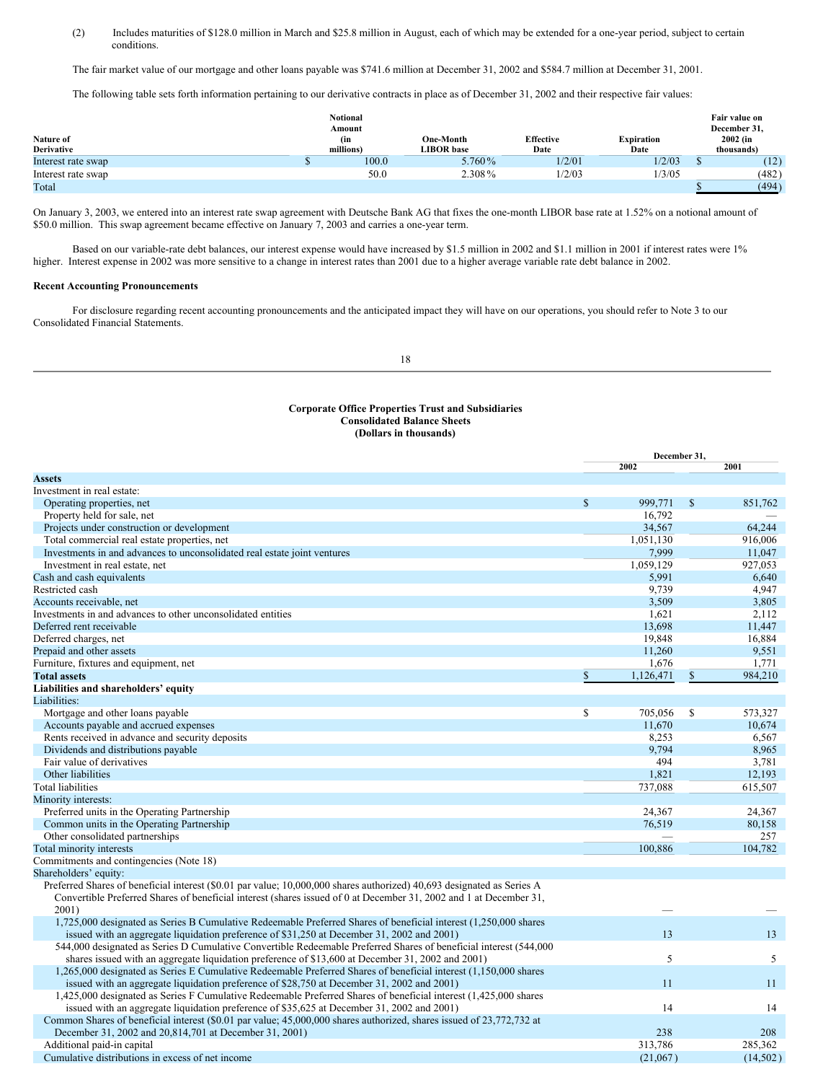#### (2) Includes maturities of \$128.0 million in March and \$25.8 million in August, each of which may be extended for a one-year period, subject to certain conditions.

The fair market value of our mortgage and other loans payable was \$741.6 million at December 31, 2002 and \$584.7 million at December 31, 2001.

The following table sets forth information pertaining to our derivative contracts in place as of December 31, 2002 and their respective fair values:

| Nature of<br><b>Derivative</b> | Notional<br>Amount<br>(in<br>millions) | <b>One-Month</b><br><b>LIBOR</b> base | <b>Effective</b><br>Date | Expiration<br>Date | Fair value on<br>December 31,<br>$2002$ (in<br>thousands) |
|--------------------------------|----------------------------------------|---------------------------------------|--------------------------|--------------------|-----------------------------------------------------------|
| Interest rate swap             | 100.0                                  | 5.760%                                | 1/2/01                   | 1/2/03             | (12)                                                      |
| Interest rate swap             | 50.0                                   | 2.308%                                | 1/2/03                   | 1/3/05             | (482)                                                     |
| Total                          |                                        |                                       |                          |                    | (494)                                                     |

On January 3, 2003, we entered into an interest rate swap agreement with Deutsche Bank AG that fixes the one-month LIBOR base rate at 1.52% on a notional amount of \$50.0 million. This swap agreement became effective on January 7, 2003 and carries a one-year term.

Based on our variable-rate debt balances, our interest expense would have increased by \$1.5 million in 2002 and \$1.1 million in 2001 if interest rates were 1% higher. Interest expense in 2002 was more sensitive to a change in interest rates than 2001 due to a higher average variable rate debt balance in 2002.

#### **Recent Accounting Pronouncements**

For disclosure regarding recent accounting pronouncements and the anticipated impact they will have on our operations, you should refer to Note 3 to our Consolidated Financial Statements.

| I<br>× |
|--------|
| w<br>۹ |

#### **Corporate Office Properties Trust and Subsidiaries Consolidated Balance Sheets (Dollars in thousands)**

|                                                                                                                        |              | December 31, |               |           |
|------------------------------------------------------------------------------------------------------------------------|--------------|--------------|---------------|-----------|
|                                                                                                                        |              | 2002         |               | 2001      |
| <b>Assets</b>                                                                                                          |              |              |               |           |
| Investment in real estate:                                                                                             |              |              |               |           |
| Operating properties, net                                                                                              | $\mathbf S$  | 999,771      | $\mathsf{\$}$ | 851,762   |
| Property held for sale, net                                                                                            |              | 16,792       |               |           |
| Projects under construction or development                                                                             |              | 34,567       |               | 64,244    |
| Total commercial real estate properties, net                                                                           |              | 1,051,130    |               | 916,006   |
| Investments in and advances to unconsolidated real estate joint ventures                                               |              | 7,999        |               | 11,047    |
| Investment in real estate, net                                                                                         |              | 1,059,129    |               | 927,053   |
| Cash and cash equivalents                                                                                              |              | 5.991        |               | 6,640     |
| Restricted cash                                                                                                        |              | 9,739        |               | 4,947     |
| Accounts receivable, net                                                                                               |              | 3,509        |               | 3,805     |
| Investments in and advances to other unconsolidated entities                                                           |              | 1,621        |               | 2,112     |
| Deferred rent receivable                                                                                               |              | 13,698       |               | 11,447    |
| Deferred charges, net                                                                                                  |              | 19,848       |               | 16,884    |
| Prepaid and other assets                                                                                               |              | 11,260       |               | 9,551     |
| Furniture, fixtures and equipment, net                                                                                 |              | 1,676        |               | 1,771     |
| <b>Total assets</b>                                                                                                    | \$           | 1,126,471    | $\$$          | 984,210   |
| Liabilities and shareholders' equity                                                                                   |              |              |               |           |
| Liabilities:                                                                                                           |              |              |               |           |
| Mortgage and other loans payable                                                                                       | $\mathbb{S}$ | 705,056      | \$            | 573,327   |
| Accounts payable and accrued expenses                                                                                  |              | 11,670       |               | 10,674    |
| Rents received in advance and security deposits                                                                        |              | 8,253        |               | 6,567     |
| Dividends and distributions payable                                                                                    |              | 9,794        |               | 8,965     |
| Fair value of derivatives                                                                                              |              | 494          |               | 3,781     |
| Other liabilities                                                                                                      |              | 1,821        |               | 12,193    |
| <b>Total liabilities</b>                                                                                               |              | 737,088      |               | 615,507   |
| Minority interests:                                                                                                    |              |              |               |           |
| Preferred units in the Operating Partnership                                                                           |              | 24,367       |               | 24,367    |
| Common units in the Operating Partnership                                                                              |              | 76,519       |               | 80,158    |
| Other consolidated partnerships                                                                                        |              |              |               | 257       |
| Total minority interests                                                                                               |              | 100,886      |               | 104,782   |
| Commitments and contingencies (Note 18)                                                                                |              |              |               |           |
| Shareholders' equity:                                                                                                  |              |              |               |           |
| Preferred Shares of beneficial interest (\$0.01 par value; 10,000,000 shares authorized) 40,693 designated as Series A |              |              |               |           |
| Convertible Preferred Shares of beneficial interest (shares issued of 0 at December 31, 2002 and 1 at December 31,     |              |              |               |           |
| 2001)                                                                                                                  |              |              |               |           |
| 1,725,000 designated as Series B Cumulative Redeemable Preferred Shares of beneficial interest (1,250,000 shares       |              |              |               |           |
| issued with an aggregate liquidation preference of \$31,250 at December 31, 2002 and 2001)                             |              | 13           |               | 13        |
| 544,000 designated as Series D Cumulative Convertible Redeemable Preferred Shares of beneficial interest (544,000      |              |              |               |           |
| shares issued with an aggregate liquidation preference of \$13,600 at December 31, 2002 and 2001)                      |              | 5            |               | 5         |
| 1,265,000 designated as Series E Cumulative Redeemable Preferred Shares of beneficial interest (1,150,000 shares       |              |              |               |           |
| issued with an aggregate liquidation preference of \$28,750 at December 31, 2002 and 2001)                             |              | 11           |               | 11        |
| 1,425,000 designated as Series F Cumulative Redeemable Preferred Shares of beneficial interest (1,425,000 shares       |              |              |               |           |
| issued with an aggregate liquidation preference of \$35,625 at December 31, 2002 and 2001)                             |              | 14           |               | 14        |
| Common Shares of beneficial interest (\$0.01 par value; 45,000,000 shares authorized, shares issued of 23,772,732 at   |              |              |               |           |
| December 31, 2002 and 20,814,701 at December 31, 2001)                                                                 |              | 238          |               | 208       |
| Additional paid-in capital                                                                                             |              | 313,786      |               | 285,362   |
| Cumulative distributions in excess of net income                                                                       |              | (21,067)     |               | (14, 502) |
|                                                                                                                        |              |              |               |           |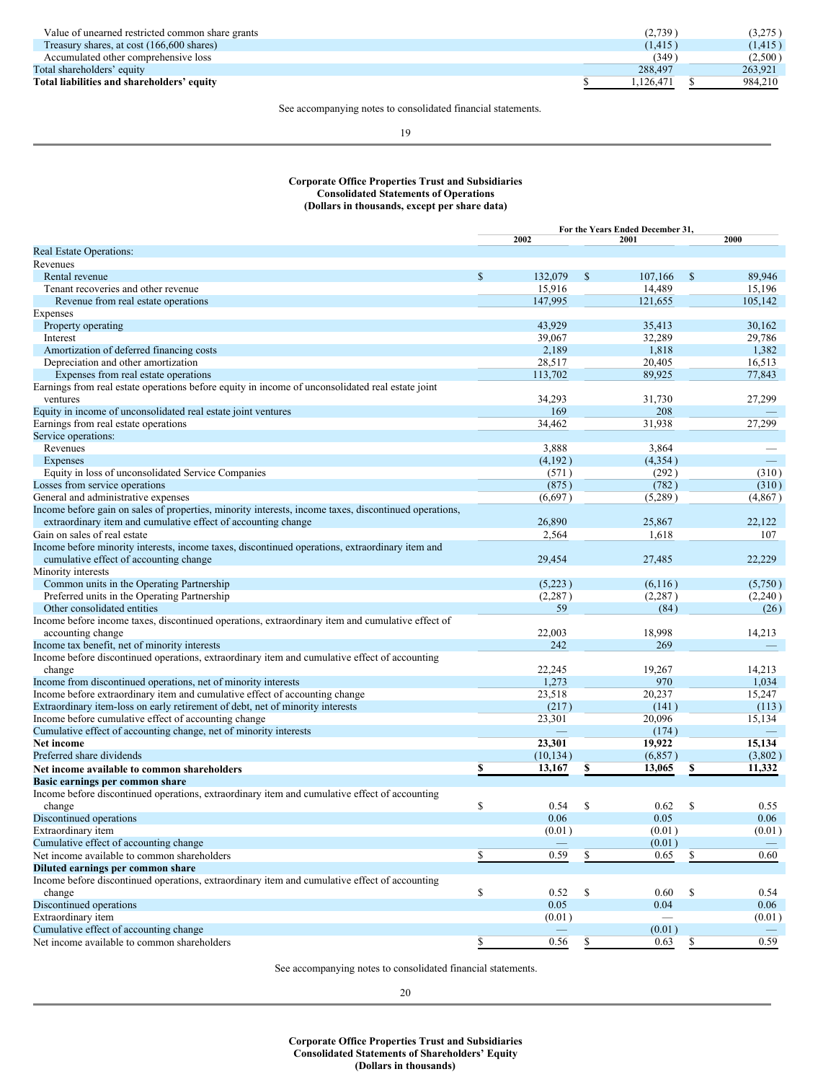| Value of unearned restricted common share grants | (2,739)  | (3,275)  |  |
|--------------------------------------------------|----------|----------|--|
| Treasury shares, at cost (166,600 shares)        | (1, 415) | (1, 415) |  |
| Accumulated other comprehensive loss             | (349)    | (2,500)  |  |
| Total shareholders' equity                       | 288,497  | 263.921  |  |
| Total liabilities and shareholders' equity       | 126.47   | 984.210  |  |

See accompanying notes to consolidated financial statements.

19

## **Corporate Office Properties Trust and Subsidiaries Consolidated Statements of Operations (Dollars in thousands, except per share data)**

|                                                                                                       | For the Years Ended December 31, |           |    |          |              |          |
|-------------------------------------------------------------------------------------------------------|----------------------------------|-----------|----|----------|--------------|----------|
|                                                                                                       |                                  | 2002      |    | 2001     |              | 2000     |
| Real Estate Operations:                                                                               |                                  |           |    |          |              |          |
| Revenues                                                                                              |                                  |           |    |          |              |          |
| Rental revenue                                                                                        | \$                               | 132,079   | \$ | 107,166  | $\mathbb{S}$ | 89,946   |
| Tenant recoveries and other revenue                                                                   |                                  | 15,916    |    | 14,489   |              | 15,196   |
| Revenue from real estate operations                                                                   |                                  | 147,995   |    | 121,655  |              | 105,142  |
| Expenses                                                                                              |                                  |           |    |          |              |          |
| Property operating                                                                                    |                                  | 43,929    |    | 35,413   |              | 30,162   |
| Interest                                                                                              |                                  | 39,067    |    | 32,289   |              | 29,786   |
| Amortization of deferred financing costs                                                              |                                  | 2,189     |    | 1,818    |              | 1,382    |
| Depreciation and other amortization                                                                   |                                  | 28,517    |    | 20,405   |              | 16,513   |
| Expenses from real estate operations                                                                  |                                  | 113,702   |    | 89,925   |              | 77,843   |
| Earnings from real estate operations before equity in income of unconsolidated real estate joint      |                                  |           |    |          |              |          |
| ventures                                                                                              |                                  | 34,293    |    | 31,730   |              | 27,299   |
| Equity in income of unconsolidated real estate joint ventures                                         |                                  | 169       |    | 208      |              |          |
| Earnings from real estate operations                                                                  |                                  | 34,462    |    | 31,938   |              | 27,299   |
| Service operations:                                                                                   |                                  |           |    |          |              |          |
| Revenues                                                                                              |                                  | 3,888     |    | 3,864    |              |          |
| Expenses                                                                                              |                                  | (4,192)   |    | (4, 354) |              |          |
| Equity in loss of unconsolidated Service Companies                                                    |                                  | (571)     |    | (292)    |              | (310)    |
| Losses from service operations                                                                        |                                  | (875)     |    | (782)    |              | (310)    |
| General and administrative expenses                                                                   |                                  | (6,697)   |    | (5,289)  |              | (4, 867) |
| Income before gain on sales of properties, minority interests, income taxes, discontinued operations, |                                  |           |    |          |              |          |
| extraordinary item and cumulative effect of accounting change                                         |                                  | 26,890    |    | 25,867   |              | 22,122   |
| Gain on sales of real estate                                                                          |                                  | 2,564     |    | 1,618    |              | 107      |
| Income before minority interests, income taxes, discontinued operations, extraordinary item and       |                                  |           |    |          |              |          |
| cumulative effect of accounting change                                                                |                                  | 29,454    |    | 27,485   |              | 22,229   |
| Minority interests                                                                                    |                                  |           |    |          |              |          |
| Common units in the Operating Partnership                                                             |                                  | (5,223)   |    | (6, 116) |              | (5,750)  |
| Preferred units in the Operating Partnership                                                          |                                  |           |    |          |              |          |
|                                                                                                       |                                  | (2, 287)  |    | (2, 287) |              | (2,240)  |
| Other consolidated entities                                                                           |                                  | 59        |    | (84)     |              | (26)     |
| Income before income taxes, discontinued operations, extraordinary item and cumulative effect of      |                                  |           |    |          |              |          |
| accounting change                                                                                     |                                  | 22,003    |    | 18,998   |              | 14,213   |
| Income tax benefit, net of minority interests                                                         |                                  | 242       |    | 269      |              |          |
| Income before discontinued operations, extraordinary item and cumulative effect of accounting         |                                  |           |    |          |              |          |
| change                                                                                                |                                  | 22,245    |    | 19,267   |              | 14,213   |
| Income from discontinued operations, net of minority interests                                        |                                  | 1,273     |    | 970      |              | 1,034    |
| Income before extraordinary item and cumulative effect of accounting change                           |                                  | 23,518    |    | 20,237   |              | 15,247   |
| Extraordinary item-loss on early retirement of debt, net of minority interests                        |                                  | (217)     |    | (141)    |              | (113)    |
| Income before cumulative effect of accounting change                                                  |                                  | 23,301    |    | 20,096   |              | 15,134   |
| Cumulative effect of accounting change, net of minority interests                                     |                                  |           |    | (174)    |              |          |
| Net income                                                                                            |                                  | 23,301    |    | 19,922   |              | 15,134   |
| Preferred share dividends                                                                             |                                  | (10, 134) |    | (6, 857) |              | (3,802)  |
| Net income available to common shareholders                                                           | \$                               | 13,167    | \$ | 13,065   | \$           | 11,332   |
| Basic earnings per common share                                                                       |                                  |           |    |          |              |          |
| Income before discontinued operations, extraordinary item and cumulative effect of accounting         |                                  |           |    |          |              |          |
| change                                                                                                | \$                               | 0.54      | \$ | 0.62     | \$           | 0.55     |
| Discontinued operations                                                                               |                                  | 0.06      |    | 0.05     |              | 0.06     |
| Extraordinary item                                                                                    |                                  | (0.01)    |    | (0.01)   |              | (0.01)   |
| Cumulative effect of accounting change                                                                |                                  |           |    | (0.01)   |              |          |
| Net income available to common shareholders                                                           | \$                               | 0.59      | \$ | 0.65     | $\mathbb{S}$ | 0.60     |
| Diluted earnings per common share                                                                     |                                  |           |    |          |              |          |
| Income before discontinued operations, extraordinary item and cumulative effect of accounting         |                                  |           |    |          |              |          |
| change                                                                                                | \$                               | 0.52      | \$ | 0.60     | \$           | 0.54     |
| Discontinued operations                                                                               |                                  | 0.05      |    | 0.04     |              | 0.06     |
| Extraordinary item                                                                                    |                                  | (0.01)    |    |          |              | (0.01)   |
| Cumulative effect of accounting change                                                                |                                  |           |    | (0.01)   |              |          |
| Net income available to common shareholders                                                           | \$                               | 0.56      | S  | 0.63     | \$           | 0.59     |

See accompanying notes to consolidated financial statements.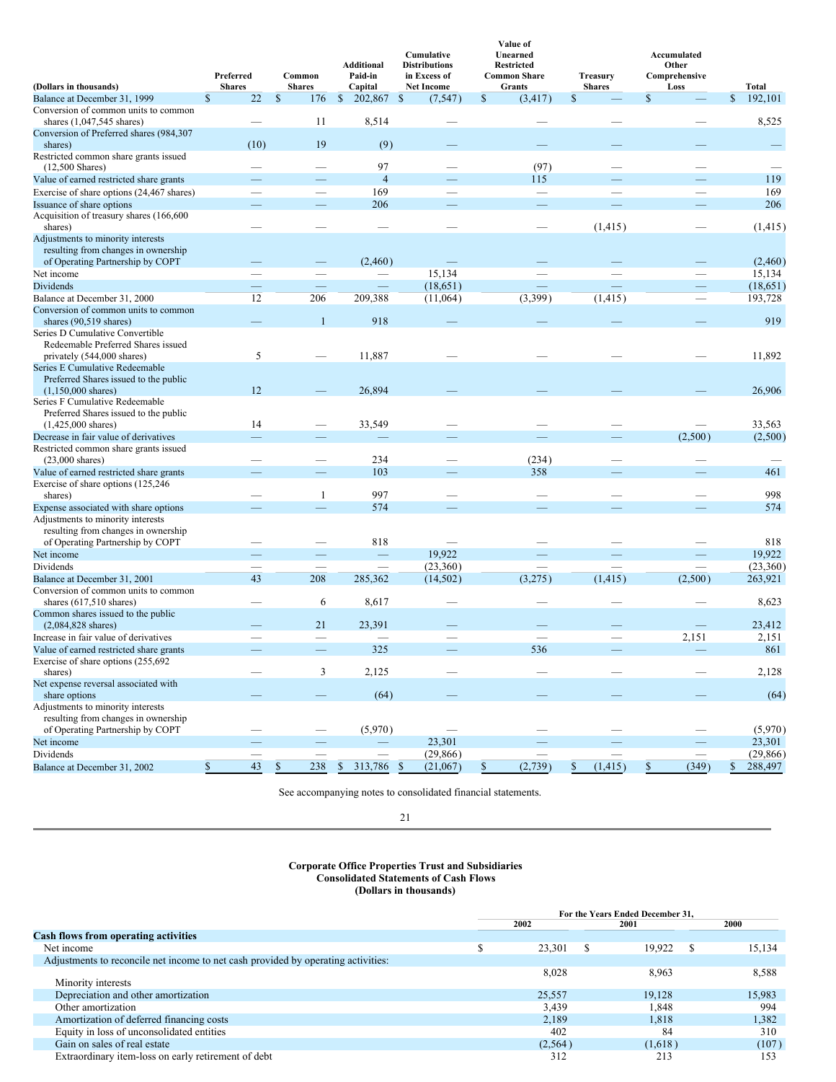|                                           | Preferred             | Common               | Additional<br>Paid-in    | Cumulative<br><b>Distributions</b><br>in Excess of | Value of<br>Unearned<br><b>Restricted</b><br><b>Common Share</b> | <b>Treasury</b>          | Accumulated<br>Other<br>Comprehensive |                          |
|-------------------------------------------|-----------------------|----------------------|--------------------------|----------------------------------------------------|------------------------------------------------------------------|--------------------------|---------------------------------------|--------------------------|
| (Dollars in thousands)                    | <b>Shares</b>         | <b>Shares</b>        | Capital                  | <b>Net Income</b>                                  | Grants                                                           | <b>Shares</b>            | Loss                                  | Total                    |
| Balance at December 31, 1999              | $\mathbf S$<br>22     | <sup>\$</sup><br>176 | $\mathbb{S}$<br>202,867  | $\mathbb{S}$<br>(7, 547)                           | (3, 417)<br>S                                                    | <sup>\$</sup>            | $\mathbb{S}$                          | 192,101<br>$\mathsf{\$}$ |
| Conversion of common units to common      |                       |                      |                          |                                                    |                                                                  |                          |                                       |                          |
| shares (1,047,545 shares)                 |                       | 11                   | 8,514                    |                                                    |                                                                  |                          |                                       | 8,525                    |
| Conversion of Preferred shares (984,307   |                       |                      |                          |                                                    |                                                                  |                          |                                       |                          |
| shares)                                   | (10)                  | 19                   | (9)                      |                                                    |                                                                  |                          |                                       |                          |
| Restricted common share grants issued     |                       |                      |                          |                                                    |                                                                  |                          |                                       |                          |
| $(12,500$ Shares)                         |                       |                      | 97                       |                                                    | (97)                                                             |                          |                                       |                          |
| Value of earned restricted share grants   |                       |                      | $\overline{4}$           |                                                    | 115                                                              |                          |                                       | 119                      |
| Exercise of share options (24,467 shares) | -                     |                      | 169                      |                                                    |                                                                  |                          |                                       | 169                      |
| Issuance of share options                 |                       |                      | 206                      |                                                    |                                                                  |                          |                                       | 206                      |
| Acquisition of treasury shares (166,600   |                       |                      |                          |                                                    |                                                                  |                          |                                       |                          |
| shares)                                   |                       |                      |                          |                                                    | -                                                                | (1, 415)                 |                                       | (1, 415)                 |
| Adjustments to minority interests         |                       |                      |                          |                                                    |                                                                  |                          |                                       |                          |
| resulting from changes in ownership       |                       |                      |                          |                                                    |                                                                  |                          |                                       |                          |
| of Operating Partnership by COPT          |                       |                      | (2,460)                  |                                                    |                                                                  |                          |                                       | (2,460)                  |
| Net income                                |                       |                      | $\overline{\phantom{m}}$ | 15,134                                             |                                                                  |                          |                                       | 15,134                   |
| Dividends                                 |                       |                      |                          | (18, 651)                                          |                                                                  |                          |                                       | (18, 651)                |
| Balance at December 31, 2000              | 12                    | 206                  | 209,388                  | (11,064)                                           | (3,399)                                                          | (1, 415)                 |                                       | 193,728                  |
| Conversion of common units to common      |                       |                      |                          |                                                    |                                                                  |                          |                                       |                          |
| shares (90,519 shares)                    |                       | $\overline{1}$       | 918                      |                                                    |                                                                  |                          |                                       | 919                      |
| Series D Cumulative Convertible           |                       |                      |                          |                                                    |                                                                  |                          |                                       |                          |
| Redeemable Preferred Shares issued        |                       |                      |                          |                                                    |                                                                  |                          |                                       |                          |
| privately (544,000 shares)                | 5                     |                      | 11,887                   |                                                    |                                                                  |                          |                                       | 11,892                   |
| Series E Cumulative Redeemable            |                       |                      |                          |                                                    |                                                                  |                          |                                       |                          |
| Preferred Shares issued to the public     |                       |                      |                          |                                                    |                                                                  |                          |                                       |                          |
| $(1,150,000 \text{ shares})$              | 12                    |                      | 26,894                   |                                                    |                                                                  |                          |                                       | 26,906                   |
| Series F Cumulative Redeemable            |                       |                      |                          |                                                    |                                                                  |                          |                                       |                          |
| Preferred Shares issued to the public     |                       |                      |                          |                                                    |                                                                  |                          |                                       |                          |
| $(1,425,000 \text{ shares})$              | 14                    |                      | 33,549                   |                                                    |                                                                  |                          |                                       | 33.563                   |
| Decrease in fair value of derivatives     |                       |                      |                          |                                                    |                                                                  |                          | (2,500)                               | (2,500)                  |
| Restricted common share grants issued     |                       |                      |                          |                                                    |                                                                  |                          |                                       |                          |
| $(23,000 \text{ shares})$                 |                       |                      | 234                      |                                                    | (234)                                                            |                          |                                       |                          |
| Value of earned restricted share grants   |                       |                      | 103                      |                                                    | 358                                                              |                          |                                       | 461                      |
| Exercise of share options (125,246)       |                       |                      |                          |                                                    |                                                                  |                          |                                       |                          |
| shares)                                   |                       | -1                   | 997                      |                                                    |                                                                  |                          |                                       | 998                      |
| Expense associated with share options     |                       |                      | 574                      |                                                    |                                                                  |                          |                                       | 574                      |
| Adjustments to minority interests         |                       |                      |                          |                                                    |                                                                  |                          |                                       |                          |
| resulting from changes in ownership       |                       |                      |                          |                                                    |                                                                  |                          |                                       |                          |
| of Operating Partnership by COPT          |                       |                      | 818                      |                                                    |                                                                  |                          |                                       | 818                      |
| Net income                                |                       |                      |                          | 19,922                                             |                                                                  |                          |                                       | 19,922                   |
| Dividends                                 |                       |                      |                          | (23,360)                                           |                                                                  |                          |                                       | (23,360)                 |
| Balance at December 31, 2001              | 43                    | 208                  | 285,362                  | (14, 502)                                          | (3,275)                                                          | (1, 415)                 | (2,500)                               | 263,921                  |
| Conversion of common units to common      |                       |                      |                          |                                                    |                                                                  |                          |                                       |                          |
| shares $(617,510$ shares)                 |                       | 6                    | 8,617                    |                                                    |                                                                  |                          |                                       | 8,623                    |
| Common shares issued to the public        |                       |                      |                          |                                                    |                                                                  |                          |                                       |                          |
| $(2,084,828 \text{ shares})$              |                       | 21                   | 23,391                   |                                                    |                                                                  |                          |                                       | 23,412                   |
| Increase in fair value of derivatives     |                       |                      |                          |                                                    |                                                                  |                          | 2,151                                 | 2,151                    |
| Value of earned restricted share grants   |                       |                      | 325                      |                                                    | 536                                                              |                          |                                       | 861                      |
| Exercise of share options (255,692)       |                       |                      |                          |                                                    |                                                                  |                          |                                       |                          |
| shares)                                   |                       | 3                    | 2,125                    |                                                    |                                                                  |                          |                                       | 2,128                    |
| Net expense reversal associated with      |                       |                      |                          |                                                    |                                                                  |                          |                                       |                          |
| share options                             |                       |                      | (64)                     |                                                    |                                                                  |                          |                                       | (64)                     |
| Adjustments to minority interests         |                       |                      |                          |                                                    |                                                                  |                          |                                       |                          |
| resulting from changes in ownership       |                       |                      |                          |                                                    |                                                                  |                          |                                       |                          |
| of Operating Partnership by COPT          |                       |                      | (5,970)                  |                                                    |                                                                  |                          |                                       | (5,970)                  |
| Net income                                |                       |                      |                          | 23,301                                             |                                                                  |                          |                                       | 23,301                   |
| Dividends                                 |                       |                      | $\overline{\phantom{0}}$ | (29, 866)                                          |                                                                  |                          |                                       | (29, 866)                |
| Balance at December 31, 2002              | $\overline{43}$<br>\$ | 238<br>\$            | $313,786$ \$<br>-S       | (21,067)                                           | (2,739)<br>$\mathbb{S}$                                          | (1, 415)<br>$\mathbb{S}$ | $\mathbb{S}$<br>(349)                 | 288,497<br>\$            |
|                                           |                       |                      |                          |                                                    |                                                                  |                          |                                       |                          |

See accompanying notes to consolidated financial statements.

21

#### **Corporate Office Properties Trust and Subsidiaries Consolidated Statements of Cash Flows (Dollars in thousands)**

|                                                                                   | For the Years Ended December 31. |          |   |         |  |        |  |
|-----------------------------------------------------------------------------------|----------------------------------|----------|---|---------|--|--------|--|
|                                                                                   | 2002                             |          |   | 2001    |  | 2000   |  |
| Cash flows from operating activities                                              |                                  |          |   |         |  |        |  |
| Net income                                                                        |                                  | 23,301   | S | 19.922  |  | 15,134 |  |
| Adjustments to reconcile net income to net cash provided by operating activities: |                                  |          |   |         |  |        |  |
|                                                                                   |                                  | 8,028    |   | 8,963   |  | 8,588  |  |
| Minority interests                                                                |                                  |          |   |         |  |        |  |
| Depreciation and other amortization                                               |                                  | 25,557   |   | 19.128  |  | 15,983 |  |
| Other amortization                                                                |                                  | 3,439    |   | 1,848   |  | 994    |  |
| Amortization of deferred financing costs                                          |                                  | 2,189    |   | 1,818   |  | 1,382  |  |
| Equity in loss of unconsolidated entities                                         |                                  | 402      |   | 84      |  | 310    |  |
| Gain on sales of real estate                                                      |                                  | (2, 564) |   | (1,618) |  | (107)  |  |
| Extraordinary item-loss on early retirement of debt                               |                                  | 312      |   | 213     |  | 153    |  |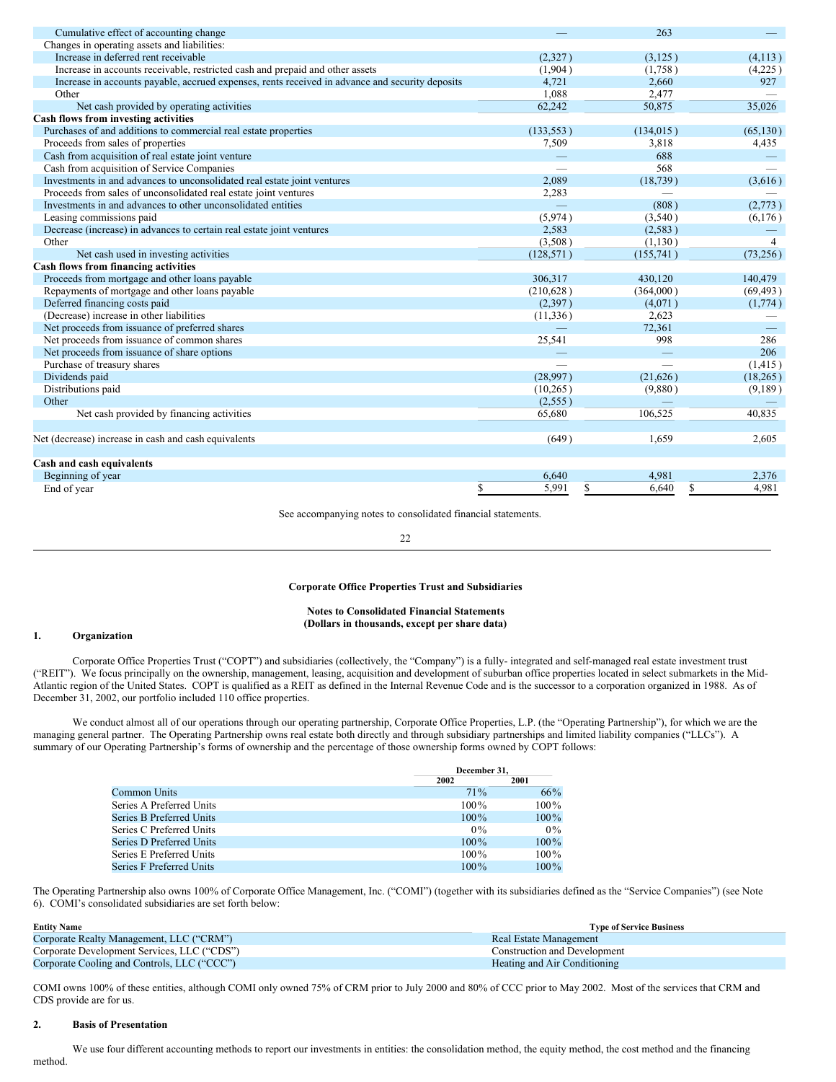| Cumulative effect of accounting change                                                          |             | 263         |             |
|-------------------------------------------------------------------------------------------------|-------------|-------------|-------------|
| Changes in operating assets and liabilities:                                                    |             |             |             |
| Increase in deferred rent receivable                                                            | (2,327)     | (3,125)     | (4,113)     |
| Increase in accounts receivable, restricted cash and prepaid and other assets                   | (1,904)     | (1,758)     | (4,225)     |
| Increase in accounts payable, accrued expenses, rents received in advance and security deposits | 4,721       | 2,660       | 927         |
| Other                                                                                           | 1,088       | 2,477       |             |
| Net cash provided by operating activities                                                       | 62,242      | 50,875      | 35,026      |
| Cash flows from investing activities                                                            |             |             |             |
| Purchases of and additions to commercial real estate properties                                 | (133, 553)  | (134, 015)  | (65, 130)   |
| Proceeds from sales of properties                                                               | 7,509       | 3,818       | 4,435       |
| Cash from acquisition of real estate joint venture                                              |             | 688         |             |
| Cash from acquisition of Service Companies                                                      |             | 568         |             |
| Investments in and advances to unconsolidated real estate joint ventures                        | 2,089       | (18, 739)   | (3,616)     |
| Proceeds from sales of unconsolidated real estate joint ventures                                | 2,283       |             |             |
| Investments in and advances to other unconsolidated entities                                    |             | (808)       | (2,773)     |
| Leasing commissions paid                                                                        | (5,974)     | (3,540)     | (6,176)     |
| Decrease (increase) in advances to certain real estate joint ventures                           | 2,583       | (2, 583)    |             |
| Other                                                                                           | (3,508)     | (1, 130)    | 4           |
| Net cash used in investing activities                                                           | (128, 571)  | (155, 741)  | (73, 256)   |
| Cash flows from financing activities                                                            |             |             |             |
| Proceeds from mortgage and other loans payable                                                  | 306,317     | 430,120     | 140,479     |
| Repayments of mortgage and other loans payable                                                  | (210, 628)  | (364,000)   | (69, 493)   |
| Deferred financing costs paid                                                                   | (2,397)     | (4,071)     | (1,774)     |
| (Decrease) increase in other liabilities                                                        | (11, 336)   | 2,623       |             |
| Net proceeds from issuance of preferred shares                                                  |             | 72,361      |             |
| Net proceeds from issuance of common shares                                                     | 25,541      | 998         | 286         |
| Net proceeds from issuance of share options                                                     |             |             | 206         |
| Purchase of treasury shares                                                                     |             |             | (1, 415)    |
| Dividends paid                                                                                  | (28,997)    | (21,626)    | (18, 265)   |
| Distributions paid                                                                              | (10, 265)   | (9,880)     | (9,189)     |
| Other                                                                                           | (2,555)     |             |             |
| Net cash provided by financing activities                                                       | 65,680      | 106,525     | 40,835      |
|                                                                                                 |             |             |             |
| Net (decrease) increase in cash and cash equivalents                                            | (649)       | 1,659       | 2,605       |
|                                                                                                 |             |             |             |
| Cash and cash equivalents                                                                       |             |             |             |
| Beginning of year                                                                               | 6,640       | 4,981       | 2,376       |
| End of year                                                                                     | 5,991<br>\$ | 6,640<br>\$ | \$<br>4,981 |
|                                                                                                 |             |             |             |

See accompanying notes to consolidated financial statements.

22

## **Corporate Office Properties Trust and Subsidiaries**

#### **Notes to Consolidated Financial Statements (Dollars in thousands, except per share data)**

# **1. Organization**

Corporate Office Properties Trust ("COPT") and subsidiaries (collectively, the "Company") is a fully- integrated and self-managed real estate investment trust ("REIT"). We focus principally on the ownership, management, leasing, acquisition and development of suburban office properties located in select submarkets in the Mid-Atlantic region of the United States. COPT is qualified as a REIT as defined in the Internal Revenue Code and is the successor to a corporation organized in 1988. As of December 31, 2002, our portfolio included 110 office properties.

We conduct almost all of our operations through our operating partnership, Corporate Office Properties, L.P. (the "Operating Partnership"), for which we are the managing general partner. The Operating Partnership owns real estate both directly and through subsidiary partnerships and limited liability companies ("LLCs"). A summary of our Operating Partnership's forms of ownership and the percentage of those ownership forms owned by COPT follows:

|                                 |         | December 31. |  |  |
|---------------------------------|---------|--------------|--|--|
|                                 | 2002    | 2001         |  |  |
| Common Units                    | $71\%$  | 66%          |  |  |
| Series A Preferred Units        | $100\%$ | $100\%$      |  |  |
| Series B Preferred Units        | $100\%$ | $100\%$      |  |  |
| Series C Preferred Units        | $0\%$   | $0\%$        |  |  |
| Series D Preferred Units        | $100\%$ | $100\%$      |  |  |
| Series E Preferred Units        | $100\%$ | $100\%$      |  |  |
| <b>Series F Preferred Units</b> | $100\%$ | $100\%$      |  |  |

The Operating Partnership also owns 100% of Corporate Office Management, Inc. ("COMI") (together with its subsidiaries defined as the "Service Companies") (see Note 6). COMI's consolidated subsidiaries are set forth below:

| <b>Entity Name</b>                          | <b>Type of Service Business</b> |
|---------------------------------------------|---------------------------------|
| Corporate Realty Management, LLC ("CRM")    | Real Estate Management          |
| Corporate Development Services, LLC ("CDS") | Construction and Development    |
| Corporate Cooling and Controls, LLC ("CCC") | Heating and Air Conditioning    |

COMI owns 100% of these entities, although COMI only owned 75% of CRM prior to July 2000 and 80% of CCC prior to May 2002. Most of the services that CRM and CDS provide are for us.

#### **2. Basis of Presentation**

We use four different accounting methods to report our investments in entities: the consolidation method, the equity method, the cost method and the financing method.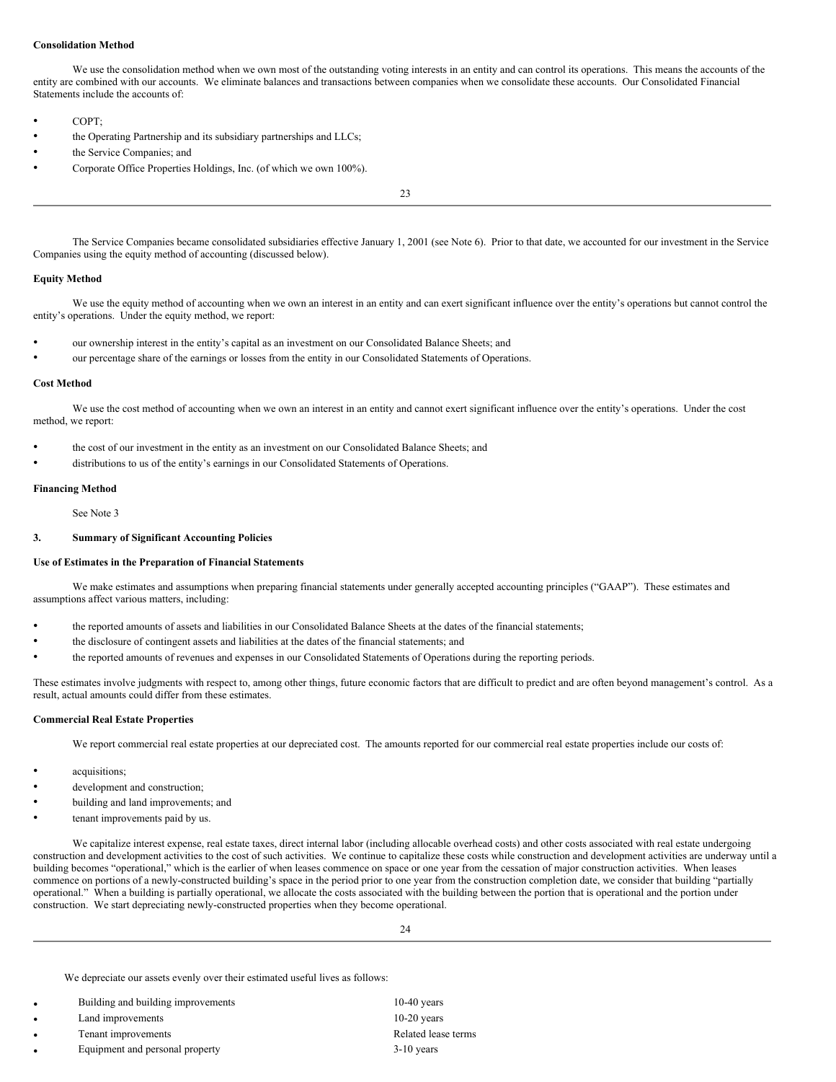### **Consolidation Method**

We use the consolidation method when we own most of the outstanding voting interests in an entity and can control its operations. This means the accounts of the entity are combined with our accounts. We eliminate balances and transactions between companies when we consolidate these accounts. Our Consolidated Financial Statements include the accounts of:

- COPT;
- the Operating Partnership and its subsidiary partnerships and LLCs;
- the Service Companies; and
- Corporate Office Properties Holdings, Inc. (of which we own 100%).

 $23$ 

The Service Companies became consolidated subsidiaries effective January 1, 2001 (see Note 6). Prior to that date, we accounted for our investment in the Service Companies using the equity method of accounting (discussed below).

### **Equity Method**

We use the equity method of accounting when we own an interest in an entity and can exert significant influence over the entity's operations but cannot control the entity's operations. Under the equity method, we report:

- our ownership interest in the entity's capital as an investment on our Consolidated Balance Sheets; and
- our percentage share of the earnings or losses from the entity in our Consolidated Statements of Operations.

## **Cost Method**

We use the cost method of accounting when we own an interest in an entity and cannot exert significant influence over the entity's operations. Under the cost method, we report:

- the cost of our investment in the entity as an investment on our Consolidated Balance Sheets; and
- distributions to us of the entity's earnings in our Consolidated Statements of Operations.

## **Financing Method**

See Note 3

#### **3. Summary of Significant Accounting Policies**

### **Use of Estimates in the Preparation of Financial Statements**

We make estimates and assumptions when preparing financial statements under generally accepted accounting principles ("GAAP"). These estimates and assumptions affect various matters, including:

- the reported amounts of assets and liabilities in our Consolidated Balance Sheets at the dates of the financial statements;
- the disclosure of contingent assets and liabilities at the dates of the financial statements; and
- the reported amounts of revenues and expenses in our Consolidated Statements of Operations during the reporting periods.

These estimates involve judgments with respect to, among other things, future economic factors that are difficult to predict and are often beyond management's control. As a result, actual amounts could differ from these estimates.

#### **Commercial Real Estate Properties**

We report commercial real estate properties at our depreciated cost. The amounts reported for our commercial real estate properties include our costs of:

- acquisitions;
- development and construction;
- building and land improvements; and
- tenant improvements paid by us.

We capitalize interest expense, real estate taxes, direct internal labor (including allocable overhead costs) and other costs associated with real estate undergoing construction and development activities to the cost of such activities. We continue to capitalize these costs while construction and development activities are underway until a building becomes "operational," which is the earlier of when leases commence on space or one year from the cessation of major construction activities. When leases commence on portions of a newly-constructed building's space in the period prior to one year from the construction completion date, we consider that building "partially operational." When a building is partially operational, we allocate the costs associated with the building between the portion that is operational and the portion under construction. We start depreciating newly-constructed properties when they become operational.

We depreciate our assets evenly over their estimated useful lives as follows:

|           | Building and building improvements | $10-40$ years       |
|-----------|------------------------------------|---------------------|
| ٠         | Land improvements                  | $10-20$ years       |
| $\bullet$ | Tenant improvements                | Related lease terms |
| $\bullet$ | Equipment and personal property    | $3-10$ years        |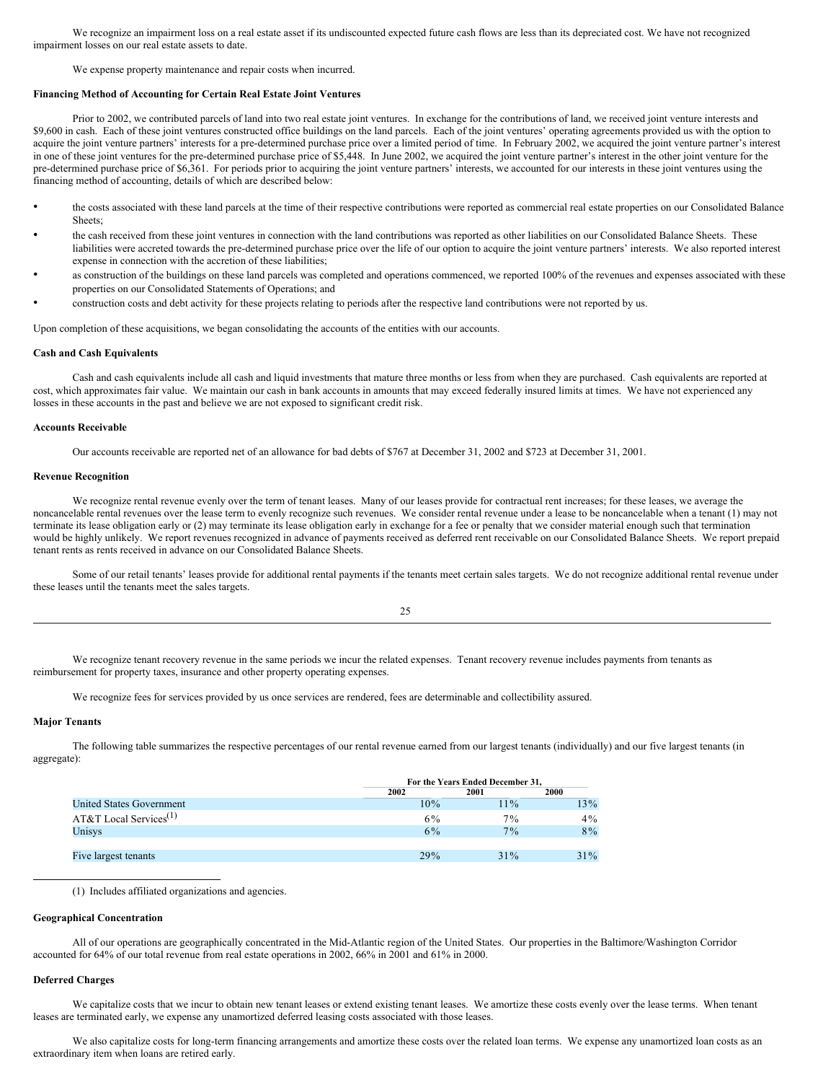We recognize an impairment loss on a real estate asset if its undiscounted expected future cash flows are less than its depreciated cost. We have not recognized impairment losses on our real estate assets to date.

We expense property maintenance and repair costs when incurred.

#### **Financing Method of Accounting for Certain Real Estate Joint Ventures**

Prior to 2002, we contributed parcels of land into two real estate joint ventures. In exchange for the contributions of land, we received joint venture interests and \$9,600 in cash. Each of these joint ventures constructed office buildings on the land parcels. Each of the joint ventures' operating agreements provided us with the option to acquire the joint venture partners' interests for a pre-determined purchase price over a limited period of time. In February 2002, we acquired the joint venture partner's interest in one of these joint ventures for the pre-determined purchase price of \$5,448. In June 2002, we acquired the joint venture partner's interest in the other joint venture for the pre-determined purchase price of \$6,361. For periods prior to acquiring the joint venture partners' interests, we accounted for our interests in these joint ventures using the financing method of accounting, details of which are described below:

- the costs associated with these land parcels at the time of their respective contributions were reported as commercial real estate properties on our Consolidated Balance Sheets;
- the cash received from these joint ventures in connection with the land contributions was reported as other liabilities on our Consolidated Balance Sheets. These liabilities were accreted towards the pre-determined purchase price over the life of our option to acquire the joint venture partners' interests. We also reported interest expense in connection with the accretion of these liabilities;
- as construction of the buildings on these land parcels was completed and operations commenced, we reported 100% of the revenues and expenses associated with these properties on our Consolidated Statements of Operations; and
- construction costs and debt activity for these projects relating to periods after the respective land contributions were not reported by us.

Upon completion of these acquisitions, we began consolidating the accounts of the entities with our accounts.

## **Cash and Cash Equivalents**

Cash and cash equivalents include all cash and liquid investments that mature three months or less from when they are purchased. Cash equivalents are reported at cost, which approximates fair value. We maintain our cash in bank accounts in amounts that may exceed federally insured limits at times. We have not experienced any losses in these accounts in the past and believe we are not exposed to significant credit risk.

### **Accounts Receivable**

Our accounts receivable are reported net of an allowance for bad debts of \$767 at December 31, 2002 and \$723 at December 31, 2001.

#### **Revenue Recognition**

We recognize rental revenue evenly over the term of tenant leases. Many of our leases provide for contractual rent increases; for these leases, we average the noncancelable rental revenues over the lease term to evenly recognize such revenues. We consider rental revenue under a lease to be noncancelable when a tenant (1) may not terminate its lease obligation early or (2) may terminate its lease obligation early in exchange for a fee or penalty that we consider material enough such that termination would be highly unlikely. We report revenues recognized in advance of payments received as deferred rent receivable on our Consolidated Balance Sheets. We report prepaid tenant rents as rents received in advance on our Consolidated Balance Sheets.

Some of our retail tenants' leases provide for additional rental payments if the tenants meet certain sales targets. We do not recognize additional rental revenue under these leases until the tenants meet the sales targets.

| ×,<br>I<br>۰.<br>$\sim$ |
|-------------------------|
|-------------------------|

We recognize tenant recovery revenue in the same periods we incur the related expenses. Tenant recovery revenue includes payments from tenants as reimbursement for property taxes, insurance and other property operating expenses.

We recognize fees for services provided by us once services are rendered, fees are determinable and collectibility assured.

# **Major Tenants**

The following table summarizes the respective percentages of our rental revenue earned from our largest tenants (individually) and our five largest tenants (in aggregate):

|                                    | For the Years Ended December 31, |        |       |  |
|------------------------------------|----------------------------------|--------|-------|--|
|                                    | 2002                             | 2001   | 2000  |  |
| United States Government           | 10%                              | $11\%$ | 13%   |  |
| AT&T Local Services <sup>(1)</sup> | 6%                               | $7\%$  | $4\%$ |  |
| Unisys                             | 6%                               | $7\%$  | $8\%$ |  |
|                                    |                                  |        |       |  |
| Five largest tenants               | 29%                              | 31%    | 31%   |  |

(1) Includes affiliated organizations and agencies.

## **Geographical Concentration**

All of our operations are geographically concentrated in the Mid-Atlantic region of the United States. Our properties in the Baltimore/Washington Corridor accounted for 64% of our total revenue from real estate operations in 2002, 66% in 2001 and 61% in 2000.

## **Deferred Charges**

We capitalize costs that we incur to obtain new tenant leases or extend existing tenant leases. We amortize these costs evenly over the lease terms. When tenant leases are terminated early, we expense any unamortized deferred leasing costs associated with those leases.

We also capitalize costs for long-term financing arrangements and amortize these costs over the related loan terms. We expense any unamortized loan costs as an extraordinary item when loans are retired early.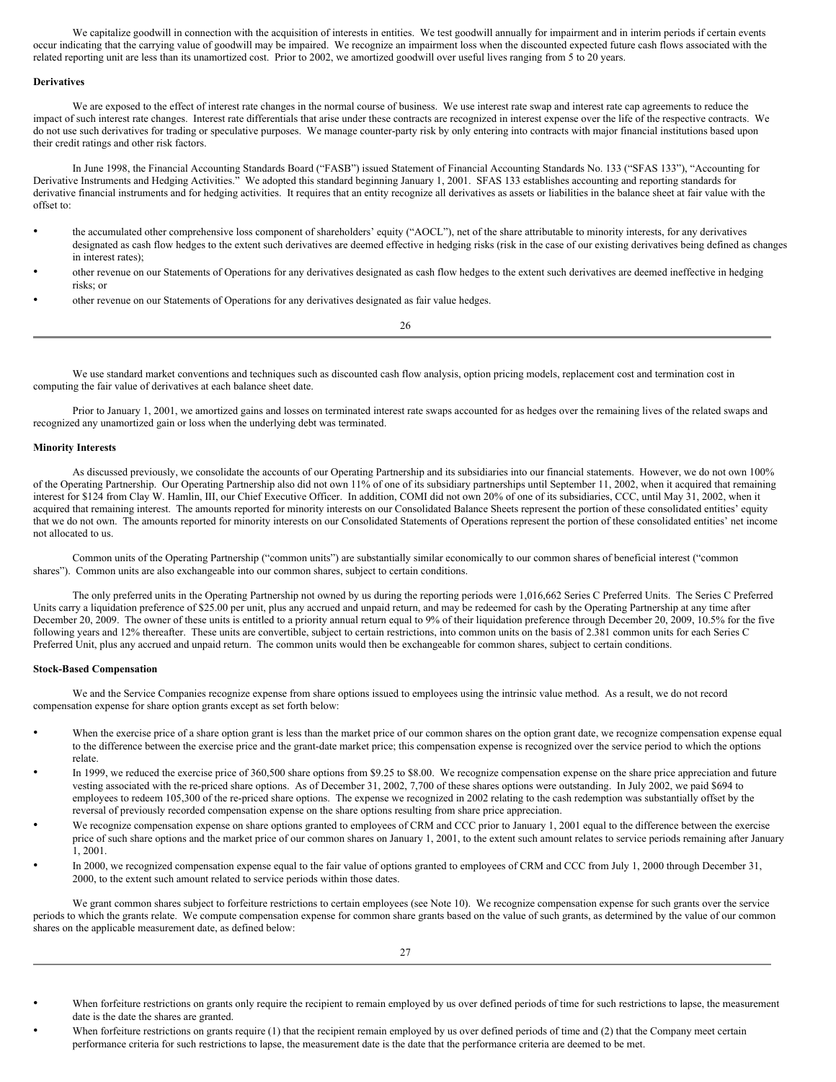We capitalize goodwill in connection with the acquisition of interests in entities. We test goodwill annually for impairment and in interim periods if certain events occur indicating that the carrying value of goodwill may be impaired. We recognize an impairment loss when the discounted expected future cash flows associated with the related reporting unit are less than its unamortized cost. Prior to 2002, we amortized goodwill over useful lives ranging from 5 to 20 years.

## **Derivatives**

We are exposed to the effect of interest rate changes in the normal course of business. We use interest rate swap and interest rate cap agreements to reduce the impact of such interest rate changes. Interest rate differentials that arise under these contracts are recognized in interest expense over the life of the respective contracts. We do not use such derivatives for trading or speculative purposes. We manage counter-party risk by only entering into contracts with major financial institutions based upon their credit ratings and other risk factors.

In June 1998, the Financial Accounting Standards Board ("FASB") issued Statement of Financial Accounting Standards No. 133 ("SFAS 133"), "Accounting for Derivative Instruments and Hedging Activities." We adopted this standard beginning January 1, 2001. SFAS 133 establishes accounting and reporting standards for derivative financial instruments and for hedging activities. It requires that an entity recognize all derivatives as assets or liabilities in the balance sheet at fair value with the offset to:

- the accumulated other comprehensive loss component of shareholders' equity ("AOCL"), net of the share attributable to minority interests, for any derivatives designated as cash flow hedges to the extent such derivatives are deemed effective in hedging risks (risk in the case of our existing derivatives being defined as changes in interest rates);
- other revenue on our Statements of Operations for any derivatives designated as cash flow hedges to the extent such derivatives are deemed ineffective in hedging risks; or
- other revenue on our Statements of Operations for any derivatives designated as fair value hedges.

26

We use standard market conventions and techniques such as discounted cash flow analysis, option pricing models, replacement cost and termination cost in computing the fair value of derivatives at each balance sheet date.

Prior to January 1, 2001, we amortized gains and losses on terminated interest rate swaps accounted for as hedges over the remaining lives of the related swaps and recognized any unamortized gain or loss when the underlying debt was terminated.

#### **Minority Interests**

As discussed previously, we consolidate the accounts of our Operating Partnership and its subsidiaries into our financial statements. However, we do not own 100% of the Operating Partnership. Our Operating Partnership also did not own 11% of one of its subsidiary partnerships until September 11, 2002, when it acquired that remaining interest for \$124 from Clay W. Hamlin, III, our Chief Executive Officer. In addition, COMI did not own 20% of one of its subsidiaries, CCC, until May 31, 2002, when it acquired that remaining interest. The amounts reported for minority interests on our Consolidated Balance Sheets represent the portion of these consolidated entities' equity that we do not own. The amounts reported for minority interests on our Consolidated Statements of Operations represent the portion of these consolidated entities' net income not allocated to us.

Common units of the Operating Partnership ("common units") are substantially similar economically to our common shares of beneficial interest ("common shares"). Common units are also exchangeable into our common shares, subject to certain conditions.

The only preferred units in the Operating Partnership not owned by us during the reporting periods were 1,016,662 Series C Preferred Units. The Series C Preferred Units carry a liquidation preference of \$25.00 per unit, plus any accrued and unpaid return, and may be redeemed for cash by the Operating Partnership at any time after December 20, 2009. The owner of these units is entitled to a priority annual return equal to 9% of their liquidation preference through December 20, 2009, 10.5% for the five following years and 12% thereafter. These units are convertible, subject to certain restrictions, into common units on the basis of 2.381 common units for each Series C Preferred Unit, plus any accrued and unpaid return. The common units would then be exchangeable for common shares, subject to certain conditions.

## **Stock-Based Compensation**

We and the Service Companies recognize expense from share options issued to employees using the intrinsic value method. As a result, we do not record compensation expense for share option grants except as set forth below:

- When the exercise price of a share option grant is less than the market price of our common shares on the option grant date, we recognize compensation expense equal to the difference between the exercise price and the grant-date market price; this compensation expense is recognized over the service period to which the options relate.
- In 1999, we reduced the exercise price of 360,500 share options from \$9.25 to \$8.00. We recognize compensation expense on the share price appreciation and future vesting associated with the re-priced share options. As of December 31, 2002, 7,700 of these shares options were outstanding. In July 2002, we paid \$694 to employees to redeem 105,300 of the re-priced share options. The expense we recognized in 2002 relating to the cash redemption was substantially offset by the reversal of previously recorded compensation expense on the share options resulting from share price appreciation.
- We recognize compensation expense on share options granted to employees of CRM and CCC prior to January 1, 2001 equal to the difference between the exercise price of such share options and the market price of our common shares on January 1, 2001, to the extent such amount relates to service periods remaining after January 1, 2001.
- In 2000, we recognized compensation expense equal to the fair value of options granted to employees of CRM and CCC from July 1, 2000 through December 31, 2000, to the extent such amount related to service periods within those dates.

We grant common shares subject to forfeiture restrictions to certain employees (see Note 10). We recognize compensation expense for such grants over the service periods to which the grants relate. We compute compensation expense for common share grants based on the value of such grants, as determined by the value of our common shares on the applicable measurement date, as defined below:

When forfeiture restrictions on grants require (1) that the recipient remain employed by us over defined periods of time and (2) that the Company meet certain performance criteria for such restrictions to lapse, the measurement date is the date that the performance criteria are deemed to be met.

When forfeiture restrictions on grants only require the recipient to remain employed by us over defined periods of time for such restrictions to lapse, the measurement date is the date the shares are granted.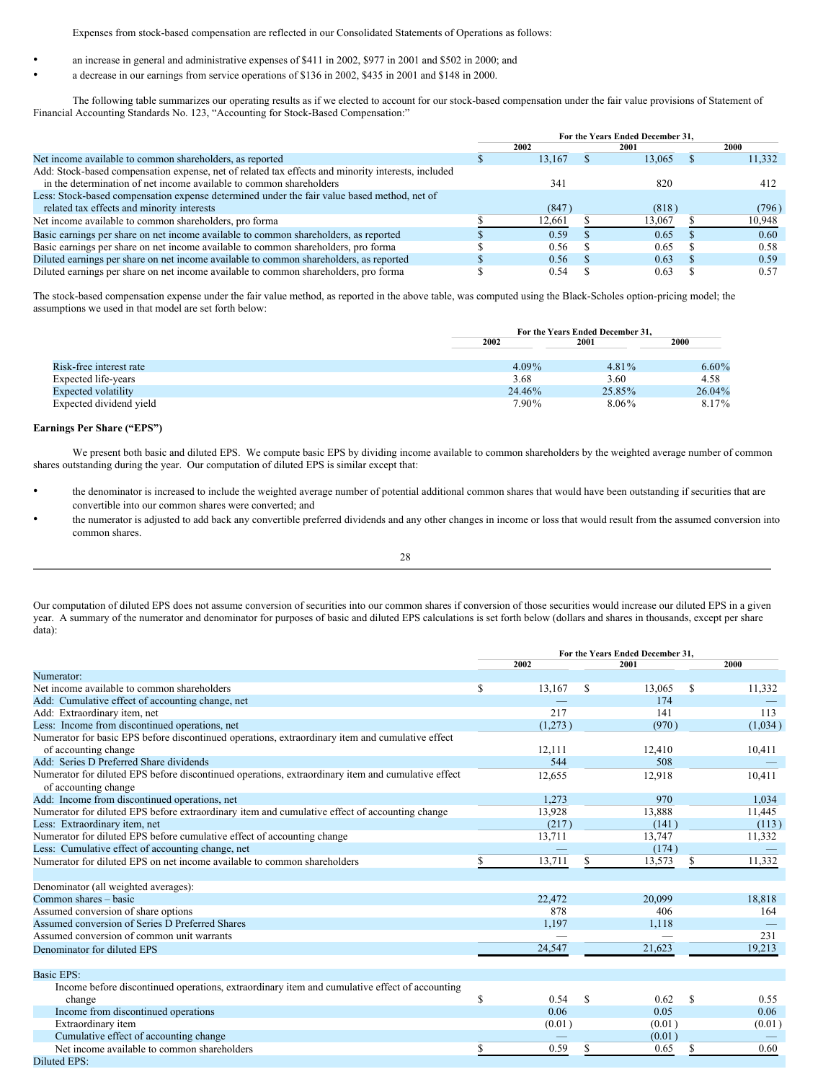Expenses from stock-based compensation are reflected in our Consolidated Statements of Operations as follows:

- an increase in general and administrative expenses of \$411 in 2002, \$977 in 2001 and \$502 in 2000; and
- a decrease in our earnings from service operations of \$136 in 2002, \$435 in 2001 and \$148 in 2000.

The following table summarizes our operating results as if we elected to account for our stock-based compensation under the fair value provisions of Statement of Financial Accounting Standards No. 123, "Accounting for Stock-Based Compensation:"

|                                                                                                    | For the Years Ended December 31, |        |  |        |  |        |
|----------------------------------------------------------------------------------------------------|----------------------------------|--------|--|--------|--|--------|
|                                                                                                    |                                  | 2002   |  | 2001   |  | 2000   |
| Net income available to common shareholders, as reported                                           |                                  | 13.167 |  | 13.065 |  | 11.332 |
| Add: Stock-based compensation expense, net of related tax effects and minority interests, included |                                  |        |  |        |  |        |
| in the determination of net income available to common shareholders                                |                                  | 341    |  | 820    |  | 412    |
| Less: Stock-based compensation expense determined under the fair value based method, net of        |                                  |        |  |        |  |        |
| related tax effects and minority interests                                                         |                                  | (847)  |  | (818)  |  | (796)  |
| Net income available to common shareholders, pro forma                                             |                                  | 12,661 |  | 13,067 |  | 10,948 |
| Basic earnings per share on net income available to common shareholders, as reported               |                                  | 0.59   |  | 0.65   |  | 0.60   |
| Basic earnings per share on net income available to common shareholders, pro forma                 |                                  | 0.56   |  | 0.65   |  | 0.58   |
| Diluted earnings per share on net income available to common shareholders, as reported             |                                  | 0.56   |  | 0.63   |  | 0.59   |
| Diluted earnings per share on net income available to common shareholders, pro forma               |                                  | 0.54   |  | 0.63   |  | 0.57   |

The stock-based compensation expense under the fair value method, as reported in the above table, was computed using the Black-Scholes option-pricing model; the assumptions we used in that model are set forth below:

|                         |          | For the Years Ended December 31. |          |  |  |
|-------------------------|----------|----------------------------------|----------|--|--|
|                         | 2002     | 2001                             |          |  |  |
|                         |          |                                  |          |  |  |
| Risk-free interest rate | $4.09\%$ | $4.81\%$                         | $6.60\%$ |  |  |
| Expected life-years     | 3.68     | 3.60                             | 4.58     |  |  |
| Expected volatility     | 24.46%   | 25.85%                           | 26.04%   |  |  |
| Expected dividend yield | 7.90%    | $8.06\%$                         | 8.17%    |  |  |

### **Earnings Per Share ("EPS")**

We present both basic and diluted EPS. We compute basic EPS by dividing income available to common shareholders by the weighted average number of common shares outstanding during the year. Our computation of diluted EPS is similar except that:

- the denominator is increased to include the weighted average number of potential additional common shares that would have been outstanding if securities that are convertible into our common shares were converted; and
- the numerator is adjusted to add back any convertible preferred dividends and any other changes in income or loss that would result from the assumed conversion into common shares.

28

Our computation of diluted EPS does not assume conversion of securities into our common shares if conversion of those securities would increase our diluted EPS in a given year. A summary of the numerator and denominator for purposes of basic and diluted EPS calculations is set forth below (dollars and shares in thousands, except per share data):

|                                                                                                         |    |         |               |        | For the Years Ended December 31, |         |  |  |
|---------------------------------------------------------------------------------------------------------|----|---------|---------------|--------|----------------------------------|---------|--|--|
|                                                                                                         |    | 2002    |               | 2001   |                                  | 2000    |  |  |
| Numerator:                                                                                              |    |         |               |        |                                  |         |  |  |
| Net income available to common shareholders                                                             | S  | 13.167  | S             | 13.065 | S                                | 11,332  |  |  |
| Add: Cumulative effect of accounting change, net                                                        |    |         |               | 174    |                                  |         |  |  |
| Add: Extraordinary item, net                                                                            |    | 217     |               | 141    |                                  | 113     |  |  |
| Less: Income from discontinued operations, net                                                          |    | (1,273) |               | (970)  |                                  | (1,034) |  |  |
| Numerator for basic EPS before discontinued operations, extraordinary item and cumulative effect        |    |         |               |        |                                  |         |  |  |
| of accounting change                                                                                    |    | 12,111  |               | 12,410 |                                  | 10,411  |  |  |
| Add: Series D Preferred Share dividends                                                                 |    | 544     |               | 508    |                                  |         |  |  |
| Numerator for diluted EPS before discontinued operations, extraordinary item and cumulative effect      |    | 12,655  |               | 12,918 |                                  | 10,411  |  |  |
| of accounting change                                                                                    |    |         |               |        |                                  |         |  |  |
| Add: Income from discontinued operations, net                                                           |    | 1,273   |               | 970    |                                  | 1,034   |  |  |
| Numerator for diluted EPS before extraordinary item and cumulative effect of accounting change          |    | 13,928  |               | 13,888 |                                  | 11,445  |  |  |
| Less: Extraordinary item, net                                                                           |    | (217)   |               | (141)  |                                  | (113)   |  |  |
| Numerator for diluted EPS before cumulative effect of accounting change                                 |    | 13,711  |               | 13,747 |                                  | 11,332  |  |  |
| Less: Cumulative effect of accounting change, net                                                       |    |         |               | (174)  |                                  |         |  |  |
| Numerator for diluted EPS on net income available to common shareholders                                | S  | 13,711  | S.            | 13,573 | S                                | 11,332  |  |  |
| Denominator (all weighted averages):                                                                    |    |         |               |        |                                  |         |  |  |
| Common shares – basic                                                                                   |    | 22,472  |               | 20,099 |                                  | 18,818  |  |  |
| Assumed conversion of share options                                                                     |    | 878     |               | 406    |                                  | 164     |  |  |
| Assumed conversion of Series D Preferred Shares                                                         |    | 1,197   |               | 1,118  |                                  |         |  |  |
| Assumed conversion of common unit warrants                                                              |    |         |               |        |                                  | 231     |  |  |
| Denominator for diluted EPS                                                                             |    | 24,547  |               | 21,623 |                                  | 19,213  |  |  |
| <b>Basic EPS:</b>                                                                                       |    |         |               |        |                                  |         |  |  |
|                                                                                                         |    |         |               |        |                                  |         |  |  |
| Income before discontinued operations, extraordinary item and cumulative effect of accounting<br>change | \$ | 0.54    | <sup>\$</sup> | 0.62   | <sup>\$</sup>                    | 0.55    |  |  |
| Income from discontinued operations                                                                     |    | 0.06    |               | 0.05   |                                  | 0.06    |  |  |
| Extraordinary item                                                                                      |    | (0.01)  |               | (0.01) |                                  | (0.01)  |  |  |
| Cumulative effect of accounting change                                                                  |    |         |               | (0.01) |                                  |         |  |  |
| Net income available to common shareholders                                                             |    | 0.59    | S             | 0.65   |                                  | 0.60    |  |  |
| Diluted EPS:                                                                                            |    |         |               |        |                                  |         |  |  |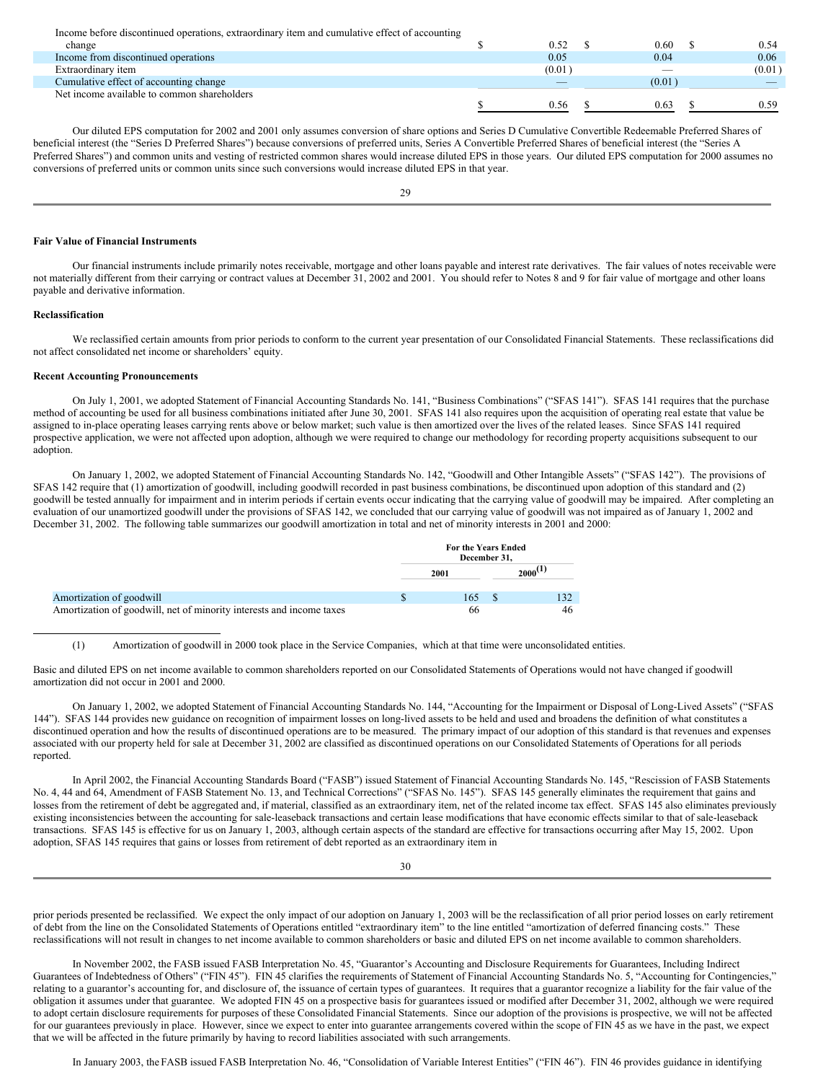Income before discontinued operations, extraordinary item and cumulative effect of accounting

| change                                      | 0.52                     | 0.60   | 0.54                     |
|---------------------------------------------|--------------------------|--------|--------------------------|
| Income from discontinued operations         | 0.05                     | 0.04   | 0.06                     |
| Extraordinary item                          | (0.01)                   |        | (0.01)                   |
| Cumulative effect of accounting change      | $\overline{\phantom{a}}$ | (0.01) | $\overline{\phantom{a}}$ |
| Net income available to common shareholders |                          |        |                          |
|                                             | 0.56                     | 0.63   | 0.59                     |
|                                             |                          |        |                          |

Our diluted EPS computation for 2002 and 2001 only assumes conversion of share options and Series D Cumulative Convertible Redeemable Preferred Shares of beneficial interest (the "Series D Preferred Shares") because conversions of preferred units, Series A Convertible Preferred Shares of beneficial interest (the "Series A Preferred Shares") and common units and vesting of restricted common shares would increase diluted EPS in those years. Our diluted EPS computation for 2000 assumes no conversions of preferred units or common units since such conversions would increase diluted EPS in that year.

29

#### **Fair Value of Financial Instruments**

Our financial instruments include primarily notes receivable, mortgage and other loans payable and interest rate derivatives. The fair values of notes receivable were not materially different from their carrying or contract values at December 31, 2002 and 2001. You should refer to Notes 8 and 9 for fair value of mortgage and other loans payable and derivative information.

#### **Reclassification**

We reclassified certain amounts from prior periods to conform to the current year presentation of our Consolidated Financial Statements. These reclassifications did not affect consolidated net income or shareholders' equity.

#### **Recent Accounting Pronouncements**

On July 1, 2001, we adopted Statement of Financial Accounting Standards No. 141, "Business Combinations" ("SFAS 141"). SFAS 141 requires that the purchase method of accounting be used for all business combinations initiated after June 30, 2001. SFAS 141 also requires upon the acquisition of operating real estate that value be assigned to in-place operating leases carrying rents above or below market; such value is then amortized over the lives of the related leases. Since SFAS 141 required prospective application, we were not affected upon adoption, although we were required to change our methodology for recording property acquisitions subsequent to our adoption.

On January 1, 2002, we adopted Statement of Financial Accounting Standards No. 142, "Goodwill and Other Intangible Assets" ("SFAS 142"). The provisions of SFAS 142 require that (1) amortization of goodwill, including goodwill recorded in past business combinations, be discontinued upon adoption of this standard and (2) goodwill be tested annually for impairment and in interim periods if certain events occur indicating that the carrying value of goodwill may be impaired. After completing an evaluation of our unamortized goodwill under the provisions of SFAS 142, we concluded that our carrying value of goodwill was not impaired as of January 1, 2002 and December 31, 2002. The following table summarizes our goodwill amortization in total and net of minority interests in 2001 and 2000:

|                                                                      | For the Years Ended<br>December 31, |              |
|----------------------------------------------------------------------|-------------------------------------|--------------|
|                                                                      | 2001                                | $2000^{(1)}$ |
| Amortization of goodwill                                             | 165                                 | 132          |
| Amortization of goodwill, net of minority interests and income taxes | 66                                  | 46           |

(1) Amortization of goodwill in 2000 took place in the Service Companies, which at that time were unconsolidated entities.

Basic and diluted EPS on net income available to common shareholders reported on our Consolidated Statements of Operations would not have changed if goodwill amortization did not occur in 2001 and 2000.

On January 1, 2002, we adopted Statement of Financial Accounting Standards No. 144, "Accounting for the Impairment or Disposal of Long-Lived Assets" ("SFAS 144"). SFAS 144 provides new guidance on recognition of impairment losses on long-lived assets to be held and used and broadens the definition of what constitutes a discontinued operation and how the results of discontinued operations are to be measured. The primary impact of our adoption of this standard is that revenues and expenses associated with our property held for sale at December 31, 2002 are classified as discontinued operations on our Consolidated Statements of Operations for all periods reported.

In April 2002, the Financial Accounting Standards Board ("FASB") issued Statement of Financial Accounting Standards No. 145, "Rescission of FASB Statements No. 4, 44 and 64, Amendment of FASB Statement No. 13, and Technical Corrections" ("SFAS No. 145"). SFAS 145 generally eliminates the requirement that gains and losses from the retirement of debt be aggregated and, if material, classified as an extraordinary item, net of the related income tax effect. SFAS 145 also eliminates previously existing inconsistencies between the accounting for sale-leaseback transactions and certain lease modifications that have economic effects similar to that of sale-leaseback transactions. SFAS 145 is effective for us on January 1, 2003, although certain aspects of the standard are effective for transactions occurring after May 15, 2002. Upon adoption, SFAS 145 requires that gains or losses from retirement of debt reported as an extraordinary item in

30

prior periods presented be reclassified. We expect the only impact of our adoption on January 1, 2003 will be the reclassification of all prior period losses on early retirement of debt from the line on the Consolidated Statements of Operations entitled "extraordinary item" to the line entitled "amortization of deferred financing costs." These reclassifications will not result in changes to net income available to common shareholders or basic and diluted EPS on net income available to common shareholders.

In November 2002, the FASB issued FASB Interpretation No. 45, "Guarantor's Accounting and Disclosure Requirements for Guarantees, Including Indirect Guarantees of Indebtedness of Others" ("FIN 45"). FIN 45 clarifies the requirements of Statement of Financial Accounting Standards No. 5, "Accounting for Contingencies," relating to a guarantor's accounting for, and disclosure of, the issuance of certain types of guarantees. It requires that a guarantor recognize a liability for the fair value of the obligation it assumes under that guarantee. We adopted FIN 45 on a prospective basis for guarantees issued or modified after December 31, 2002, although we were required to adopt certain disclosure requirements for purposes of these Consolidated Financial Statements. Since our adoption of the provisions is prospective, we will not be affected for our guarantees previously in place. However, since we expect to enter into guarantee arrangements covered within the scope of FIN 45 as we have in the past, we expect that we will be affected in the future primarily by having to record liabilities associated with such arrangements.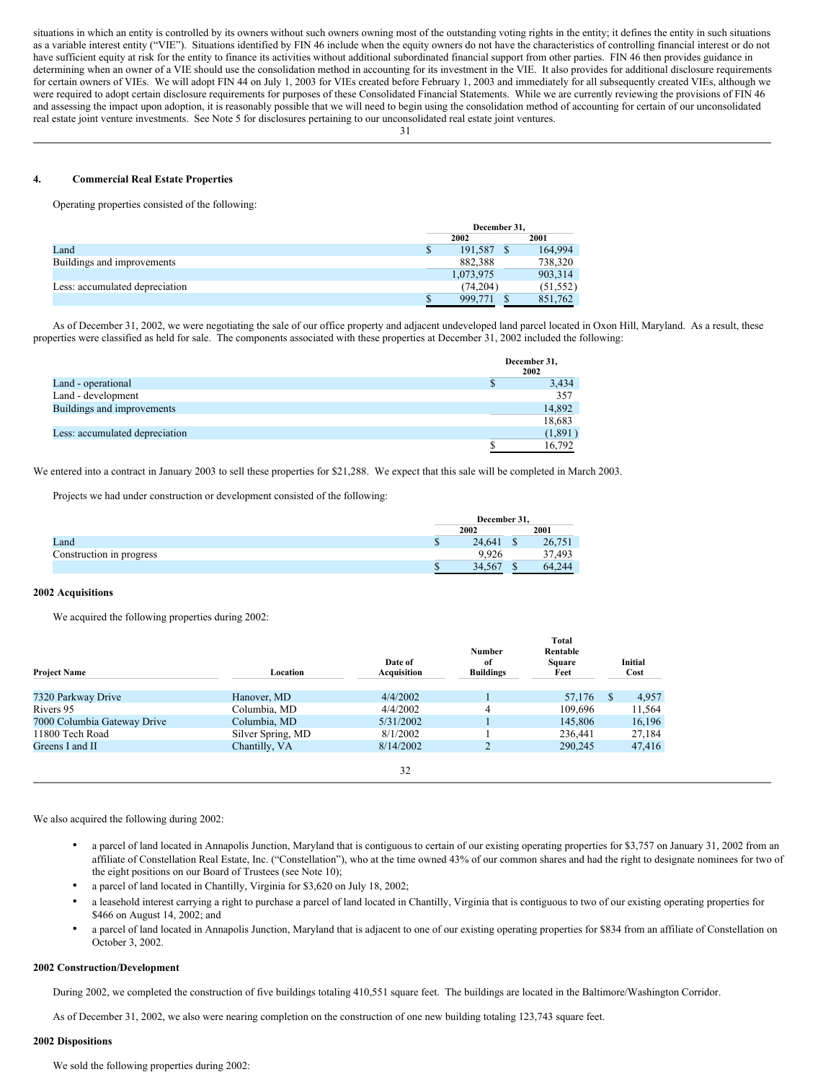situations in which an entity is controlled by its owners without such owners owning most of the outstanding voting rights in the entity; it defines the entity in such situations as a variable interest entity ("VIE"). Situations identified by FIN 46 include when the equity owners do not have the characteristics of controlling financial interest or do not have sufficient equity at risk for the entity to finance its activities without additional subordinated financial support from other parties. FIN 46 then provides guidance in determining when an owner of a VIE should use the consolidation method in accounting for its investment in the VIE. It also provides for additional disclosure requirements for certain owners of VIEs. We will adopt FIN 44 on July 1, 2003 for VIEs created before February 1, 2003 and immediately for all subsequently created VIEs, although we were required to adopt certain disclosure requirements for purposes of these Consolidated Financial Statements. While we are currently reviewing the provisions of FIN 46 and assessing the impact upon adoption, it is reasonably possible that we will need to begin using the consolidation method of accounting for certain of our unconsolidated real estate joint venture investments. See Note 5 for disclosures pertaining to our unconsolidated real estate joint ventures.

### **4. Commercial Real Estate Properties**

Operating properties consisted of the following:

|                                | December 31. |           |  |  |
|--------------------------------|--------------|-----------|--|--|
|                                | 2002         | 2001      |  |  |
| Land                           | 191.587      | 164,994   |  |  |
| Buildings and improvements     | 882.388      | 738,320   |  |  |
|                                | 1,073,975    | 903,314   |  |  |
| Less: accumulated depreciation | (74.204)     | (51, 552) |  |  |
|                                | 999.77       | 851.762   |  |  |

As of December 31, 2002, we were negotiating the sale of our office property and adjacent undeveloped land parcel located in Oxon Hill, Maryland. As a result, these properties were classified as held for sale. The components associated with these properties at December 31, 2002 included the following:

|                                | December 31,<br>2002 |
|--------------------------------|----------------------|
| Land - operational             | 3,434                |
| Land - development             | 357                  |
| Buildings and improvements     | 14,892               |
|                                | 18,683               |
| Less: accumulated depreciation | (1,891)              |
|                                | 16.792               |

We entered into a contract in January 2003 to sell these properties for \$21,288. We expect that this sale will be completed in March 2003.

Projects we had under construction or development consisted of the following:

|                          | December 31 |  |        |  |
|--------------------------|-------------|--|--------|--|
|                          | 2002        |  | 2001   |  |
| Land                     | 24.641      |  | 26,751 |  |
| Construction in progress | 9.926       |  | 37.493 |  |
|                          | 34.567      |  | 64.244 |  |

## **2002 Acquisitions**

We acquired the following properties during 2002:

| <b>Project Name</b>         | Location          | Date of<br>Acquisition | <b>Number</b><br>of<br><b>Buildings</b> | Total<br>Rentable<br>Square<br>Feet |   | Initial<br>Cost |
|-----------------------------|-------------------|------------------------|-----------------------------------------|-------------------------------------|---|-----------------|
| 7320 Parkway Drive          | Hanover, MD       | 4/4/2002               |                                         | 57,176                              | S | 4,957           |
| Rivers 95                   | Columbia, MD      | 4/4/2002               | 4                                       | 109,696                             |   | 11,564          |
| 7000 Columbia Gateway Drive | Columbia, MD      | 5/31/2002              |                                         | 145,806                             |   | 16,196          |
| 11800 Tech Road             | Silver Spring, MD | 8/1/2002               |                                         | 236,441                             |   | 27,184          |
| Greens I and II             | Chantilly, VA     | 8/14/2002              |                                         | 290,245                             |   | 47,416          |
|                             |                   | 32                     |                                         |                                     |   |                 |

We also acquired the following during 2002:

- a parcel of land located in Annapolis Junction, Maryland that is contiguous to certain of our existing operating properties for \$3,757 on January 31, 2002 from an affiliate of Constellation Real Estate, Inc. ("Constellation"), who at the time owned 43% of our common shares and had the right to designate nominees for two of the eight positions on our Board of Trustees (see Note 10);
- a parcel of land located in Chantilly, Virginia for \$3,620 on July 18, 2002;
- a leasehold interest carrying a right to purchase a parcel of land located in Chantilly, Virginia that is contiguous to two of our existing operating properties for \$466 on August 14, 2002; and
- a parcel of land located in Annapolis Junction, Maryland that is adjacent to one of our existing operating properties for \$834 from an affiliate of Constellation on October 3, 2002.

#### **2002 Construction/Development**

During 2002, we completed the construction of five buildings totaling 410,551 square feet. The buildings are located in the Baltimore/Washington Corridor.

As of December 31, 2002, we also were nearing completion on the construction of one new building totaling 123,743 square feet.

# **2002 Dispositions**

We sold the following properties during 2002: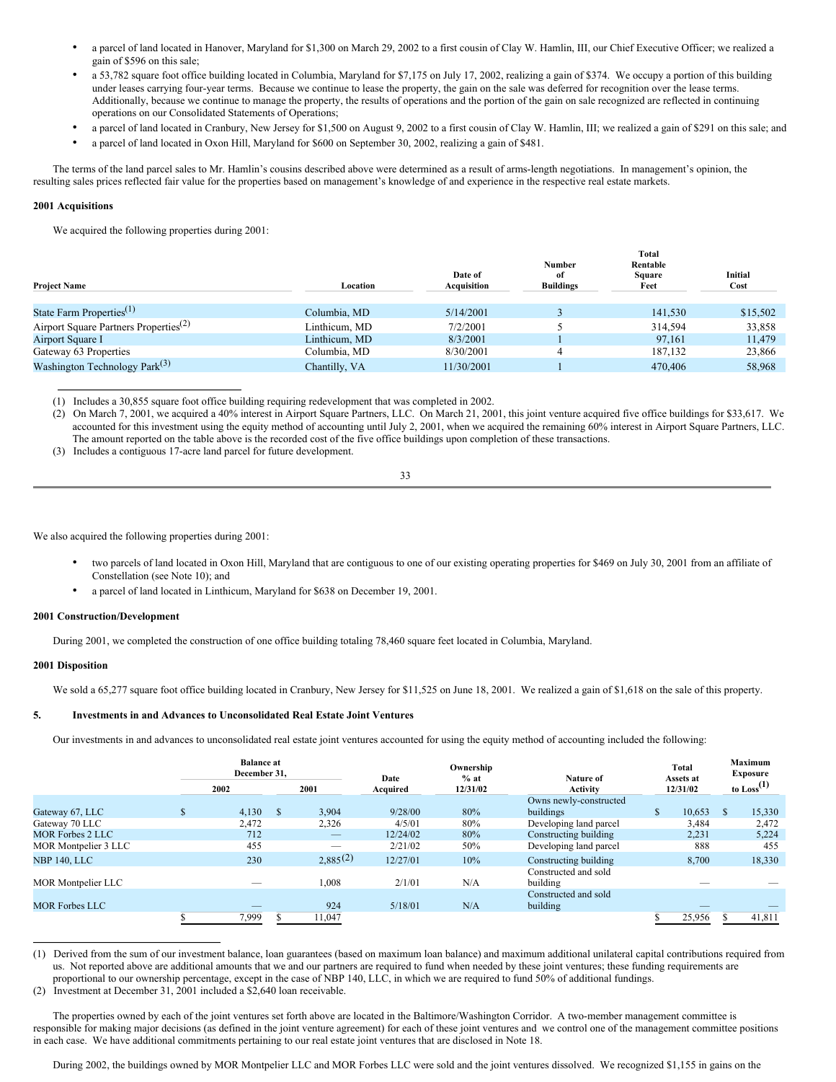- a parcel of land located in Hanover, Maryland for \$1,300 on March 29, 2002 to a first cousin of Clay W. Hamlin, III, our Chief Executive Officer; we realized a gain of \$596 on this sale;
- a 53,782 square foot office building located in Columbia, Maryland for \$7,175 on July 17, 2002, realizing a gain of \$374. We occupy a portion of this building under leases carrying four-year terms. Because we continue to lease the property, the gain on the sale was deferred for recognition over the lease terms. Additionally, because we continue to manage the property, the results of operations and the portion of the gain on sale recognized are reflected in continuing operations on our Consolidated Statements of Operations;
- a parcel of land located in Cranbury, New Jersey for \$1,500 on August 9, 2002 to a first cousin of Clay W. Hamlin, III; we realized a gain of \$291 on this sale; and
- a parcel of land located in Oxon Hill, Maryland for \$600 on September 30, 2002, realizing a gain of \$481.

The terms of the land parcel sales to Mr. Hamlin's cousins described above were determined as a result of arms-length negotiations. In management's opinion, the resulting sales prices reflected fair value for the properties based on management's knowledge of and experience in the respective real estate markets.

## **2001 Acquisitions**

We acquired the following properties during 2001:

| <b>Project Name</b>                               | Location      | Date of<br>Acquisition | <b>Number</b><br>of<br><b>Buildings</b> | Total<br>Rentable<br><b>Square</b><br>Feet | Initial<br>Cost |
|---------------------------------------------------|---------------|------------------------|-----------------------------------------|--------------------------------------------|-----------------|
| State Farm Properties $(1)$                       | Columbia, MD  | 5/14/2001              |                                         | 141.530                                    | \$15,502        |
| Airport Square Partners Properties <sup>(2)</sup> | Linthicum, MD | 7/2/2001               |                                         | 314.594                                    | 33,858          |
| Airport Square I                                  | Linthicum, MD | 8/3/2001               |                                         | 97.161                                     | 11.479          |
| Gateway 63 Properties                             | Columbia, MD  | 8/30/2001              | 4                                       | 187,132                                    | 23,866          |
| Washington Technology Park <sup>(3)</sup>         | Chantilly, VA | 11/30/2001             |                                         | 470,406                                    | 58,968          |

(1) Includes a 30,855 square foot office building requiring redevelopment that was completed in 2002.

(2) On March 7, 2001, we acquired a 40% interest in Airport Square Partners, LLC. On March 21, 2001, this joint venture acquired five office buildings for \$33,617. We accounted for this investment using the equity method of accounting until July 2, 2001, when we acquired the remaining 60% interest in Airport Square Partners, LLC. The amount reported on the table above is the recorded cost of the five office buildings upon completion of these transactions.

(3) Includes a contiguous 17-acre land parcel for future development.

33

We also acquired the following properties during 2001:

- two parcels of land located in Oxon Hill, Maryland that are contiguous to one of our existing operating properties for \$469 on July 30, 2001 from an affiliate of Constellation (see Note 10); and
- a parcel of land located in Linthicum, Maryland for \$638 on December 19, 2001.

## **2001 Construction/Development**

During 2001, we completed the construction of one office building totaling 78,460 square feet located in Columbia, Maryland.

## **2001 Disposition**

We sold a 65,277 square foot office building located in Cranbury, New Jersey for \$11,525 on June 18, 2001. We realized a gain of \$1,618 on the sale of this property.

## **5. Investments in and Advances to Unconsolidated Real Estate Joint Ventures**

Our investments in and advances to unconsolidated real estate joint ventures accounted for using the equity method of accounting included the following:

|                         | <b>Balance</b> at<br>December 31. |       |               | Date     | Ownership<br>$%$ at | Nature of | Total<br>Assets at               |          | Maximum<br><b>Exposure</b> |              |        |
|-------------------------|-----------------------------------|-------|---------------|----------|---------------------|-----------|----------------------------------|----------|----------------------------|--------------|--------|
|                         |                                   | 2002  |               | 2001     | Acquired            | 12/31/02  | Activity                         | 12/31/02 |                            | to $Loss(1)$ |        |
|                         |                                   |       |               |          |                     |           | Owns newly-constructed           |          |                            |              |        |
| Gateway 67, LLC         | ж                                 | 4,130 | <sup>\$</sup> | 3,904    | 9/28/00             | 80%       | buildings                        | \$       | 10,653                     |              | 15,330 |
| Gateway 70 LLC          |                                   | 2,472 |               | 2,326    | 4/5/01              | 80%       | Developing land parcel           |          | 3,484                      |              | 2,472  |
| <b>MOR Forbes 2 LLC</b> |                                   | 712   |               |          | 12/24/02            | 80%       | Constructing building            |          | 2,231                      |              | 5,224  |
| MOR Montpelier 3 LLC    |                                   | 455   |               |          | 2/21/02             | 50%       | Developing land parcel           |          | 888                        |              | 455    |
| <b>NBP 140. LLC</b>     |                                   | 230   |               | 2.885(2) | 12/27/01            | 10%       | Constructing building            |          | 8,700                      |              | 18,330 |
| MOR Montpelier LLC      |                                   |       |               | 1,008    | 2/1/01              | N/A       | Constructed and sold<br>building |          |                            |              |        |
| MOR Forbes LLC          |                                   | __    |               | 924      | 5/18/01             | N/A       | Constructed and sold<br>building |          |                            |              |        |
|                         |                                   | 7,999 |               | 11,047   |                     |           |                                  |          | 25,956                     |              | 41,811 |

(1) Derived from the sum of our investment balance, loan guarantees (based on maximum loan balance) and maximum additional unilateral capital contributions required from us. Not reported above are additional amounts that we and our partners are required to fund when needed by these joint ventures; these funding requirements are proportional to our ownership percentage, except in the case of NBP 140, LLC, in which we are required to fund 50% of additional fundings.

(2) Investment at December 31, 2001 included a \$2,640 loan receivable.

The properties owned by each of the joint ventures set forth above are located in the Baltimore/Washington Corridor. A two-member management committee is responsible for making major decisions (as defined in the joint venture agreement) for each of these joint ventures and we control one of the management committee positions in each case. We have additional commitments pertaining to our real estate joint ventures that are disclosed in Note 18.

During 2002, the buildings owned by MOR Montpelier LLC and MOR Forbes LLC were sold and the joint ventures dissolved. We recognized \$1,155 in gains on the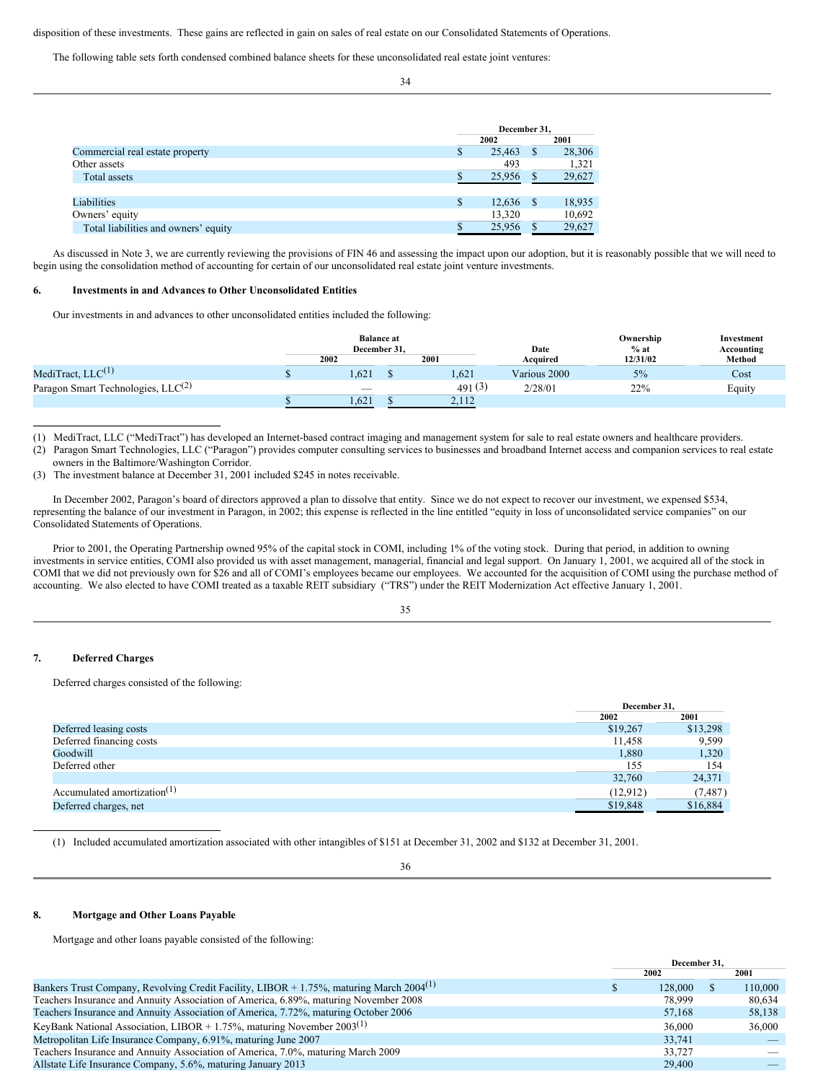The following table sets forth condensed combined balance sheets for these unconsolidated real estate joint ventures:

34

|                                      |   | December 31. |        |  |  |  |
|--------------------------------------|---|--------------|--------|--|--|--|
|                                      |   | 2002         | 2001   |  |  |  |
| Commercial real estate property      |   | 25,463<br>S  | 28,306 |  |  |  |
| Other assets                         |   | 493          | 1,321  |  |  |  |
| Total assets                         |   | 25,956       | 29,627 |  |  |  |
| Liabilities                          | S | 12,636       | 18,935 |  |  |  |
| Owners' equity                       |   | 13.320       | 10,692 |  |  |  |
| Total liabilities and owners' equity |   | 25,956       | 29,627 |  |  |  |

As discussed in Note 3, we are currently reviewing the provisions of FIN 46 and assessing the impact upon our adoption, but it is reasonably possible that we will need to begin using the consolidation method of accounting for certain of our unconsolidated real estate joint venture investments.

#### **6. Investments in and Advances to Other Unconsolidated Entities**

Our investments in and advances to other unconsolidated entities included the following:

|                                                | <b>Balance at</b><br>December 31. |        | Date         | Ownership<br>$%$ at | Investment<br>Accounting |
|------------------------------------------------|-----------------------------------|--------|--------------|---------------------|--------------------------|
|                                                | 2002                              | 2001   | Acquired     | 12/31/02            | Method                   |
| MediTract, $LLC^{(1)}$                         | 1,621                             | 1,621  | Various 2000 | $5\%$               | Cost                     |
| Paragon Smart Technologies, LLC <sup>(2)</sup> | $\overline{\phantom{a}}$          | 491(3) | 2/28/01      | 22%                 | Equity                   |
|                                                | 1,621                             | 2.112  |              |                     |                          |

(1) MediTract, LLC ("MediTract") has developed an Internet-based contract imaging and management system for sale to real estate owners and healthcare providers. (2) Paragon Smart Technologies, LLC ("Paragon") provides computer consulting services to businesses and broadband Internet access and companion services to real estate owners in the Baltimore/Washington Corridor.

(3) The investment balance at December 31, 2001 included \$245 in notes receivable.

In December 2002, Paragon's board of directors approved a plan to dissolve that entity. Since we do not expect to recover our investment, we expensed \$534, representing the balance of our investment in Paragon, in 2002; this expense is reflected in the line entitled "equity in loss of unconsolidated service companies" on our Consolidated Statements of Operations.

Prior to 2001, the Operating Partnership owned 95% of the capital stock in COMI, including 1% of the voting stock. During that period, in addition to owning investments in service entities, COMI also provided us with asset management, managerial, financial and legal support. On January 1, 2001, we acquired all of the stock in COMI that we did not previously own for \$26 and all of COMI's employees became our employees. We accounted for the acquisition of COMI using the purchase method of accounting. We also elected to have COMI treated as a taxable REIT subsidiary ("TRS") under the REIT Modernization Act effective January 1, 2001.

## **7. Deferred Charges**

Deferred charges consisted of the following:

| December 31. |          |  |
|--------------|----------|--|
| 2002         | 2001     |  |
| \$19,267     | \$13,298 |  |
| 11,458       | 9,599    |  |
| 1,880        | 1,320    |  |
| 155          | 154      |  |
| 32,760       | 24,371   |  |
| (12, 912)    | (7, 487) |  |
| \$19,848     | \$16,884 |  |
|              |          |  |

(1) Included accumulated amortization associated with other intangibles of \$151 at December 31, 2002 and \$132 at December 31, 2001.

36

#### **8. Mortgage and Other Loans Payable**

Mortgage and other loans payable consisted of the following:

|                                                                                                     | 2002    | 2001    |
|-----------------------------------------------------------------------------------------------------|---------|---------|
| Bankers Trust Company, Revolving Credit Facility, LIBOR + 1.75%, maturing March 2004 <sup>(1)</sup> | 128,000 | 110,000 |
| Teachers Insurance and Annuity Association of America, 6.89%, maturing November 2008                | 78.999  | 80.634  |
| Teachers Insurance and Annuity Association of America, 7.72%, maturing October 2006                 | 57.168  | 58,138  |
| KeyBank National Association, LIBOR + 1.75%, maturing November 2003 <sup>(1)</sup>                  | 36,000  | 36,000  |
| Metropolitan Life Insurance Company, 6.91%, maturing June 2007                                      | 33.741  |         |
| Teachers Insurance and Annuity Association of America, 7.0%, maturing March 2009                    | 33,727  |         |
| Allstate Life Insurance Company, 5.6%, maturing January 2013                                        | 29,400  |         |

**December 31,**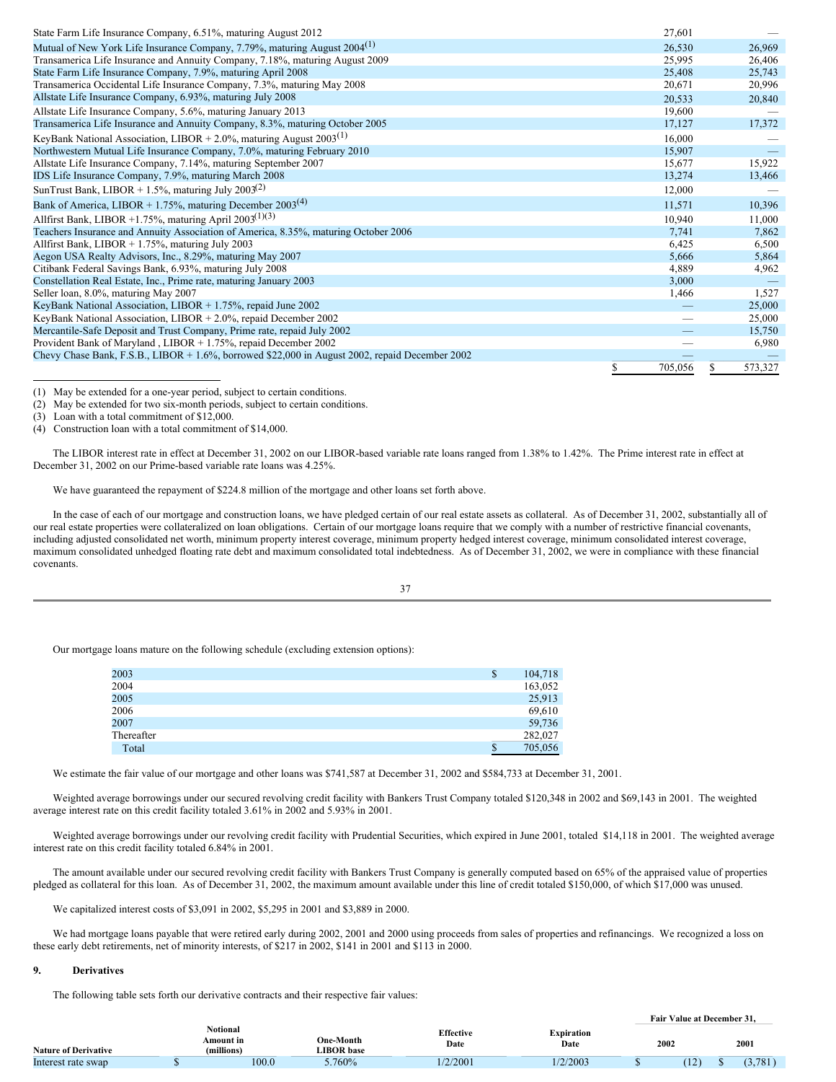| State Farm Life Insurance Company, 6.51%, maturing August 2012                                 | 27,601       |         |
|------------------------------------------------------------------------------------------------|--------------|---------|
| Mutual of New York Life Insurance Company, 7.79%, maturing August 2004 <sup>(1)</sup>          | 26,530       | 26,969  |
| Transamerica Life Insurance and Annuity Company, 7.18%, maturing August 2009                   | 25,995       | 26,406  |
| State Farm Life Insurance Company, 7.9%, maturing April 2008                                   | 25,408       | 25,743  |
| Transamerica Occidental Life Insurance Company, 7.3%, maturing May 2008                        | 20,671       | 20,996  |
| Allstate Life Insurance Company, 6.93%, maturing July 2008                                     | 20,533       | 20,840  |
| Allstate Life Insurance Company, 5.6%, maturing January 2013                                   | 19,600       |         |
| Transamerica Life Insurance and Annuity Company, 8.3%, maturing October 2005                   | 17,127       | 17,372  |
| KeyBank National Association, LIBOR + 2.0%, maturing August $2003^{(1)}$                       | 16,000       |         |
| Northwestern Mutual Life Insurance Company, 7.0%, maturing February 2010                       | 15,907       |         |
| Allstate Life Insurance Company, 7.14%, maturing September 2007                                | 15.677       | 15,922  |
| IDS Life Insurance Company, 7.9%, maturing March 2008                                          | 13,274       | 13,466  |
| SunTrust Bank, LIBOR + 1.5%, maturing July 2003 <sup>(2)</sup>                                 | 12,000       |         |
| Bank of America, LIBOR + 1.75%, maturing December $2003(4)$                                    | 11,571       | 10,396  |
| Allfirst Bank, LIBOR +1.75%, maturing April $2003^{(1)(3)}$                                    | 10,940       | 11,000  |
| Teachers Insurance and Annuity Association of America, 8.35%, maturing October 2006            | 7,741        | 7,862   |
| Allfirst Bank, LIBOR + 1.75%, maturing July 2003                                               | 6,425        | 6,500   |
| Aegon USA Realty Advisors, Inc., 8.29%, maturing May 2007                                      | 5,666        | 5,864   |
| Citibank Federal Savings Bank, 6.93%, maturing July 2008                                       | 4,889        | 4,962   |
| Constellation Real Estate, Inc., Prime rate, maturing January 2003                             | 3,000        |         |
| Seller loan, 8.0%, maturing May 2007                                                           | 1,466        | 1,527   |
| KeyBank National Association, LIBOR + 1.75%, repaid June 2002                                  |              | 25,000  |
| KeyBank National Association, LIBOR + 2.0%, repaid December 2002                               |              | 25,000  |
| Mercantile-Safe Deposit and Trust Company, Prime rate, repaid July 2002                        |              | 15,750  |
| Provident Bank of Maryland, LIBOR + 1.75%, repaid December 2002                                |              | 6,980   |
| Chevy Chase Bank, F.S.B., LIBOR + 1.6%, borrowed \$22,000 in August 2002, repaid December 2002 |              |         |
|                                                                                                | S<br>705,056 | 573,327 |

(1) May be extended for a one-year period, subject to certain conditions.

(2) May be extended for two six-month periods, subject to certain conditions.

(3) Loan with a total commitment of \$12,000.

(4) Construction loan with a total commitment of \$14,000.

The LIBOR interest rate in effect at December 31, 2002 on our LIBOR-based variable rate loans ranged from 1.38% to 1.42%. The Prime interest rate in effect at December 31, 2002 on our Prime-based variable rate loans was 4.25%.

We have guaranteed the repayment of \$224.8 million of the mortgage and other loans set forth above.

In the case of each of our mortgage and construction loans, we have pledged certain of our real estate assets as collateral. As of December 31, 2002, substantially all of our real estate properties were collateralized on loan obligations. Certain of our mortgage loans require that we comply with a number of restrictive financial covenants, including adjusted consolidated net worth, minimum property interest coverage, minimum property hedged interest coverage, minimum consolidated interest coverage, maximum consolidated unhedged floating rate debt and maximum consolidated total indebtedness. As of December 31, 2002, we were in compliance with these financial covenants.

37

Our mortgage loans mature on the following schedule (excluding extension options):

| 2003       | \$<br>104,718 |
|------------|---------------|
| 2004       | 163,052       |
| 2005       | 25,913        |
| 2006       | 69,610        |
| 2007       | 59,736        |
| Thereafter | 282,027       |
| Total      | \$<br>705,056 |

We estimate the fair value of our mortgage and other loans was \$741,587 at December 31, 2002 and \$584,733 at December 31, 2001.

Weighted average borrowings under our secured revolving credit facility with Bankers Trust Company totaled \$120,348 in 2002 and \$69,143 in 2001. The weighted average interest rate on this credit facility totaled 3.61% in 2002 and 5.93% in 2001.

Weighted average borrowings under our revolving credit facility with Prudential Securities, which expired in June 2001, totaled \$14,118 in 2001. The weighted average interest rate on this credit facility totaled 6.84% in 2001.

The amount available under our secured revolving credit facility with Bankers Trust Company is generally computed based on 65% of the appraised value of properties pledged as collateral for this loan. As of December 31, 2002, the maximum amount available under this line of credit totaled \$150,000, of which \$17,000 was unused.

We capitalized interest costs of \$3,091 in 2002, \$5,295 in 2001 and \$3,889 in 2000.

We had mortgage loans payable that were retired early during 2002, 2001 and 2000 using proceeds from sales of properties and refinancings. We recognized a loss on these early debt retirements, net of minority interests, of \$217 in 2002, \$141 in 2001 and \$113 in 2000.

## **9. Derivatives**

The following table sets forth our derivative contracts and their respective fair values:

|                             |                                            |       |                                       |                   |                    | Fair Value at December 31. |       |  |       |
|-----------------------------|--------------------------------------------|-------|---------------------------------------|-------------------|--------------------|----------------------------|-------|--|-------|
| <b>Nature of Derivative</b> | <b>Notional</b><br>Amount in<br>(millions) |       | <b>One-Month</b><br><b>LIBOR base</b> | Effective<br>Date | Expiration<br>Date |                            | 2002  |  | 2001  |
| Interest rate swap          |                                            | 100.0 | 5.760%                                | 1/2/2001          | 1/2/2003           |                            | $\pm$ |  | 3.781 |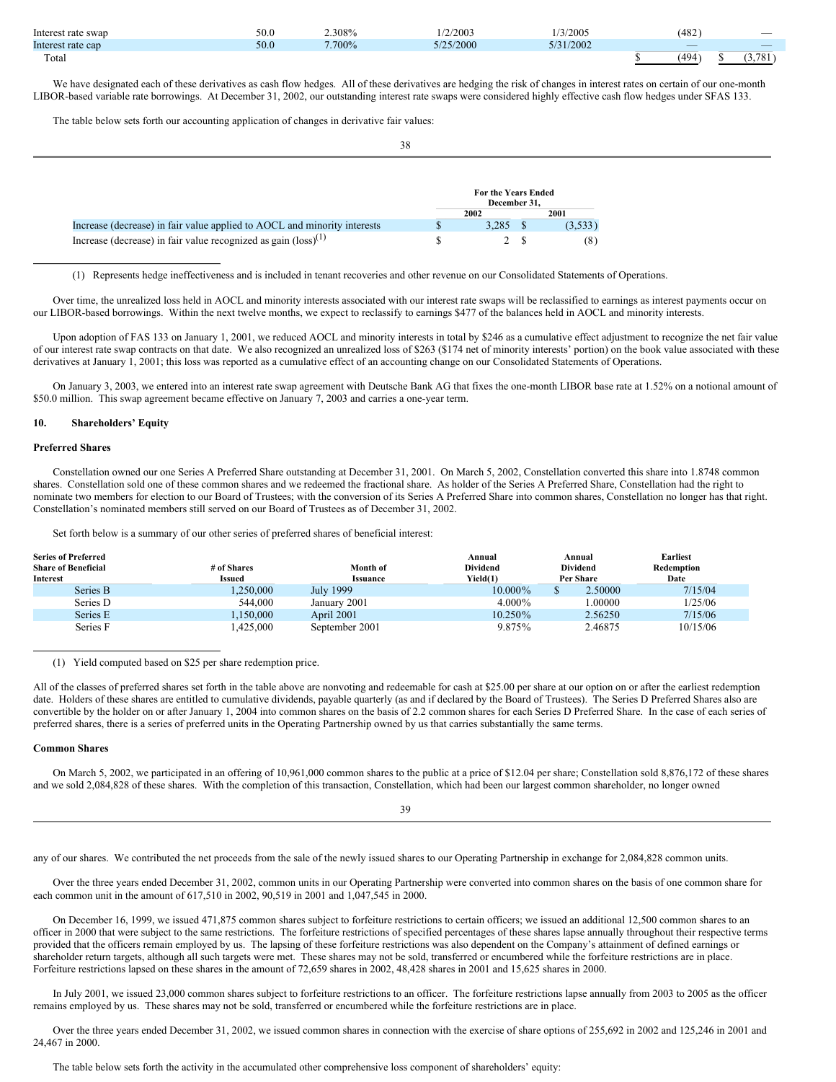| Interes<br>swan<br>rate | 50.0 | 2.308% | /2/2003 | $'200$ : | 482                      | $\overline{\phantom{a}}$ |
|-------------------------|------|--------|---------|----------|--------------------------|--------------------------|
| Interest rate<br>can    | 50.0 | .700%  | 1/2000  | /2002    | $\overline{\phantom{a}}$ |                          |
| Total                   |      |        |         |          | $\Delta$                 |                          |

We have designated each of these derivatives as cash flow hedges. All of these derivatives are hedging the risk of changes in interest rates on certain of our one-month LIBOR-based variable rate borrowings. At December 31, 2002, our outstanding interest rate swaps were considered highly effective cash flow hedges under SFAS 133.

The table below sets forth our accounting application of changes in derivative fair values:

| 38                                                                         |                                     |         |
|----------------------------------------------------------------------------|-------------------------------------|---------|
|                                                                            | For the Years Ended<br>December 31. |         |
|                                                                            | 2002                                | 2001    |
| Increase (decrease) in fair value applied to AOCL and minority interests   | 3,285                               | (3,533) |
| Increase (decrease) in fair value recognized as gain $(\text{loss})^{(1)}$ | 2                                   | (8)     |

(1) Represents hedge ineffectiveness and is included in tenant recoveries and other revenue on our Consolidated Statements of Operations.

Over time, the unrealized loss held in AOCL and minority interests associated with our interest rate swaps will be reclassified to earnings as interest payments occur on our LIBOR-based borrowings. Within the next twelve months, we expect to reclassify to earnings \$477 of the balances held in AOCL and minority interests.

Upon adoption of FAS 133 on January 1, 2001, we reduced AOCL and minority interests in total by \$246 as a cumulative effect adjustment to recognize the net fair value of our interest rate swap contracts on that date. We also recognized an unrealized loss of \$263 (\$174 net of minority interests' portion) on the book value associated with these derivatives at January 1, 2001; this loss was reported as a cumulative effect of an accounting change on our Consolidated Statements of Operations.

On January 3, 2003, we entered into an interest rate swap agreement with Deutsche Bank AG that fixes the one-month LIBOR base rate at 1.52% on a notional amount of \$50.0 million. This swap agreement became effective on January 7, 2003 and carries a one-year term.

#### **10. Shareholders' Equity**

#### **Preferred Shares**

Constellation owned our one Series A Preferred Share outstanding at December 31, 2001. On March 5, 2002, Constellation converted this share into 1.8748 common shares. Constellation sold one of these common shares and we redeemed the fractional share. As holder of the Series A Preferred Share, Constellation had the right to nominate two members for election to our Board of Trustees; with the conversion of its Series A Preferred Share into common shares, Constellation no longer has that right. Constellation's nominated members still served on our Board of Trustees as of December 31, 2002.

Set forth below is a summary of our other series of preferred shares of beneficial interest:

| <b>Series of Preferred</b> |               |                 |                 |                 | Annual    | <b>Earliest</b> |  |            |
|----------------------------|---------------|-----------------|-----------------|-----------------|-----------|-----------------|--|------------|
| <b>Share of Beneficial</b> | # of Shares   | <b>Month of</b> | <b>Dividend</b> | <b>Dividend</b> |           |                 |  | Redemption |
| Interest                   | <b>Issued</b> | <b>Issuance</b> | Yield(1)        |                 | Per Share | Date            |  |            |
| Series B                   | 1.250.000     | July 1999       | 10.000%         |                 | 2.50000   | 7/15/04         |  |            |
| Series D                   | 544,000       | January 2001    | 4.000%          |                 | .00000    | 1/25/06         |  |            |
| Series E                   | .150.000      | April 2001      | 10.250%         |                 | 2.56250   | 7/15/06         |  |            |
| Series F                   | .425.000      | September 2001  | 9.875%          |                 | 2.46875   | 10/15/06        |  |            |

(1) Yield computed based on \$25 per share redemption price.

All of the classes of preferred shares set forth in the table above are nonvoting and redeemable for cash at \$25.00 per share at our option on or after the earliest redemption date. Holders of these shares are entitled to cumulative dividends, payable quarterly (as and if declared by the Board of Trustees). The Series D Preferred Shares also are convertible by the holder on or after January 1, 2004 into common shares on the basis of 2.2 common shares for each Series D Preferred Share. In the case of each series of preferred shares, there is a series of preferred units in the Operating Partnership owned by us that carries substantially the same terms.

## **Common Shares**

On March 5, 2002, we participated in an offering of 10,961,000 common shares to the public at a price of \$12.04 per share; Constellation sold 8,876,172 of these shares and we sold 2,084,828 of these shares. With the completion of this transaction, Constellation, which had been our largest common shareholder, no longer owned

39

any of our shares. We contributed the net proceeds from the sale of the newly issued shares to our Operating Partnership in exchange for 2,084,828 common units.

Over the three years ended December 31, 2002, common units in our Operating Partnership were converted into common shares on the basis of one common share for each common unit in the amount of 617,510 in 2002, 90,519 in 2001 and 1,047,545 in 2000.

On December 16, 1999, we issued 471,875 common shares subject to forfeiture restrictions to certain officers; we issued an additional 12,500 common shares to an officer in 2000 that were subject to the same restrictions. The forfeiture restrictions of specified percentages of these shares lapse annually throughout their respective terms provided that the officers remain employed by us. The lapsing of these forfeiture restrictions was also dependent on the Company's attainment of defined earnings or shareholder return targets, although all such targets were met. These shares may not be sold, transferred or encumbered while the forfeiture restrictions are in place. Forfeiture restrictions lapsed on these shares in the amount of 72,659 shares in 2002, 48,428 shares in 2001 and 15,625 shares in 2000.

In July 2001, we issued 23,000 common shares subject to forfeiture restrictions to an officer. The forfeiture restrictions lapse annually from 2003 to 2005 as the officer remains employed by us. These shares may not be sold, transferred or encumbered while the forfeiture restrictions are in place.

Over the three years ended December 31, 2002, we issued common shares in connection with the exercise of share options of 255,692 in 2002 and 125,246 in 2001 and 24,467 in 2000.

The table below sets forth the activity in the accumulated other comprehensive loss component of shareholders' equity: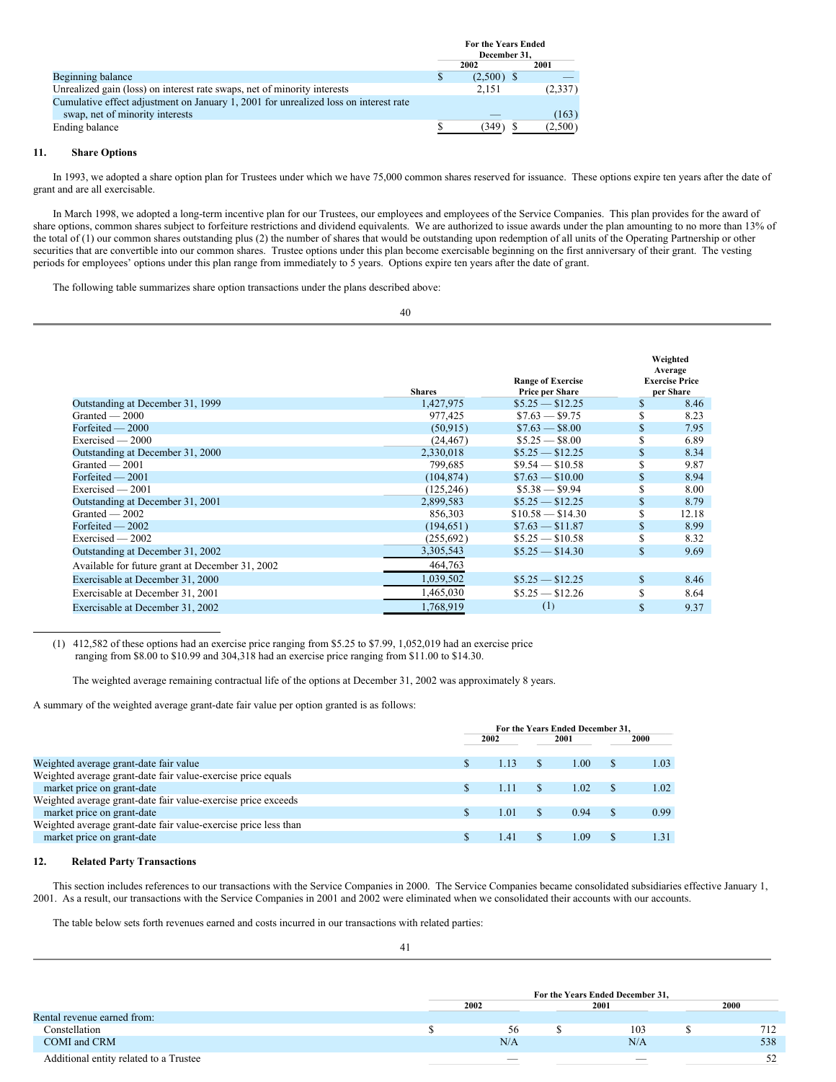|                                                                                      | For the Years Ended |              |  |         |  |
|--------------------------------------------------------------------------------------|---------------------|--------------|--|---------|--|
|                                                                                      |                     | December 31. |  |         |  |
|                                                                                      |                     | 2002         |  | 2001    |  |
| Beginning balance                                                                    |                     | (2,500)      |  |         |  |
| Unrealized gain (loss) on interest rate swaps, net of minority interests             |                     | 2.151        |  | (2,337) |  |
| Cumulative effect adjustment on January 1, 2001 for unrealized loss on interest rate |                     |              |  |         |  |
| swap, net of minority interests                                                      |                     |              |  | (163)   |  |
| Ending balance                                                                       |                     | (349)        |  | (2,500) |  |

### **11. Share Options**

In 1993, we adopted a share option plan for Trustees under which we have 75,000 common shares reserved for issuance. These options expire ten years after the date of grant and are all exercisable.

In March 1998, we adopted a long-term incentive plan for our Trustees, our employees and employees of the Service Companies. This plan provides for the award of share options, common shares subject to forfeiture restrictions and dividend equivalents. We are authorized to issue awards under the plan amounting to no more than 13% of the total of (1) our common shares outstanding plus (2) the number of shares that would be outstanding upon redemption of all units of the Operating Partnership or other securities that are convertible into our common shares. Trustee options under this plan become exercisable beginning on the first anniversary of their grant. The vesting periods for employees' options under this plan range from immediately to 5 years. Options expire ten years after the date of grant.

The following table summarizes share option transactions under the plans described above:

<sup>40</sup>

|                                                 | <b>Shares</b> | <b>Range of Exercise</b><br>Price per Share | Weighted<br>Average<br><b>Exercise Price</b><br>per Share |
|-------------------------------------------------|---------------|---------------------------------------------|-----------------------------------------------------------|
| Outstanding at December 31, 1999                | 1,427,975     | $$5.25 - $12.25$                            | \$<br>8.46                                                |
| Granted $-2000$                                 | 977,425       | $$7.63 - $9.75$                             | \$<br>8.23                                                |
| $Forfeited - 2000$                              | (50, 915)     | $\$7.63 - \$8.00$                           | \$<br>7.95                                                |
| $Exercised - 2000$                              | (24, 467)     | $$5.25 - $8.00$                             | \$<br>6.89                                                |
| Outstanding at December 31, 2000                | 2,330,018     | $$5.25 - $12.25$                            | \$<br>8.34                                                |
| Granted $-2001$                                 | 799,685       | $$9.54 - $10.58$                            | \$<br>9.87                                                |
| $Forfeited - 2001$                              | (104, 874)    | $\$7.63 \rightarrow \$10.00$                | \$<br>8.94                                                |
| $Exercised - 2001$                              | (125, 246)    | $$5.38 - $9.94$                             | \$<br>8.00                                                |
| Outstanding at December 31, 2001                | 2,899,583     | $$5.25 - $12.25$                            | \$<br>8.79                                                |
| Granted $-2002$                                 | 856,303       | $$10.58 - $14.30$                           | \$<br>12.18                                               |
| Forfeited $-2002$                               | (194, 651)    | $$7.63 - $11.87$                            | \$<br>8.99                                                |
| $Exercised - 2002$                              | (255, 692)    | $$5.25 - $10.58$                            | \$<br>8.32                                                |
| Outstanding at December 31, 2002                | 3,305,543     | $$5.25 - $14.30$                            | \$<br>9.69                                                |
| Available for future grant at December 31, 2002 | 464,763       |                                             |                                                           |
| Exercisable at December 31, 2000                | 1,039,502     | $$5.25 - $12.25$                            | \$<br>8.46                                                |
| Exercisable at December 31, 2001                | 1,465,030     | $$5.25 - $12.26$                            | \$<br>8.64                                                |
| Exercisable at December 31, 2002                | 1,768,919     | (1)                                         | \$<br>9.37                                                |

(1) 412,582 of these options had an exercise price ranging from \$5.25 to \$7.99, 1,052,019 had an exercise price ranging from \$8.00 to \$10.99 and 304,318 had an exercise price ranging from \$11.00 to \$14.30.

The weighted average remaining contractual life of the options at December 31, 2002 was approximately 8 years.

A summary of the weighted average grant-date fair value per option granted is as follows:

|                                                                 | For the Years Ended December 31. |  |      |      |                   |  |  |  |
|-----------------------------------------------------------------|----------------------------------|--|------|------|-------------------|--|--|--|
|                                                                 | 2002                             |  | 2001 | 2000 |                   |  |  |  |
| Weighted average grant-date fair value                          | 1.13                             |  | 1.00 |      | 1.03              |  |  |  |
| Weighted average grant-date fair value-exercise price equals    |                                  |  |      |      |                   |  |  |  |
| market price on grant-date                                      | 1.11                             |  | 1.02 |      | 1.02 <sub>1</sub> |  |  |  |
| Weighted average grant-date fair value-exercise price exceeds   |                                  |  |      |      |                   |  |  |  |
| market price on grant-date                                      | 1.01                             |  | 0.94 |      | 0.99              |  |  |  |
| Weighted average grant-date fair value-exercise price less than |                                  |  |      |      |                   |  |  |  |
| market price on grant-date                                      | .41                              |  | 1.09 |      | 1.31              |  |  |  |
|                                                                 |                                  |  |      |      |                   |  |  |  |

#### **12. Related Party Transactions**

This section includes references to our transactions with the Service Companies in 2000. The Service Companies became consolidated subsidiaries effective January 1, 2001. As a result, our transactions with the Service Companies in 2001 and 2002 were eliminated when we consolidated their accounts with our accounts.

The table below sets forth revenues earned and costs incurred in our transactions with related parties:

41

|                                        | For the Years Ended December 31. |  |      |      |     |  |  |  |  |  |
|----------------------------------------|----------------------------------|--|------|------|-----|--|--|--|--|--|
|                                        | 2002                             |  | 2001 | 2000 |     |  |  |  |  |  |
| Rental revenue earned from:            |                                  |  |      |      |     |  |  |  |  |  |
| Constellation                          | 56                               |  | 103  |      | 712 |  |  |  |  |  |
| COMI and CRM                           | N/A                              |  | N/A  |      | 538 |  |  |  |  |  |
| Additional entity related to a Trustee |                                  |  | _    |      | 50  |  |  |  |  |  |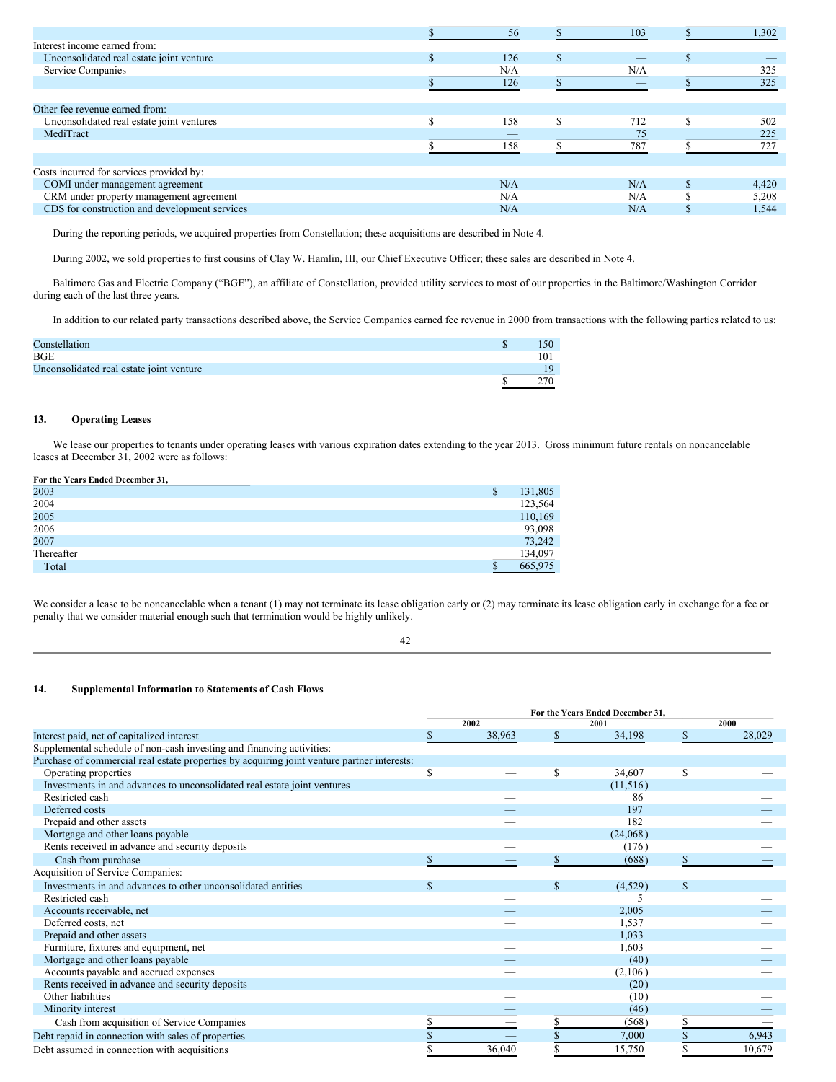|                                               | 56  |    | 103 | 1,302 |
|-----------------------------------------------|-----|----|-----|-------|
| Interest income earned from:                  |     |    |     |       |
| Unconsolidated real estate joint venture      | 126 | \$ | _   |       |
| Service Companies                             | N/A |    | N/A | 325   |
|                                               | 126 |    |     | 325   |
|                                               |     |    |     |       |
| Other fee revenue earned from:                |     |    |     |       |
| Unconsolidated real estate joint ventures     | 158 | S  | 712 | 502   |
| MediTract                                     |     |    | 75  | 225   |
|                                               | 158 |    | 787 | 727   |
|                                               |     |    |     |       |
| Costs incurred for services provided by:      |     |    |     |       |
| COMI under management agreement               | N/A |    | N/A | 4,420 |
| CRM under property management agreement       | N/A |    | N/A | 5,208 |
| CDS for construction and development services | N/A |    | N/A | 1,544 |
|                                               |     |    |     |       |

During the reporting periods, we acquired properties from Constellation; these acquisitions are described in Note 4.

During 2002, we sold properties to first cousins of Clay W. Hamlin, III, our Chief Executive Officer; these sales are described in Note 4.

Baltimore Gas and Electric Company ("BGE"), an affiliate of Constellation, provided utility services to most of our properties in the Baltimore/Washington Corridor during each of the last three years.

In addition to our related party transactions described above, the Service Companies earned fee revenue in 2000 from transactions with the following parties related to us:

| Constellation                            |     |
|------------------------------------------|-----|
| <b>BGE</b>                               | 101 |
| Unconsolidated real estate joint venture | 1 Q |
|                                          | 270 |

# **13. Operating Leases**

We lease our properties to tenants under operating leases with various expiration dates extending to the year 2013. Gross minimum future rentals on noncancelable leases at December 31, 2002 were as follows:

| For the Years Ended December 31, |               |
|----------------------------------|---------------|
| 2003                             | \$<br>131,805 |
| 2004                             | 123,564       |
| 2005                             | 110,169       |
| 2006                             | 93,098        |
| 2007                             | 73,242        |
| Thereafter                       | 134,097       |
| Total                            | 665,975       |

We consider a lease to be noncancelable when a tenant (1) may not terminate its lease obligation early or (2) may terminate its lease obligation early in exchange for a fee or penalty that we consider material enough such that termination would be highly unlikely.

## **14. Supplemental Information to Statements of Cash Flows**

|                                                                                             |               | 2002   |    | 2001     |               | 2000   |
|---------------------------------------------------------------------------------------------|---------------|--------|----|----------|---------------|--------|
| Interest paid, net of capitalized interest                                                  |               | 38,963 | S  | 34,198   |               | 28,029 |
| Supplemental schedule of non-cash investing and financing activities:                       |               |        |    |          |               |        |
| Purchase of commercial real estate properties by acquiring joint venture partner interests: |               |        |    |          |               |        |
| Operating properties                                                                        | \$            |        | \$ | 34,607   | \$.           |        |
| Investments in and advances to unconsolidated real estate joint ventures                    |               |        |    | (11,516) |               |        |
| Restricted cash                                                                             |               |        |    | 86       |               |        |
| Deferred costs                                                                              |               |        |    | 197      |               |        |
| Prepaid and other assets                                                                    |               |        |    | 182      |               |        |
| Mortgage and other loans payable                                                            |               |        |    | (24,068) |               |        |
| Rents received in advance and security deposits                                             |               |        |    | (176)    |               |        |
| Cash from purchase                                                                          |               |        |    | (688)    | <sup>\$</sup> |        |
| Acquisition of Service Companies:                                                           |               |        |    |          |               |        |
| Investments in and advances to other unconsolidated entities                                | <sup>\$</sup> |        | \$ | (4,529)  | $\mathcal{S}$ |        |
| Restricted cash                                                                             |               |        |    |          |               |        |
| Accounts receivable, net                                                                    |               |        |    | 2,005    |               |        |
| Deferred costs, net                                                                         |               |        |    | 1,537    |               |        |
| Prepaid and other assets                                                                    |               |        |    | 1,033    |               |        |
| Furniture, fixtures and equipment, net                                                      |               |        |    | 1,603    |               |        |
| Mortgage and other loans payable                                                            |               |        |    | (40)     |               |        |
| Accounts payable and accrued expenses                                                       |               |        |    | (2,106)  |               |        |
| Rents received in advance and security deposits                                             |               |        |    | (20)     |               |        |
| Other liabilities                                                                           |               |        |    | (10)     |               |        |
| Minority interest                                                                           |               |        |    | (46)     |               |        |
| Cash from acquisition of Service Companies                                                  |               |        |    | (568)    |               |        |
| Debt repaid in connection with sales of properties                                          |               |        |    | 7,000    |               | 6,943  |
| Debt assumed in connection with acquisitions                                                |               | 36,040 |    | 15,750   |               | 10,679 |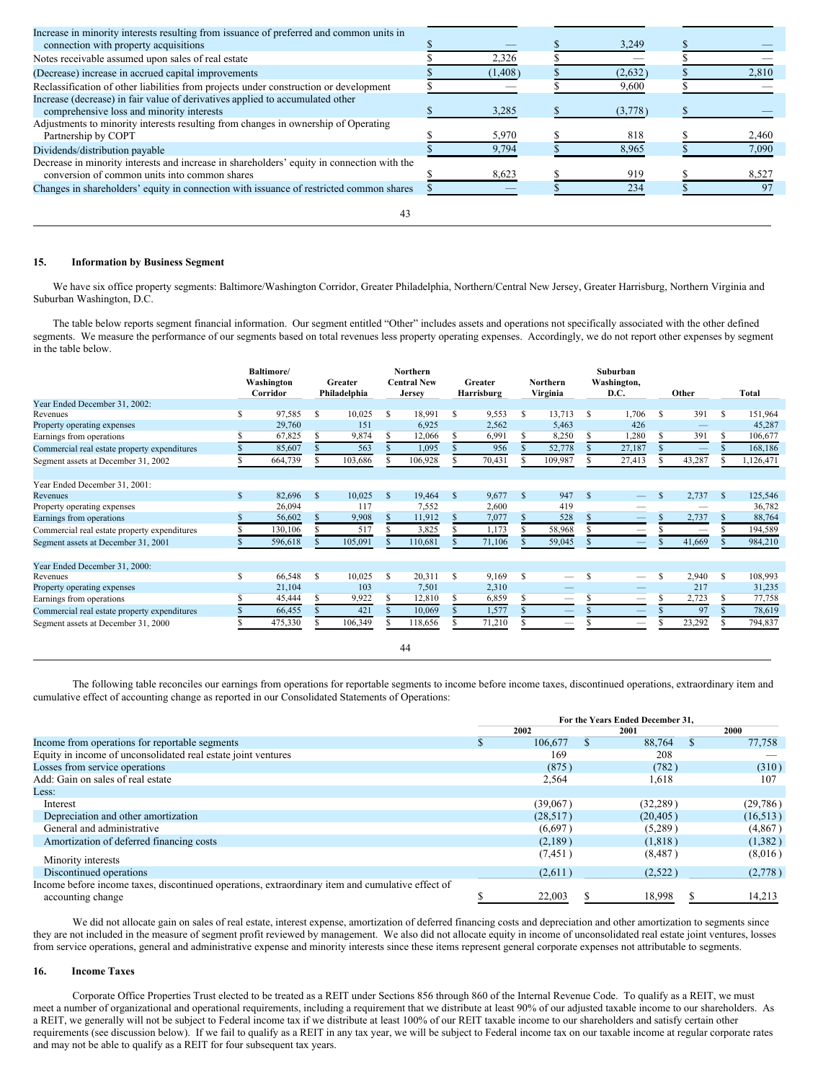| Increase in minority interests resulting from issuance of preferred and common units in    |         |         |       |
|--------------------------------------------------------------------------------------------|---------|---------|-------|
| connection with property acquisitions                                                      |         | 3,249   |       |
| Notes receivable assumed upon sales of real estate                                         | 2,326   |         |       |
| (Decrease) increase in accrued capital improvements                                        | (1,408) | (2,632) | 2,810 |
| Reclassification of other liabilities from projects under construction or development      |         | 9,600   |       |
| Increase (decrease) in fair value of derivatives applied to accumulated other              |         |         |       |
| comprehensive loss and minority interests                                                  | 3,285   | (3,778) |       |
| Adjustments to minority interests resulting from changes in ownership of Operating         |         |         |       |
| Partnership by COPT                                                                        | 5,970   | 818     | 2,460 |
| Dividends/distribution payable                                                             | 9,794   | 8,965   | 7,090 |
| Decrease in minority interests and increase in shareholders' equity in connection with the |         |         |       |
| conversion of common units into common shares                                              | 8,623   | 919     | 8,527 |
| Changes in shareholders' equity in connection with issuance of restricted common shares    |         | 234     |       |
| 43                                                                                         |         |         |       |
|                                                                                            |         |         |       |

### **15. Information by Business Segment**

We have six office property segments: Baltimore/Washington Corridor, Greater Philadelphia, Northern/Central New Jersey, Greater Harrisburg, Northern Virginia and Suburban Washington, D.C.

The table below reports segment financial information. Our segment entitled "Other" includes assets and operations not specifically associated with the other defined segments. We measure the performance of our segments based on total revenues less property operating expenses. Accordingly, we do not report other expenses by segment in the table below.

|                                              |   | Baltimore/             |              | Greater      |              | <b>Northern</b><br><b>Central New</b> |              | Greater    |               | Northern                        |              | Suburban                 |              |        |    |           |
|----------------------------------------------|---|------------------------|--------------|--------------|--------------|---------------------------------------|--------------|------------|---------------|---------------------------------|--------------|--------------------------|--------------|--------|----|-----------|
|                                              |   | Washington<br>Corridor |              | Philadelphia |              | <b>Jersey</b>                         |              | Harrisburg |               | Virginia                        |              | Washington,<br>D.C.      |              | Other  |    | Total     |
| Year Ended December 31, 2002:                |   |                        |              |              |              |                                       |              |            |               |                                 |              |                          |              |        |    |           |
| Revenues                                     | S | 97,585                 | S            | 10,025       | S            | 18,991                                | S            | 9,553      | S             | 13,713                          | S            | 1,706                    | S            | 391    | S  | 151,964   |
| Property operating expenses                  |   | 29,760                 |              | 151          |              | 6,925                                 |              | 2,562      |               | 5,463                           |              | 426                      |              |        |    | 45,287    |
| Earnings from operations                     |   | 67,825                 |              | 9,874        |              | 12,066                                |              | 6,991      |               | 8,250                           |              | 1,280                    |              | 391    |    | 106,677   |
| Commercial real estate property expenditures |   | 85,607                 |              | 563          |              | 1,095                                 |              | 956        |               | 52,778                          |              | 27,187                   |              |        |    | 168,186   |
| Segment assets at December 31, 2002          |   | 664,739                |              | 103,686      |              | 106,928                               |              | 70,431     |               | 109,987                         |              | 27,413                   |              | 43,287 |    | 1,126,471 |
| Year Ended December 31, 2001:                |   |                        |              |              |              |                                       |              |            |               |                                 |              |                          |              |        |    |           |
| Revenues                                     | S | 82,696                 | $\mathbf{s}$ | 10,025       | $\mathbf{s}$ | 19,464                                | $\mathbb{S}$ | 9,677      | $\mathbf{s}$  | 947                             | $\mathbf{s}$ | $\overline{\phantom{0}}$ | $\mathbb{S}$ | 2,737  | S  | 125,546   |
| Property operating expenses                  |   | 26,094                 |              | 117          |              | 7,552                                 |              | 2,600      |               | 419                             |              |                          |              |        |    | 36,782    |
| Earnings from operations                     |   | 56,602                 |              | 9,908        |              | 11,912                                | S.           | 7,077      | \$.           | 528                             | \$.          |                          |              | 2,737  |    | 88,764    |
| Commercial real estate property expenditures |   | 130,106                |              | 517          |              | 3,825                                 |              | 1,173      |               | 58,968                          |              | $\qquad \qquad$          |              |        |    | 194,589   |
| Segment assets at December 31, 2001          |   | 596,618                |              | 105,091      |              | 110,681                               |              | 71,106     |               | 59,045                          |              |                          |              | 41,669 |    | 984,210   |
| Year Ended December 31, 2000:                |   |                        |              |              |              |                                       |              |            |               |                                 |              |                          |              |        |    |           |
| Revenues                                     | S | 66,548                 | S            | 10,025       | S            | 20,311                                | S            | 9,169      | <sup>\$</sup> |                                 | \$.          | --                       | S            | 2,940  | -S | 108,993   |
| Property operating expenses                  |   | 21,104                 |              | 103          |              | 7,501                                 |              | 2,310      |               |                                 |              |                          |              | 217    |    | 31,235    |
| Earnings from operations                     |   | 45,444                 |              | 9,922        |              | 12,810                                |              | 6,859      |               | $\hspace{0.1mm}-\hspace{0.1mm}$ |              | $\qquad \qquad$          |              | 2,723  |    | 77,758    |
| Commercial real estate property expenditures |   | 66,455                 |              | 421          |              | 10,069                                |              | 1,577      |               |                                 |              |                          |              | 97     |    | 78,619    |
| Segment assets at December 31, 2000          |   | 475,330                |              | 106,349      |              | 118,656                               |              | 71,210     |               |                                 |              |                          |              | 23,292 |    | 794,837   |
|                                              |   |                        |              |              |              | 44                                    |              |            |               |                                 |              |                          |              |        |    |           |

The following table reconciles our earnings from operations for reportable segments to income before income taxes, discontinued operations, extraordinary item and cumulative effect of accounting change as reported in our Consolidated Statements of Operations:

|                                                                                                  | For the Years Ended December 31, |           |  |           |  |             |  |  |
|--------------------------------------------------------------------------------------------------|----------------------------------|-----------|--|-----------|--|-------------|--|--|
|                                                                                                  |                                  | 2002      |  | 2001      |  | <b>2000</b> |  |  |
| Income from operations for reportable segments                                                   |                                  | 106,677   |  | 88,764    |  | 77,758      |  |  |
| Equity in income of unconsolidated real estate joint ventures                                    |                                  | 169       |  | 208       |  |             |  |  |
| Losses from service operations                                                                   |                                  | (875)     |  | (782)     |  | (310)       |  |  |
| Add: Gain on sales of real estate                                                                |                                  | 2,564     |  | 1,618     |  | 107         |  |  |
| Less:                                                                                            |                                  |           |  |           |  |             |  |  |
| Interest                                                                                         |                                  | (39,067)  |  | (32, 289) |  | (29, 786)   |  |  |
| Depreciation and other amortization                                                              |                                  | (28, 517) |  | (20, 405) |  | (16, 513)   |  |  |
| General and administrative                                                                       |                                  | (6,697)   |  | (5,289)   |  | (4,867)     |  |  |
| Amortization of deferred financing costs                                                         |                                  | (2,189)   |  | (1,818)   |  | (1,382)     |  |  |
| Minority interests                                                                               |                                  | (7, 451)  |  | (8, 487)  |  | (8,016)     |  |  |
| Discontinued operations                                                                          |                                  | (2,611)   |  | (2,522)   |  | (2,778)     |  |  |
| Income before income taxes, discontinued operations, extraordinary item and cumulative effect of |                                  |           |  |           |  |             |  |  |
| accounting change                                                                                |                                  | 22,003    |  | 18,998    |  | 14.213      |  |  |

We did not allocate gain on sales of real estate, interest expense, amortization of deferred financing costs and depreciation and other amortization to segments since they are not included in the measure of segment profit reviewed by management. We also did not allocate equity in income of unconsolidated real estate joint ventures, losses from service operations, general and administrative expense and minority interests since these items represent general corporate expenses not attributable to segments.

#### **16. Income Taxes**

Corporate Office Properties Trust elected to be treated as a REIT under Sections 856 through 860 of the Internal Revenue Code. To qualify as a REIT, we must meet a number of organizational and operational requirements, including a requirement that we distribute at least 90% of our adjusted taxable income to our shareholders. As a REIT, we generally will not be subject to Federal income tax if we distribute at least 100% of our REIT taxable income to our shareholders and satisfy certain other requirements (see discussion below). If we fail to qualify as a REIT in any tax year, we will be subject to Federal income tax on our taxable income at regular corporate rates and may not be able to qualify as a REIT for four subsequent tax years.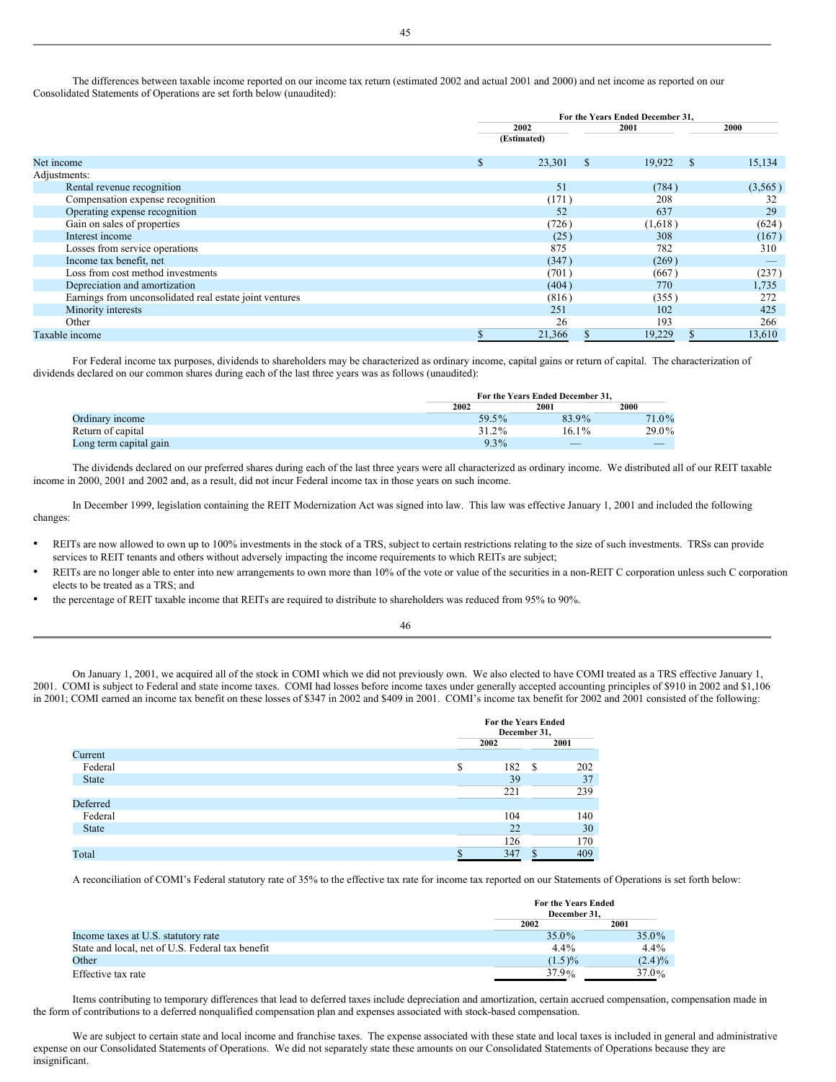The differences between taxable income reported on our income tax return (estimated 2002 and actual 2001 and 2000) and net income as reported on our Consolidated Statements of Operations are set forth below (unaudited):

|                                                         | For the Years Ended December 31, |             |               |         |    |         |  |
|---------------------------------------------------------|----------------------------------|-------------|---------------|---------|----|---------|--|
|                                                         | 2002                             |             |               | 2001    |    | 2000    |  |
|                                                         |                                  | (Estimated) |               |         |    |         |  |
| Net income                                              |                                  |             |               |         |    |         |  |
|                                                         | \$.                              | 23,301      | <sup>\$</sup> | 19,922  | -S | 15,134  |  |
| Adjustments:                                            |                                  |             |               |         |    |         |  |
| Rental revenue recognition                              |                                  | 51          |               | (784)   |    | (3,565) |  |
| Compensation expense recognition                        |                                  | (171)       |               | 208     |    | 32      |  |
| Operating expense recognition                           |                                  | 52          |               | 637     |    | 29      |  |
| Gain on sales of properties                             |                                  | (726)       |               | (1,618) |    | (624)   |  |
| Interest income                                         |                                  | (25)        |               | 308     |    | (167)   |  |
| Losses from service operations                          |                                  | 875         |               | 782     |    | 310     |  |
| Income tax benefit, net                                 |                                  | (347)       |               | (269)   |    | $-$     |  |
| Loss from cost method investments                       |                                  | (701)       |               | (667)   |    | (237)   |  |
| Depreciation and amortization                           |                                  | (404)       |               | 770     |    | 1,735   |  |
| Earnings from unconsolidated real estate joint ventures |                                  | (816)       |               | (355)   |    | 272     |  |
| Minority interests                                      |                                  | 251         |               | 102     |    | 425     |  |
| Other                                                   |                                  | 26          |               | 193     |    | 266     |  |
| Taxable income                                          |                                  | 21,366      |               | 19,229  |    | 13,610  |  |

For Federal income tax purposes, dividends to shareholders may be characterized as ordinary income, capital gains or return of capital. The characterization of dividends declared on our common shares during each of the last three years was as follows (unaudited):

|                        |         | For the Years Ended December 31. |                          |  |  |  |  |
|------------------------|---------|----------------------------------|--------------------------|--|--|--|--|
|                        | 2002    | 2000<br>2001                     |                          |  |  |  |  |
| Ordinary income        | 59.5%   | 83.9%                            | 71.0%                    |  |  |  |  |
| Return of capital      | 31.2%   | $16.1\%$                         | 29.0%                    |  |  |  |  |
| Long term capital gain | $9.3\%$ |                                  | $\overline{\phantom{a}}$ |  |  |  |  |

The dividends declared on our preferred shares during each of the last three years were all characterized as ordinary income. We distributed all of our REIT taxable income in 2000, 2001 and 2002 and, as a result, did not incur Federal income tax in those years on such income.

In December 1999, legislation containing the REIT Modernization Act was signed into law. This law was effective January 1, 2001 and included the following changes:

- REITs are now allowed to own up to 100% investments in the stock of a TRS, subject to certain restrictions relating to the size of such investments. TRSs can provide services to REIT tenants and others without adversely impacting the income requirements to which REITs are subject;
- REITs are no longer able to enter into new arrangements to own more than 10% of the vote or value of the securities in a non-REIT C corporation unless such C corporation elects to be treated as a TRS; and
- the percentage of REIT taxable income that REITs are required to distribute to shareholders was reduced from 95% to 90%.

On January 1, 2001, we acquired all of the stock in COMI which we did not previously own. We also elected to have COMI treated as a TRS effective January 1, 2001. COMI is subject to Federal and state income taxes. COMI had losses before income taxes under generally accepted accounting principles of \$910 in 2002 and \$1,106 in 2001; COMI earned an income tax benefit on these losses of \$347 in 2002 and \$409 in 2001. COMI's income tax benefit for 2002 and 2001 consisted of the following:

|              |          | For the Years Ended<br>December 31, |
|--------------|----------|-------------------------------------|
|              | 2002     | 2001                                |
| Current      |          |                                     |
| Federal      | S<br>182 | S<br>202                            |
| <b>State</b> | 39       | 37                                  |
|              | 221      | 239                                 |
| Deferred     |          |                                     |
| Federal      | 104      | 140                                 |
| <b>State</b> | 22       | 30                                  |
|              | 126      | 170                                 |
| Total        | 347      | 409<br>S                            |

A reconciliation of COMI's Federal statutory rate of 35% to the effective tax rate for income tax reported on our Statements of Operations is set forth below:

|                                                  |           | For the Years Ended<br>December 31. |  |  |  |
|--------------------------------------------------|-----------|-------------------------------------|--|--|--|
|                                                  | 2002      | 2001                                |  |  |  |
| Income taxes at U.S. statutory rate              | 35.0%     | 35.0%                               |  |  |  |
| State and local, net of U.S. Federal tax benefit | $4.4\%$   | 4.4%                                |  |  |  |
| Other                                            | $(1.5)\%$ | $(2.4)\%$                           |  |  |  |
| Effective tax rate                               | 37.9%     | 37.0%                               |  |  |  |

Items contributing to temporary differences that lead to deferred taxes include depreciation and amortization, certain accrued compensation, compensation made in the form of contributions to a deferred nonqualified compensation plan and expenses associated with stock-based compensation.

We are subject to certain state and local income and franchise taxes. The expense associated with these state and local taxes is included in general and administrative expense on our Consolidated Statements of Operations. We did not separately state these amounts on our Consolidated Statements of Operations because they are insignificant.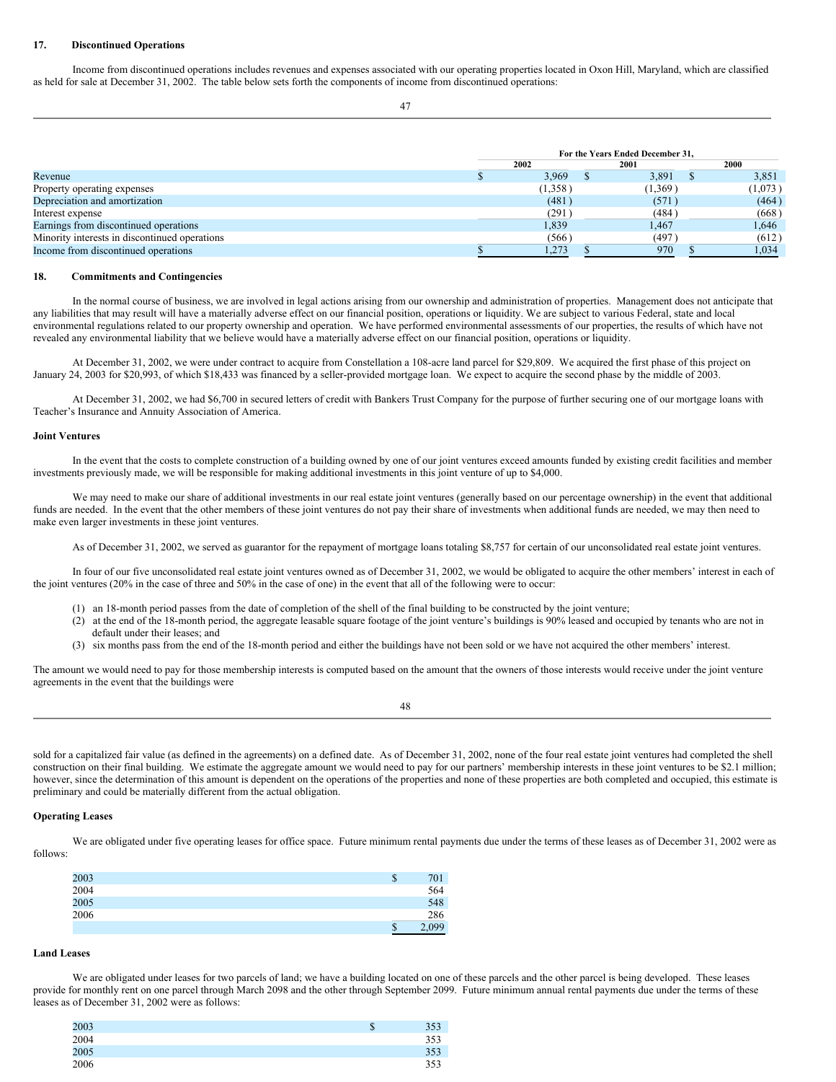#### **17. Discontinued Operations**

Income from discontinued operations includes revenues and expenses associated with our operating properties located in Oxon Hill, Maryland, which are classified as held for sale at December 31, 2002. The table below sets forth the components of income from discontinued operations:

47

|                                               | For the Years Ended December 31. |         |  |          |  |         |  |
|-----------------------------------------------|----------------------------------|---------|--|----------|--|---------|--|
|                                               | 2002                             |         |  | 2001     |  | 2000    |  |
| Revenue                                       |                                  | 3,969   |  | 3,891    |  | 3,851   |  |
| Property operating expenses                   |                                  | (1,358) |  | (1, 369) |  | (1,073) |  |
| Depreciation and amortization                 |                                  | (481)   |  | (571)    |  | (464)   |  |
| Interest expense                              |                                  | (291    |  | (484)    |  | (668)   |  |
| Earnings from discontinued operations         |                                  | 1,839   |  | 1,467    |  | 1,646   |  |
| Minority interests in discontinued operations |                                  | (566)   |  | (497)    |  | (612)   |  |
| Income from discontinued operations           |                                  | 1,273   |  | 970      |  | 1,034   |  |

### **18. Commitments and Contingencies**

In the normal course of business, we are involved in legal actions arising from our ownership and administration of properties. Management does not anticipate that any liabilities that may result will have a materially adverse effect on our financial position, operations or liquidity. We are subject to various Federal, state and local environmental regulations related to our property ownership and operation. We have performed environmental assessments of our properties, the results of which have not revealed any environmental liability that we believe would have a materially adverse effect on our financial position, operations or liquidity.

At December 31, 2002, we were under contract to acquire from Constellation a 108-acre land parcel for \$29,809. We acquired the first phase of this project on January 24, 2003 for \$20,993, of which \$18,433 was financed by a seller-provided mortgage loan. We expect to acquire the second phase by the middle of 2003.

At December 31, 2002, we had \$6,700 in secured letters of credit with Bankers Trust Company for the purpose of further securing one of our mortgage loans with Teacher's Insurance and Annuity Association of America.

### **Joint Ventures**

In the event that the costs to complete construction of a building owned by one of our joint ventures exceed amounts funded by existing credit facilities and member investments previously made, we will be responsible for making additional investments in this joint venture of up to \$4,000.

We may need to make our share of additional investments in our real estate joint ventures (generally based on our percentage ownership) in the event that additional funds are needed. In the event that the other members of these joint ventures do not pay their share of investments when additional funds are needed, we may then need to make even larger investments in these joint ventures.

As of December 31, 2002, we served as guarantor for the repayment of mortgage loans totaling \$8,757 for certain of our unconsolidated real estate joint ventures.

In four of our five unconsolidated real estate joint ventures owned as of December 31, 2002, we would be obligated to acquire the other members' interest in each of the joint ventures (20% in the case of three and 50% in the case of one) in the event that all of the following were to occur:

- (1) an 18-month period passes from the date of completion of the shell of the final building to be constructed by the joint venture;
- (2) at the end of the 18-month period, the aggregate leasable square footage of the joint venture's buildings is 90% leased and occupied by tenants who are not in default under their leases; and
- (3) six months pass from the end of the 18-month period and either the buildings have not been sold or we have not acquired the other members' interest.

The amount we would need to pay for those membership interests is computed based on the amount that the owners of those interests would receive under the joint venture agreements in the event that the buildings were

sold for a capitalized fair value (as defined in the agreements) on a defined date. As of December 31, 2002, none of the four real estate joint ventures had completed the shell construction on their final building. We estimate the aggregate amount we would need to pay for our partners' membership interests in these joint ventures to be \$2.1 million; however, since the determination of this amount is dependent on the operations of the properties and none of these properties are both completed and occupied, this estimate is preliminary and could be materially different from the actual obligation.

## **Operating Leases**

We are obligated under five operating leases for office space. Future minimum rental payments due under the terms of these leases as of December 31, 2002 were as follows:

| 2003 | Φ  | 701           |
|------|----|---------------|
| 2004 |    | 564           |
| 2005 |    | 548           |
| 2006 |    | 286           |
|      | \$ | 099<br>$\sim$ |

## **Land Leases**

We are obligated under leases for two parcels of land; we have a building located on one of these parcels and the other parcel is being developed. These leases provide for monthly rent on one parcel through March 2098 and the other through September 2099. Future minimum annual rental payments due under the terms of these leases as of December 31, 2002 were as follows:

| 2003 | S | 353 |
|------|---|-----|
| 2004 |   | 353 |
| 2005 |   | 353 |
| 2006 |   | 353 |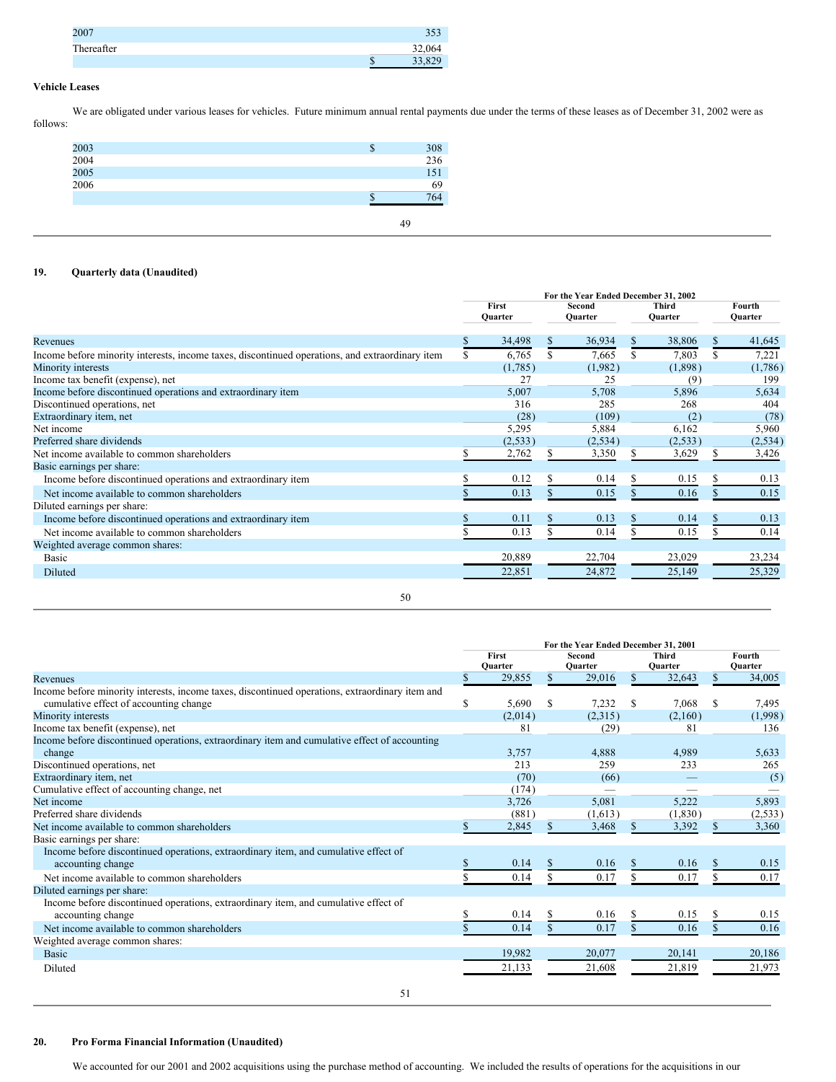| 2007       |        |
|------------|--------|
| Thereafter | 32,064 |
|            | ٠D     |

## **Vehicle Leases**

We are obligated under various leases for vehicles. Future minimum annual rental payments due under the terms of these leases as of December 31, 2002 were as follows:

| 2003 | Φ | 308 |
|------|---|-----|
| 2004 |   | 236 |
| 2005 |   | 151 |
| 2006 |   | 69  |
|      |   | 764 |
|      |   |     |
|      |   | 49  |
|      |   |     |

# **19. Quarterly data (Unaudited)**

|                                                                                                 | For the Year Ended December 31, 2002 |                |          |          |       |          |  |          |
|-------------------------------------------------------------------------------------------------|--------------------------------------|----------------|----------|----------|-------|----------|--|----------|
|                                                                                                 | First                                |                |          | Second   | Third |          |  | Fourth   |
|                                                                                                 |                                      | <b>Quarter</b> |          | Ouarter  |       | Ouarter  |  | Ouarter  |
| Revenues                                                                                        |                                      | 34,498         | <b>S</b> | 36,934   |       | 38,806   |  | 41,645   |
| Income before minority interests, income taxes, discontinued operations, and extraordinary item |                                      | 6,765          |          | 7,665    |       | 7,803    |  | 7,221    |
| Minority interests                                                                              |                                      | (1,785)        |          | (1,982)  |       | (1,898)  |  | (1,786)  |
| Income tax benefit (expense), net                                                               |                                      | 27             |          | 25       |       | (9)      |  | 199      |
| Income before discontinued operations and extraordinary item                                    |                                      | 5,007          |          | 5,708    |       | 5,896    |  | 5,634    |
| Discontinued operations, net                                                                    |                                      | 316            |          | 285      |       | 268      |  | 404      |
| Extraordinary item, net                                                                         |                                      | (28)           |          | (109)    |       | (2)      |  | (78)     |
| Net income                                                                                      |                                      | 5,295          |          | 5,884    |       | 6,162    |  | 5,960    |
| Preferred share dividends                                                                       |                                      | (2, 533)       |          | (2, 534) |       | (2, 533) |  | (2, 534) |
| Net income available to common shareholders                                                     |                                      | 2,762          |          | 3,350    |       | 3,629    |  | 3,426    |
| Basic earnings per share:                                                                       |                                      |                |          |          |       |          |  |          |
| Income before discontinued operations and extraordinary item                                    |                                      | 0.12           |          | 0.14     |       | 0.15     |  | 0.13     |
| Net income available to common shareholders                                                     |                                      | 0.13           |          | 0.15     |       | 0.16     |  | 0.15     |
| Diluted earnings per share:                                                                     |                                      |                |          |          |       |          |  |          |
| Income before discontinued operations and extraordinary item                                    |                                      | 0.11           |          | 0.13     |       | 0.14     |  | 0.13     |
| Net income available to common shareholders                                                     |                                      | 0.13           |          | 0.14     |       | 0.15     |  | 0.14     |
| Weighted average common shares:                                                                 |                                      |                |          |          |       |          |  |          |
| Basic                                                                                           |                                      | 20,889         |          | 22,704   |       | 23,029   |  | 23,234   |
| Diluted                                                                                         |                                      | 22,851         |          | 24,872   |       | 25,149   |  | 25,329   |
|                                                                                                 |                                      |                |          |          |       |          |  |          |

|                                                                                                 | For the Year Ended December 31, 2001 |                   |               |                   |               |                         |     |                   |
|-------------------------------------------------------------------------------------------------|--------------------------------------|-------------------|---------------|-------------------|---------------|-------------------------|-----|-------------------|
|                                                                                                 | First                                |                   |               | Second<br>Quarter |               | <b>Third</b><br>Ouarter |     | Fourth<br>Quarter |
| Revenues                                                                                        |                                      | Quarter<br>29,855 | $\mathbb{S}$  | 29,016            | <sup>\$</sup> | 32,643                  | \$  | 34,005            |
| Income before minority interests, income taxes, discontinued operations, extraordinary item and |                                      |                   |               |                   |               |                         |     |                   |
| cumulative effect of accounting change                                                          | \$                                   | 5.690             | S             | 7,232             | S             | 7,068                   | S   | 7,495             |
| Minority interests                                                                              |                                      | (2,014)           |               | (2,315)           |               | (2,160)                 |     | (1,998)           |
| Income tax benefit (expense), net                                                               |                                      | 81                |               | (29)              |               | 81                      |     | 136               |
| Income before discontinued operations, extraordinary item and cumulative effect of accounting   |                                      |                   |               |                   |               |                         |     |                   |
| change                                                                                          |                                      | 3,757             |               | 4,888             |               | 4,989                   |     | 5,633             |
| Discontinued operations, net                                                                    |                                      | 213               |               | 259               |               | 233                     |     | 265               |
| Extraordinary item, net                                                                         |                                      | (70)              |               | (66)              |               |                         |     | (5)               |
| Cumulative effect of accounting change, net                                                     |                                      | (174)             |               |                   |               |                         |     |                   |
| Net income                                                                                      |                                      | 3,726             |               | 5,081             |               | 5,222                   |     | 5,893             |
| Preferred share dividends                                                                       |                                      | (881)             |               | (1,613)           |               | (1, 830)                |     | (2, 533)          |
| Net income available to common shareholders                                                     |                                      | 2,845             | \$.           | 3,468             |               | 3,392                   |     | 3,360             |
| Basic earnings per share:                                                                       |                                      |                   |               |                   |               |                         |     |                   |
| Income before discontinued operations, extraordinary item, and cumulative effect of             |                                      |                   |               |                   |               |                         |     |                   |
| accounting change                                                                               |                                      | 0.14              | $\mathbb{S}$  | 0.16              |               | 0.16                    | \$  | 0.15              |
| Net income available to common shareholders                                                     |                                      | 0.14              | \$.           | 0.17              |               | 0.17                    | S.  | 0.17              |
|                                                                                                 |                                      |                   |               |                   |               |                         |     |                   |
| Diluted earnings per share:                                                                     |                                      |                   |               |                   |               |                         |     |                   |
| Income before discontinued operations, extraordinary item, and cumulative effect of             |                                      | 0.14              | S.            | 0.16              | \$.           | 0.15                    | \$  | 0.15              |
| accounting change                                                                               |                                      |                   |               |                   |               |                         |     |                   |
| Net income available to common shareholders                                                     |                                      | 0.14              | $\mathcal{S}$ | 0.17              | $\mathbf{s}$  | 0.16                    | \$. | 0.16              |
| Weighted average common shares:                                                                 |                                      |                   |               |                   |               |                         |     |                   |
| <b>Basic</b>                                                                                    |                                      | 19,982            |               | 20,077            |               | 20,141                  |     | 20,186            |
| Diluted                                                                                         |                                      | 21,133            |               | 21,608            |               | 21,819                  |     | 21,973            |
|                                                                                                 |                                      |                   |               |                   |               |                         |     |                   |
| 51                                                                                              |                                      |                   |               |                   |               |                         |     |                   |

## **20. Pro Forma Financial Information (Unaudited)**

We accounted for our 2001 and 2002 acquisitions using the purchase method of accounting. We included the results of operations for the acquisitions in our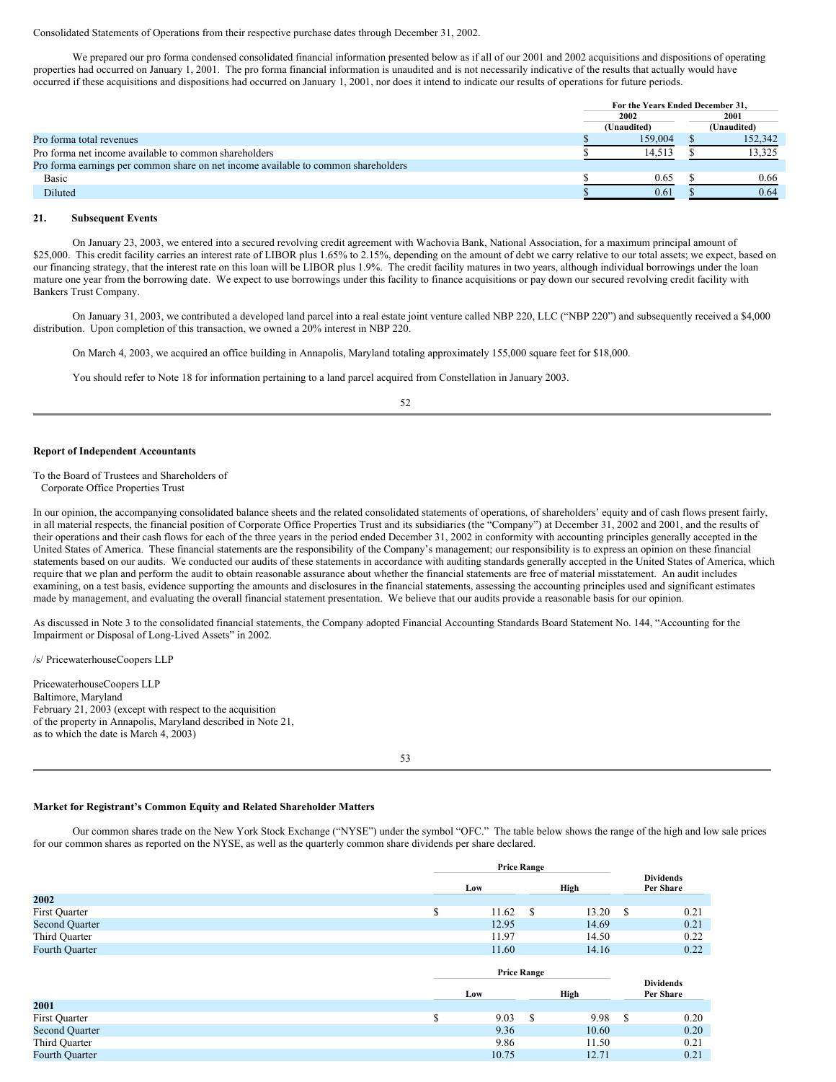#### Consolidated Statements of Operations from their respective purchase dates through December 31, 2002.

We prepared our pro forma condensed consolidated financial information presented below as if all of our 2001 and 2002 acquisitions and dispositions of operating properties had occurred on January 1, 2001. The pro forma financial information is unaudited and is not necessarily indicative of the results that actually would have occurred if these acquisitions and dispositions had occurred on January 1, 2001, nor does it intend to indicate our results of operations for future periods.

|                                                                                    | For the Years Ended December 31. |             |  |  |
|------------------------------------------------------------------------------------|----------------------------------|-------------|--|--|
|                                                                                    | 2002                             | 2001        |  |  |
|                                                                                    | (Unaudited)                      | (Unaudited) |  |  |
| Pro forma total revenues                                                           | 159,004                          | 152,342     |  |  |
| Pro forma net income available to common shareholders                              | 14.513                           | 13,325      |  |  |
| Pro forma earnings per common share on net income available to common shareholders |                                  |             |  |  |
| Basic                                                                              | 0.65                             | 0.66        |  |  |
| Diluted                                                                            | 0.61                             | 0.64        |  |  |

### **21. Subsequent Events**

On January 23, 2003, we entered into a secured revolving credit agreement with Wachovia Bank, National Association, for a maximum principal amount of \$25,000. This credit facility carries an interest rate of LIBOR plus 1.65% to 2.15%, depending on the amount of debt we carry relative to our total assets; we expect, based on our financing strategy, that the interest rate on this loan will be LIBOR plus 1.9%. The credit facility matures in two years, although individual borrowings under the loan mature one year from the borrowing date. We expect to use borrowings under this facility to finance acquisitions or pay down our secured revolving credit facility with Bankers Trust Company.

On January 31, 2003, we contributed a developed land parcel into a real estate joint venture called NBP 220, LLC ("NBP 220") and subsequently received a \$4,000 distribution. Upon completion of this transaction, we owned a 20% interest in NBP 220.

On March 4, 2003, we acquired an office building in Annapolis, Maryland totaling approximately 155,000 square feet for \$18,000.

You should refer to Note 18 for information pertaining to a land parcel acquired from Constellation in January 2003.

52

### **Report of Independent Accountants**

To the Board of Trustees and Shareholders of Corporate Office Properties Trust

In our opinion, the accompanying consolidated balance sheets and the related consolidated statements of operations, of shareholders' equity and of cash flows present fairly, in all material respects, the financial position of Corporate Office Properties Trust and its subsidiaries (the "Company") at December 31, 2002 and 2001, and the results of their operations and their cash flows for each of the three years in the period ended December 31, 2002 in conformity with accounting principles generally accepted in the United States of America. These financial statements are the responsibility of the Company's management; our responsibility is to express an opinion on these financial statements based on our audits. We conducted our audits of these statements in accordance with auditing standards generally accepted in the United States of America, which require that we plan and perform the audit to obtain reasonable assurance about whether the financial statements are free of material misstatement. An audit includes examining, on a test basis, evidence supporting the amounts and disclosures in the financial statements, assessing the accounting principles used and significant estimates made by management, and evaluating the overall financial statement presentation. We believe that our audits provide a reasonable basis for our opinion.

As discussed in Note 3 to the consolidated financial statements, the Company adopted Financial Accounting Standards Board Statement No. 144, "Accounting for the Impairment or Disposal of Long-Lived Assets" in 2002.

/s/ PricewaterhouseCoopers LLP

PricewaterhouseCoopers LLP Baltimore, Maryland February 21, 2003 (except with respect to the acquisition of the property in Annapolis, Maryland described in Note 21, as to which the date is March 4, 2003)

53

### **Market for Registrant's Common Equity and Related Shareholder Matters**

Our common shares trade on the New York Stock Exchange ("NYSE") under the symbol "OFC." The table below shows the range of the high and low sale prices for our common shares as reported on the NYSE, as well as the quarterly common share dividends per share declared.

|                       |   | <b>Price Range</b> |              |       |               |                               |  |  |
|-----------------------|---|--------------------|--------------|-------|---------------|-------------------------------|--|--|
|                       |   | Low                | High         |       |               | <b>Dividends</b><br>Per Share |  |  |
| 2002                  |   |                    |              |       |               |                               |  |  |
| First Quarter         | S | 11.62              | \$           | 13.20 | <sup>\$</sup> | 0.21                          |  |  |
| <b>Second Quarter</b> |   | 12.95              |              | 14.69 |               | 0.21                          |  |  |
| Third Quarter         |   | 11.97              |              | 14.50 |               | 0.22                          |  |  |
| Fourth Quarter        |   | 11.60              |              | 14.16 |               | 0.22                          |  |  |
|                       |   | <b>Price Range</b> |              |       |               |                               |  |  |
|                       |   |                    |              |       |               | <b>Dividends</b>              |  |  |
|                       |   |                    |              |       |               |                               |  |  |
|                       |   | Low                |              | High  |               | Per Share                     |  |  |
| 2001                  |   |                    |              |       |               |                               |  |  |
| First Quarter         | S | 9.03               | $\mathbb{S}$ | 9.98  | <sup>\$</sup> | 0.20                          |  |  |
| <b>Second Quarter</b> |   | 9.36               |              | 10.60 |               | 0.20                          |  |  |
| Third Quarter         |   | 9.86               |              | 11.50 |               | 0.21                          |  |  |
| Fourth Quarter        |   | 10.75              |              | 12.71 |               | 0.21                          |  |  |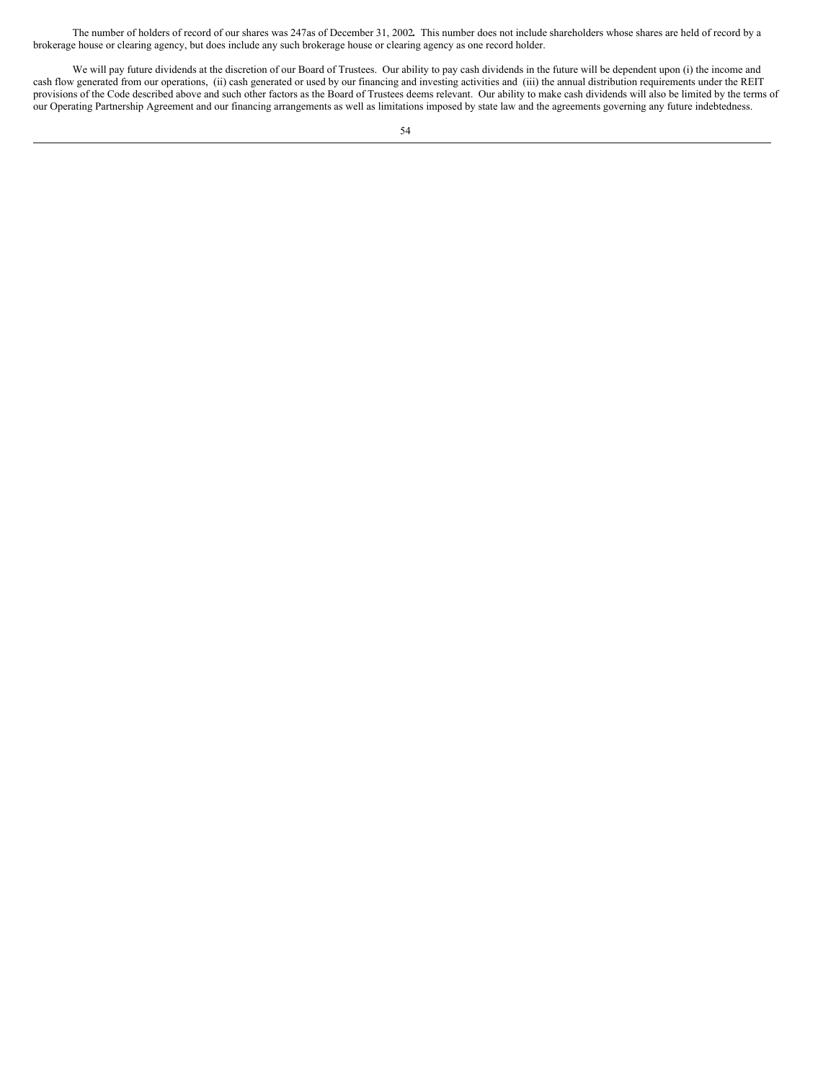The number of holders of record of our shares was 247as of December 31, 2002**.** This number does not include shareholders whose shares are held of record by a brokerage house or clearing agency, but does include any such brokerage house or clearing agency as one record holder.

We will pay future dividends at the discretion of our Board of Trustees. Our ability to pay cash dividends in the future will be dependent upon (i) the income and cash flow generated from our operations, (ii) cash generated or used by our financing and investing activities and (iii) the annual distribution requirements under the REIT provisions of the Code described above and such other factors as the Board of Trustees deems relevant. Our ability to make cash dividends will also be limited by the terms of our Operating Partnership Agreement and our financing arrangements as well as limitations imposed by state law and the agreements governing any future indebtedness.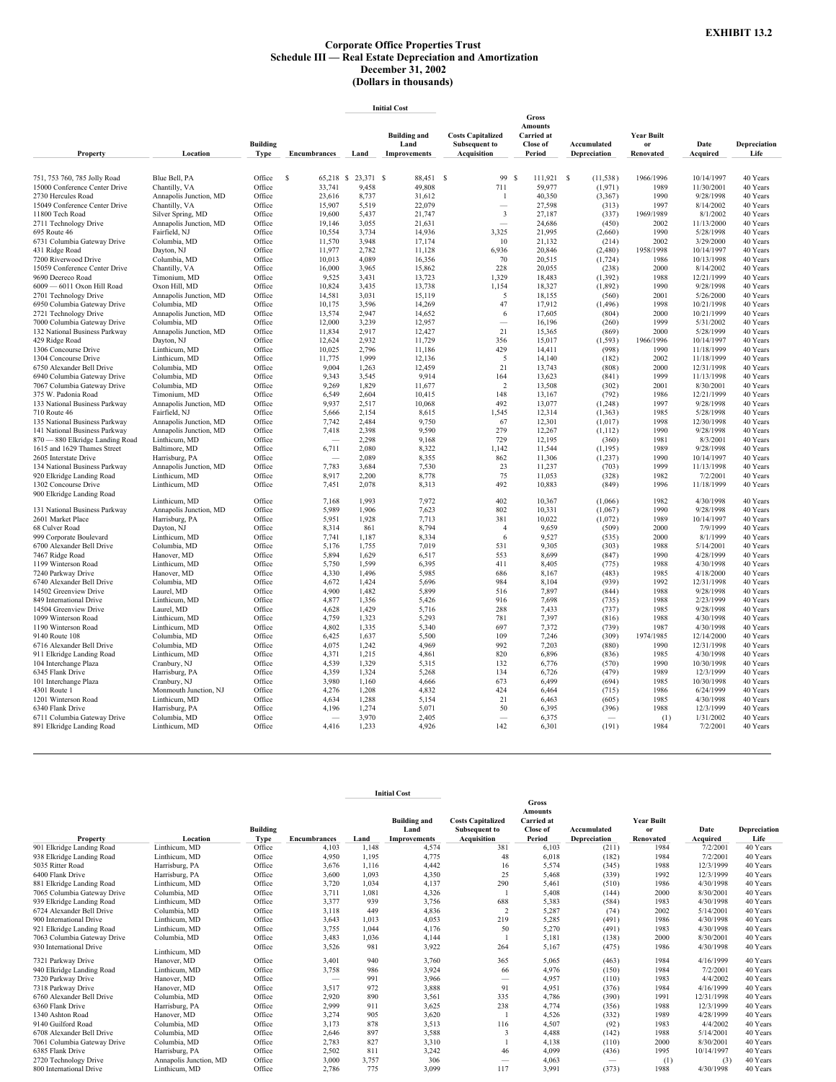#### **Corporate Office Properties Trust Schedule III — Real Estate Depreciation and Amortization December 31, 2002 (Dollars in thousands)**

**Initial Cost**

|                                                              |                                        | <b>Building</b>  |                     |                     | <b>Building and</b><br>Land | <b>Costs Capitalized</b><br><b>Subsequent to</b> | <b>Amounts</b><br>Carried at<br><b>Close of</b> | Accumulated    | <b>Year Built</b><br>or | Date                    | Depreciation         |
|--------------------------------------------------------------|----------------------------------------|------------------|---------------------|---------------------|-----------------------------|--------------------------------------------------|-------------------------------------------------|----------------|-------------------------|-------------------------|----------------------|
| <b>Property</b>                                              | Location                               | <b>Type</b>      | <b>Encumbrances</b> | Land                | <b>Improvements</b>         | Acquisition                                      | Period                                          | Depreciation   | Renovated               | Acquired                | Life                 |
| 751, 753 760, 785 Jolly Road                                 | Blue Bell, PA                          | Office           | S                   | 65,218 \$ 23,371 \$ | 88,451 \$                   | 99                                               | -S<br>$111,921$ \$                              | (11, 538)      | 1966/1996               | 10/14/1997              | 40 Years             |
| 15000 Conference Center Drive                                | Chantilly, VA                          | Office           | 33.741              | 9,458               | 49,808                      | 711                                              | 59,977                                          | (1,971)        | 1989                    | 11/30/2001              | 40 Years             |
| 2730 Hercules Road                                           | Annapolis Junction, MD                 | Office           | 23,616              | 8,737               | 31,612                      | $\overline{1}$                                   | 40,350                                          | (3,367)        | 1990                    | 9/28/1998               | 40 Years             |
| 15049 Conference Center Drive                                | Chantilly, VA                          | Office           | 15,907              | 5,519               | 22,079                      |                                                  | 27,598                                          | (313)          | 1997                    | 8/14/2002               | 40 Years             |
| 11800 Tech Road                                              | Silver Spring, MD                      | Office           | 19,600              | 5,437               | 21,747                      | 3                                                | 27,187                                          | (337)          | 1969/1989               | 8/1/2002                | 40 Years             |
| 2711 Technology Drive                                        | Annapolis Junction, MD                 | Office           | 19,146              | 3,055               | 21,631                      |                                                  | 24,686                                          | (450)          | 2002                    | 11/13/2000              | 40 Years             |
| 695 Route 46                                                 | Fairfield, NJ                          | Office           | 10,554              | 3,734               | 14,936                      | 3,325                                            | 21,995                                          | (2,660)        | 1990                    | 5/28/1998               | 40 Years             |
| 6731 Columbia Gateway Drive                                  | Columbia, MD                           | Office           | 11,570              | 3.948               | 17,174                      | 10                                               | 21,132                                          | (214)          | 2002                    | 3/29/2000               | 40 Years             |
| 431 Ridge Road                                               | Dayton, NJ                             | Office           | 11,977              | 2,782               | 11,128                      | 6,936                                            | 20,846                                          | (2,480)        | 1958/1998               | 10/14/1997              | 40 Years             |
| 7200 Riverwood Drive                                         | Columbia, MD                           | Office           | 10,013              | 4,089               | 16,356                      | 70                                               | 20,515                                          | (1, 724)       | 1986                    | 10/13/1998              | 40 Years             |
| 15059 Conference Center Drive                                | Chantilly, VA                          | Office           | 16,000              | 3,965               | 15,862                      | 228                                              | 20.055                                          | (238)          | 2000                    | 8/14/2002               | 40 Years             |
| 9690 Deereco Road                                            | Timonium, MD                           | Office           | 9,525               | 3,431               | 13,723                      | 1,329                                            | 18,483                                          | (1, 392)       | 1988                    | 12/21/1999              | 40 Years             |
| 6009 - 6011 Oxon Hill Road                                   | Oxon Hill, MD                          | Office           | 10,824              | 3,435               | 13,738                      | 1,154                                            | 18,327                                          | (1, 892)       | 1990                    | 9/28/1998               | 40 Years             |
| 2701 Technology Drive                                        | Annapolis Junction, MD                 | Office           | 14,581              | 3,031               | 15,119                      | 5                                                | 18,155                                          | (560)          | 2001                    | 5/26/2000               | 40 Years             |
| 6950 Columbia Gateway Drive                                  | Columbia, MD                           | Office           | 10,175              | 3,596               | 14,269                      | 47                                               | 17,912                                          | (1, 496)       | 1998                    | 10/21/1998              | 40 Years             |
| 2721 Technology Drive                                        | Annapolis Junction, MD<br>Columbia, MD | Office<br>Office | 13,574<br>12,000    | 2,947<br>3,239      | 14,652<br>12,957            | 6                                                | 17,605<br>16,196                                | (804)<br>(260) | 2000<br>1999            | 10/21/1999<br>5/31/2002 | 40 Years<br>40 Years |
| 7000 Columbia Gateway Drive<br>132 National Business Parkway | Annapolis Junction, MD                 | Office           | 11,834              | 2,917               | 12,427                      | 21                                               | 15,365                                          | (869)          | 2000                    | 5/28/1999               | 40 Years             |
| 429 Ridge Road                                               | Dayton, NJ                             | Office           | 12,624              | 2,932               | 11,729                      | 356                                              | 15,017                                          | (1, 593)       | 1966/1996               | 10/14/1997              | 40 Years             |
| 1306 Concourse Drive                                         | Linthicum, MD                          | Office           | 10,025              | 2,796               | 11,186                      | 429                                              | 14,411                                          | (998)          | 1990                    | 11/18/1999              | 40 Years             |
| 1304 Concourse Drive                                         | Linthicum, MD                          | Office           | 11,775              | 1,999               | 12,136                      | 5                                                | 14,140                                          | (182)          | 2002                    | 11/18/1999              | 40 Years             |
| 6750 Alexander Bell Drive                                    | Columbia, MD                           | Office           | 9,004               | 1,263               | 12,459                      | 21                                               | 13,743                                          | (808)          | 2000                    | 12/31/1998              | 40 Years             |
| 6940 Columbia Gateway Drive                                  | Columbia, MD                           | Office           | 9,343               | 3,545               | 9,914                       | 164                                              | 13,623                                          | (841)          | 1999                    | 11/13/1998              | 40 Years             |
| 7067 Columbia Gateway Drive                                  | Columbia, MD                           | Office           | 9,269               | 1,829               | 11,677                      | $\overline{2}$                                   | 13,508                                          | (302)          | 2001                    | 8/30/2001               | 40 Years             |
| 375 W. Padonia Road                                          | Timonium, MD                           | Office           | 6,549               | 2,604               | 10,415                      | 148                                              | 13,167                                          | (792)          | 1986                    | 12/21/1999              | 40 Years             |
| 133 National Business Parkway                                | Annapolis Junction, MD                 | Office           | 9,937               | 2,517               | 10,068                      | 492                                              | 13,077                                          | (1,248)        | 1997                    | 9/28/1998               | 40 Years             |
| 710 Route 46                                                 | Fairfield, NJ                          | Office           | 5,666               | 2,154               | 8,615                       | 1,545                                            | 12,314                                          | (1, 363)       | 1985                    | 5/28/1998               | 40 Years             |
| 135 National Business Parkway                                | Annapolis Junction, MD                 | Office           | 7,742               | 2,484               | 9,750                       | 67                                               | 12,301                                          | (1,017)        | 1998                    | 12/30/1998              | 40 Years             |
| 141 National Business Parkway                                | Annapolis Junction, MD                 | Office           | 7,418               | 2,398               | 9,590                       | 279                                              | 12,267                                          | (1, 112)       | 1990                    | 9/28/1998               | 40 Years             |
| 870 - 880 Elkridge Landing Road                              | Linthicum, MD                          | Office           |                     | 2,298               | 9,168                       | 729                                              | 12.195                                          | (360)          | 1981                    | 8/3/2001                | 40 Years             |
| 1615 and 1629 Thames Street                                  | Baltimore, MD                          | Office           | 6,711               | 2,080               | 8,322                       | 1,142                                            | 11,544                                          | (1, 195)       | 1989                    | 9/28/1998               | 40 Years             |
| 2605 Interstate Drive                                        | Harrisburg, PA                         | Office           |                     | 2,089               | 8,355                       | 862                                              | 11,306                                          | (1,237)        | 1990                    | 10/14/1997              | 40 Years             |
| 134 National Business Parkway                                | Annapolis Junction, MD                 | Office           | 7,783               | 3,684               | 7,530                       | 23                                               | 11,237                                          | (703)          | 1999                    | 11/13/1998              | 40 Years             |
| 920 Elkridge Landing Road                                    | Linthicum, MD                          | Office           | 8,917               | 2,200               | 8,778                       | 75<br>492                                        | 11,053                                          | (328)          | 1982                    | 7/2/2001                | 40 Years             |
| 1302 Concourse Drive                                         | Linthicum, MD                          | Office           | 7,451               | 2,078               | 8,313                       |                                                  | 10,883                                          | (849)          | 1996                    | 11/18/1999              | 40 Years             |
| 900 Elkridge Landing Road                                    | Linthicum, MD                          | Office           | 7,168               | 1,993               | 7,972                       | 402                                              | 10,367                                          | (1,066)        | 1982                    | 4/30/1998               | 40 Years             |
| 131 National Business Parkway                                | Annapolis Junction, MD                 | Office           | 5,989               | 1,906               | 7,623                       | 802                                              | 10,331                                          | (1,067)        | 1990                    | 9/28/1998               | 40 Years             |
| 2601 Market Place                                            | Harrisburg, PA                         | Office           | 5,951               | 1,928               | 7,713                       | 381                                              | 10,022                                          | (1,072)        | 1989                    | 10/14/1997              | 40 Years             |
| 68 Culver Road                                               | Dayton, NJ                             | Office           | 8,314               | 861                 | 8,794                       | $\overline{4}$                                   | 9,659                                           | (509)          | 2000                    | 7/9/1999                | 40 Years             |
| 999 Corporate Boulevard                                      | Linthicum, MD                          | Office           | 7.741               | 1.187               | 8.334                       | 6                                                | 9.527                                           | (535)          | 2000                    | 8/1/1999                | 40 Years             |
| 6700 Alexander Bell Drive                                    | Columbia, MD                           | Office           | 5,176               | 1,755               | 7,019                       | 531                                              | 9,305                                           | (303)          | 1988                    | 5/14/2001               | 40 Years             |
| 7467 Ridge Road                                              | Hanover, MD                            | Office           | 5,894               | 1,629               | 6,517                       | 553                                              | 8,699                                           | (847)          | 1990                    | 4/28/1999               | 40 Years             |
| 1199 Winterson Road                                          | Linthicum, MD                          | Office           | 5,750               | 1,599               | 6,395                       | 411                                              | 8,405                                           | (775)          | 1988                    | 4/30/1998               | 40 Years             |
| 7240 Parkway Drive                                           | Hanover, MD                            | Office           | 4,330               | 1,496               | 5,985                       | 686                                              | 8,167                                           | (483)          | 1985                    | 4/18/2000               | 40 Years             |
| 6740 Alexander Bell Drive                                    | Columbia, MD                           | Office           | 4,672               | 1,424               | 5,696                       | 984                                              | 8,104                                           | (939)          | 1992                    | 12/31/1998              | 40 Years             |
| 14502 Greenview Drive                                        | Laurel, MD                             | Office           | 4,900               | 1,482               | 5,899                       | 516                                              | 7,897                                           | (844)          | 1988                    | 9/28/1998               | 40 Years             |
| 849 International Drive                                      | Linthicum, MD                          | Office           | 4,877               | 1,356               | 5,426                       | 916                                              | 7,698                                           | (735)          | 1988                    | 2/23/1999               | 40 Years             |
| 14504 Greenview Drive                                        | Laurel, MD                             | Office           | 4,628               | 1,429               | 5,716                       | 288                                              | 7,433                                           | (737)          | 1985                    | 9/28/1998               | 40 Years             |
| 1099 Winterson Road<br>1190 Winterson Road                   | Linthicum, MD<br>Linthicum, MD         | Office<br>Office | 4,759<br>4,802      | 1,323<br>1,335      | 5,293<br>5,340              | 781<br>697                                       | 7,397<br>7,372                                  | (816)<br>(739) | 1988<br>1987            | 4/30/1998<br>4/30/1998  | 40 Years<br>40 Years |
| 9140 Route 108                                               | Columbia, MD                           | Office           | 6,425               | 1,637               | 5,500                       | 109                                              | 7,246                                           | (309)          | 1974/1985               | 12/14/2000              | 40 Years             |
| 6716 Alexander Bell Drive                                    | Columbia, MD                           | Office           | 4,075               | 1,242               | 4,969                       | 992                                              | 7,203                                           | (880)          | 1990                    | 12/31/1998              | 40 Years             |
| 911 Elkridge Landing Road                                    | Linthicum, MD                          | Office           | 4,371               | 1,215               | 4,861                       | 820                                              | 6,896                                           | (836)          | 1985                    | 4/30/1998               | 40 Years             |
| 104 Interchange Plaza                                        | Cranbury, NJ                           | Office           | 4,539               | 1,329               | 5,315                       | 132                                              | 6,776                                           | (570)          | 1990                    | 10/30/1998              | 40 Years             |
| 6345 Flank Drive                                             | Harrisburg, PA                         | Office           | 4,359               | 1,324               | 5,268                       | 134                                              | 6,726                                           | (479)          | 1989                    | 12/3/1999               | 40 Years             |
| 101 Interchange Plaza                                        | Cranbury, NJ                           | Office           | 3,980               | 1,160               | 4,666                       | 673                                              | 6,499                                           | (694)          | 1985                    | 10/30/1998              | 40 Years             |
| 4301 Route 1                                                 | Monmouth Junction, NJ                  | Office           | 4,276               | 1,208               | 4,832                       | 424                                              | 6,464                                           | (715)          | 1986                    | 6/24/1999               | 40 Years             |
| 1201 Winterson Road                                          | Linthicum, MD                          | Office           | 4,634               | 1,288               | 5,154                       | 21                                               | 6,463                                           | (605)          | 1985                    | 4/30/1998               | 40 Years             |
| 6340 Flank Drive                                             | Harrisburg, PA                         | Office           | 4,196               | 1,274               | 5,071                       | 50                                               | 6,395                                           | (396)          | 1988                    | 12/3/1999               | 40 Years             |
| 6711 Columbia Gateway Drive                                  | Columbia, MD                           | Office           |                     | 3,970               | 2,405                       |                                                  | 6,375                                           |                | (1)                     | 1/31/2002               | 40 Years             |
| 891 Elkridge Landing Road                                    | Linthicum, MD                          | Office           | 4,416               | 1,233               | 4,926                       | 142                                              | 6,301                                           | (191)          | 1984                    | 7/2/2001                | 40 Years             |
|                                                              |                                        |                  |                     |                     |                             |                                                  |                                                 |                |                         |                         |                      |

|                             |                        |                 |                     |       | <b>Initial Cost</b>         |                                                  |                               |              |                   |            |                     |
|-----------------------------|------------------------|-----------------|---------------------|-------|-----------------------------|--------------------------------------------------|-------------------------------|--------------|-------------------|------------|---------------------|
|                             |                        |                 |                     |       |                             |                                                  | <b>Gross</b>                  |              |                   |            |                     |
|                             |                        |                 |                     |       |                             |                                                  | <b>Amounts</b>                |              |                   |            |                     |
|                             |                        | <b>Building</b> |                     |       | <b>Building and</b><br>Land | <b>Costs Capitalized</b><br><b>Subsequent to</b> | <b>Carried</b> at<br>Close of | Accumulated  | <b>Year Built</b> | Date       | <b>Depreciation</b> |
| <b>Property</b>             | Location               | Type            | <b>Encumbrances</b> | Land  | <b>Improvements</b>         | Acquisition                                      | Period                        | Depreciation | or<br>Renovated   | Acquired   | Life                |
| 901 Elkridge Landing Road   | Linthicum, MD          | Office          | 4,103               | 1,148 | 4,574                       | 381                                              | 6,103                         | (211)        | 1984              | 7/2/2001   | 40 Years            |
| 938 Elkridge Landing Road   | Linthicum, MD          | Office          | 4,950               | 1,195 | 4,775                       | 48                                               | 6,018                         | (182)        | 1984              | 7/2/2001   | 40 Years            |
| 5035 Ritter Road            | Harrisburg, PA         | Office          | 3,676               | 1,116 | 4,442                       | 16                                               | 5,574                         | (345)        | 1988              | 12/3/1999  | 40 Years            |
| 6400 Flank Drive            | Harrisburg, PA         | Office          | 3,600               | 1,093 | 4,350                       | 25                                               | 5,468                         | (339)        | 1992              | 12/3/1999  | 40 Years            |
| 881 Elkridge Landing Road   | Linthicum, MD          | Office          | 3,720               | 1,034 | 4,137                       | 290                                              | 5,461                         | (510)        | 1986              | 4/30/1998  | 40 Years            |
| 7065 Columbia Gateway Drive | Columbia, MD           | Office          | 3,711               | 1,081 | 4,326                       |                                                  | 5,408                         | (144)        | 2000              | 8/30/2001  | 40 Years            |
| 939 Elkridge Landing Road   | Linthicum, MD          | Office          | 3,377               | 939   | 3,756                       | 688                                              | 5,383                         | (584)        | 1983              | 4/30/1998  | 40 Years            |
| 6724 Alexander Bell Drive   | Columbia, MD           | Office          | 3.118               | 449   | 4,836                       | $\overline{2}$                                   | 5,287                         | (74)         | 2002              | 5/14/2001  | 40 Years            |
| 900 International Drive     | Linthicum, MD          | Office          | 3,643               | 1,013 | 4,053                       | 219                                              | 5,285                         | (491)        | 1986              | 4/30/1998  | 40 Years            |
| 921 Elkridge Landing Road   | Linthicum, MD          | Office          | 3,755               | 1,044 | 4,176                       | 50                                               | 5,270                         | (491)        | 1983              | 4/30/1998  | 40 Years            |
| 7063 Columbia Gateway Drive | Columbia, MD           | Office          | 3.483               | 1,036 | 4,144                       |                                                  | 5,181                         | (138)        | 2000              | 8/30/2001  | 40 Years            |
| 930 International Drive     | Linthicum, MD          | Office          | 3,526               | 981   | 3,922                       | 264                                              | 5,167                         | (475)        | 1986              | 4/30/1998  | 40 Years            |
| 7321 Parkway Drive          | Hanover, MD            | Office          | 3,401               | 940   | 3,760                       | 365                                              | 5,065                         | (463)        | 1984              | 4/16/1999  | 40 Years            |
| 940 Elkridge Landing Road   | Linthicum, MD          | Office          | 3,758               | 986   | 3,924                       | 66                                               | 4,976                         | (150)        | 1984              | 7/2/2001   | 40 Years            |
| 7320 Parkway Drive          | Hanover, MD            | Office          |                     | 991   | 3,966                       | $\hspace{0.05cm}$                                | 4,957                         | (110)        | 1983              | 4/4/2002   | 40 Years            |
| 7318 Parkway Drive          | Hanover, MD            | Office          | 3,517               | 972   | 3,888                       | 91                                               | 4,951                         | (376)        | 1984              | 4/16/1999  | 40 Years            |
| 6760 Alexander Bell Drive   | Columbia, MD           | Office          | 2,920               | 890   | 3,561                       | 335                                              | 4,786                         | (390)        | 1991              | 12/31/1998 | 40 Years            |
| 6360 Flank Drive            | Harrisburg, PA         | Office          | 2.999               | 911   | 3,625                       | 238                                              | 4,774                         | (356)        | 1988              | 12/3/1999  | 40 Years            |
| 1340 Ashton Road            | Hanover, MD            | Office          | 3,274               | 905   | 3,620                       |                                                  | 4,526                         | (332)        | 1989              | 4/28/1999  | 40 Years            |
| 9140 Guilford Road          | Columbia, MD           | Office          | 3,173               | 878   | 3,513                       | 116                                              | 4,507                         | (92)         | 1983              | 4/4/2002   | 40 Years            |
| 6708 Alexander Bell Drive   | Columbia, MD           | Office          | 2,646               | 897   | 3,588                       | 3                                                | 4.488                         | (142)        | 1988              | 5/14/2001  | 40 Years            |
| 7061 Columbia Gateway Drive | Columbia, MD           | Office          | 2,783               | 827   | 3,310                       |                                                  | 4,138                         | (110)        | 2000              | 8/30/2001  | 40 Years            |
| 6385 Flank Drive            | Harrisburg, PA         | Office          | 2,502               | 811   | 3,242                       | 46                                               | 4.099                         | (436)        | 1995              | 10/14/1997 | 40 Years            |
| 2720 Technology Drive       | Annapolis Junction, MD | Office          | 3,000               | 3,757 | 306                         |                                                  | 4,063                         |              | (1)               | (3)        | 40 Years            |
| 800 International Drive     | Linthicum, MD          | Office          | 2,786               | 775   | 3,099                       | 117                                              | 3,991                         | (373)        | 1988              | 4/30/1998  | 40 Years            |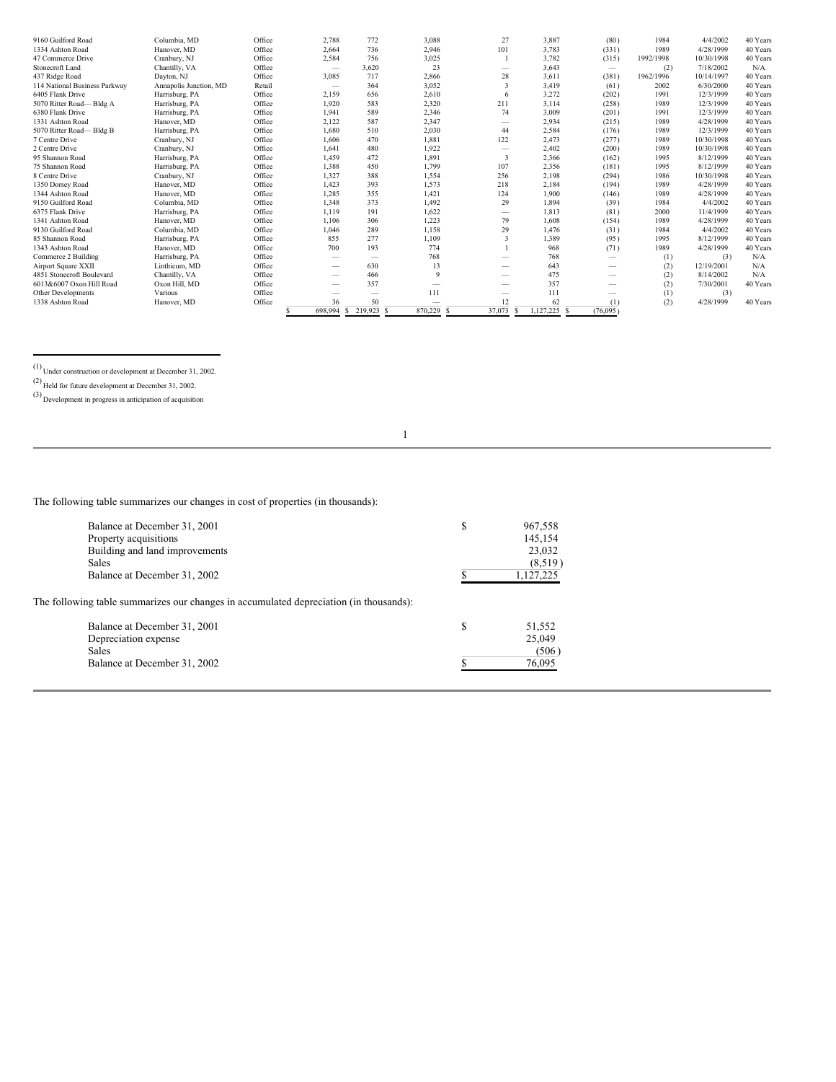| 9160 Guilford Road            | Columbia, MD           | Office | 2.788                    | 772                      | 3,088       | 27                       | 3,887     | (80)                     | 1984      | 4/4/2002   | 40 Years |
|-------------------------------|------------------------|--------|--------------------------|--------------------------|-------------|--------------------------|-----------|--------------------------|-----------|------------|----------|
| 1334 Ashton Road              | Hanover, MD            | Office | 2,664                    | 736                      | 2,946       | 101                      | 3,783     | (331)                    | 1989      | 4/28/1999  | 40 Years |
| 47 Commerce Drive             | Cranbury, NJ           | Office | 2,584                    | 756                      | 3,025       |                          | 3,782     | (315)                    | 1992/1998 | 10/30/1998 | 40 Years |
| Stonecroft Land               | Chantilly, VA          | Office | $\overline{\phantom{m}}$ | 3,620                    | 23          | $\hspace{0.05cm}$        | 3,643     | $\overline{\phantom{a}}$ | (2)       | 7/18/2002  | N/A      |
| 437 Ridge Road                | Dayton, NJ             | Office | 3.085                    | 717                      | 2.866       | 28                       | 3,611     | (381)                    | 1962/1996 | 10/14/1997 | 40 Years |
| 114 National Business Parkway | Annapolis Junction, MD | Retail |                          | 364                      | 3,052       |                          | 3,419     | (61)                     | 2002      | 6/30/2000  | 40 Years |
| 6405 Flank Drive              | Harrisburg, PA         | Office | 2,159                    | 656                      | 2,610       | 6                        | 3,272     | (202)                    | 1991      | 12/3/1999  | 40 Years |
| 5070 Ritter Road-Bldg A       | Harrisburg, PA         | Office | 1,920                    | 583                      | 2,320       | 211                      | 3,114     | (258)                    | 1989      | 12/3/1999  | 40 Years |
| 6380 Flank Drive              | Harrisburg, PA         | Office | 1.941                    | 589                      | 2,346       | 74                       | 3,009     | (201)                    | 1991      | 12/3/1999  | 40 Years |
| 1331 Ashton Road              | Hanover, MD            | Office | 2,122                    | 587                      | 2,347       | $\hspace{0.05cm}$        | 2,934     | (215)                    | 1989      | 4/28/1999  | 40 Years |
| 5070 Ritter Road-Bldg B       | Harrisburg, PA         | Office | 1.680                    | 510                      | 2,030       | 44                       | 2,584     | (176)                    | 1989      | 12/3/1999  | 40 Years |
| 7 Centre Drive                | Cranbury, NJ           | Office | 1,606                    | 470                      | 1,881       | 122                      | 2,473     | (277)                    | 1989      | 10/30/1998 | 40 Years |
| 2 Centre Drive                | Cranbury, NJ           | Office | 1.641                    | 480                      | 1,922       |                          | 2,402     | (200)                    | 1989      | 10/30/1998 | 40 Years |
| 95 Shannon Road               | Harrisburg, PA         | Office | 1,459                    | 472                      | 1,891       | 3                        | 2,366     | (162)                    | 1995      | 8/12/1999  | 40 Years |
| 75 Shannon Road               | Harrisburg, PA         | Office | 1.388                    | 450                      | 1,799       | 107                      | 2,356     | (181)                    | 1995      | 8/12/1999  | 40 Years |
| 8 Centre Drive                | Cranbury, NJ           | Office | 1,327                    | 388                      | 1,554       | 256                      | 2,198     | (294)                    | 1986      | 10/30/1998 | 40 Years |
| 1350 Dorsey Road              | Hanover, MD            | Office | 1,423                    | 393                      | 1,573       | 218                      | 2,184     | (194)                    | 1989      | 4/28/1999  | 40 Years |
| 1344 Ashton Road              | Hanover, MD            | Office | 1,285                    | 355                      | 1,421       | 124                      | 1,900     | (146)                    | 1989      | 4/28/1999  | 40 Years |
| 9150 Guilford Road            | Columbia, MD           | Office | 1.348                    | 373                      | 1,492       | 29                       | 1,894     | (39)                     | 1984      | 4/4/2002   | 40 Years |
| 6375 Flank Drive              | Harrisburg, PA         | Office | 1,119                    | 191                      | 1,622       |                          | 1,813     | (81)                     | 2000      | 11/4/1999  | 40 Years |
| 1341 Ashton Road              | Hanover, MD            | Office | 1,106                    | 306                      | 1,223       | 79                       | 1,608     | (154)                    | 1989      | 4/28/1999  | 40 Years |
| 9130 Guilford Road            | Columbia, MD           | Office | 1.046                    | 289                      | 1.158       | 29                       | 1.476     | (31)                     | 1984      | 4/4/2002   | 40 Years |
| 85 Shannon Road               | Harrisburg, PA         | Office | 855                      | 277                      | 1,109       |                          | 1,389     | (95)                     | 1995      | 8/12/1999  | 40 Years |
| 1343 Ashton Road              | Hanover, MD            | Office | 700                      | 193                      | 774         |                          | 968       | (71)                     | 1989      | 4/28/1999  | 40 Years |
| Commerce 2 Building           | Harrisburg, PA         | Office | $\overline{\phantom{a}}$ | -                        | 768         |                          | 768       |                          | (1)       | (3)        | N/A      |
| Airport Square XXII           | Linthicum, MD          | Office | -                        | 630                      | 13          |                          | 643       |                          | (2)       | 12/19/2001 | N/A      |
| 4851 Stonecroft Boulevard     | Chantilly, VA          | Office | -                        | 466                      | $\mathbf Q$ |                          | 475       |                          | (2)       | 8/14/2002  | N/A      |
| 6013&6007 Oxon Hill Road      | Oxon Hill, MD          | Office |                          | 357                      |             |                          | 357       | -                        | (2)       | 7/30/2001  | 40 Years |
| Other Developments            | Various                | Office | $\overline{\phantom{a}}$ | $\overline{\phantom{a}}$ | 111         | $\overline{\phantom{a}}$ | 111       | -                        | (1)       | (3)        |          |
| 1338 Ashton Road              | Hanover, MD            | Office | 36                       | 50                       |             | 12                       | 62        | (1)                      | (2)       | 4/28/1999  | 40 Years |
|                               |                        |        | 698,994                  | $$219,923$ \$            | 870,229 \$  | 37,073                   | 1,127,225 | (76,095)<br>s            |           |            |          |
|                               |                        |        |                          |                          |             |                          |           |                          |           |            |          |

 $\mbox{(1)}$  Under construction or development at December 31, 2002.

(2)  $H$ eld for future development at December 31, 2002.

(3) Development in progress in anticipation of acquisition

1

The following table summarizes our changes in cost of properties (in thousands):

| Balance at December 31, 2001                                                                                           | \$<br>967,558 |
|------------------------------------------------------------------------------------------------------------------------|---------------|
| Property acquisitions                                                                                                  | 145,154       |
| Building and land improvements                                                                                         | 23,032        |
| <b>Sales</b>                                                                                                           | (8,519)       |
| Balance at December 31, 2002                                                                                           | 1,127,225     |
| The following table summarizes our changes in accumulated depreciation (in thousands):<br>Balance at December 31, 2001 | \$<br>51,552  |
| Depreciation expense                                                                                                   | 25,049        |
| <b>Sales</b>                                                                                                           | (506)         |
| Balance at December 31, 2002                                                                                           | 76,095        |
|                                                                                                                        |               |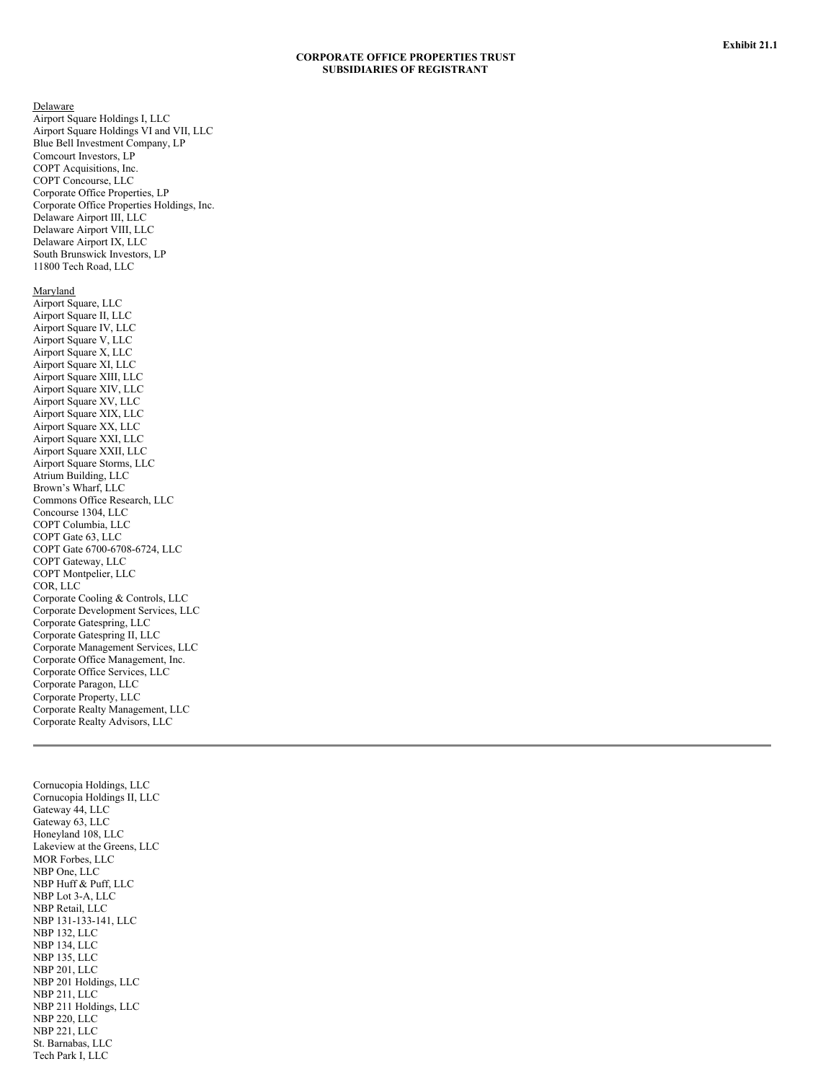#### **CORPORATE OFFICE PROPERTIES TRUST** SUBSIDIARIES OF REGISTRANT

Delaware Airport Square Holdings I, LLC Airport Square Holdings VI and VII, LLC Blue Bell Investment Company, LP Comcourt Investors, LP COPT Acquisitions, Inc. COPT Concourse, LLC Corporate Office Properties, LP Corporate Office Properties Holdings, Inc. Delaware Airport III, LLC Delaware Airport VIII, LLC Delaware Airport IX, LLC South Brunswick Investors, LP 11800 Tech Road, LLC

## **Maryland**

Airport Square, LLC Airport Square II, LLC Airport Square IV, LLC Airport Square V, LLC Airport Square X, LLC Airport Square XI, LLC Airport Square XIII, LLC Airport Square XIV, LLC Airport Square XV, LLC Airport Square XIX, LLC Airport Square XX, LLC Airport Square XXI, LLC Airport Square XXII, LLC Airport Square Storms, LLC Atrium Building, LLC Brown's Wharf, LLC Commons Office Research, LLC Concourse 1304, LLC COPT Columbia, LLC COPT Gate 63, LLC COPT Gate 6700-6708-6724, LLC COPT Gateway, LLC COPT Montpelier, LLC COR, LLC Corporate Cooling & Controls, LLC Corporate Development Services, LLC Corporate Gatespring, LLC Corporate Gatespring II, LLC Corporate Management Services, LLC Corporate Office Management, Inc. Corporate Office Services, LLC Corporate Paragon, LLC Corporate Property, LLC Corporate Realty Management, LLC Corporate Realty Advisors, LLC

Cornucopia Holdings, LLC Cornucopia Holdings II, LLC Gateway 44, LLC Gateway 63, LLC Honeyland 108, LLC Lakeview at the Greens, LLC MOR Forbes, LLC NBP One, LLC NBP Huff & Puff, LLC NBP Lot 3-A, LLC NBP Retail, LLC NBP 131-133-141, LLC NBP 132, LLC NBP 134, LLC NBP 135, LLC NBP 201, LLC NBP 201 Holdings, LLC NBP 211, LLC NBP 211 Holdings, LLC NBP 220, LLC NBP 221, LLC St. Barnabas, LLC Tech Park I, LLC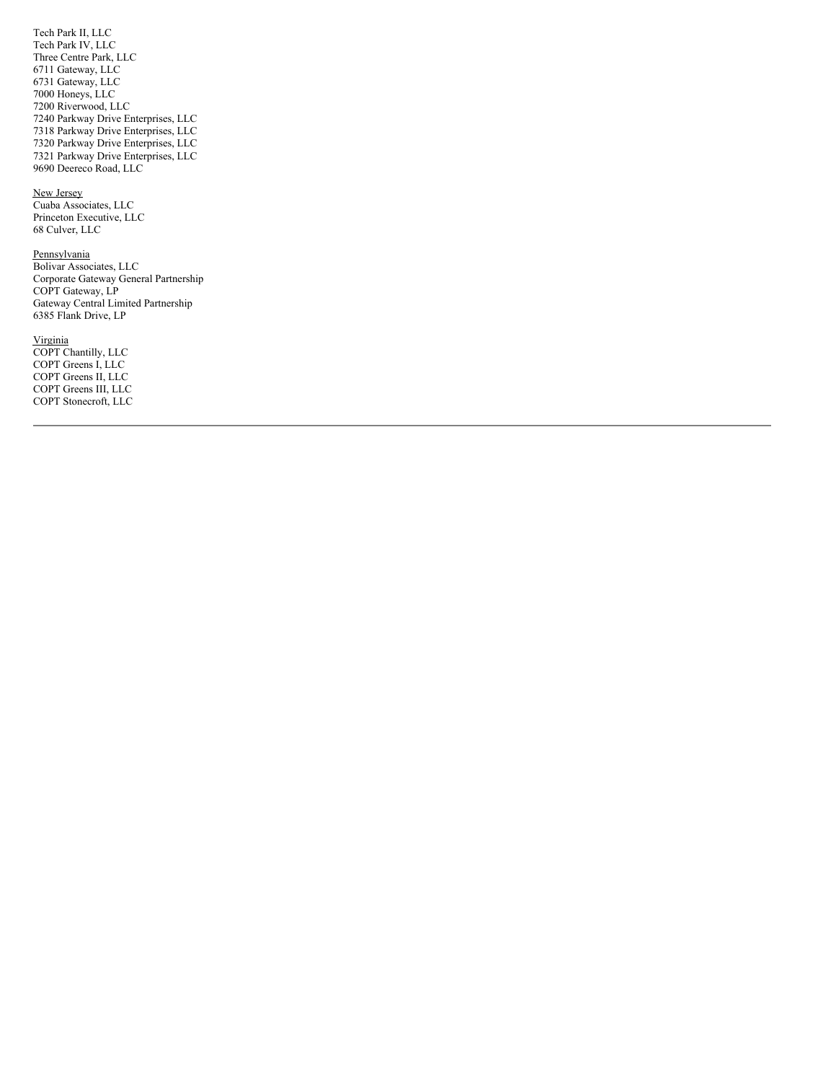Tech Park II, LLC Tech Park IV, LLC Three Centre Park, LLC Gateway, LLC Gateway, LLC Honeys, LLC Riverwood, LLC Parkway Drive Enterprises, LLC Parkway Drive Enterprises, LLC Parkway Drive Enterprises, LLC Parkway Drive Enterprises, LLC Deereco Road, LLC

# New Jersey

Cuaba Associates, LLC Princeton Executive, LLC 68 Culver, LLC

# Pennsylvania

Bolivar Associates, LLC Corporate Gateway General Partnership COPT Gateway, LP Gateway Central Limited Partnership 6385 Flank Drive, LP

#### Virginia

COPT Chantilly, LLC COPT Greens I, LLC COPT Greens II, LLC COPT Greens III, LLC COPT Stonecroft, LLC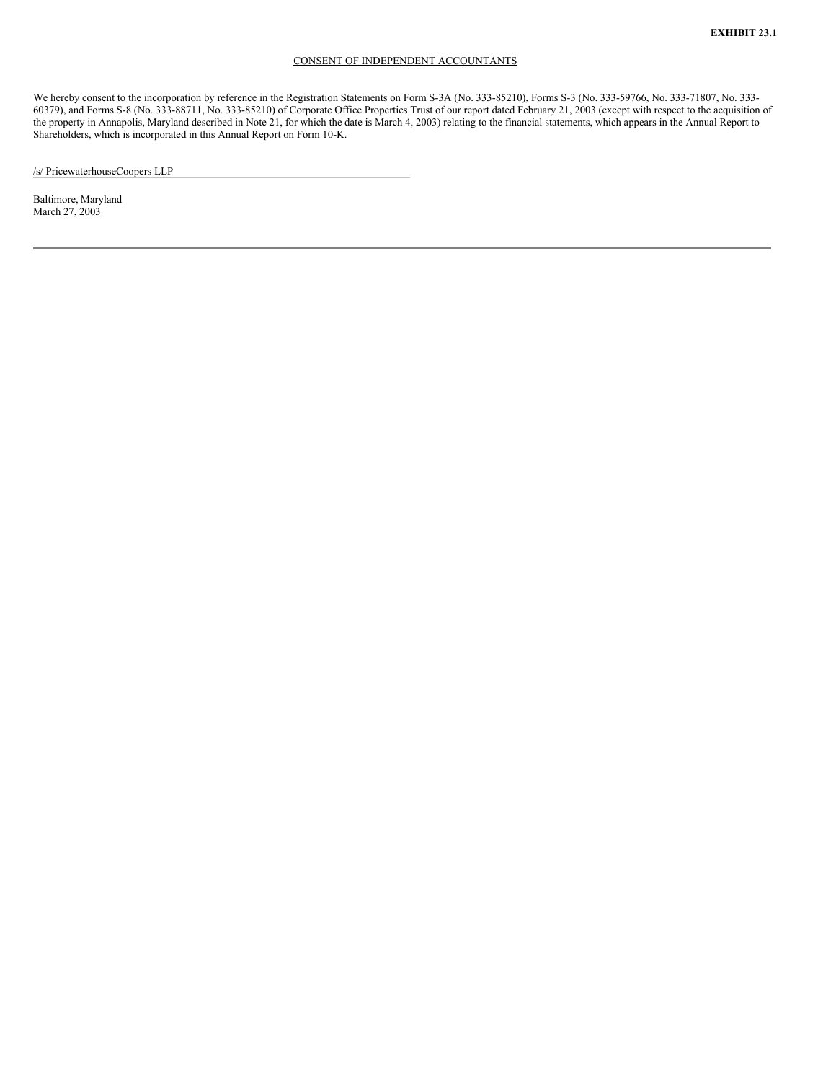## CONSENT OF INDEPENDENT ACCOUNTANTS

We hereby consent to the incorporation by reference in the Registration Statements on Form S-3A (No. 333-85210), Forms S-3 (No. 333-59766, No. 333-71807, No. 333-60379), and Forms S-8 (No. 333-88711, No. 333-85210) of Corporate Office Properties Trust of our report dated February 21, 2003 (except with respect to the acquisition of the property in Annapolis, Maryland described in Note 21, for which the date is March 4, 2003) relating to the financial statements, which appears in the Annual Report to Shareholders, which is incorporated in this Annual Report on Form 10-K.

/s/ PricewaterhouseCoopers LLP

Baltimore, Maryland March 27, 2003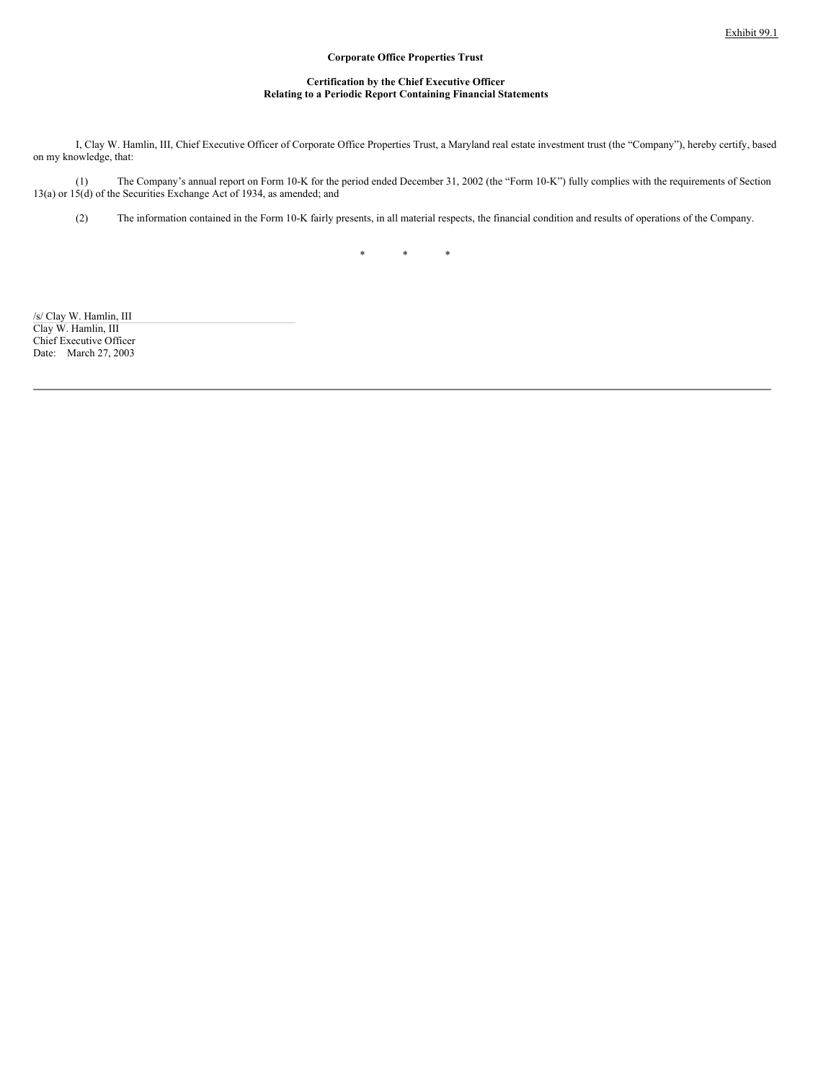### **Corporate Office Properties Trust**

## **Certification by the Chief Executive Officer Relating to a Periodic Report Containing Financial Statements**

I, Clay W. Hamlin, III, Chief Executive Officer of Corporate Office Properties Trust, a Maryland real estate investment trust (the "Company"), hereby certify, based on my knowledge, that:

(1) The Company's annual report on Form 10-K for the period ended December 31, 2002 (the "Form 10-K") fully complies with the requirements of Section 13(a) or 15(d) of the Securities Exchange Act of 1934, as amended; and

(2) The information contained in the Form 10-K fairly presents, in all material respects, the financial condition and results of operations of the Company.

\* \* \*

/s/ Clay W. Hamlin, III Clay W. Hamlin, III Chief Executive Officer Date: March 27, 2003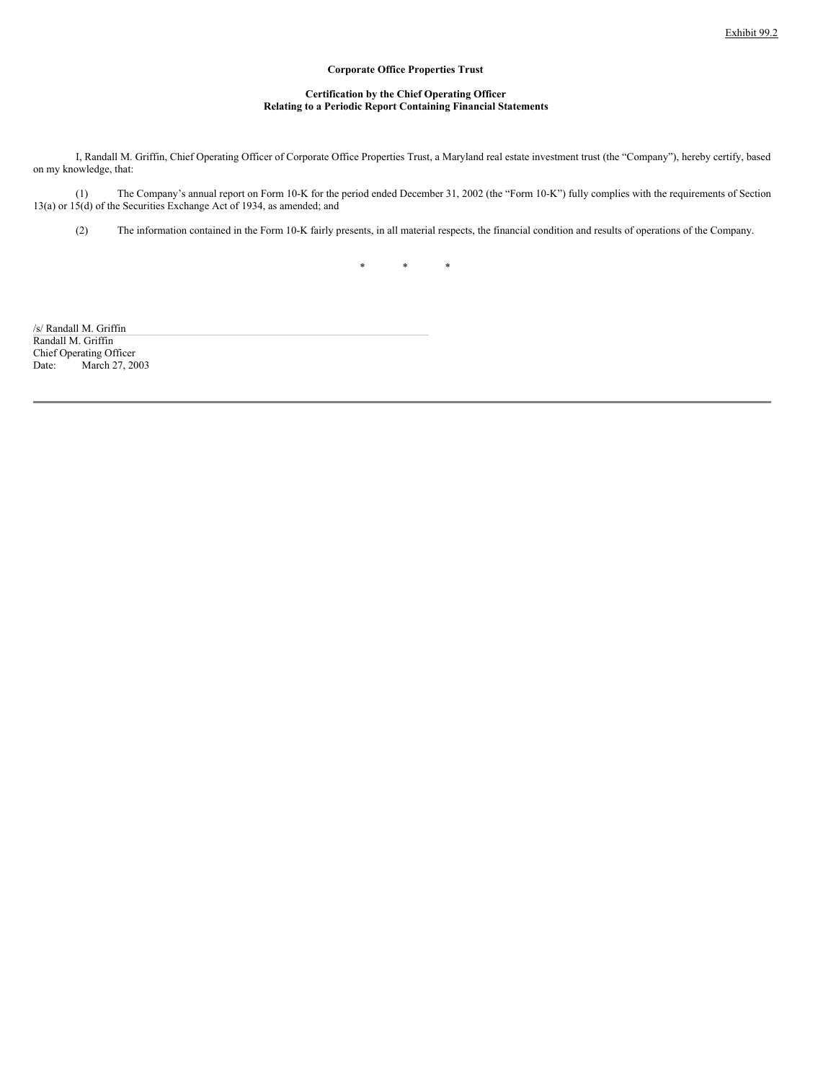# **Corporate Office Properties Trust**

#### **Certification by the Chief Operating Officer Relating to a Periodic Report Containing Financial Statements**

I, Randall M. Griffin, Chief Operating Officer of Corporate Office Properties Trust, a Maryland real estate investment trust (the "Company"), hereby certify, based on my knowledge, that:

(1) The Company's annual report on Form 10-K for the period ended December 31, 2002 (the "Form 10-K") fully complies with the requirements of Section 13(a) or 15(d) of the Securities Exchange Act of 1934, as amended; and

(2) The information contained in the Form 10-K fairly presents, in all material respects, the financial condition and results of operations of the Company.

\* \* \*

/s/ Randall M. Griffin Randall M. Griffin

Chief Operating Officer<br>Date: March 27, 20 March 27, 2003